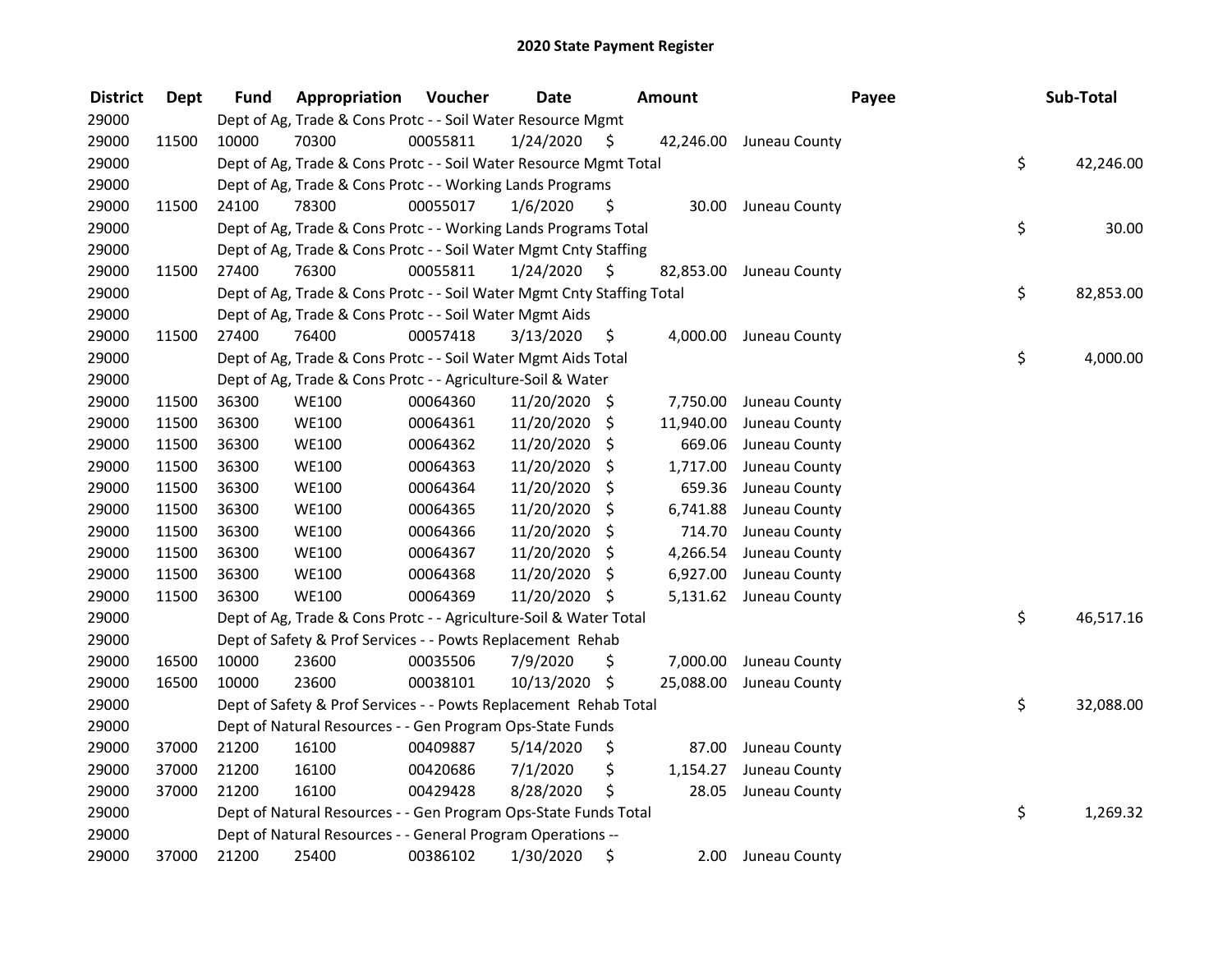| <b>District</b> | <b>Dept</b> | Fund  | Appropriation                                                          | Voucher  | <b>Date</b>   |     | Amount    |               | Payee | Sub-Total |
|-----------------|-------------|-------|------------------------------------------------------------------------|----------|---------------|-----|-----------|---------------|-------|-----------|
| 29000           |             |       | Dept of Ag, Trade & Cons Protc - - Soil Water Resource Mgmt            |          |               |     |           |               |       |           |
| 29000           | 11500       | 10000 | 70300                                                                  | 00055811 | 1/24/2020     | \$  | 42,246.00 | Juneau County |       |           |
| 29000           |             |       | Dept of Ag, Trade & Cons Protc - - Soil Water Resource Mgmt Total      |          |               |     |           |               | \$    | 42,246.00 |
| 29000           |             |       | Dept of Ag, Trade & Cons Protc - - Working Lands Programs              |          |               |     |           |               |       |           |
| 29000           | 11500       | 24100 | 78300                                                                  | 00055017 | 1/6/2020      | \$  | 30.00     | Juneau County |       |           |
| 29000           |             |       | Dept of Ag, Trade & Cons Protc - - Working Lands Programs Total        |          |               |     |           |               | \$    | 30.00     |
| 29000           |             |       | Dept of Ag, Trade & Cons Protc - - Soil Water Mgmt Cnty Staffing       |          |               |     |           |               |       |           |
| 29000           | 11500       | 27400 | 76300                                                                  | 00055811 | 1/24/2020     | \$  | 82,853.00 | Juneau County |       |           |
| 29000           |             |       | Dept of Ag, Trade & Cons Protc - - Soil Water Mgmt Cnty Staffing Total |          |               |     |           |               | \$    | 82,853.00 |
| 29000           |             |       | Dept of Ag, Trade & Cons Protc - - Soil Water Mgmt Aids                |          |               |     |           |               |       |           |
| 29000           | 11500       | 27400 | 76400                                                                  | 00057418 | 3/13/2020     | -Ş  | 4,000.00  | Juneau County |       |           |
| 29000           |             |       | Dept of Ag, Trade & Cons Protc - - Soil Water Mgmt Aids Total          |          |               |     |           |               | \$    | 4,000.00  |
| 29000           |             |       | Dept of Ag, Trade & Cons Protc - - Agriculture-Soil & Water            |          |               |     |           |               |       |           |
| 29000           | 11500       | 36300 | <b>WE100</b>                                                           | 00064360 | 11/20/2020 \$ |     | 7,750.00  | Juneau County |       |           |
| 29000           | 11500       | 36300 | <b>WE100</b>                                                           | 00064361 | 11/20/2020    | \$  | 11,940.00 | Juneau County |       |           |
| 29000           | 11500       | 36300 | <b>WE100</b>                                                           | 00064362 | 11/20/2020    | \$, | 669.06    | Juneau County |       |           |
| 29000           | 11500       | 36300 | <b>WE100</b>                                                           | 00064363 | 11/20/2020    | -\$ | 1,717.00  | Juneau County |       |           |
| 29000           | 11500       | 36300 | <b>WE100</b>                                                           | 00064364 | 11/20/2020    | -\$ | 659.36    | Juneau County |       |           |
| 29000           | 11500       | 36300 | <b>WE100</b>                                                           | 00064365 | 11/20/2020    | \$  | 6,741.88  | Juneau County |       |           |
| 29000           | 11500       | 36300 | <b>WE100</b>                                                           | 00064366 | 11/20/2020    | \$  | 714.70    | Juneau County |       |           |
| 29000           | 11500       | 36300 | <b>WE100</b>                                                           | 00064367 | 11/20/2020    | \$  | 4,266.54  | Juneau County |       |           |
| 29000           | 11500       | 36300 | <b>WE100</b>                                                           | 00064368 | 11/20/2020    | \$  | 6,927.00  | Juneau County |       |           |
| 29000           | 11500       | 36300 | <b>WE100</b>                                                           | 00064369 | 11/20/2020    | -\$ | 5,131.62  | Juneau County |       |           |
| 29000           |             |       | Dept of Ag, Trade & Cons Protc - - Agriculture-Soil & Water Total      |          |               |     |           |               | \$    | 46,517.16 |
| 29000           |             |       | Dept of Safety & Prof Services - - Powts Replacement Rehab             |          |               |     |           |               |       |           |
| 29000           | 16500       | 10000 | 23600                                                                  | 00035506 | 7/9/2020      | \$  | 7,000.00  | Juneau County |       |           |
| 29000           | 16500       | 10000 | 23600                                                                  | 00038101 | 10/13/2020 \$ |     | 25,088.00 | Juneau County |       |           |
| 29000           |             |       | Dept of Safety & Prof Services - - Powts Replacement Rehab Total       |          |               |     |           |               | \$    | 32,088.00 |
| 29000           |             |       | Dept of Natural Resources - - Gen Program Ops-State Funds              |          |               |     |           |               |       |           |
| 29000           | 37000       | 21200 | 16100                                                                  | 00409887 | 5/14/2020     | \$  | 87.00     | Juneau County |       |           |
| 29000           | 37000       | 21200 | 16100                                                                  | 00420686 | 7/1/2020      | \$  | 1,154.27  | Juneau County |       |           |
| 29000           | 37000       | 21200 | 16100                                                                  | 00429428 | 8/28/2020     | \$  | 28.05     | Juneau County |       |           |
| 29000           |             |       | Dept of Natural Resources - - Gen Program Ops-State Funds Total        |          |               |     |           |               | \$    | 1,269.32  |
| 29000           |             |       | Dept of Natural Resources - - General Program Operations --            |          |               |     |           |               |       |           |
| 29000           | 37000       | 21200 | 25400                                                                  | 00386102 | 1/30/2020     | \$  | 2.00      | Juneau County |       |           |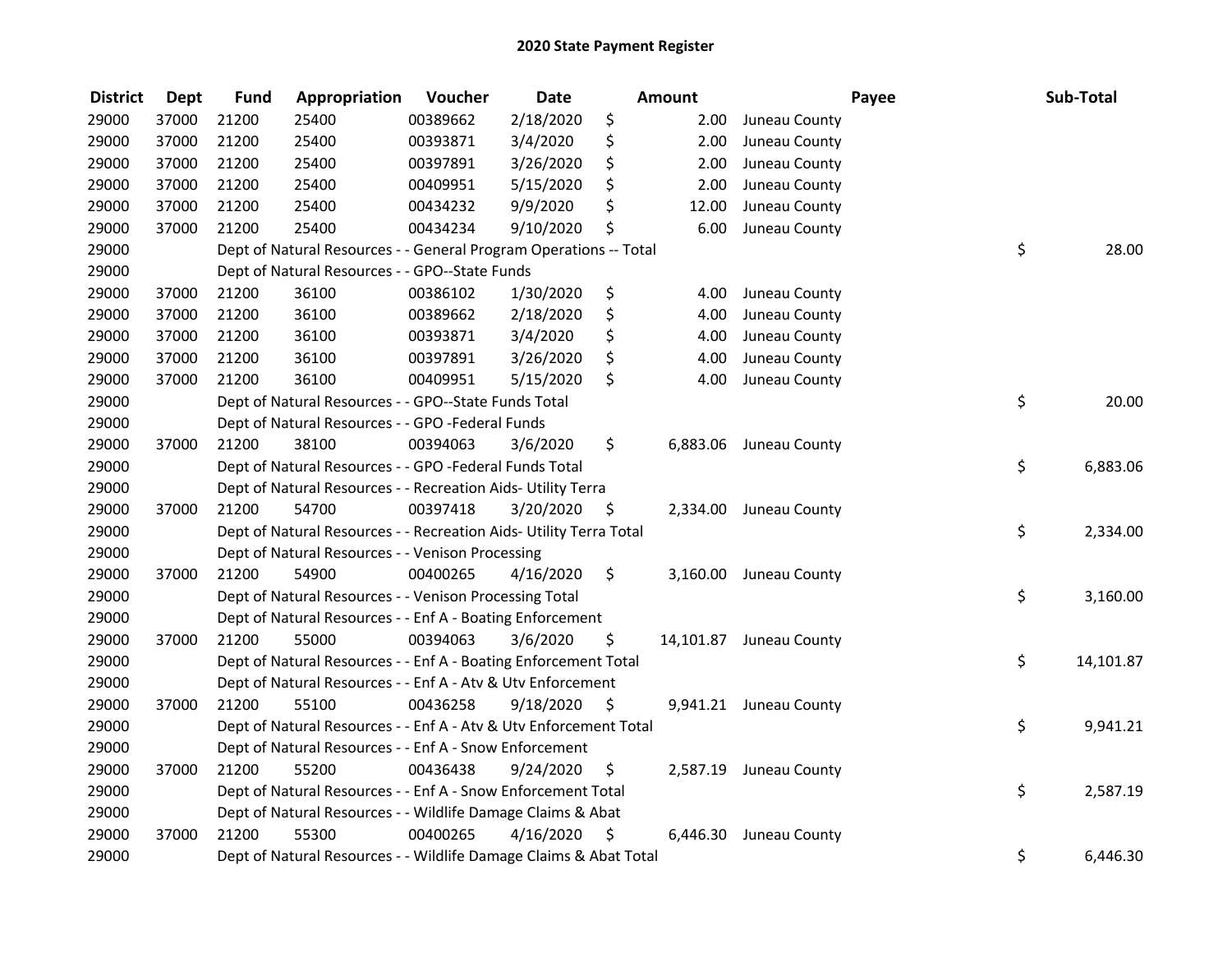| <b>District</b> | Dept  | <b>Fund</b> | Appropriation                                                      | Voucher  | <b>Date</b> |      | Amount   |                         | Payee | Sub-Total |
|-----------------|-------|-------------|--------------------------------------------------------------------|----------|-------------|------|----------|-------------------------|-------|-----------|
| 29000           | 37000 | 21200       | 25400                                                              | 00389662 | 2/18/2020   | \$   | 2.00     | Juneau County           |       |           |
| 29000           | 37000 | 21200       | 25400                                                              | 00393871 | 3/4/2020    | \$   | 2.00     | Juneau County           |       |           |
| 29000           | 37000 | 21200       | 25400                                                              | 00397891 | 3/26/2020   | \$   | 2.00     | Juneau County           |       |           |
| 29000           | 37000 | 21200       | 25400                                                              | 00409951 | 5/15/2020   | \$   | 2.00     | Juneau County           |       |           |
| 29000           | 37000 | 21200       | 25400                                                              | 00434232 | 9/9/2020    | \$   | 12.00    | Juneau County           |       |           |
| 29000           | 37000 | 21200       | 25400                                                              | 00434234 | 9/10/2020   | \$   | 6.00     | Juneau County           |       |           |
| 29000           |       |             | Dept of Natural Resources - - General Program Operations -- Total  |          |             |      |          |                         | \$    | 28.00     |
| 29000           |       |             | Dept of Natural Resources - - GPO--State Funds                     |          |             |      |          |                         |       |           |
| 29000           | 37000 | 21200       | 36100                                                              | 00386102 | 1/30/2020   | \$   | 4.00     | Juneau County           |       |           |
| 29000           | 37000 | 21200       | 36100                                                              | 00389662 | 2/18/2020   | \$   | 4.00     | Juneau County           |       |           |
| 29000           | 37000 | 21200       | 36100                                                              | 00393871 | 3/4/2020    | \$   | 4.00     | Juneau County           |       |           |
| 29000           | 37000 | 21200       | 36100                                                              | 00397891 | 3/26/2020   | \$   | 4.00     | Juneau County           |       |           |
| 29000           | 37000 | 21200       | 36100                                                              | 00409951 | 5/15/2020   | \$   | 4.00     | Juneau County           |       |           |
| 29000           |       |             | Dept of Natural Resources - - GPO--State Funds Total               |          |             |      |          |                         | \$    | 20.00     |
| 29000           |       |             | Dept of Natural Resources - - GPO -Federal Funds                   |          |             |      |          |                         |       |           |
| 29000           | 37000 | 21200       | 38100                                                              | 00394063 | 3/6/2020    | \$   | 6,883.06 | Juneau County           |       |           |
| 29000           |       |             | Dept of Natural Resources - - GPO -Federal Funds Total             |          |             |      |          |                         | \$    | 6,883.06  |
| 29000           |       |             | Dept of Natural Resources - - Recreation Aids- Utility Terra       |          |             |      |          |                         |       |           |
| 29000           | 37000 | 21200       | 54700                                                              | 00397418 | 3/20/2020   | - \$ |          | 2,334.00 Juneau County  |       |           |
| 29000           |       |             | Dept of Natural Resources - - Recreation Aids- Utility Terra Total |          |             |      |          |                         | \$    | 2,334.00  |
| 29000           |       |             | Dept of Natural Resources - - Venison Processing                   |          |             |      |          |                         |       |           |
| 29000           | 37000 | 21200       | 54900                                                              | 00400265 | 4/16/2020   | \$   |          | 3,160.00 Juneau County  |       |           |
| 29000           |       |             | Dept of Natural Resources - - Venison Processing Total             |          |             |      |          |                         | \$    | 3,160.00  |
| 29000           |       |             | Dept of Natural Resources - - Enf A - Boating Enforcement          |          |             |      |          |                         |       |           |
| 29000           | 37000 | 21200       | 55000                                                              | 00394063 | 3/6/2020    | \$.  |          | 14,101.87 Juneau County |       |           |
| 29000           |       |             | Dept of Natural Resources - - Enf A - Boating Enforcement Total    |          |             |      |          |                         | \$    | 14,101.87 |
| 29000           |       |             | Dept of Natural Resources - - Enf A - Atv & Utv Enforcement        |          |             |      |          |                         |       |           |
| 29000           | 37000 | 21200       | 55100                                                              | 00436258 | 9/18/2020   | \$   |          | 9,941.21 Juneau County  |       |           |
| 29000           |       |             | Dept of Natural Resources - - Enf A - Atv & Utv Enforcement Total  |          |             |      |          |                         | \$    | 9,941.21  |
| 29000           |       |             | Dept of Natural Resources - - Enf A - Snow Enforcement             |          |             |      |          |                         |       |           |
| 29000           | 37000 | 21200       | 55200                                                              | 00436438 | 9/24/2020   | \$   |          | 2,587.19 Juneau County  |       |           |
| 29000           |       |             | Dept of Natural Resources - - Enf A - Snow Enforcement Total       |          |             |      |          |                         | \$    | 2,587.19  |
| 29000           |       |             | Dept of Natural Resources - - Wildlife Damage Claims & Abat        |          |             |      |          |                         |       |           |
| 29000           | 37000 | 21200       | 55300                                                              | 00400265 | 4/16/2020   | \$   | 6,446.30 | Juneau County           |       |           |
| 29000           |       |             | Dept of Natural Resources - - Wildlife Damage Claims & Abat Total  |          |             |      |          |                         | \$    | 6,446.30  |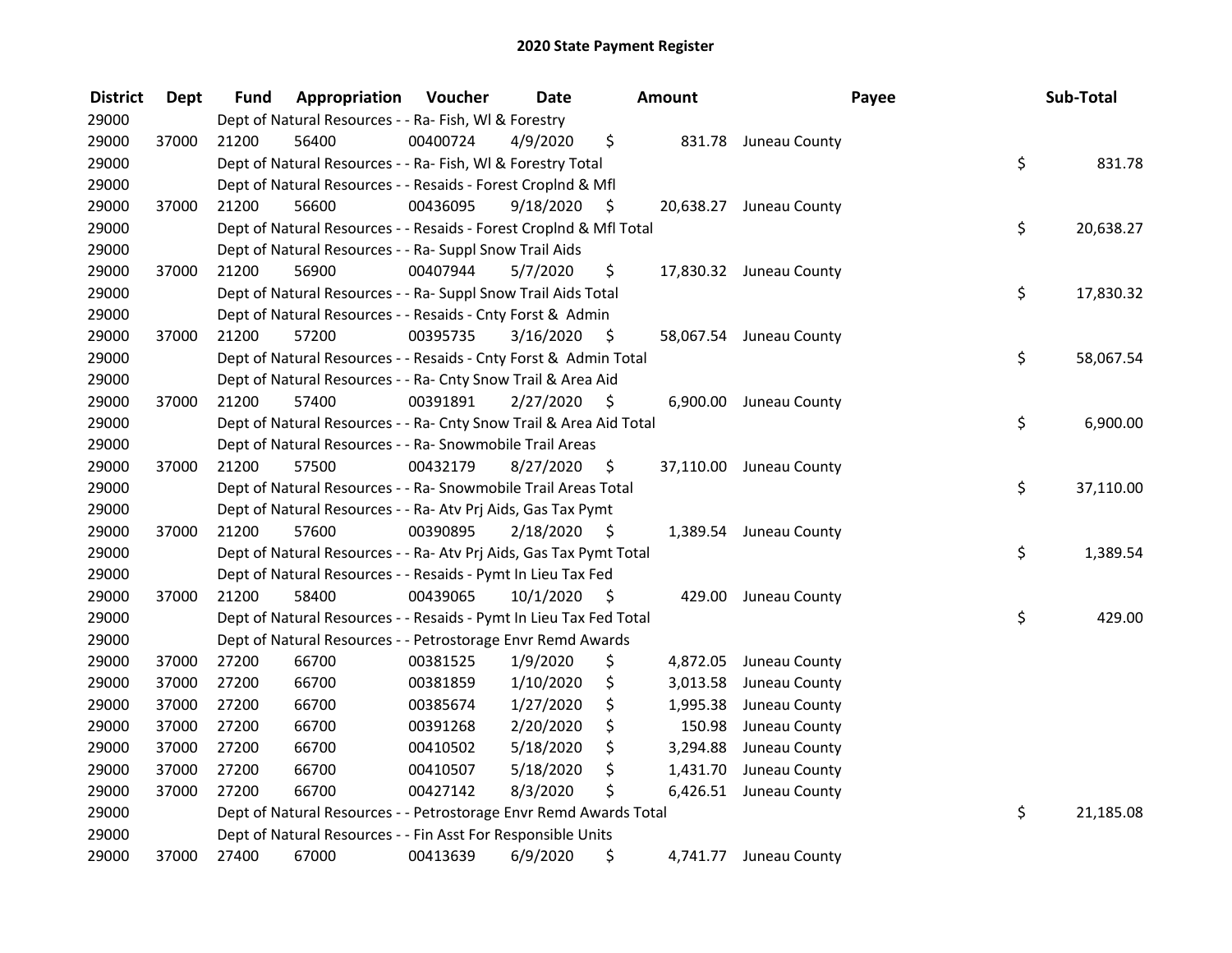| <b>District</b> | <b>Dept</b> | Fund  | Appropriation                                                      | Voucher  | <b>Date</b> |      | Amount   | Payee                   | Sub-Total       |
|-----------------|-------------|-------|--------------------------------------------------------------------|----------|-------------|------|----------|-------------------------|-----------------|
| 29000           |             |       | Dept of Natural Resources - - Ra- Fish, WI & Forestry              |          |             |      |          |                         |                 |
| 29000           | 37000       | 21200 | 56400                                                              | 00400724 | 4/9/2020    | \$   |          | 831.78 Juneau County    |                 |
| 29000           |             |       | Dept of Natural Resources - - Ra- Fish, WI & Forestry Total        |          |             |      |          |                         | \$<br>831.78    |
| 29000           |             |       | Dept of Natural Resources - - Resaids - Forest CropInd & Mfl       |          |             |      |          |                         |                 |
| 29000           | 37000       | 21200 | 56600                                                              | 00436095 | 9/18/2020   | \$   |          | 20,638.27 Juneau County |                 |
| 29000           |             |       | Dept of Natural Resources - - Resaids - Forest Croplnd & Mfl Total |          |             |      |          |                         | \$<br>20,638.27 |
| 29000           |             |       | Dept of Natural Resources - - Ra- Suppl Snow Trail Aids            |          |             |      |          |                         |                 |
| 29000           | 37000       | 21200 | 56900                                                              | 00407944 | 5/7/2020    | \$   |          | 17,830.32 Juneau County |                 |
| 29000           |             |       | Dept of Natural Resources - - Ra- Suppl Snow Trail Aids Total      |          |             |      |          |                         | \$<br>17,830.32 |
| 29000           |             |       | Dept of Natural Resources - - Resaids - Cnty Forst & Admin         |          |             |      |          |                         |                 |
| 29000           | 37000       | 21200 | 57200                                                              | 00395735 | 3/16/2020   | -\$  |          | 58,067.54 Juneau County |                 |
| 29000           |             |       | Dept of Natural Resources - - Resaids - Cnty Forst & Admin Total   |          |             |      |          |                         | \$<br>58,067.54 |
| 29000           |             |       | Dept of Natural Resources - - Ra- Cnty Snow Trail & Area Aid       |          |             |      |          |                         |                 |
| 29000           | 37000       | 21200 | 57400                                                              | 00391891 | 2/27/2020   | -\$  | 6,900.00 | Juneau County           |                 |
| 29000           |             |       | Dept of Natural Resources - - Ra- Cnty Snow Trail & Area Aid Total |          |             |      |          |                         | \$<br>6,900.00  |
| 29000           |             |       | Dept of Natural Resources - - Ra- Snowmobile Trail Areas           |          |             |      |          |                         |                 |
| 29000           | 37000       | 21200 | 57500                                                              | 00432179 | 8/27/2020   | \$   |          | 37,110.00 Juneau County |                 |
| 29000           |             |       | Dept of Natural Resources - - Ra- Snowmobile Trail Areas Total     |          |             |      |          |                         | \$<br>37,110.00 |
| 29000           |             |       | Dept of Natural Resources - - Ra- Atv Prj Aids, Gas Tax Pymt       |          |             |      |          |                         |                 |
| 29000           | 37000       | 21200 | 57600                                                              | 00390895 | 2/18/2020   | - \$ |          | 1,389.54 Juneau County  |                 |
| 29000           |             |       | Dept of Natural Resources - - Ra- Atv Prj Aids, Gas Tax Pymt Total |          |             |      |          |                         | \$<br>1,389.54  |
| 29000           |             |       | Dept of Natural Resources - - Resaids - Pymt In Lieu Tax Fed       |          |             |      |          |                         |                 |
| 29000           | 37000       | 21200 | 58400                                                              | 00439065 | 10/1/2020   | - \$ |          | 429.00 Juneau County    |                 |
| 29000           |             |       | Dept of Natural Resources - - Resaids - Pymt In Lieu Tax Fed Total |          |             |      |          |                         | \$<br>429.00    |
| 29000           |             |       | Dept of Natural Resources - - Petrostorage Envr Remd Awards        |          |             |      |          |                         |                 |
| 29000           | 37000       | 27200 | 66700                                                              | 00381525 | 1/9/2020    | \$   | 4,872.05 | Juneau County           |                 |
| 29000           | 37000       | 27200 | 66700                                                              | 00381859 | 1/10/2020   | \$   | 3,013.58 | Juneau County           |                 |
| 29000           | 37000       | 27200 | 66700                                                              | 00385674 | 1/27/2020   | \$   | 1,995.38 | Juneau County           |                 |
| 29000           | 37000       | 27200 | 66700                                                              | 00391268 | 2/20/2020   | \$   | 150.98   | Juneau County           |                 |
| 29000           | 37000       | 27200 | 66700                                                              | 00410502 | 5/18/2020   | \$   | 3,294.88 | Juneau County           |                 |
| 29000           | 37000       | 27200 | 66700                                                              | 00410507 | 5/18/2020   | \$   | 1,431.70 | Juneau County           |                 |
| 29000           | 37000       | 27200 | 66700                                                              | 00427142 | 8/3/2020    | \$   | 6,426.51 | Juneau County           |                 |
| 29000           |             |       | Dept of Natural Resources - - Petrostorage Envr Remd Awards Total  |          |             |      |          |                         | \$<br>21,185.08 |
| 29000           |             |       | Dept of Natural Resources - - Fin Asst For Responsible Units       |          |             |      |          |                         |                 |
| 29000           | 37000       | 27400 | 67000                                                              | 00413639 | 6/9/2020    | \$   | 4,741.77 | Juneau County           |                 |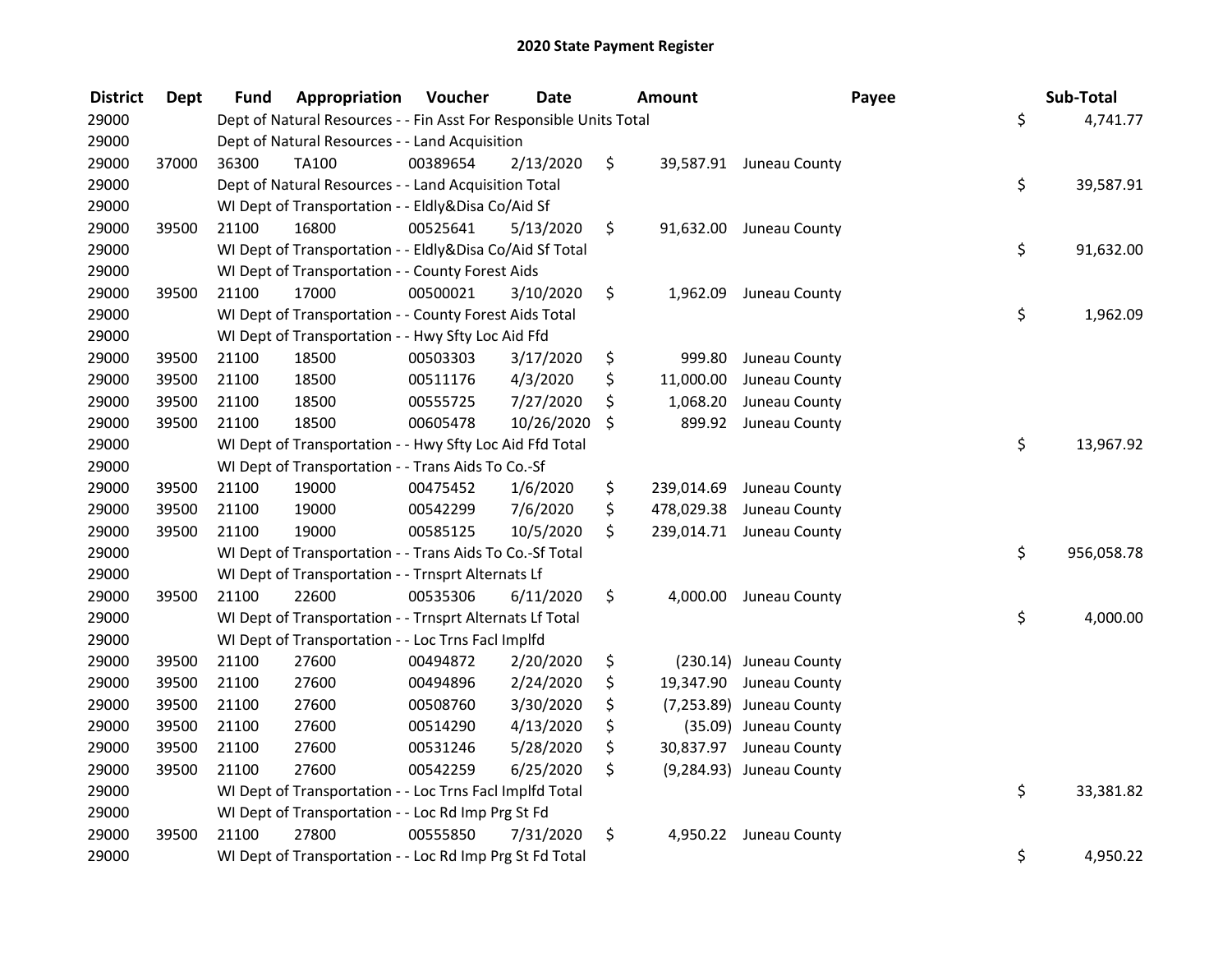| <b>District</b> | <b>Dept</b> | Fund  | Appropriation                                                      | <b>Voucher</b> | <b>Date</b> | <b>Amount</b>    |                          | Payee | Sub-Total  |
|-----------------|-------------|-------|--------------------------------------------------------------------|----------------|-------------|------------------|--------------------------|-------|------------|
| 29000           |             |       | Dept of Natural Resources - - Fin Asst For Responsible Units Total |                |             |                  |                          | \$    | 4,741.77   |
| 29000           |             |       | Dept of Natural Resources - - Land Acquisition                     |                |             |                  |                          |       |            |
| 29000           | 37000       | 36300 | TA100                                                              | 00389654       | 2/13/2020   | \$               | 39,587.91 Juneau County  |       |            |
| 29000           |             |       | Dept of Natural Resources - - Land Acquisition Total               |                |             |                  |                          | \$    | 39,587.91  |
| 29000           |             |       | WI Dept of Transportation - - Eldly&Disa Co/Aid Sf                 |                |             |                  |                          |       |            |
| 29000           | 39500       | 21100 | 16800                                                              | 00525641       | 5/13/2020   | \$               | 91,632.00 Juneau County  |       |            |
| 29000           |             |       | WI Dept of Transportation - - Eldly&Disa Co/Aid Sf Total           |                |             |                  |                          | \$    | 91,632.00  |
| 29000           |             |       | WI Dept of Transportation - - County Forest Aids                   |                |             |                  |                          |       |            |
| 29000           | 39500       | 21100 | 17000                                                              | 00500021       | 3/10/2020   | \$               | 1,962.09 Juneau County   |       |            |
| 29000           |             |       | WI Dept of Transportation - - County Forest Aids Total             |                |             |                  |                          | \$    | 1,962.09   |
| 29000           |             |       | WI Dept of Transportation - - Hwy Sfty Loc Aid Ffd                 |                |             |                  |                          |       |            |
| 29000           | 39500       | 21100 | 18500                                                              | 00503303       | 3/17/2020   | \$<br>999.80     | Juneau County            |       |            |
| 29000           | 39500       | 21100 | 18500                                                              | 00511176       | 4/3/2020    | \$<br>11,000.00  | Juneau County            |       |            |
| 29000           | 39500       | 21100 | 18500                                                              | 00555725       | 7/27/2020   | \$<br>1,068.20   | Juneau County            |       |            |
| 29000           | 39500       | 21100 | 18500                                                              | 00605478       | 10/26/2020  | \$<br>899.92     | Juneau County            |       |            |
| 29000           |             |       | WI Dept of Transportation - - Hwy Sfty Loc Aid Ffd Total           |                |             |                  |                          | \$    | 13,967.92  |
| 29000           |             |       | WI Dept of Transportation - - Trans Aids To Co.-Sf                 |                |             |                  |                          |       |            |
| 29000           | 39500       | 21100 | 19000                                                              | 00475452       | 1/6/2020    | \$<br>239,014.69 | Juneau County            |       |            |
| 29000           | 39500       | 21100 | 19000                                                              | 00542299       | 7/6/2020    | \$<br>478,029.38 | Juneau County            |       |            |
| 29000           | 39500       | 21100 | 19000                                                              | 00585125       | 10/5/2020   | \$               | 239,014.71 Juneau County |       |            |
| 29000           |             |       | WI Dept of Transportation - - Trans Aids To Co.-Sf Total           |                |             |                  |                          | \$    | 956,058.78 |
| 29000           |             |       | WI Dept of Transportation - - Trnsprt Alternats Lf                 |                |             |                  |                          |       |            |
| 29000           | 39500       | 21100 | 22600                                                              | 00535306       | 6/11/2020   | \$               | 4,000.00 Juneau County   |       |            |
| 29000           |             |       | WI Dept of Transportation - - Trnsprt Alternats Lf Total           |                |             |                  |                          | \$    | 4,000.00   |
| 29000           |             |       | WI Dept of Transportation - - Loc Trns Facl Implfd                 |                |             |                  |                          |       |            |
| 29000           | 39500       | 21100 | 27600                                                              | 00494872       | 2/20/2020   | \$               | (230.14) Juneau County   |       |            |
| 29000           | 39500       | 21100 | 27600                                                              | 00494896       | 2/24/2020   | \$               | 19,347.90 Juneau County  |       |            |
| 29000           | 39500       | 21100 | 27600                                                              | 00508760       | 3/30/2020   | \$               | (7,253.89) Juneau County |       |            |
| 29000           | 39500       | 21100 | 27600                                                              | 00514290       | 4/13/2020   | \$               | (35.09) Juneau County    |       |            |
| 29000           | 39500       | 21100 | 27600                                                              | 00531246       | 5/28/2020   | \$               | 30,837.97 Juneau County  |       |            |
| 29000           | 39500       | 21100 | 27600                                                              | 00542259       | 6/25/2020   | \$               | (9,284.93) Juneau County |       |            |
| 29000           |             |       | WI Dept of Transportation - - Loc Trns Facl Implfd Total           |                |             |                  |                          | \$    | 33,381.82  |
| 29000           |             |       | WI Dept of Transportation - - Loc Rd Imp Prg St Fd                 |                |             |                  |                          |       |            |
| 29000           | 39500       | 21100 | 27800                                                              | 00555850       | 7/31/2020   | \$               | 4,950.22 Juneau County   |       |            |
| 29000           |             |       | WI Dept of Transportation - - Loc Rd Imp Prg St Fd Total           |                |             |                  |                          | \$    | 4,950.22   |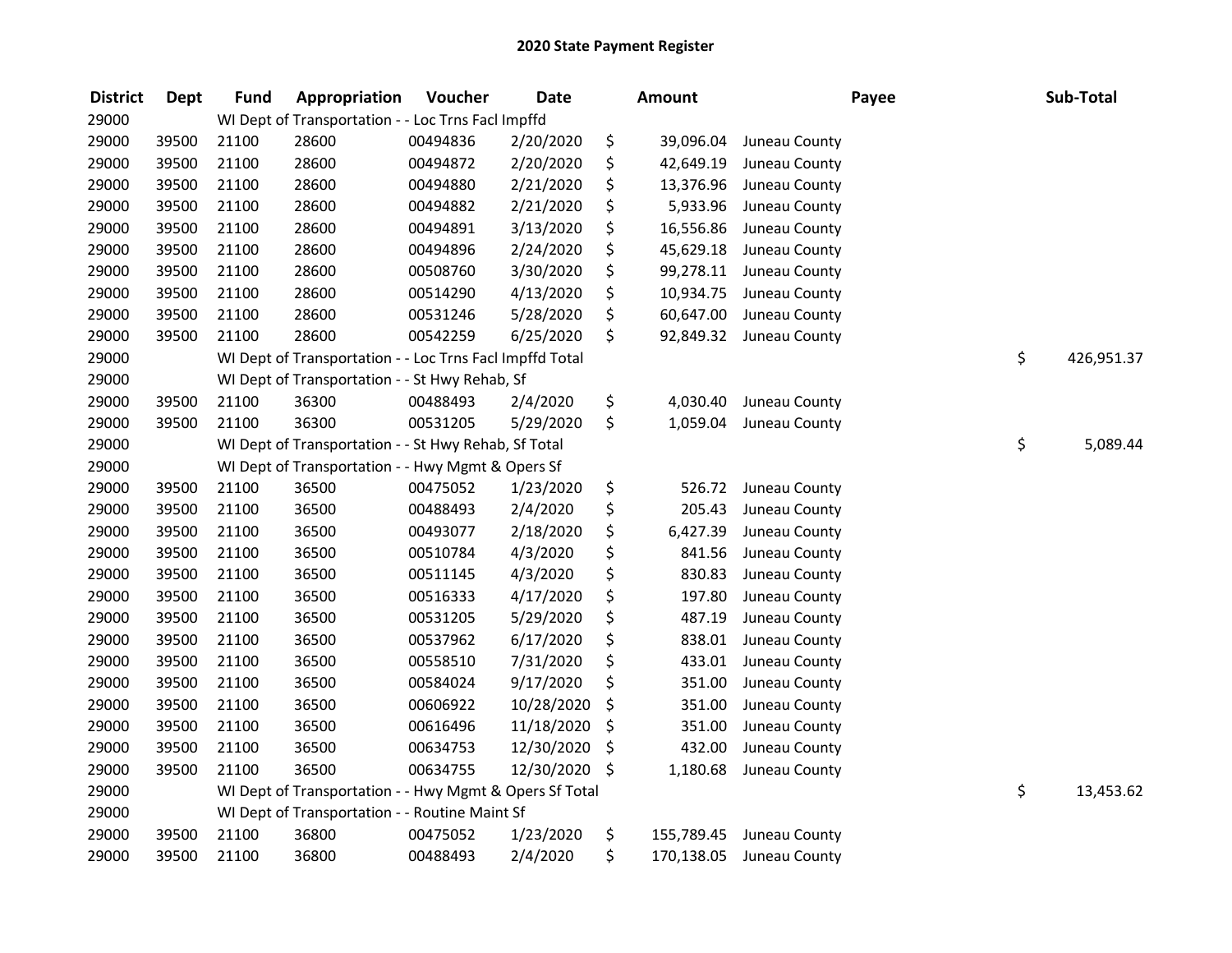| <b>District</b> | <b>Dept</b> | <b>Fund</b> | Appropriation                                            | Voucher  | <b>Date</b> | Amount           |               | Payee | Sub-Total        |
|-----------------|-------------|-------------|----------------------------------------------------------|----------|-------------|------------------|---------------|-------|------------------|
| 29000           |             |             | WI Dept of Transportation - - Loc Trns Facl Impffd       |          |             |                  |               |       |                  |
| 29000           | 39500       | 21100       | 28600                                                    | 00494836 | 2/20/2020   | \$<br>39,096.04  | Juneau County |       |                  |
| 29000           | 39500       | 21100       | 28600                                                    | 00494872 | 2/20/2020   | \$<br>42,649.19  | Juneau County |       |                  |
| 29000           | 39500       | 21100       | 28600                                                    | 00494880 | 2/21/2020   | \$<br>13,376.96  | Juneau County |       |                  |
| 29000           | 39500       | 21100       | 28600                                                    | 00494882 | 2/21/2020   | \$<br>5,933.96   | Juneau County |       |                  |
| 29000           | 39500       | 21100       | 28600                                                    | 00494891 | 3/13/2020   | \$<br>16,556.86  | Juneau County |       |                  |
| 29000           | 39500       | 21100       | 28600                                                    | 00494896 | 2/24/2020   | \$<br>45,629.18  | Juneau County |       |                  |
| 29000           | 39500       | 21100       | 28600                                                    | 00508760 | 3/30/2020   | \$<br>99,278.11  | Juneau County |       |                  |
| 29000           | 39500       | 21100       | 28600                                                    | 00514290 | 4/13/2020   | \$<br>10,934.75  | Juneau County |       |                  |
| 29000           | 39500       | 21100       | 28600                                                    | 00531246 | 5/28/2020   | \$<br>60,647.00  | Juneau County |       |                  |
| 29000           | 39500       | 21100       | 28600                                                    | 00542259 | 6/25/2020   | \$<br>92,849.32  | Juneau County |       |                  |
| 29000           |             |             | WI Dept of Transportation - - Loc Trns Facl Impffd Total |          |             |                  |               |       | \$<br>426,951.37 |
| 29000           |             |             | WI Dept of Transportation - - St Hwy Rehab, Sf           |          |             |                  |               |       |                  |
| 29000           | 39500       | 21100       | 36300                                                    | 00488493 | 2/4/2020    | \$<br>4,030.40   | Juneau County |       |                  |
| 29000           | 39500       | 21100       | 36300                                                    | 00531205 | 5/29/2020   | \$<br>1,059.04   | Juneau County |       |                  |
| 29000           |             |             | WI Dept of Transportation - - St Hwy Rehab, Sf Total     |          |             |                  |               |       | \$<br>5,089.44   |
| 29000           |             |             | WI Dept of Transportation - - Hwy Mgmt & Opers Sf        |          |             |                  |               |       |                  |
| 29000           | 39500       | 21100       | 36500                                                    | 00475052 | 1/23/2020   | \$<br>526.72     | Juneau County |       |                  |
| 29000           | 39500       | 21100       | 36500                                                    | 00488493 | 2/4/2020    | \$<br>205.43     | Juneau County |       |                  |
| 29000           | 39500       | 21100       | 36500                                                    | 00493077 | 2/18/2020   | \$<br>6,427.39   | Juneau County |       |                  |
| 29000           | 39500       | 21100       | 36500                                                    | 00510784 | 4/3/2020    | \$<br>841.56     | Juneau County |       |                  |
| 29000           | 39500       | 21100       | 36500                                                    | 00511145 | 4/3/2020    | \$<br>830.83     | Juneau County |       |                  |
| 29000           | 39500       | 21100       | 36500                                                    | 00516333 | 4/17/2020   | \$<br>197.80     | Juneau County |       |                  |
| 29000           | 39500       | 21100       | 36500                                                    | 00531205 | 5/29/2020   | \$<br>487.19     | Juneau County |       |                  |
| 29000           | 39500       | 21100       | 36500                                                    | 00537962 | 6/17/2020   | \$<br>838.01     | Juneau County |       |                  |
| 29000           | 39500       | 21100       | 36500                                                    | 00558510 | 7/31/2020   | \$<br>433.01     | Juneau County |       |                  |
| 29000           | 39500       | 21100       | 36500                                                    | 00584024 | 9/17/2020   | \$<br>351.00     | Juneau County |       |                  |
| 29000           | 39500       | 21100       | 36500                                                    | 00606922 | 10/28/2020  | \$<br>351.00     | Juneau County |       |                  |
| 29000           | 39500       | 21100       | 36500                                                    | 00616496 | 11/18/2020  | \$<br>351.00     | Juneau County |       |                  |
| 29000           | 39500       | 21100       | 36500                                                    | 00634753 | 12/30/2020  | \$<br>432.00     | Juneau County |       |                  |
| 29000           | 39500       | 21100       | 36500                                                    | 00634755 | 12/30/2020  | \$<br>1,180.68   | Juneau County |       |                  |
| 29000           |             |             | WI Dept of Transportation - - Hwy Mgmt & Opers Sf Total  |          |             |                  |               |       | \$<br>13,453.62  |
| 29000           |             |             | WI Dept of Transportation - - Routine Maint Sf           |          |             |                  |               |       |                  |
| 29000           | 39500       | 21100       | 36800                                                    | 00475052 | 1/23/2020   | \$<br>155,789.45 | Juneau County |       |                  |
| 29000           | 39500       | 21100       | 36800                                                    | 00488493 | 2/4/2020    | \$<br>170,138.05 | Juneau County |       |                  |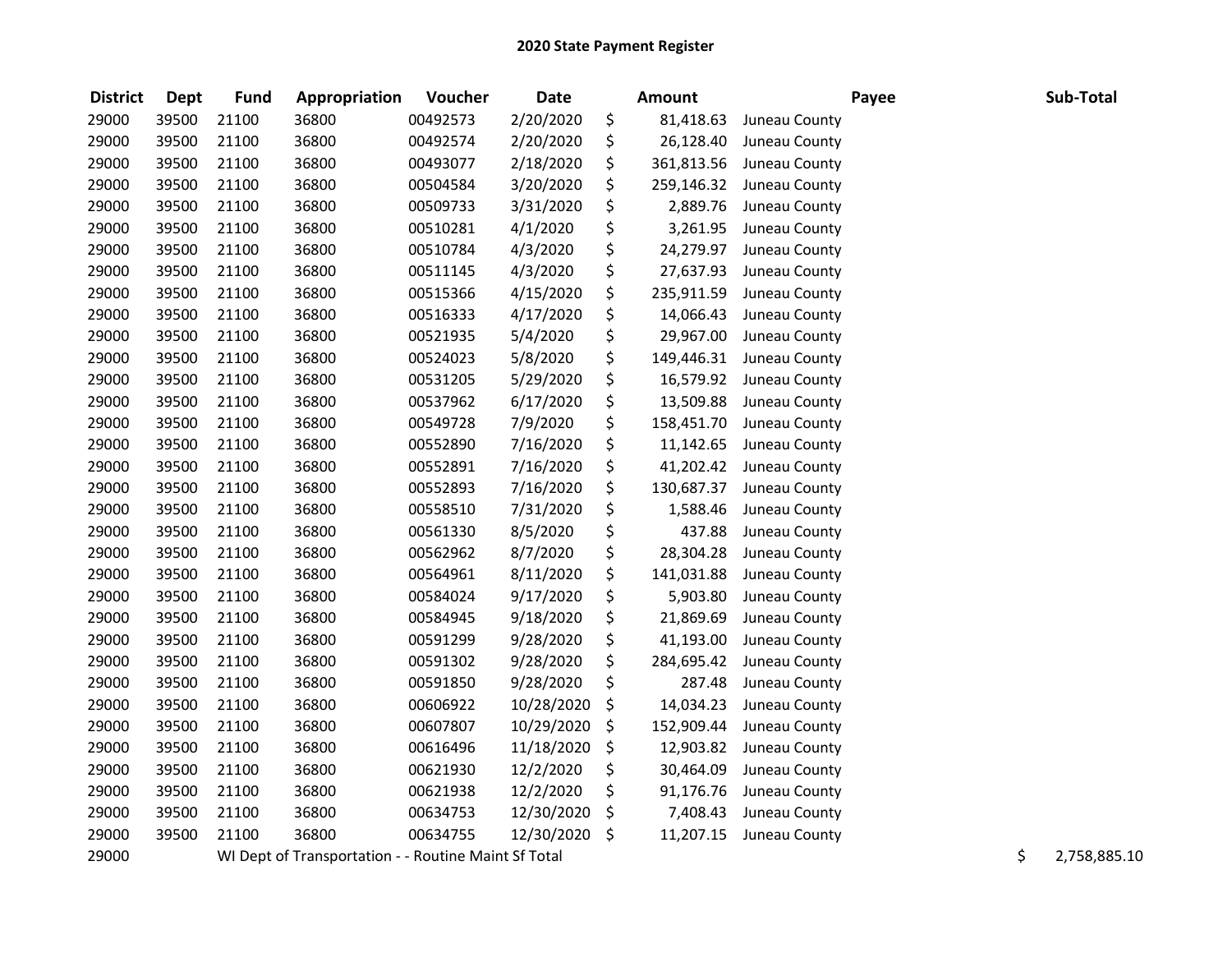| <b>District</b> | <b>Dept</b> | <b>Fund</b> | Appropriation                                        | Voucher  | <b>Date</b> | <b>Amount</b>    |               | Payee | Sub-Total          |
|-----------------|-------------|-------------|------------------------------------------------------|----------|-------------|------------------|---------------|-------|--------------------|
| 29000           | 39500       | 21100       | 36800                                                | 00492573 | 2/20/2020   | \$<br>81,418.63  | Juneau County |       |                    |
| 29000           | 39500       | 21100       | 36800                                                | 00492574 | 2/20/2020   | \$<br>26,128.40  | Juneau County |       |                    |
| 29000           | 39500       | 21100       | 36800                                                | 00493077 | 2/18/2020   | \$<br>361,813.56 | Juneau County |       |                    |
| 29000           | 39500       | 21100       | 36800                                                | 00504584 | 3/20/2020   | \$<br>259,146.32 | Juneau County |       |                    |
| 29000           | 39500       | 21100       | 36800                                                | 00509733 | 3/31/2020   | \$<br>2,889.76   | Juneau County |       |                    |
| 29000           | 39500       | 21100       | 36800                                                | 00510281 | 4/1/2020    | \$<br>3,261.95   | Juneau County |       |                    |
| 29000           | 39500       | 21100       | 36800                                                | 00510784 | 4/3/2020    | \$<br>24,279.97  | Juneau County |       |                    |
| 29000           | 39500       | 21100       | 36800                                                | 00511145 | 4/3/2020    | \$<br>27,637.93  | Juneau County |       |                    |
| 29000           | 39500       | 21100       | 36800                                                | 00515366 | 4/15/2020   | \$<br>235,911.59 | Juneau County |       |                    |
| 29000           | 39500       | 21100       | 36800                                                | 00516333 | 4/17/2020   | \$<br>14,066.43  | Juneau County |       |                    |
| 29000           | 39500       | 21100       | 36800                                                | 00521935 | 5/4/2020    | \$<br>29,967.00  | Juneau County |       |                    |
| 29000           | 39500       | 21100       | 36800                                                | 00524023 | 5/8/2020    | \$<br>149,446.31 | Juneau County |       |                    |
| 29000           | 39500       | 21100       | 36800                                                | 00531205 | 5/29/2020   | \$<br>16,579.92  | Juneau County |       |                    |
| 29000           | 39500       | 21100       | 36800                                                | 00537962 | 6/17/2020   | \$<br>13,509.88  | Juneau County |       |                    |
| 29000           | 39500       | 21100       | 36800                                                | 00549728 | 7/9/2020    | \$<br>158,451.70 | Juneau County |       |                    |
| 29000           | 39500       | 21100       | 36800                                                | 00552890 | 7/16/2020   | \$<br>11,142.65  | Juneau County |       |                    |
| 29000           | 39500       | 21100       | 36800                                                | 00552891 | 7/16/2020   | \$<br>41,202.42  | Juneau County |       |                    |
| 29000           | 39500       | 21100       | 36800                                                | 00552893 | 7/16/2020   | \$<br>130,687.37 | Juneau County |       |                    |
| 29000           | 39500       | 21100       | 36800                                                | 00558510 | 7/31/2020   | \$<br>1,588.46   | Juneau County |       |                    |
| 29000           | 39500       | 21100       | 36800                                                | 00561330 | 8/5/2020    | \$<br>437.88     | Juneau County |       |                    |
| 29000           | 39500       | 21100       | 36800                                                | 00562962 | 8/7/2020    | \$<br>28,304.28  | Juneau County |       |                    |
| 29000           | 39500       | 21100       | 36800                                                | 00564961 | 8/11/2020   | \$<br>141,031.88 | Juneau County |       |                    |
| 29000           | 39500       | 21100       | 36800                                                | 00584024 | 9/17/2020   | \$<br>5,903.80   | Juneau County |       |                    |
| 29000           | 39500       | 21100       | 36800                                                | 00584945 | 9/18/2020   | \$<br>21,869.69  | Juneau County |       |                    |
| 29000           | 39500       | 21100       | 36800                                                | 00591299 | 9/28/2020   | \$<br>41,193.00  | Juneau County |       |                    |
| 29000           | 39500       | 21100       | 36800                                                | 00591302 | 9/28/2020   | \$<br>284,695.42 | Juneau County |       |                    |
| 29000           | 39500       | 21100       | 36800                                                | 00591850 | 9/28/2020   | \$<br>287.48     | Juneau County |       |                    |
| 29000           | 39500       | 21100       | 36800                                                | 00606922 | 10/28/2020  | \$<br>14,034.23  | Juneau County |       |                    |
| 29000           | 39500       | 21100       | 36800                                                | 00607807 | 10/29/2020  | \$<br>152,909.44 | Juneau County |       |                    |
| 29000           | 39500       | 21100       | 36800                                                | 00616496 | 11/18/2020  | \$<br>12,903.82  | Juneau County |       |                    |
| 29000           | 39500       | 21100       | 36800                                                | 00621930 | 12/2/2020   | \$<br>30,464.09  | Juneau County |       |                    |
| 29000           | 39500       | 21100       | 36800                                                | 00621938 | 12/2/2020   | \$<br>91,176.76  | Juneau County |       |                    |
| 29000           | 39500       | 21100       | 36800                                                | 00634753 | 12/30/2020  | \$<br>7,408.43   | Juneau County |       |                    |
| 29000           | 39500       | 21100       | 36800                                                | 00634755 | 12/30/2020  | \$<br>11,207.15  | Juneau County |       |                    |
| 29000           |             |             | WI Dept of Transportation - - Routine Maint Sf Total |          |             |                  |               |       | \$<br>2,758,885.10 |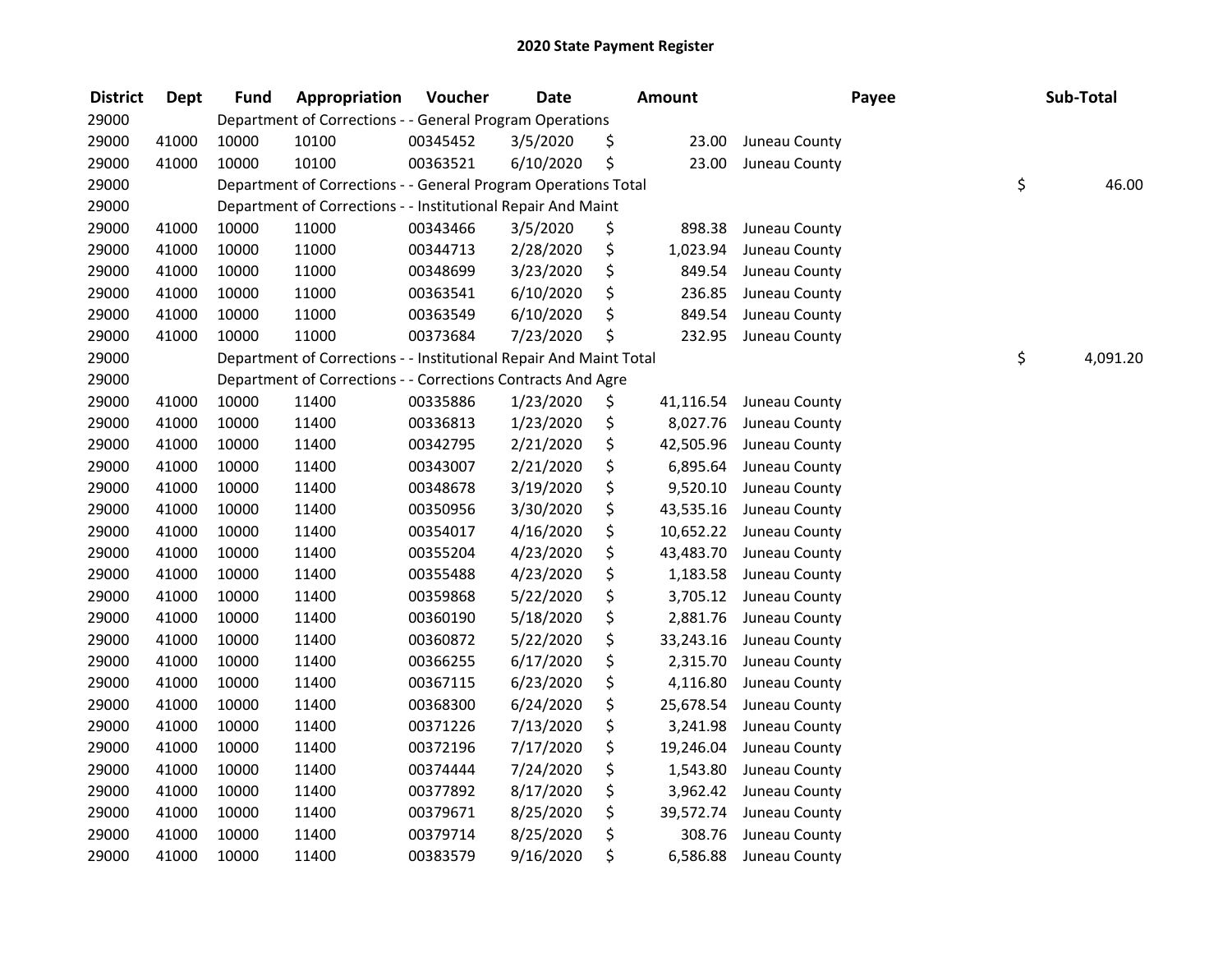| <b>District</b> | <b>Dept</b> | <b>Fund</b> | Appropriation                                                      | Voucher  | <b>Date</b> | Amount          |               | Payee | Sub-Total |
|-----------------|-------------|-------------|--------------------------------------------------------------------|----------|-------------|-----------------|---------------|-------|-----------|
| 29000           |             |             | Department of Corrections - - General Program Operations           |          |             |                 |               |       |           |
| 29000           | 41000       | 10000       | 10100                                                              | 00345452 | 3/5/2020    | \$<br>23.00     | Juneau County |       |           |
| 29000           | 41000       | 10000       | 10100                                                              | 00363521 | 6/10/2020   | \$<br>23.00     | Juneau County |       |           |
| 29000           |             |             | Department of Corrections - - General Program Operations Total     |          |             |                 |               | \$    | 46.00     |
| 29000           |             |             | Department of Corrections - - Institutional Repair And Maint       |          |             |                 |               |       |           |
| 29000           | 41000       | 10000       | 11000                                                              | 00343466 | 3/5/2020    | \$<br>898.38    | Juneau County |       |           |
| 29000           | 41000       | 10000       | 11000                                                              | 00344713 | 2/28/2020   | \$<br>1,023.94  | Juneau County |       |           |
| 29000           | 41000       | 10000       | 11000                                                              | 00348699 | 3/23/2020   | \$<br>849.54    | Juneau County |       |           |
| 29000           | 41000       | 10000       | 11000                                                              | 00363541 | 6/10/2020   | \$<br>236.85    | Juneau County |       |           |
| 29000           | 41000       | 10000       | 11000                                                              | 00363549 | 6/10/2020   | \$<br>849.54    | Juneau County |       |           |
| 29000           | 41000       | 10000       | 11000                                                              | 00373684 | 7/23/2020   | \$<br>232.95    | Juneau County |       |           |
| 29000           |             |             | Department of Corrections - - Institutional Repair And Maint Total |          |             |                 |               | \$    | 4,091.20  |
| 29000           |             |             | Department of Corrections - - Corrections Contracts And Agre       |          |             |                 |               |       |           |
| 29000           | 41000       | 10000       | 11400                                                              | 00335886 | 1/23/2020   | \$<br>41,116.54 | Juneau County |       |           |
| 29000           | 41000       | 10000       | 11400                                                              | 00336813 | 1/23/2020   | \$<br>8,027.76  | Juneau County |       |           |
| 29000           | 41000       | 10000       | 11400                                                              | 00342795 | 2/21/2020   | \$<br>42,505.96 | Juneau County |       |           |
| 29000           | 41000       | 10000       | 11400                                                              | 00343007 | 2/21/2020   | \$<br>6,895.64  | Juneau County |       |           |
| 29000           | 41000       | 10000       | 11400                                                              | 00348678 | 3/19/2020   | \$<br>9,520.10  | Juneau County |       |           |
| 29000           | 41000       | 10000       | 11400                                                              | 00350956 | 3/30/2020   | \$<br>43,535.16 | Juneau County |       |           |
| 29000           | 41000       | 10000       | 11400                                                              | 00354017 | 4/16/2020   | \$<br>10,652.22 | Juneau County |       |           |
| 29000           | 41000       | 10000       | 11400                                                              | 00355204 | 4/23/2020   | \$<br>43,483.70 | Juneau County |       |           |
| 29000           | 41000       | 10000       | 11400                                                              | 00355488 | 4/23/2020   | \$<br>1,183.58  | Juneau County |       |           |
| 29000           | 41000       | 10000       | 11400                                                              | 00359868 | 5/22/2020   | \$<br>3,705.12  | Juneau County |       |           |
| 29000           | 41000       | 10000       | 11400                                                              | 00360190 | 5/18/2020   | \$<br>2,881.76  | Juneau County |       |           |
| 29000           | 41000       | 10000       | 11400                                                              | 00360872 | 5/22/2020   | \$<br>33,243.16 | Juneau County |       |           |
| 29000           | 41000       | 10000       | 11400                                                              | 00366255 | 6/17/2020   | \$<br>2,315.70  | Juneau County |       |           |
| 29000           | 41000       | 10000       | 11400                                                              | 00367115 | 6/23/2020   | \$<br>4,116.80  | Juneau County |       |           |
| 29000           | 41000       | 10000       | 11400                                                              | 00368300 | 6/24/2020   | \$<br>25,678.54 | Juneau County |       |           |
| 29000           | 41000       | 10000       | 11400                                                              | 00371226 | 7/13/2020   | \$<br>3,241.98  | Juneau County |       |           |
| 29000           | 41000       | 10000       | 11400                                                              | 00372196 | 7/17/2020   | \$<br>19,246.04 | Juneau County |       |           |
| 29000           | 41000       | 10000       | 11400                                                              | 00374444 | 7/24/2020   | \$<br>1,543.80  | Juneau County |       |           |
| 29000           | 41000       | 10000       | 11400                                                              | 00377892 | 8/17/2020   | \$<br>3,962.42  | Juneau County |       |           |
| 29000           | 41000       | 10000       | 11400                                                              | 00379671 | 8/25/2020   | \$<br>39,572.74 | Juneau County |       |           |
| 29000           | 41000       | 10000       | 11400                                                              | 00379714 | 8/25/2020   | \$<br>308.76    | Juneau County |       |           |
| 29000           | 41000       | 10000       | 11400                                                              | 00383579 | 9/16/2020   | \$<br>6,586.88  | Juneau County |       |           |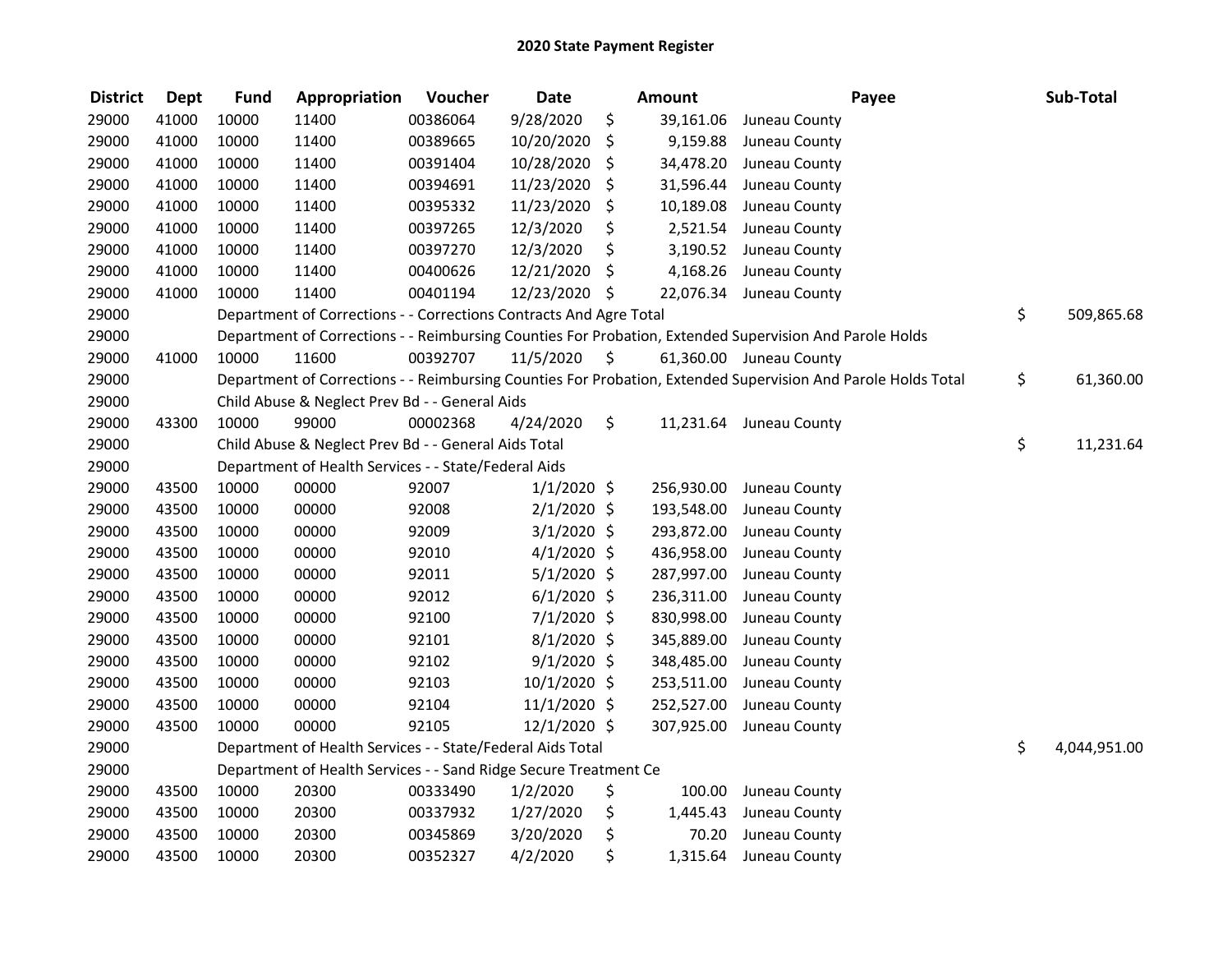| <b>District</b> | <b>Dept</b> | <b>Fund</b> | Appropriation                                                      | Voucher  | <b>Date</b>    |     | Amount     | Payee                                                                                                         | Sub-Total          |
|-----------------|-------------|-------------|--------------------------------------------------------------------|----------|----------------|-----|------------|---------------------------------------------------------------------------------------------------------------|--------------------|
| 29000           | 41000       | 10000       | 11400                                                              | 00386064 | 9/28/2020      | \$  | 39,161.06  | Juneau County                                                                                                 |                    |
| 29000           | 41000       | 10000       | 11400                                                              | 00389665 | 10/20/2020     | \$  | 9,159.88   | Juneau County                                                                                                 |                    |
| 29000           | 41000       | 10000       | 11400                                                              | 00391404 | 10/28/2020     | \$. | 34,478.20  | Juneau County                                                                                                 |                    |
| 29000           | 41000       | 10000       | 11400                                                              | 00394691 | 11/23/2020     | \$  | 31,596.44  | Juneau County                                                                                                 |                    |
| 29000           | 41000       | 10000       | 11400                                                              | 00395332 | 11/23/2020     | \$  | 10,189.08  | Juneau County                                                                                                 |                    |
| 29000           | 41000       | 10000       | 11400                                                              | 00397265 | 12/3/2020      | \$  | 2,521.54   | Juneau County                                                                                                 |                    |
| 29000           | 41000       | 10000       | 11400                                                              | 00397270 | 12/3/2020      | \$  | 3,190.52   | Juneau County                                                                                                 |                    |
| 29000           | 41000       | 10000       | 11400                                                              | 00400626 | 12/21/2020     | \$  | 4,168.26   | Juneau County                                                                                                 |                    |
| 29000           | 41000       | 10000       | 11400                                                              | 00401194 | 12/23/2020 \$  |     |            | 22,076.34 Juneau County                                                                                       |                    |
| 29000           |             |             | Department of Corrections - - Corrections Contracts And Agre Total |          |                |     |            |                                                                                                               | \$<br>509,865.68   |
| 29000           |             |             |                                                                    |          |                |     |            | Department of Corrections - - Reimbursing Counties For Probation, Extended Supervision And Parole Holds       |                    |
| 29000           | 41000       | 10000       | 11600                                                              | 00392707 | 11/5/2020      | \$  |            | 61,360.00 Juneau County                                                                                       |                    |
| 29000           |             |             |                                                                    |          |                |     |            | Department of Corrections - - Reimbursing Counties For Probation, Extended Supervision And Parole Holds Total | \$<br>61,360.00    |
| 29000           |             |             | Child Abuse & Neglect Prev Bd - - General Aids                     |          |                |     |            |                                                                                                               |                    |
| 29000           | 43300       | 10000       | 99000                                                              | 00002368 | 4/24/2020      | \$  | 11,231.64  | Juneau County                                                                                                 |                    |
| 29000           |             |             | Child Abuse & Neglect Prev Bd - - General Aids Total               |          |                |     |            |                                                                                                               | \$<br>11,231.64    |
| 29000           |             |             | Department of Health Services - - State/Federal Aids               |          |                |     |            |                                                                                                               |                    |
| 29000           | 43500       | 10000       | 00000                                                              | 92007    | $1/1/2020$ \$  |     | 256,930.00 | Juneau County                                                                                                 |                    |
| 29000           | 43500       | 10000       | 00000                                                              | 92008    | $2/1/2020$ \$  |     | 193,548.00 | Juneau County                                                                                                 |                    |
| 29000           | 43500       | 10000       | 00000                                                              | 92009    | $3/1/2020$ \$  |     | 293,872.00 | Juneau County                                                                                                 |                    |
| 29000           | 43500       | 10000       | 00000                                                              | 92010    | $4/1/2020$ \$  |     | 436,958.00 | Juneau County                                                                                                 |                    |
| 29000           | 43500       | 10000       | 00000                                                              | 92011    | 5/1/2020 \$    |     | 287,997.00 | Juneau County                                                                                                 |                    |
| 29000           | 43500       | 10000       | 00000                                                              | 92012    | $6/1/2020$ \$  |     | 236,311.00 | Juneau County                                                                                                 |                    |
| 29000           | 43500       | 10000       | 00000                                                              | 92100    | 7/1/2020 \$    |     | 830,998.00 | Juneau County                                                                                                 |                    |
| 29000           | 43500       | 10000       | 00000                                                              | 92101    | $8/1/2020$ \$  |     | 345,889.00 | Juneau County                                                                                                 |                    |
| 29000           | 43500       | 10000       | 00000                                                              | 92102    | $9/1/2020$ \$  |     | 348,485.00 | Juneau County                                                                                                 |                    |
| 29000           | 43500       | 10000       | 00000                                                              | 92103    | 10/1/2020 \$   |     | 253,511.00 | Juneau County                                                                                                 |                    |
| 29000           | 43500       | 10000       | 00000                                                              | 92104    | $11/1/2020$ \$ |     | 252,527.00 | Juneau County                                                                                                 |                    |
| 29000           | 43500       | 10000       | 00000                                                              | 92105    | 12/1/2020 \$   |     | 307,925.00 | Juneau County                                                                                                 |                    |
| 29000           |             |             | Department of Health Services - - State/Federal Aids Total         |          |                |     |            |                                                                                                               | \$<br>4,044,951.00 |
| 29000           |             |             | Department of Health Services - - Sand Ridge Secure Treatment Ce   |          |                |     |            |                                                                                                               |                    |
| 29000           | 43500       | 10000       | 20300                                                              | 00333490 | 1/2/2020       | \$  | 100.00     | Juneau County                                                                                                 |                    |
| 29000           | 43500       | 10000       | 20300                                                              | 00337932 | 1/27/2020      | \$  | 1,445.43   | Juneau County                                                                                                 |                    |
| 29000           | 43500       | 10000       | 20300                                                              | 00345869 | 3/20/2020      | \$  | 70.20      | Juneau County                                                                                                 |                    |
| 29000           | 43500       | 10000       | 20300                                                              | 00352327 | 4/2/2020       | \$  | 1,315.64   | Juneau County                                                                                                 |                    |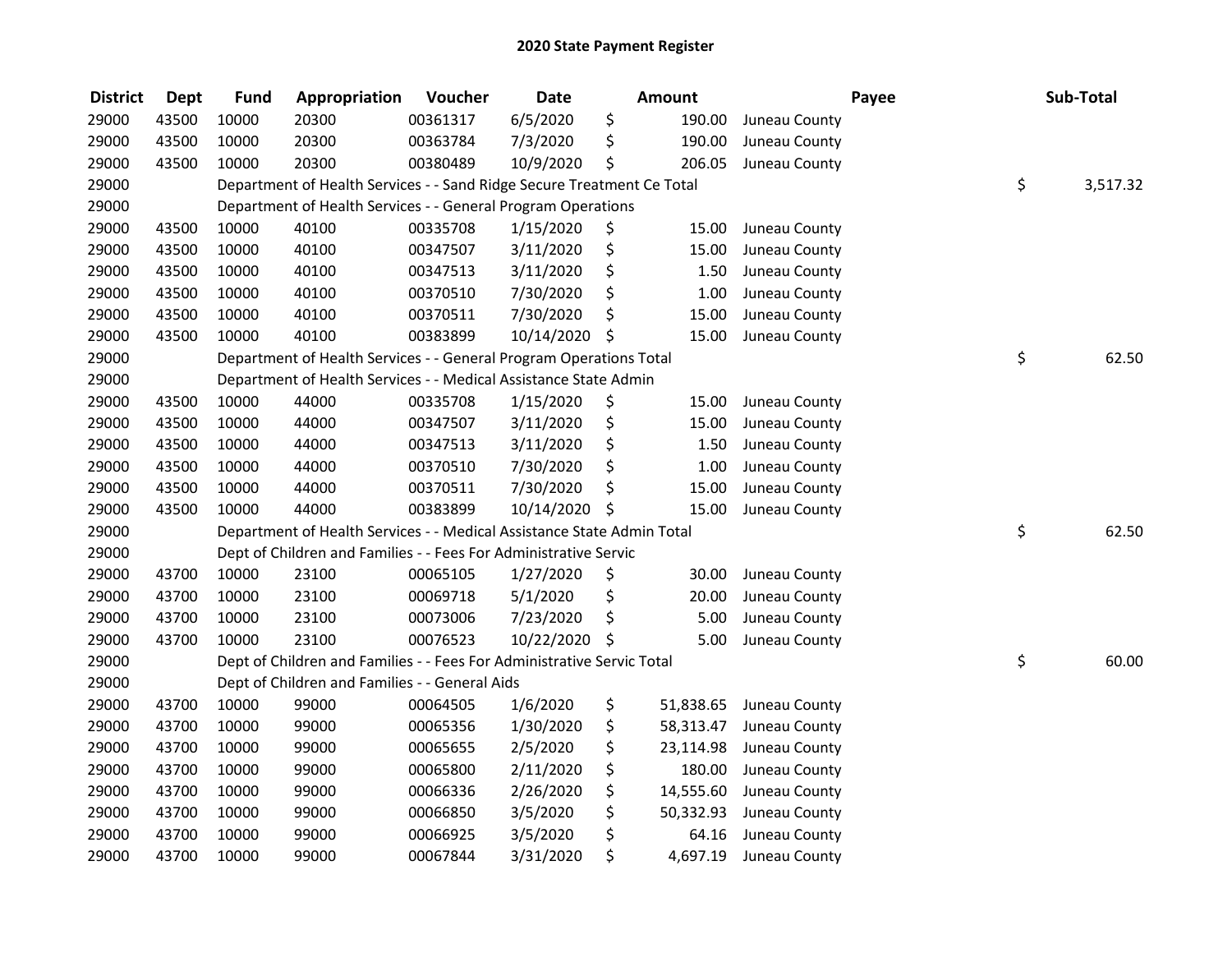| <b>District</b> | <b>Dept</b> | <b>Fund</b> | Appropriation                                                          | Voucher  | <b>Date</b>   | <b>Amount</b>   |               | Payee | Sub-Total      |
|-----------------|-------------|-------------|------------------------------------------------------------------------|----------|---------------|-----------------|---------------|-------|----------------|
| 29000           | 43500       | 10000       | 20300                                                                  | 00361317 | 6/5/2020      | \$<br>190.00    | Juneau County |       |                |
| 29000           | 43500       | 10000       | 20300                                                                  | 00363784 | 7/3/2020      | \$<br>190.00    | Juneau County |       |                |
| 29000           | 43500       | 10000       | 20300                                                                  | 00380489 | 10/9/2020     | \$<br>206.05    | Juneau County |       |                |
| 29000           |             |             | Department of Health Services - - Sand Ridge Secure Treatment Ce Total |          |               |                 |               |       | \$<br>3,517.32 |
| 29000           |             |             | Department of Health Services - - General Program Operations           |          |               |                 |               |       |                |
| 29000           | 43500       | 10000       | 40100                                                                  | 00335708 | 1/15/2020     | \$<br>15.00     | Juneau County |       |                |
| 29000           | 43500       | 10000       | 40100                                                                  | 00347507 | 3/11/2020     | \$<br>15.00     | Juneau County |       |                |
| 29000           | 43500       | 10000       | 40100                                                                  | 00347513 | 3/11/2020     | \$<br>1.50      | Juneau County |       |                |
| 29000           | 43500       | 10000       | 40100                                                                  | 00370510 | 7/30/2020     | \$<br>$1.00\,$  | Juneau County |       |                |
| 29000           | 43500       | 10000       | 40100                                                                  | 00370511 | 7/30/2020     | \$<br>15.00     | Juneau County |       |                |
| 29000           | 43500       | 10000       | 40100                                                                  | 00383899 | 10/14/2020    | \$<br>15.00     | Juneau County |       |                |
| 29000           |             |             | Department of Health Services - - General Program Operations Total     |          |               |                 |               |       | \$<br>62.50    |
| 29000           |             |             | Department of Health Services - - Medical Assistance State Admin       |          |               |                 |               |       |                |
| 29000           | 43500       | 10000       | 44000                                                                  | 00335708 | 1/15/2020     | \$<br>15.00     | Juneau County |       |                |
| 29000           | 43500       | 10000       | 44000                                                                  | 00347507 | 3/11/2020     | \$<br>15.00     | Juneau County |       |                |
| 29000           | 43500       | 10000       | 44000                                                                  | 00347513 | 3/11/2020     | \$<br>1.50      | Juneau County |       |                |
| 29000           | 43500       | 10000       | 44000                                                                  | 00370510 | 7/30/2020     | \$<br>1.00      | Juneau County |       |                |
| 29000           | 43500       | 10000       | 44000                                                                  | 00370511 | 7/30/2020     | \$<br>15.00     | Juneau County |       |                |
| 29000           | 43500       | 10000       | 44000                                                                  | 00383899 | 10/14/2020    | \$<br>15.00     | Juneau County |       |                |
| 29000           |             |             | Department of Health Services - - Medical Assistance State Admin Total |          |               |                 |               |       | \$<br>62.50    |
| 29000           |             |             | Dept of Children and Families - - Fees For Administrative Servic       |          |               |                 |               |       |                |
| 29000           | 43700       | 10000       | 23100                                                                  | 00065105 | 1/27/2020     | \$<br>30.00     | Juneau County |       |                |
| 29000           | 43700       | 10000       | 23100                                                                  | 00069718 | 5/1/2020      | \$<br>20.00     | Juneau County |       |                |
| 29000           | 43700       | 10000       | 23100                                                                  | 00073006 | 7/23/2020     | \$<br>5.00      | Juneau County |       |                |
| 29000           | 43700       | 10000       | 23100                                                                  | 00076523 | 10/22/2020 \$ | 5.00            | Juneau County |       |                |
| 29000           |             |             | Dept of Children and Families - - Fees For Administrative Servic Total |          |               |                 |               |       | \$<br>60.00    |
| 29000           |             |             | Dept of Children and Families - - General Aids                         |          |               |                 |               |       |                |
| 29000           | 43700       | 10000       | 99000                                                                  | 00064505 | 1/6/2020      | \$<br>51,838.65 | Juneau County |       |                |
| 29000           | 43700       | 10000       | 99000                                                                  | 00065356 | 1/30/2020     | \$<br>58,313.47 | Juneau County |       |                |
| 29000           | 43700       | 10000       | 99000                                                                  | 00065655 | 2/5/2020      | \$<br>23,114.98 | Juneau County |       |                |
| 29000           | 43700       | 10000       | 99000                                                                  | 00065800 | 2/11/2020     | \$<br>180.00    | Juneau County |       |                |
| 29000           | 43700       | 10000       | 99000                                                                  | 00066336 | 2/26/2020     | \$<br>14,555.60 | Juneau County |       |                |
| 29000           | 43700       | 10000       | 99000                                                                  | 00066850 | 3/5/2020      | \$<br>50,332.93 | Juneau County |       |                |
| 29000           | 43700       | 10000       | 99000                                                                  | 00066925 | 3/5/2020      | \$<br>64.16     | Juneau County |       |                |
| 29000           | 43700       | 10000       | 99000                                                                  | 00067844 | 3/31/2020     | \$<br>4,697.19  | Juneau County |       |                |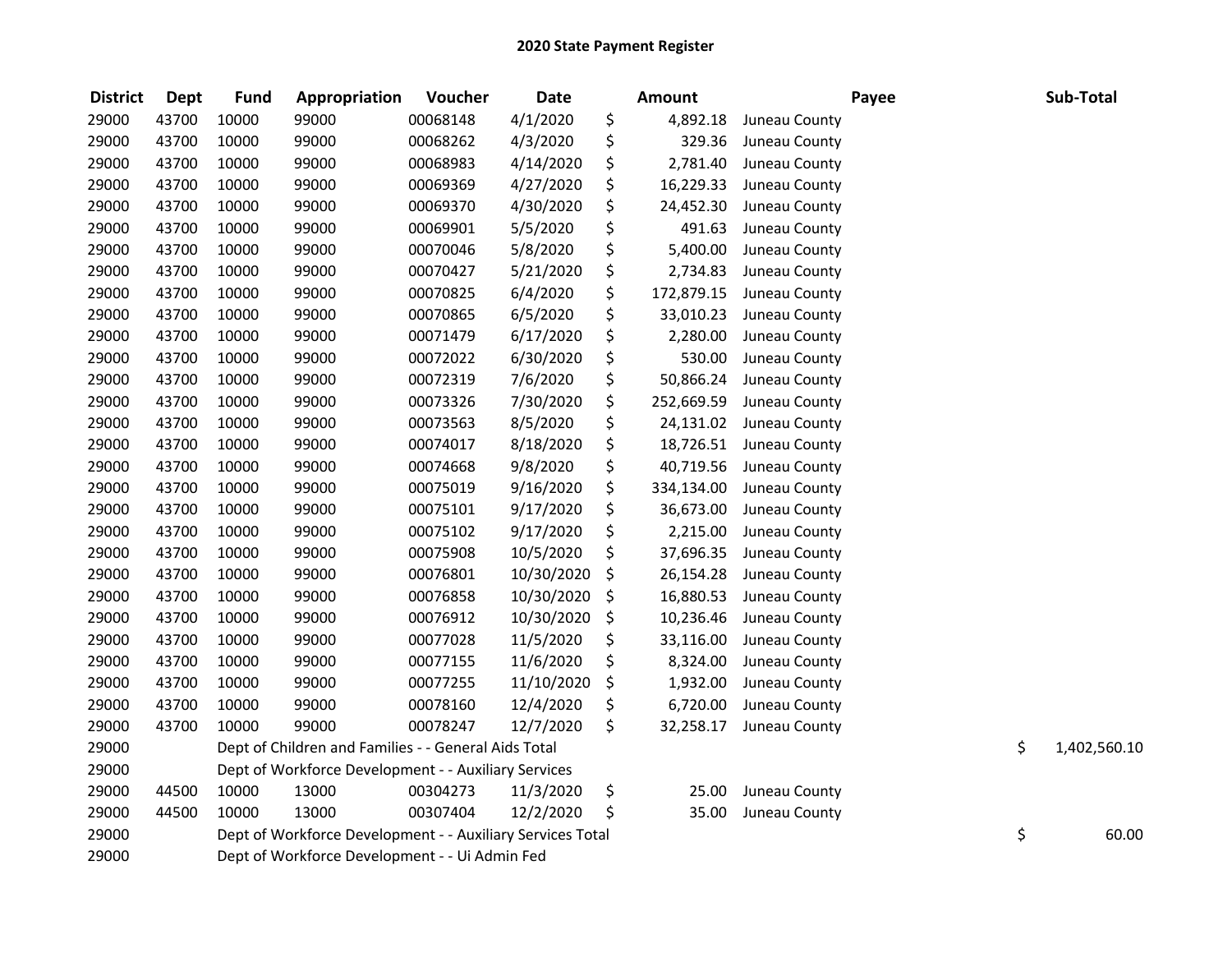| <b>District</b> | <b>Dept</b> | <b>Fund</b> | Appropriation                                              | Voucher  | <b>Date</b> | <b>Amount</b>    |               | Payee | Sub-Total          |
|-----------------|-------------|-------------|------------------------------------------------------------|----------|-------------|------------------|---------------|-------|--------------------|
| 29000           | 43700       | 10000       | 99000                                                      | 00068148 | 4/1/2020    | \$<br>4,892.18   | Juneau County |       |                    |
| 29000           | 43700       | 10000       | 99000                                                      | 00068262 | 4/3/2020    | \$<br>329.36     | Juneau County |       |                    |
| 29000           | 43700       | 10000       | 99000                                                      | 00068983 | 4/14/2020   | \$<br>2,781.40   | Juneau County |       |                    |
| 29000           | 43700       | 10000       | 99000                                                      | 00069369 | 4/27/2020   | \$<br>16,229.33  | Juneau County |       |                    |
| 29000           | 43700       | 10000       | 99000                                                      | 00069370 | 4/30/2020   | \$<br>24,452.30  | Juneau County |       |                    |
| 29000           | 43700       | 10000       | 99000                                                      | 00069901 | 5/5/2020    | \$<br>491.63     | Juneau County |       |                    |
| 29000           | 43700       | 10000       | 99000                                                      | 00070046 | 5/8/2020    | \$<br>5,400.00   | Juneau County |       |                    |
| 29000           | 43700       | 10000       | 99000                                                      | 00070427 | 5/21/2020   | \$<br>2,734.83   | Juneau County |       |                    |
| 29000           | 43700       | 10000       | 99000                                                      | 00070825 | 6/4/2020    | \$<br>172,879.15 | Juneau County |       |                    |
| 29000           | 43700       | 10000       | 99000                                                      | 00070865 | 6/5/2020    | \$<br>33,010.23  | Juneau County |       |                    |
| 29000           | 43700       | 10000       | 99000                                                      | 00071479 | 6/17/2020   | \$<br>2,280.00   | Juneau County |       |                    |
| 29000           | 43700       | 10000       | 99000                                                      | 00072022 | 6/30/2020   | \$<br>530.00     | Juneau County |       |                    |
| 29000           | 43700       | 10000       | 99000                                                      | 00072319 | 7/6/2020    | \$<br>50,866.24  | Juneau County |       |                    |
| 29000           | 43700       | 10000       | 99000                                                      | 00073326 | 7/30/2020   | \$<br>252,669.59 | Juneau County |       |                    |
| 29000           | 43700       | 10000       | 99000                                                      | 00073563 | 8/5/2020    | \$<br>24,131.02  | Juneau County |       |                    |
| 29000           | 43700       | 10000       | 99000                                                      | 00074017 | 8/18/2020   | \$<br>18,726.51  | Juneau County |       |                    |
| 29000           | 43700       | 10000       | 99000                                                      | 00074668 | 9/8/2020    | \$<br>40,719.56  | Juneau County |       |                    |
| 29000           | 43700       | 10000       | 99000                                                      | 00075019 | 9/16/2020   | \$<br>334,134.00 | Juneau County |       |                    |
| 29000           | 43700       | 10000       | 99000                                                      | 00075101 | 9/17/2020   | \$<br>36,673.00  | Juneau County |       |                    |
| 29000           | 43700       | 10000       | 99000                                                      | 00075102 | 9/17/2020   | \$<br>2,215.00   | Juneau County |       |                    |
| 29000           | 43700       | 10000       | 99000                                                      | 00075908 | 10/5/2020   | \$<br>37,696.35  | Juneau County |       |                    |
| 29000           | 43700       | 10000       | 99000                                                      | 00076801 | 10/30/2020  | \$<br>26,154.28  | Juneau County |       |                    |
| 29000           | 43700       | 10000       | 99000                                                      | 00076858 | 10/30/2020  | \$<br>16,880.53  | Juneau County |       |                    |
| 29000           | 43700       | 10000       | 99000                                                      | 00076912 | 10/30/2020  | \$<br>10,236.46  | Juneau County |       |                    |
| 29000           | 43700       | 10000       | 99000                                                      | 00077028 | 11/5/2020   | \$<br>33,116.00  | Juneau County |       |                    |
| 29000           | 43700       | 10000       | 99000                                                      | 00077155 | 11/6/2020   | \$<br>8,324.00   | Juneau County |       |                    |
| 29000           | 43700       | 10000       | 99000                                                      | 00077255 | 11/10/2020  | \$<br>1,932.00   | Juneau County |       |                    |
| 29000           | 43700       | 10000       | 99000                                                      | 00078160 | 12/4/2020   | \$<br>6,720.00   | Juneau County |       |                    |
| 29000           | 43700       | 10000       | 99000                                                      | 00078247 | 12/7/2020   | \$<br>32,258.17  | Juneau County |       |                    |
| 29000           |             |             | Dept of Children and Families - - General Aids Total       |          |             |                  |               |       | \$<br>1,402,560.10 |
| 29000           |             |             | Dept of Workforce Development - - Auxiliary Services       |          |             |                  |               |       |                    |
| 29000           | 44500       | 10000       | 13000                                                      | 00304273 | 11/3/2020   | \$<br>25.00      | Juneau County |       |                    |
| 29000           | 44500       | 10000       | 13000                                                      | 00307404 | 12/2/2020   | \$<br>35.00      | Juneau County |       |                    |
| 29000           |             |             | Dept of Workforce Development - - Auxiliary Services Total |          |             |                  |               |       | \$<br>60.00        |
| 29000           |             |             | Dept of Workforce Development - - Ui Admin Fed             |          |             |                  |               |       |                    |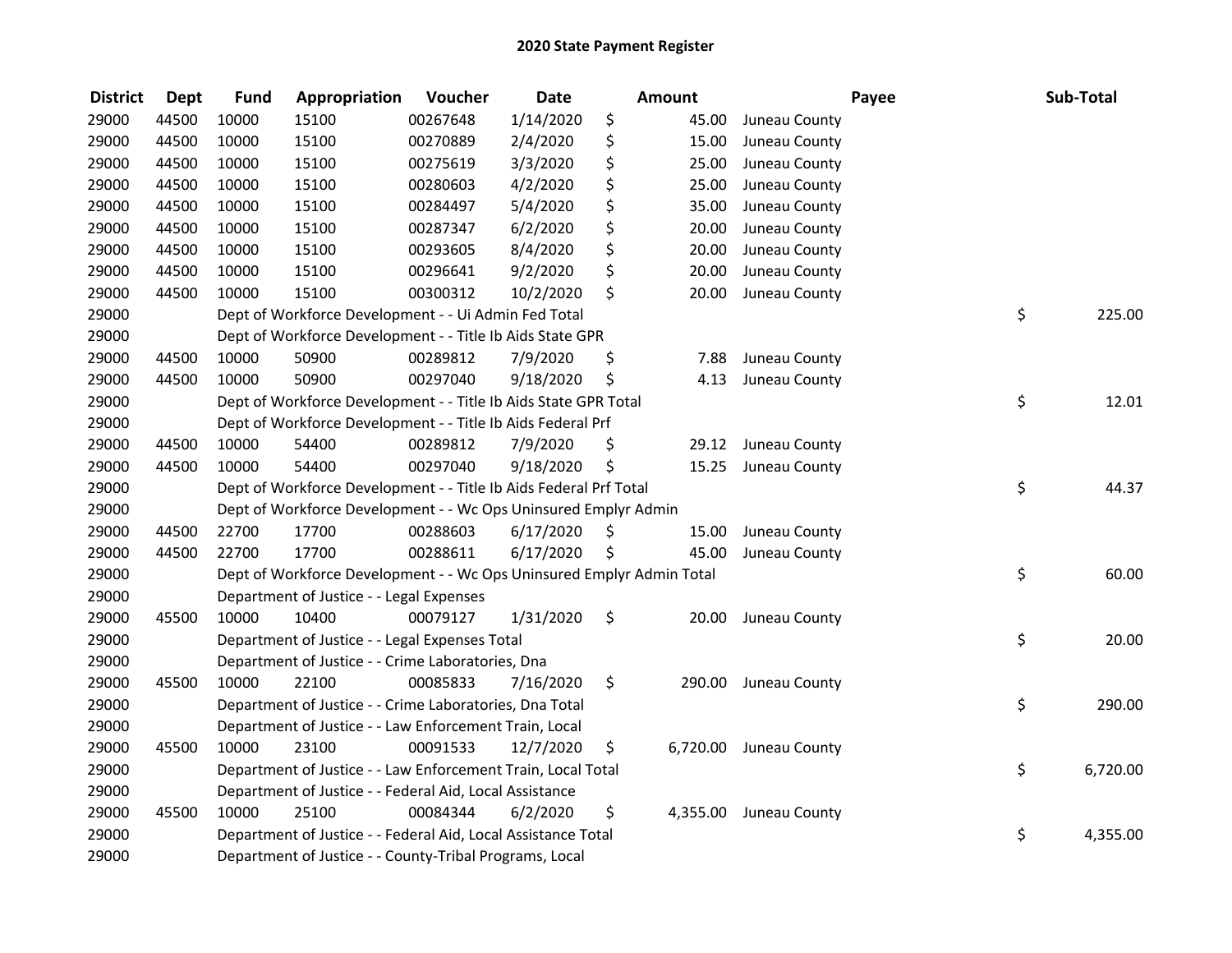| <b>District</b> | <b>Dept</b> | <b>Fund</b> | Appropriation                                                         | Voucher  | <b>Date</b> |     | <b>Amount</b> |                        | Payee | Sub-Total |
|-----------------|-------------|-------------|-----------------------------------------------------------------------|----------|-------------|-----|---------------|------------------------|-------|-----------|
| 29000           | 44500       | 10000       | 15100                                                                 | 00267648 | 1/14/2020   | \$  | 45.00         | Juneau County          |       |           |
| 29000           | 44500       | 10000       | 15100                                                                 | 00270889 | 2/4/2020    | \$  | 15.00         | Juneau County          |       |           |
| 29000           | 44500       | 10000       | 15100                                                                 | 00275619 | 3/3/2020    | \$  | 25.00         | Juneau County          |       |           |
| 29000           | 44500       | 10000       | 15100                                                                 | 00280603 | 4/2/2020    | \$  | 25.00         | Juneau County          |       |           |
| 29000           | 44500       | 10000       | 15100                                                                 | 00284497 | 5/4/2020    | \$  | 35.00         | Juneau County          |       |           |
| 29000           | 44500       | 10000       | 15100                                                                 | 00287347 | 6/2/2020    | \$  | 20.00         | Juneau County          |       |           |
| 29000           | 44500       | 10000       | 15100                                                                 | 00293605 | 8/4/2020    | \$  | 20.00         | Juneau County          |       |           |
| 29000           | 44500       | 10000       | 15100                                                                 | 00296641 | 9/2/2020    | \$  | 20.00         | Juneau County          |       |           |
| 29000           | 44500       | 10000       | 15100                                                                 | 00300312 | 10/2/2020   | \$  | 20.00         | Juneau County          |       |           |
| 29000           |             |             | Dept of Workforce Development - - Ui Admin Fed Total                  |          |             |     |               |                        | \$    | 225.00    |
| 29000           |             |             | Dept of Workforce Development - - Title Ib Aids State GPR             |          |             |     |               |                        |       |           |
| 29000           | 44500       | 10000       | 50900                                                                 | 00289812 | 7/9/2020    | \$  | 7.88          | Juneau County          |       |           |
| 29000           | 44500       | 10000       | 50900                                                                 | 00297040 | 9/18/2020   | \$  | 4.13          | Juneau County          |       |           |
| 29000           |             |             | Dept of Workforce Development - - Title Ib Aids State GPR Total       |          |             |     |               |                        | \$    | 12.01     |
| 29000           |             |             | Dept of Workforce Development - - Title Ib Aids Federal Prf           |          |             |     |               |                        |       |           |
| 29000           | 44500       | 10000       | 54400                                                                 | 00289812 | 7/9/2020    | \$  | 29.12         | Juneau County          |       |           |
| 29000           | 44500       | 10000       | 54400                                                                 | 00297040 | 9/18/2020   | \$  | 15.25         | Juneau County          |       |           |
| 29000           |             |             | Dept of Workforce Development - - Title Ib Aids Federal Prf Total     |          |             |     |               |                        | \$    | 44.37     |
| 29000           |             |             | Dept of Workforce Development - - Wc Ops Uninsured Emplyr Admin       |          |             |     |               |                        |       |           |
| 29000           | 44500       | 22700       | 17700                                                                 | 00288603 | 6/17/2020   | \$. | 15.00         | Juneau County          |       |           |
| 29000           | 44500       | 22700       | 17700                                                                 | 00288611 | 6/17/2020   | \$  | 45.00         | Juneau County          |       |           |
| 29000           |             |             | Dept of Workforce Development - - Wc Ops Uninsured Emplyr Admin Total |          |             |     |               |                        | \$    | 60.00     |
| 29000           |             |             | Department of Justice - - Legal Expenses                              |          |             |     |               |                        |       |           |
| 29000           | 45500       | 10000       | 10400                                                                 | 00079127 | 1/31/2020   | \$  | 20.00         | Juneau County          |       |           |
| 29000           |             |             | Department of Justice - - Legal Expenses Total                        |          |             |     |               |                        | \$    | 20.00     |
| 29000           |             |             | Department of Justice - - Crime Laboratories, Dna                     |          |             |     |               |                        |       |           |
| 29000           | 45500       | 10000       | 22100                                                                 | 00085833 | 7/16/2020   | \$  |               | 290.00 Juneau County   |       |           |
| 29000           |             |             | Department of Justice - - Crime Laboratories, Dna Total               |          |             |     |               |                        | \$    | 290.00    |
| 29000           |             |             | Department of Justice - - Law Enforcement Train, Local                |          |             |     |               |                        |       |           |
| 29000           | 45500       | 10000       | 23100                                                                 | 00091533 | 12/7/2020   | \$  |               | 6,720.00 Juneau County |       |           |
| 29000           |             |             | Department of Justice - - Law Enforcement Train, Local Total          |          |             |     |               |                        | \$    | 6,720.00  |
| 29000           |             |             | Department of Justice - - Federal Aid, Local Assistance               |          |             |     |               |                        |       |           |
| 29000           | 45500       | 10000       | 25100                                                                 | 00084344 | 6/2/2020    | \$  |               | 4,355.00 Juneau County |       |           |
| 29000           |             |             | Department of Justice - - Federal Aid, Local Assistance Total         |          |             |     |               |                        | \$    | 4,355.00  |
| 29000           |             |             | Department of Justice - - County-Tribal Programs, Local               |          |             |     |               |                        |       |           |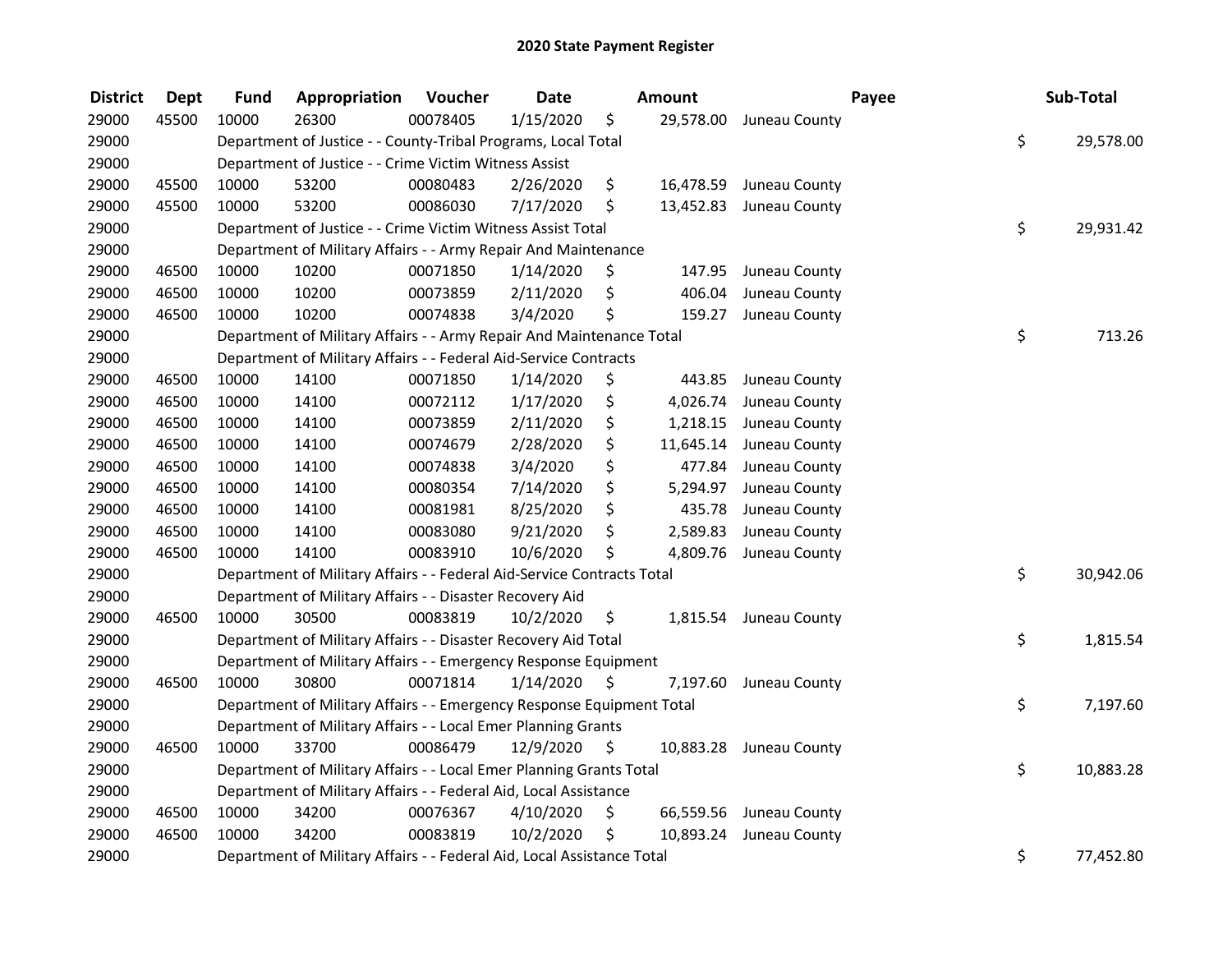| <b>District</b> | <b>Dept</b> | <b>Fund</b> | Appropriation                                                          | Voucher  | <b>Date</b> |     | <b>Amount</b> |                         | Payee | Sub-Total |
|-----------------|-------------|-------------|------------------------------------------------------------------------|----------|-------------|-----|---------------|-------------------------|-------|-----------|
| 29000           | 45500       | 10000       | 26300                                                                  | 00078405 | 1/15/2020   | \$  |               | 29,578.00 Juneau County |       |           |
| 29000           |             |             | Department of Justice - - County-Tribal Programs, Local Total          |          |             |     |               |                         | \$    | 29,578.00 |
| 29000           |             |             | Department of Justice - - Crime Victim Witness Assist                  |          |             |     |               |                         |       |           |
| 29000           | 45500       | 10000       | 53200                                                                  | 00080483 | 2/26/2020   | \$  |               | 16,478.59 Juneau County |       |           |
| 29000           | 45500       | 10000       | 53200                                                                  | 00086030 | 7/17/2020   | \$  |               | 13,452.83 Juneau County |       |           |
| 29000           |             |             | Department of Justice - - Crime Victim Witness Assist Total            |          |             |     |               |                         | \$    | 29,931.42 |
| 29000           |             |             | Department of Military Affairs - - Army Repair And Maintenance         |          |             |     |               |                         |       |           |
| 29000           | 46500       | 10000       | 10200                                                                  | 00071850 | 1/14/2020   | \$  | 147.95        | Juneau County           |       |           |
| 29000           | 46500       | 10000       | 10200                                                                  | 00073859 | 2/11/2020   | \$  | 406.04        | Juneau County           |       |           |
| 29000           | 46500       | 10000       | 10200                                                                  | 00074838 | 3/4/2020    | \$  | 159.27        | Juneau County           |       |           |
| 29000           |             |             | Department of Military Affairs - - Army Repair And Maintenance Total   |          |             |     |               |                         | \$    | 713.26    |
| 29000           |             |             | Department of Military Affairs - - Federal Aid-Service Contracts       |          |             |     |               |                         |       |           |
| 29000           | 46500       | 10000       | 14100                                                                  | 00071850 | 1/14/2020   | \$  | 443.85        | Juneau County           |       |           |
| 29000           | 46500       | 10000       | 14100                                                                  | 00072112 | 1/17/2020   | \$. | 4,026.74      | Juneau County           |       |           |
| 29000           | 46500       | 10000       | 14100                                                                  | 00073859 | 2/11/2020   | \$  | 1,218.15      | Juneau County           |       |           |
| 29000           | 46500       | 10000       | 14100                                                                  | 00074679 | 2/28/2020   | \$  | 11,645.14     | Juneau County           |       |           |
| 29000           | 46500       | 10000       | 14100                                                                  | 00074838 | 3/4/2020    | \$  | 477.84        | Juneau County           |       |           |
| 29000           | 46500       | 10000       | 14100                                                                  | 00080354 | 7/14/2020   | \$  | 5,294.97      | Juneau County           |       |           |
| 29000           | 46500       | 10000       | 14100                                                                  | 00081981 | 8/25/2020   | \$  | 435.78        | Juneau County           |       |           |
| 29000           | 46500       | 10000       | 14100                                                                  | 00083080 | 9/21/2020   | \$  | 2,589.83      | Juneau County           |       |           |
| 29000           | 46500       | 10000       | 14100                                                                  | 00083910 | 10/6/2020   | \$  | 4,809.76      | Juneau County           |       |           |
| 29000           |             |             | Department of Military Affairs - - Federal Aid-Service Contracts Total |          |             |     |               |                         | \$    | 30,942.06 |
| 29000           |             |             | Department of Military Affairs - - Disaster Recovery Aid               |          |             |     |               |                         |       |           |
| 29000           | 46500       | 10000       | 30500                                                                  | 00083819 | 10/2/2020   | \$  |               | 1,815.54 Juneau County  |       |           |
| 29000           |             |             | Department of Military Affairs - - Disaster Recovery Aid Total         |          |             |     |               |                         | \$    | 1,815.54  |
| 29000           |             |             | Department of Military Affairs - - Emergency Response Equipment        |          |             |     |               |                         |       |           |
| 29000           | 46500       | 10000       | 30800                                                                  | 00071814 | 1/14/2020   | \$  | 7,197.60      | Juneau County           |       |           |
| 29000           |             |             | Department of Military Affairs - - Emergency Response Equipment Total  |          |             |     |               |                         | \$    | 7,197.60  |
| 29000           |             |             | Department of Military Affairs - - Local Emer Planning Grants          |          |             |     |               |                         |       |           |
| 29000           | 46500       | 10000       | 33700                                                                  | 00086479 | 12/9/2020   | \$  |               | 10,883.28 Juneau County |       |           |
| 29000           |             |             | Department of Military Affairs - - Local Emer Planning Grants Total    |          |             |     |               |                         | \$    | 10,883.28 |
| 29000           |             |             | Department of Military Affairs - - Federal Aid, Local Assistance       |          |             |     |               |                         |       |           |
| 29000           | 46500       | 10000       | 34200                                                                  | 00076367 | 4/10/2020   | \$  |               | 66,559.56 Juneau County |       |           |
| 29000           | 46500       | 10000       | 34200                                                                  | 00083819 | 10/2/2020   | \$  |               | 10,893.24 Juneau County |       |           |
| 29000           |             |             | Department of Military Affairs - - Federal Aid, Local Assistance Total |          |             |     |               |                         | \$    | 77,452.80 |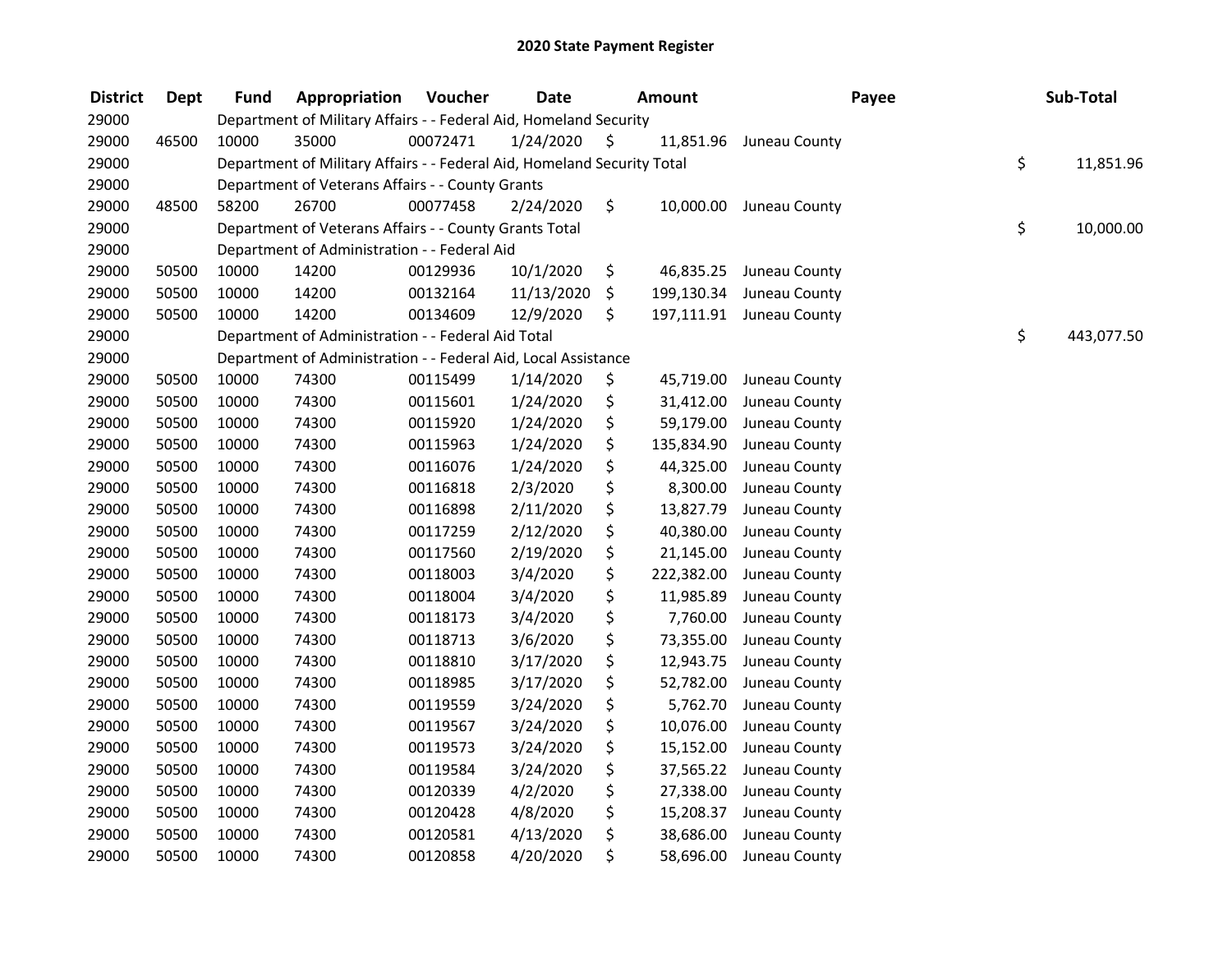| <b>District</b> | <b>Dept</b> | <b>Fund</b> | Appropriation                                                           | Voucher  | <b>Date</b> |     | <b>Amount</b> | Payee                    | Sub-Total        |
|-----------------|-------------|-------------|-------------------------------------------------------------------------|----------|-------------|-----|---------------|--------------------------|------------------|
| 29000           |             |             | Department of Military Affairs - - Federal Aid, Homeland Security       |          |             |     |               |                          |                  |
| 29000           | 46500       | 10000       | 35000                                                                   | 00072471 | 1/24/2020   | \$. | 11,851.96     | Juneau County            |                  |
| 29000           |             |             | Department of Military Affairs - - Federal Aid, Homeland Security Total |          |             |     |               |                          | \$<br>11,851.96  |
| 29000           |             |             | Department of Veterans Affairs - - County Grants                        |          |             |     |               |                          |                  |
| 29000           | 48500       | 58200       | 26700                                                                   | 00077458 | 2/24/2020   | \$  | 10,000.00     | Juneau County            |                  |
| 29000           |             |             | Department of Veterans Affairs - - County Grants Total                  |          |             |     |               |                          | \$<br>10,000.00  |
| 29000           |             |             | Department of Administration - - Federal Aid                            |          |             |     |               |                          |                  |
| 29000           | 50500       | 10000       | 14200                                                                   | 00129936 | 10/1/2020   | \$  | 46,835.25     | Juneau County            |                  |
| 29000           | 50500       | 10000       | 14200                                                                   | 00132164 | 11/13/2020  | \$  |               | 199,130.34 Juneau County |                  |
| 29000           | 50500       | 10000       | 14200                                                                   | 00134609 | 12/9/2020   | \$  |               | 197,111.91 Juneau County |                  |
| 29000           |             |             | Department of Administration - - Federal Aid Total                      |          |             |     |               |                          | \$<br>443,077.50 |
| 29000           |             |             | Department of Administration - - Federal Aid, Local Assistance          |          |             |     |               |                          |                  |
| 29000           | 50500       | 10000       | 74300                                                                   | 00115499 | 1/14/2020   | \$  | 45,719.00     | Juneau County            |                  |
| 29000           | 50500       | 10000       | 74300                                                                   | 00115601 | 1/24/2020   | \$  | 31,412.00     | Juneau County            |                  |
| 29000           | 50500       | 10000       | 74300                                                                   | 00115920 | 1/24/2020   | \$  | 59,179.00     | Juneau County            |                  |
| 29000           | 50500       | 10000       | 74300                                                                   | 00115963 | 1/24/2020   | \$  | 135,834.90    | Juneau County            |                  |
| 29000           | 50500       | 10000       | 74300                                                                   | 00116076 | 1/24/2020   | \$  | 44,325.00     | Juneau County            |                  |
| 29000           | 50500       | 10000       | 74300                                                                   | 00116818 | 2/3/2020    | \$  | 8,300.00      | Juneau County            |                  |
| 29000           | 50500       | 10000       | 74300                                                                   | 00116898 | 2/11/2020   | \$  | 13,827.79     | Juneau County            |                  |
| 29000           | 50500       | 10000       | 74300                                                                   | 00117259 | 2/12/2020   | \$  | 40,380.00     | Juneau County            |                  |
| 29000           | 50500       | 10000       | 74300                                                                   | 00117560 | 2/19/2020   | \$  | 21,145.00     | Juneau County            |                  |
| 29000           | 50500       | 10000       | 74300                                                                   | 00118003 | 3/4/2020    | \$  | 222,382.00    | Juneau County            |                  |
| 29000           | 50500       | 10000       | 74300                                                                   | 00118004 | 3/4/2020    | \$  | 11,985.89     | Juneau County            |                  |
| 29000           | 50500       | 10000       | 74300                                                                   | 00118173 | 3/4/2020    | \$  | 7,760.00      | Juneau County            |                  |
| 29000           | 50500       | 10000       | 74300                                                                   | 00118713 | 3/6/2020    | \$  | 73,355.00     | Juneau County            |                  |
| 29000           | 50500       | 10000       | 74300                                                                   | 00118810 | 3/17/2020   | \$  | 12,943.75     | Juneau County            |                  |
| 29000           | 50500       | 10000       | 74300                                                                   | 00118985 | 3/17/2020   | \$  | 52,782.00     | Juneau County            |                  |
| 29000           | 50500       | 10000       | 74300                                                                   | 00119559 | 3/24/2020   | \$  | 5,762.70      | Juneau County            |                  |
| 29000           | 50500       | 10000       | 74300                                                                   | 00119567 | 3/24/2020   | \$  | 10,076.00     | Juneau County            |                  |
| 29000           | 50500       | 10000       | 74300                                                                   | 00119573 | 3/24/2020   | \$  | 15,152.00     | Juneau County            |                  |
| 29000           | 50500       | 10000       | 74300                                                                   | 00119584 | 3/24/2020   | \$  | 37,565.22     | Juneau County            |                  |
| 29000           | 50500       | 10000       | 74300                                                                   | 00120339 | 4/2/2020    | \$  | 27,338.00     | Juneau County            |                  |
| 29000           | 50500       | 10000       | 74300                                                                   | 00120428 | 4/8/2020    | \$  | 15,208.37     | Juneau County            |                  |
| 29000           | 50500       | 10000       | 74300                                                                   | 00120581 | 4/13/2020   | \$  | 38,686.00     | Juneau County            |                  |
| 29000           | 50500       | 10000       | 74300                                                                   | 00120858 | 4/20/2020   | \$  | 58,696.00     | Juneau County            |                  |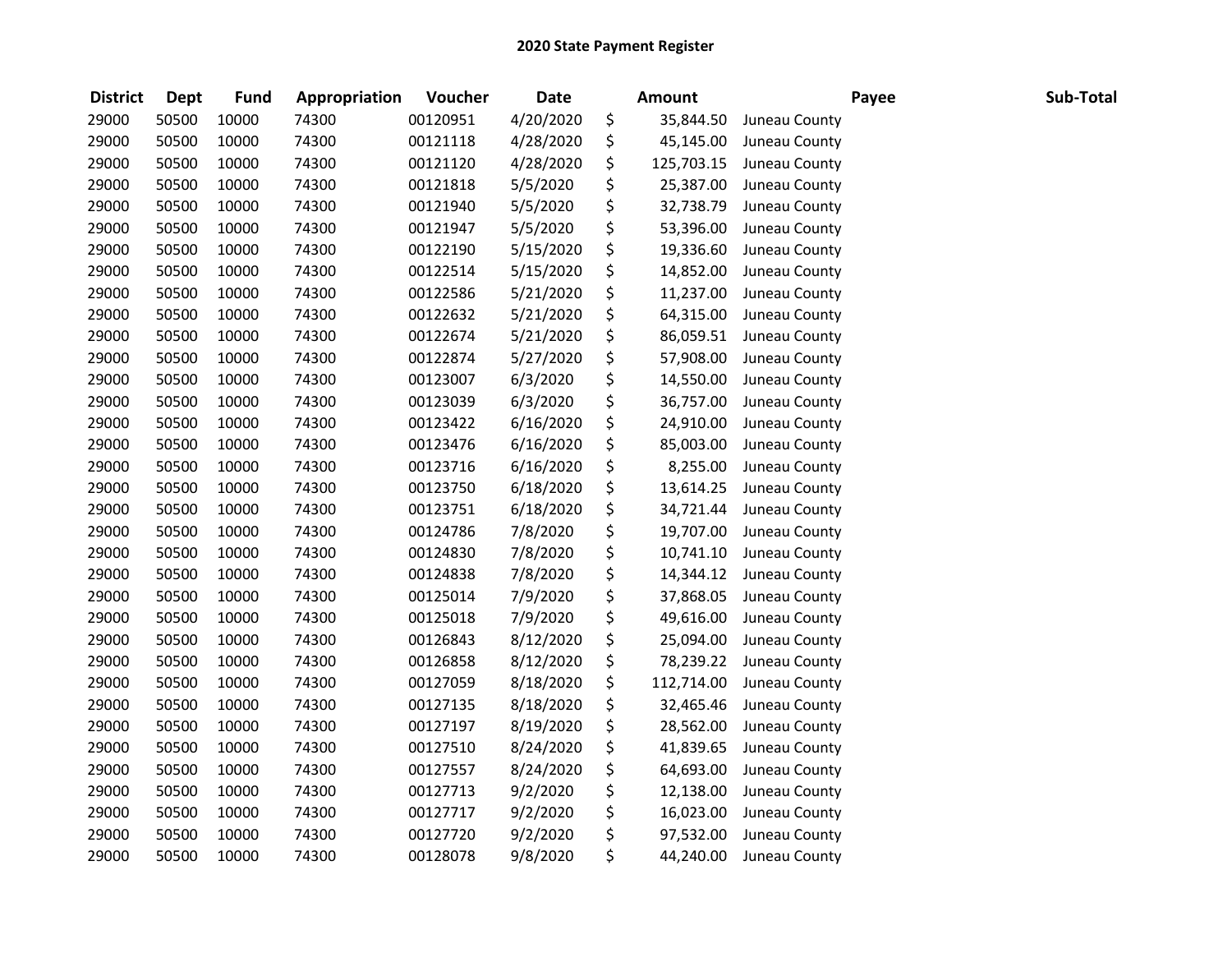| <b>District</b> | <b>Dept</b> | <b>Fund</b> | Appropriation | Voucher  | <b>Date</b> | <b>Amount</b>    |               | Payee | Sub-Total |
|-----------------|-------------|-------------|---------------|----------|-------------|------------------|---------------|-------|-----------|
| 29000           | 50500       | 10000       | 74300         | 00120951 | 4/20/2020   | \$<br>35,844.50  | Juneau County |       |           |
| 29000           | 50500       | 10000       | 74300         | 00121118 | 4/28/2020   | \$<br>45,145.00  | Juneau County |       |           |
| 29000           | 50500       | 10000       | 74300         | 00121120 | 4/28/2020   | \$<br>125,703.15 | Juneau County |       |           |
| 29000           | 50500       | 10000       | 74300         | 00121818 | 5/5/2020    | \$<br>25,387.00  | Juneau County |       |           |
| 29000           | 50500       | 10000       | 74300         | 00121940 | 5/5/2020    | \$<br>32,738.79  | Juneau County |       |           |
| 29000           | 50500       | 10000       | 74300         | 00121947 | 5/5/2020    | \$<br>53,396.00  | Juneau County |       |           |
| 29000           | 50500       | 10000       | 74300         | 00122190 | 5/15/2020   | \$<br>19,336.60  | Juneau County |       |           |
| 29000           | 50500       | 10000       | 74300         | 00122514 | 5/15/2020   | \$<br>14,852.00  | Juneau County |       |           |
| 29000           | 50500       | 10000       | 74300         | 00122586 | 5/21/2020   | \$<br>11,237.00  | Juneau County |       |           |
| 29000           | 50500       | 10000       | 74300         | 00122632 | 5/21/2020   | \$<br>64,315.00  | Juneau County |       |           |
| 29000           | 50500       | 10000       | 74300         | 00122674 | 5/21/2020   | \$<br>86,059.51  | Juneau County |       |           |
| 29000           | 50500       | 10000       | 74300         | 00122874 | 5/27/2020   | \$<br>57,908.00  | Juneau County |       |           |
| 29000           | 50500       | 10000       | 74300         | 00123007 | 6/3/2020    | \$<br>14,550.00  | Juneau County |       |           |
| 29000           | 50500       | 10000       | 74300         | 00123039 | 6/3/2020    | \$<br>36,757.00  | Juneau County |       |           |
| 29000           | 50500       | 10000       | 74300         | 00123422 | 6/16/2020   | \$<br>24,910.00  | Juneau County |       |           |
| 29000           | 50500       | 10000       | 74300         | 00123476 | 6/16/2020   | \$<br>85,003.00  | Juneau County |       |           |
| 29000           | 50500       | 10000       | 74300         | 00123716 | 6/16/2020   | \$<br>8,255.00   | Juneau County |       |           |
| 29000           | 50500       | 10000       | 74300         | 00123750 | 6/18/2020   | \$<br>13,614.25  | Juneau County |       |           |
| 29000           | 50500       | 10000       | 74300         | 00123751 | 6/18/2020   | \$<br>34,721.44  | Juneau County |       |           |
| 29000           | 50500       | 10000       | 74300         | 00124786 | 7/8/2020    | \$<br>19,707.00  | Juneau County |       |           |
| 29000           | 50500       | 10000       | 74300         | 00124830 | 7/8/2020    | \$<br>10,741.10  | Juneau County |       |           |
| 29000           | 50500       | 10000       | 74300         | 00124838 | 7/8/2020    | \$<br>14,344.12  | Juneau County |       |           |
| 29000           | 50500       | 10000       | 74300         | 00125014 | 7/9/2020    | \$<br>37,868.05  | Juneau County |       |           |
| 29000           | 50500       | 10000       | 74300         | 00125018 | 7/9/2020    | \$<br>49,616.00  | Juneau County |       |           |
| 29000           | 50500       | 10000       | 74300         | 00126843 | 8/12/2020   | \$<br>25,094.00  | Juneau County |       |           |
| 29000           | 50500       | 10000       | 74300         | 00126858 | 8/12/2020   | \$<br>78,239.22  | Juneau County |       |           |
| 29000           | 50500       | 10000       | 74300         | 00127059 | 8/18/2020   | \$<br>112,714.00 | Juneau County |       |           |
| 29000           | 50500       | 10000       | 74300         | 00127135 | 8/18/2020   | \$<br>32,465.46  | Juneau County |       |           |
| 29000           | 50500       | 10000       | 74300         | 00127197 | 8/19/2020   | \$<br>28,562.00  | Juneau County |       |           |
| 29000           | 50500       | 10000       | 74300         | 00127510 | 8/24/2020   | \$<br>41,839.65  | Juneau County |       |           |
| 29000           | 50500       | 10000       | 74300         | 00127557 | 8/24/2020   | \$<br>64,693.00  | Juneau County |       |           |
| 29000           | 50500       | 10000       | 74300         | 00127713 | 9/2/2020    | \$<br>12,138.00  | Juneau County |       |           |
| 29000           | 50500       | 10000       | 74300         | 00127717 | 9/2/2020    | \$<br>16,023.00  | Juneau County |       |           |
| 29000           | 50500       | 10000       | 74300         | 00127720 | 9/2/2020    | \$<br>97,532.00  | Juneau County |       |           |
| 29000           | 50500       | 10000       | 74300         | 00128078 | 9/8/2020    | \$<br>44,240.00  | Juneau County |       |           |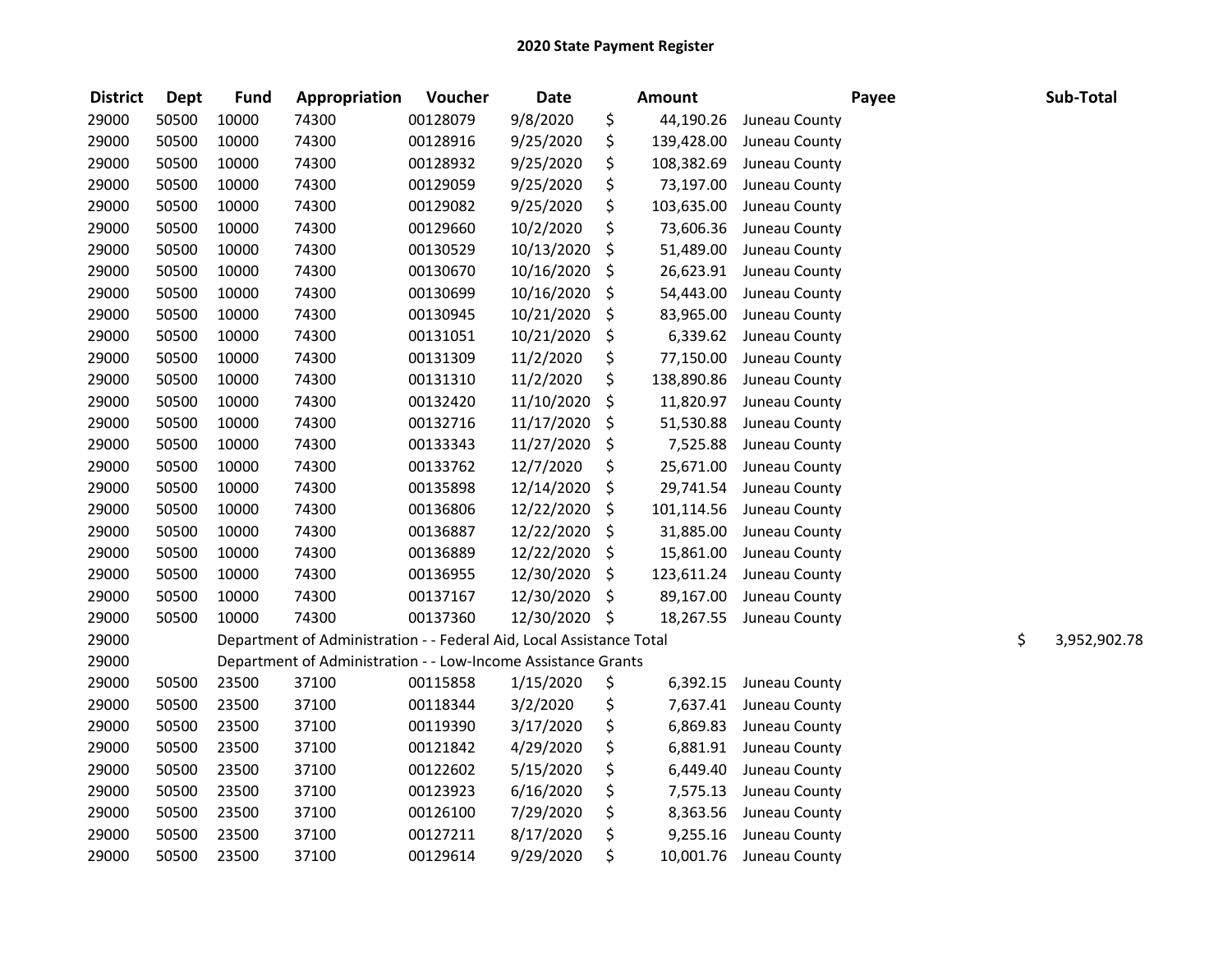| <b>District</b> | <b>Dept</b> | <b>Fund</b> | Appropriation                                                        | Voucher  | <b>Date</b>   | <b>Amount</b>    |               | Payee | Sub-Total          |
|-----------------|-------------|-------------|----------------------------------------------------------------------|----------|---------------|------------------|---------------|-------|--------------------|
| 29000           | 50500       | 10000       | 74300                                                                | 00128079 | 9/8/2020      | \$<br>44,190.26  | Juneau County |       |                    |
| 29000           | 50500       | 10000       | 74300                                                                | 00128916 | 9/25/2020     | \$<br>139,428.00 | Juneau County |       |                    |
| 29000           | 50500       | 10000       | 74300                                                                | 00128932 | 9/25/2020     | \$<br>108,382.69 | Juneau County |       |                    |
| 29000           | 50500       | 10000       | 74300                                                                | 00129059 | 9/25/2020     | \$<br>73,197.00  | Juneau County |       |                    |
| 29000           | 50500       | 10000       | 74300                                                                | 00129082 | 9/25/2020     | \$<br>103,635.00 | Juneau County |       |                    |
| 29000           | 50500       | 10000       | 74300                                                                | 00129660 | 10/2/2020     | \$<br>73,606.36  | Juneau County |       |                    |
| 29000           | 50500       | 10000       | 74300                                                                | 00130529 | 10/13/2020    | \$<br>51,489.00  | Juneau County |       |                    |
| 29000           | 50500       | 10000       | 74300                                                                | 00130670 | 10/16/2020    | \$<br>26,623.91  | Juneau County |       |                    |
| 29000           | 50500       | 10000       | 74300                                                                | 00130699 | 10/16/2020    | \$<br>54,443.00  | Juneau County |       |                    |
| 29000           | 50500       | 10000       | 74300                                                                | 00130945 | 10/21/2020    | \$<br>83,965.00  | Juneau County |       |                    |
| 29000           | 50500       | 10000       | 74300                                                                | 00131051 | 10/21/2020    | \$<br>6,339.62   | Juneau County |       |                    |
| 29000           | 50500       | 10000       | 74300                                                                | 00131309 | 11/2/2020     | \$<br>77,150.00  | Juneau County |       |                    |
| 29000           | 50500       | 10000       | 74300                                                                | 00131310 | 11/2/2020     | \$<br>138,890.86 | Juneau County |       |                    |
| 29000           | 50500       | 10000       | 74300                                                                | 00132420 | 11/10/2020    | \$<br>11,820.97  | Juneau County |       |                    |
| 29000           | 50500       | 10000       | 74300                                                                | 00132716 | 11/17/2020    | \$<br>51,530.88  | Juneau County |       |                    |
| 29000           | 50500       | 10000       | 74300                                                                | 00133343 | 11/27/2020    | \$<br>7,525.88   | Juneau County |       |                    |
| 29000           | 50500       | 10000       | 74300                                                                | 00133762 | 12/7/2020     | \$<br>25,671.00  | Juneau County |       |                    |
| 29000           | 50500       | 10000       | 74300                                                                | 00135898 | 12/14/2020    | \$<br>29,741.54  | Juneau County |       |                    |
| 29000           | 50500       | 10000       | 74300                                                                | 00136806 | 12/22/2020    | \$<br>101,114.56 | Juneau County |       |                    |
| 29000           | 50500       | 10000       | 74300                                                                | 00136887 | 12/22/2020    | \$<br>31,885.00  | Juneau County |       |                    |
| 29000           | 50500       | 10000       | 74300                                                                | 00136889 | 12/22/2020    | \$<br>15,861.00  | Juneau County |       |                    |
| 29000           | 50500       | 10000       | 74300                                                                | 00136955 | 12/30/2020    | \$<br>123,611.24 | Juneau County |       |                    |
| 29000           | 50500       | 10000       | 74300                                                                | 00137167 | 12/30/2020    | \$<br>89,167.00  | Juneau County |       |                    |
| 29000           | 50500       | 10000       | 74300                                                                | 00137360 | 12/30/2020 \$ | 18,267.55        | Juneau County |       |                    |
| 29000           |             |             | Department of Administration - - Federal Aid, Local Assistance Total |          |               |                  |               |       | \$<br>3,952,902.78 |
| 29000           |             |             | Department of Administration - - Low-Income Assistance Grants        |          |               |                  |               |       |                    |
| 29000           | 50500       | 23500       | 37100                                                                | 00115858 | 1/15/2020     | \$<br>6,392.15   | Juneau County |       |                    |
| 29000           | 50500       | 23500       | 37100                                                                | 00118344 | 3/2/2020      | \$<br>7,637.41   | Juneau County |       |                    |
| 29000           | 50500       | 23500       | 37100                                                                | 00119390 | 3/17/2020     | \$<br>6,869.83   | Juneau County |       |                    |
| 29000           | 50500       | 23500       | 37100                                                                | 00121842 | 4/29/2020     | \$<br>6,881.91   | Juneau County |       |                    |
| 29000           | 50500       | 23500       | 37100                                                                | 00122602 | 5/15/2020     | \$<br>6,449.40   | Juneau County |       |                    |
| 29000           | 50500       | 23500       | 37100                                                                | 00123923 | 6/16/2020     | \$<br>7,575.13   | Juneau County |       |                    |
| 29000           | 50500       | 23500       | 37100                                                                | 00126100 | 7/29/2020     | \$<br>8,363.56   | Juneau County |       |                    |
| 29000           | 50500       | 23500       | 37100                                                                | 00127211 | 8/17/2020     | \$<br>9,255.16   | Juneau County |       |                    |
| 29000           | 50500       | 23500       | 37100                                                                | 00129614 | 9/29/2020     | \$<br>10,001.76  | Juneau County |       |                    |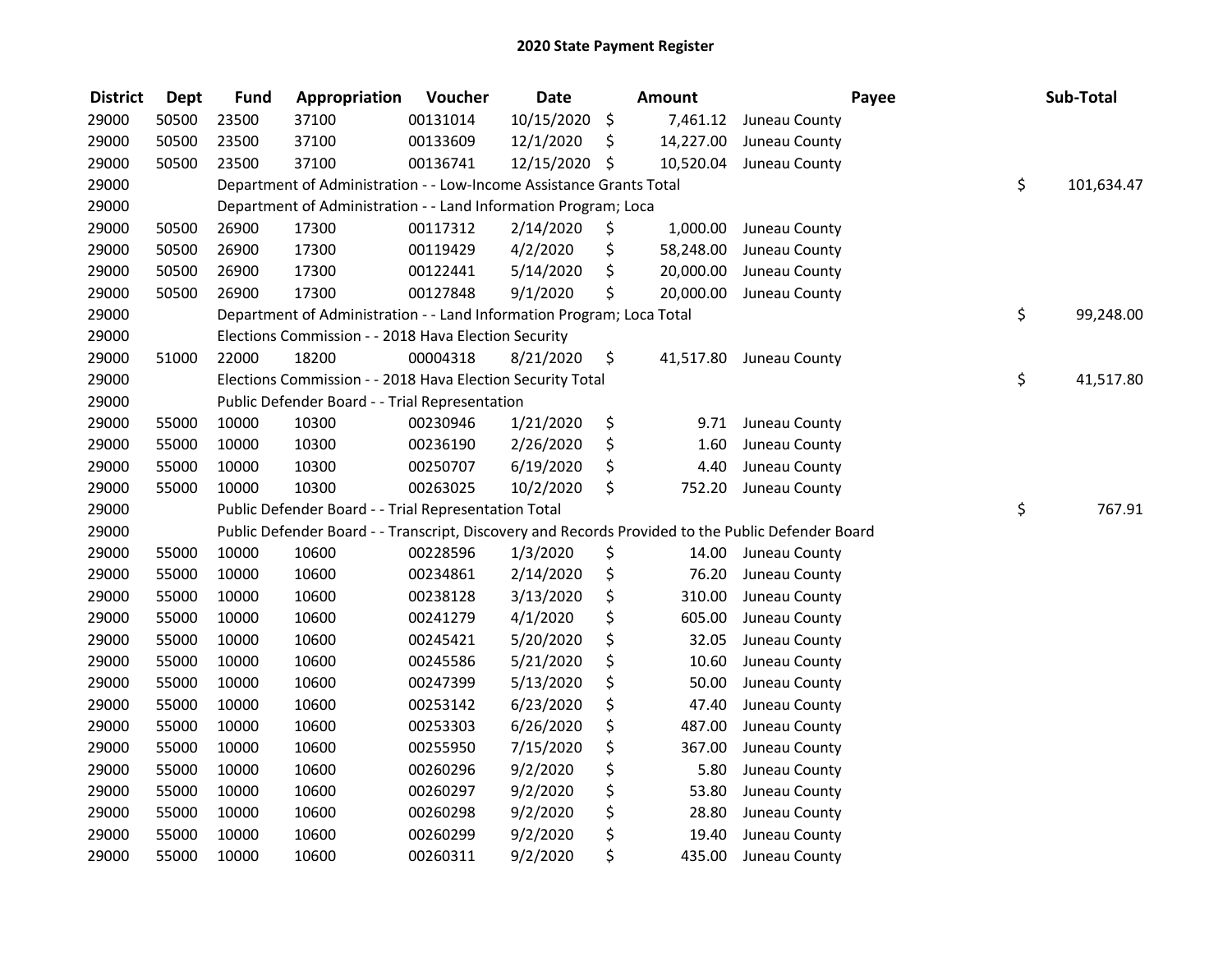| <b>District</b> | <b>Dept</b> | <b>Fund</b> | Appropriation                                                                                     | Voucher  | <b>Date</b>   | <b>Amount</b>   |               | Payee | Sub-Total        |
|-----------------|-------------|-------------|---------------------------------------------------------------------------------------------------|----------|---------------|-----------------|---------------|-------|------------------|
| 29000           | 50500       | 23500       | 37100                                                                                             | 00131014 | 10/15/2020    | \$<br>7,461.12  | Juneau County |       |                  |
| 29000           | 50500       | 23500       | 37100                                                                                             | 00133609 | 12/1/2020     | \$<br>14,227.00 | Juneau County |       |                  |
| 29000           | 50500       | 23500       | 37100                                                                                             | 00136741 | 12/15/2020 \$ | 10,520.04       | Juneau County |       |                  |
| 29000           |             |             | Department of Administration - - Low-Income Assistance Grants Total                               |          |               |                 |               |       | \$<br>101,634.47 |
| 29000           |             |             | Department of Administration - - Land Information Program; Loca                                   |          |               |                 |               |       |                  |
| 29000           | 50500       | 26900       | 17300                                                                                             | 00117312 | 2/14/2020     | \$<br>1,000.00  | Juneau County |       |                  |
| 29000           | 50500       | 26900       | 17300                                                                                             | 00119429 | 4/2/2020      | \$<br>58,248.00 | Juneau County |       |                  |
| 29000           | 50500       | 26900       | 17300                                                                                             | 00122441 | 5/14/2020     | \$<br>20,000.00 | Juneau County |       |                  |
| 29000           | 50500       | 26900       | 17300                                                                                             | 00127848 | 9/1/2020      | \$<br>20,000.00 | Juneau County |       |                  |
| 29000           |             |             | Department of Administration - - Land Information Program; Loca Total                             |          |               |                 |               |       | \$<br>99,248.00  |
| 29000           |             |             | Elections Commission - - 2018 Hava Election Security                                              |          |               |                 |               |       |                  |
| 29000           | 51000       | 22000       | 18200                                                                                             | 00004318 | 8/21/2020     | \$<br>41,517.80 | Juneau County |       |                  |
| 29000           |             |             | Elections Commission - - 2018 Hava Election Security Total                                        |          |               |                 |               |       | \$<br>41,517.80  |
| 29000           |             |             | Public Defender Board - - Trial Representation                                                    |          |               |                 |               |       |                  |
| 29000           | 55000       | 10000       | 10300                                                                                             | 00230946 | 1/21/2020     | \$<br>9.71      | Juneau County |       |                  |
| 29000           | 55000       | 10000       | 10300                                                                                             | 00236190 | 2/26/2020     | \$<br>1.60      | Juneau County |       |                  |
| 29000           | 55000       | 10000       | 10300                                                                                             | 00250707 | 6/19/2020     | \$<br>4.40      | Juneau County |       |                  |
| 29000           | 55000       | 10000       | 10300                                                                                             | 00263025 | 10/2/2020     | \$<br>752.20    | Juneau County |       |                  |
| 29000           |             |             | Public Defender Board - - Trial Representation Total                                              |          |               |                 |               |       | \$<br>767.91     |
| 29000           |             |             | Public Defender Board - - Transcript, Discovery and Records Provided to the Public Defender Board |          |               |                 |               |       |                  |
| 29000           | 55000       | 10000       | 10600                                                                                             | 00228596 | 1/3/2020      | \$<br>14.00     | Juneau County |       |                  |
| 29000           | 55000       | 10000       | 10600                                                                                             | 00234861 | 2/14/2020     | \$<br>76.20     | Juneau County |       |                  |
| 29000           | 55000       | 10000       | 10600                                                                                             | 00238128 | 3/13/2020     | \$<br>310.00    | Juneau County |       |                  |
| 29000           | 55000       | 10000       | 10600                                                                                             | 00241279 | 4/1/2020      | \$<br>605.00    | Juneau County |       |                  |
| 29000           | 55000       | 10000       | 10600                                                                                             | 00245421 | 5/20/2020     | \$<br>32.05     | Juneau County |       |                  |
| 29000           | 55000       | 10000       | 10600                                                                                             | 00245586 | 5/21/2020     | \$<br>10.60     | Juneau County |       |                  |
| 29000           | 55000       | 10000       | 10600                                                                                             | 00247399 | 5/13/2020     | \$<br>50.00     | Juneau County |       |                  |
| 29000           | 55000       | 10000       | 10600                                                                                             | 00253142 | 6/23/2020     | \$<br>47.40     | Juneau County |       |                  |
| 29000           | 55000       | 10000       | 10600                                                                                             | 00253303 | 6/26/2020     | \$<br>487.00    | Juneau County |       |                  |
| 29000           | 55000       | 10000       | 10600                                                                                             | 00255950 | 7/15/2020     | \$<br>367.00    | Juneau County |       |                  |
| 29000           | 55000       | 10000       | 10600                                                                                             | 00260296 | 9/2/2020      | \$<br>5.80      | Juneau County |       |                  |
| 29000           | 55000       | 10000       | 10600                                                                                             | 00260297 | 9/2/2020      | \$<br>53.80     | Juneau County |       |                  |
| 29000           | 55000       | 10000       | 10600                                                                                             | 00260298 | 9/2/2020      | \$<br>28.80     | Juneau County |       |                  |
| 29000           | 55000       | 10000       | 10600                                                                                             | 00260299 | 9/2/2020      | \$<br>19.40     | Juneau County |       |                  |
| 29000           | 55000       | 10000       | 10600                                                                                             | 00260311 | 9/2/2020      | \$<br>435.00    | Juneau County |       |                  |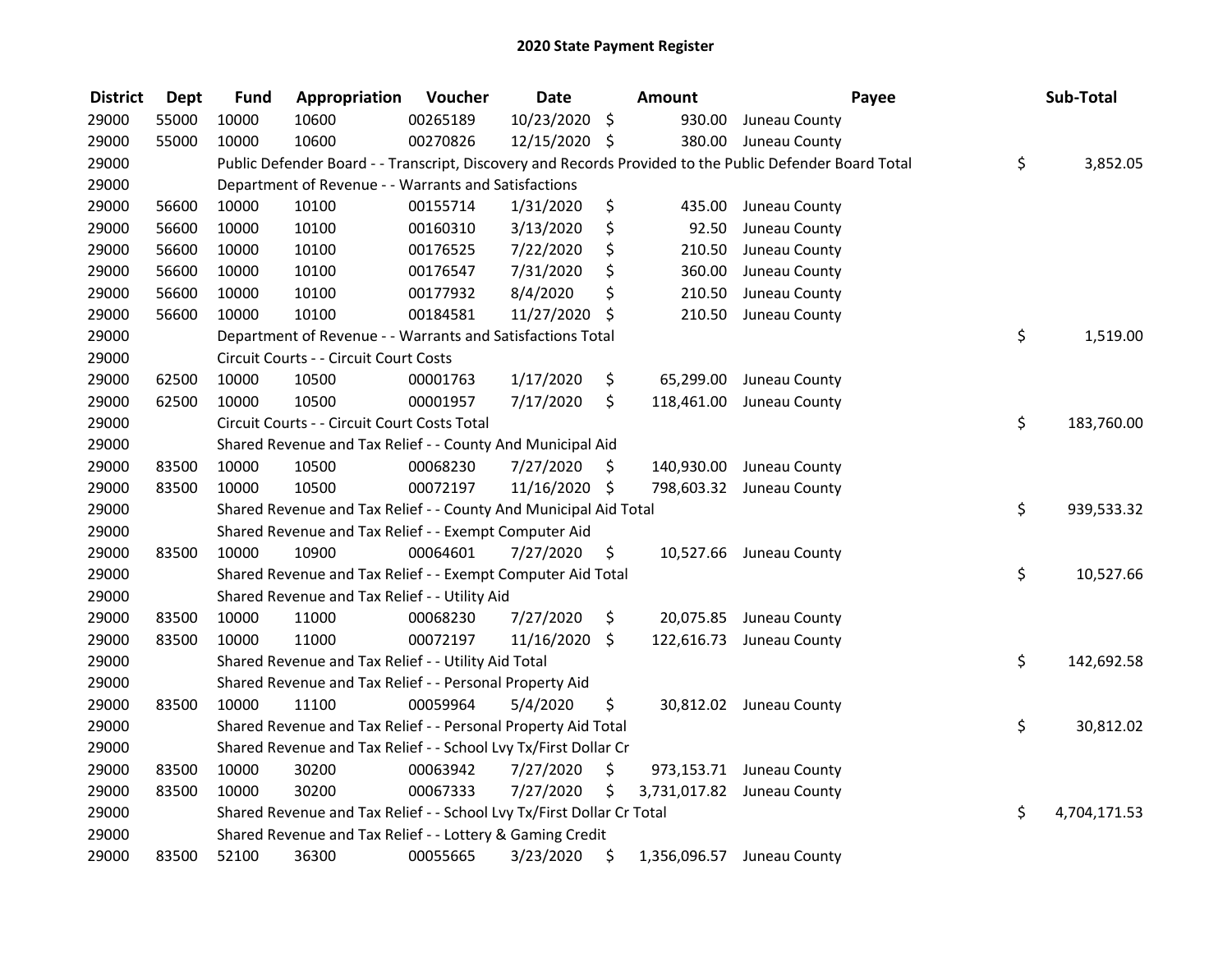| <b>District</b> | <b>Dept</b> | <b>Fund</b> | Appropriation                                                         | Voucher  | <b>Date</b>   |     | Amount     | Payee                                                                                                   | Sub-Total          |
|-----------------|-------------|-------------|-----------------------------------------------------------------------|----------|---------------|-----|------------|---------------------------------------------------------------------------------------------------------|--------------------|
| 29000           | 55000       | 10000       | 10600                                                                 | 00265189 | 10/23/2020    | \$  | 930.00     | Juneau County                                                                                           |                    |
| 29000           | 55000       | 10000       | 10600                                                                 | 00270826 | 12/15/2020 \$ |     |            | 380.00 Juneau County                                                                                    |                    |
| 29000           |             |             |                                                                       |          |               |     |            | Public Defender Board - - Transcript, Discovery and Records Provided to the Public Defender Board Total | \$<br>3,852.05     |
| 29000           |             |             | Department of Revenue - - Warrants and Satisfactions                  |          |               |     |            |                                                                                                         |                    |
| 29000           | 56600       | 10000       | 10100                                                                 | 00155714 | 1/31/2020     | \$  |            | 435.00 Juneau County                                                                                    |                    |
| 29000           | 56600       | 10000       | 10100                                                                 | 00160310 | 3/13/2020     | \$  | 92.50      | Juneau County                                                                                           |                    |
| 29000           | 56600       | 10000       | 10100                                                                 | 00176525 | 7/22/2020     | \$  | 210.50     | Juneau County                                                                                           |                    |
| 29000           | 56600       | 10000       | 10100                                                                 | 00176547 | 7/31/2020     | \$  | 360.00     | Juneau County                                                                                           |                    |
| 29000           | 56600       | 10000       | 10100                                                                 | 00177932 | 8/4/2020      | \$  | 210.50     | Juneau County                                                                                           |                    |
| 29000           | 56600       | 10000       | 10100                                                                 | 00184581 | 11/27/2020    | \$  | 210.50     | Juneau County                                                                                           |                    |
| 29000           |             |             | Department of Revenue - - Warrants and Satisfactions Total            |          |               |     |            |                                                                                                         | \$<br>1,519.00     |
| 29000           |             |             | Circuit Courts - - Circuit Court Costs                                |          |               |     |            |                                                                                                         |                    |
| 29000           | 62500       | 10000       | 10500                                                                 | 00001763 | 1/17/2020     | \$  | 65,299.00  | Juneau County                                                                                           |                    |
| 29000           | 62500       | 10000       | 10500                                                                 | 00001957 | 7/17/2020     | \$  | 118,461.00 | Juneau County                                                                                           |                    |
| 29000           |             |             | Circuit Courts - - Circuit Court Costs Total                          |          |               |     |            |                                                                                                         | \$<br>183,760.00   |
| 29000           |             |             | Shared Revenue and Tax Relief - - County And Municipal Aid            |          |               |     |            |                                                                                                         |                    |
| 29000           | 83500       | 10000       | 10500                                                                 | 00068230 | 7/27/2020     | \$. | 140,930.00 | Juneau County                                                                                           |                    |
| 29000           | 83500       | 10000       | 10500                                                                 | 00072197 | 11/16/2020 \$ |     |            | 798,603.32 Juneau County                                                                                |                    |
| 29000           |             |             | Shared Revenue and Tax Relief - - County And Municipal Aid Total      |          |               |     |            |                                                                                                         | \$<br>939,533.32   |
| 29000           |             |             | Shared Revenue and Tax Relief - - Exempt Computer Aid                 |          |               |     |            |                                                                                                         |                    |
| 29000           | 83500       | 10000       | 10900                                                                 | 00064601 | 7/27/2020     | \$  |            | 10,527.66 Juneau County                                                                                 |                    |
| 29000           |             |             | Shared Revenue and Tax Relief - - Exempt Computer Aid Total           |          |               |     |            |                                                                                                         | \$<br>10,527.66    |
| 29000           |             |             | Shared Revenue and Tax Relief - - Utility Aid                         |          |               |     |            |                                                                                                         |                    |
| 29000           | 83500       | 10000       | 11000                                                                 | 00068230 | 7/27/2020     | \$  |            | 20,075.85 Juneau County                                                                                 |                    |
| 29000           | 83500       | 10000       | 11000                                                                 | 00072197 | 11/16/2020    | \$  |            | 122,616.73 Juneau County                                                                                |                    |
| 29000           |             |             | Shared Revenue and Tax Relief - - Utility Aid Total                   |          |               |     |            |                                                                                                         | \$<br>142,692.58   |
| 29000           |             |             | Shared Revenue and Tax Relief - - Personal Property Aid               |          |               |     |            |                                                                                                         |                    |
| 29000           | 83500       | 10000       | 11100                                                                 | 00059964 | 5/4/2020      | \$  |            | 30,812.02 Juneau County                                                                                 |                    |
| 29000           |             |             | Shared Revenue and Tax Relief - - Personal Property Aid Total         |          |               |     |            |                                                                                                         | \$<br>30,812.02    |
| 29000           |             |             | Shared Revenue and Tax Relief - - School Lvy Tx/First Dollar Cr       |          |               |     |            |                                                                                                         |                    |
| 29000           | 83500       | 10000       | 30200                                                                 | 00063942 | 7/27/2020     | \$  |            | 973,153.71 Juneau County                                                                                |                    |
| 29000           | 83500       | 10000       | 30200                                                                 | 00067333 | 7/27/2020     | \$  |            | 3,731,017.82 Juneau County                                                                              |                    |
| 29000           |             |             | Shared Revenue and Tax Relief - - School Lvy Tx/First Dollar Cr Total |          |               |     |            |                                                                                                         | \$<br>4,704,171.53 |
| 29000           |             |             | Shared Revenue and Tax Relief - - Lottery & Gaming Credit             |          |               |     |            |                                                                                                         |                    |
| 29000           | 83500       | 52100       | 36300                                                                 | 00055665 | 3/23/2020     | \$  |            | 1,356,096.57 Juneau County                                                                              |                    |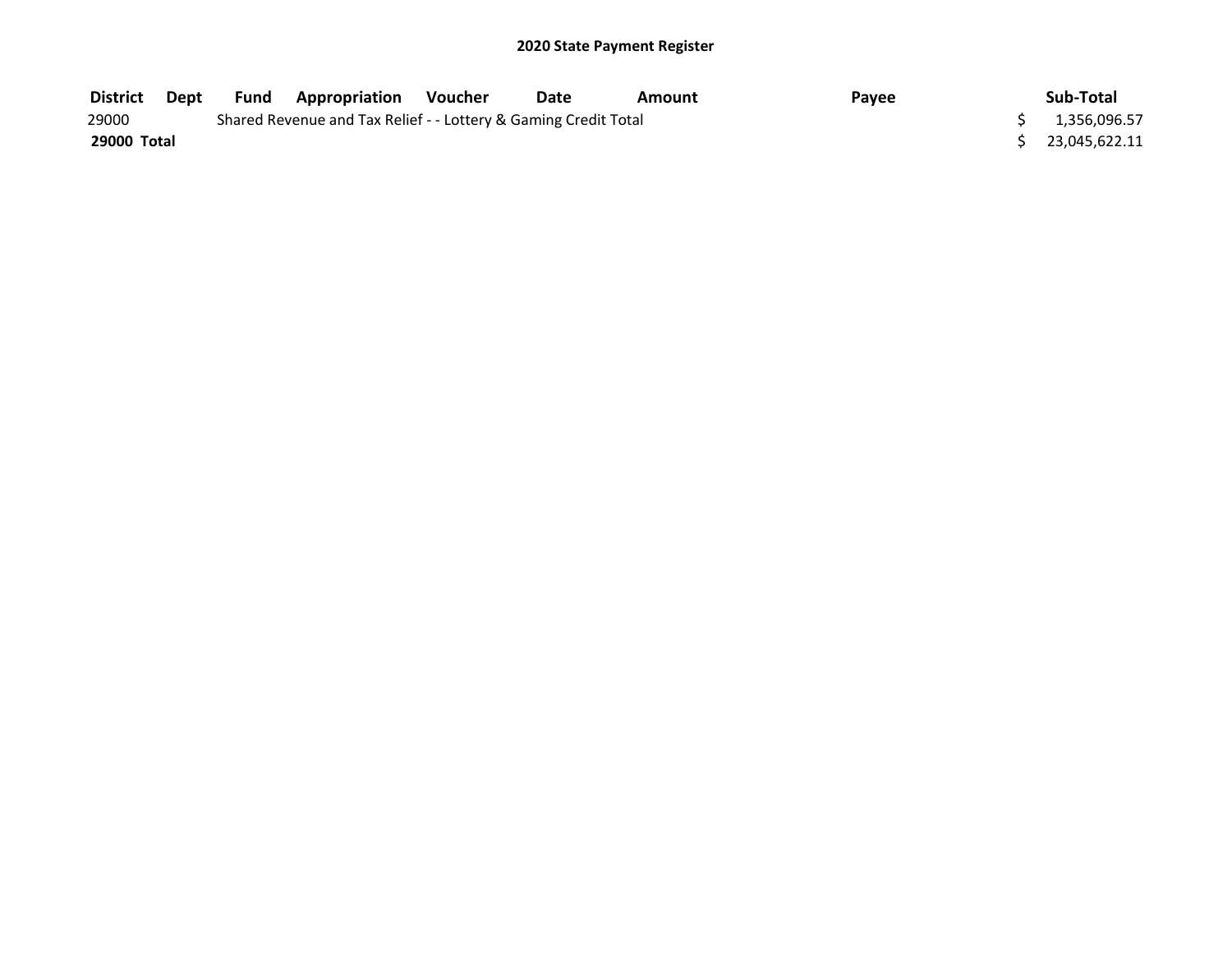| <b>District</b> | Dept | Fund | <b>Appropriation</b>                                            | Voucher | Date | Amount | Payee | Sub-Total     |
|-----------------|------|------|-----------------------------------------------------------------|---------|------|--------|-------|---------------|
| 29000           |      |      | Shared Revenue and Tax Relief - - Lottery & Gaming Credit Total |         |      |        |       | 1,356,096.57  |
| 29000 Total     |      |      |                                                                 |         |      |        |       | 23.045.622.11 |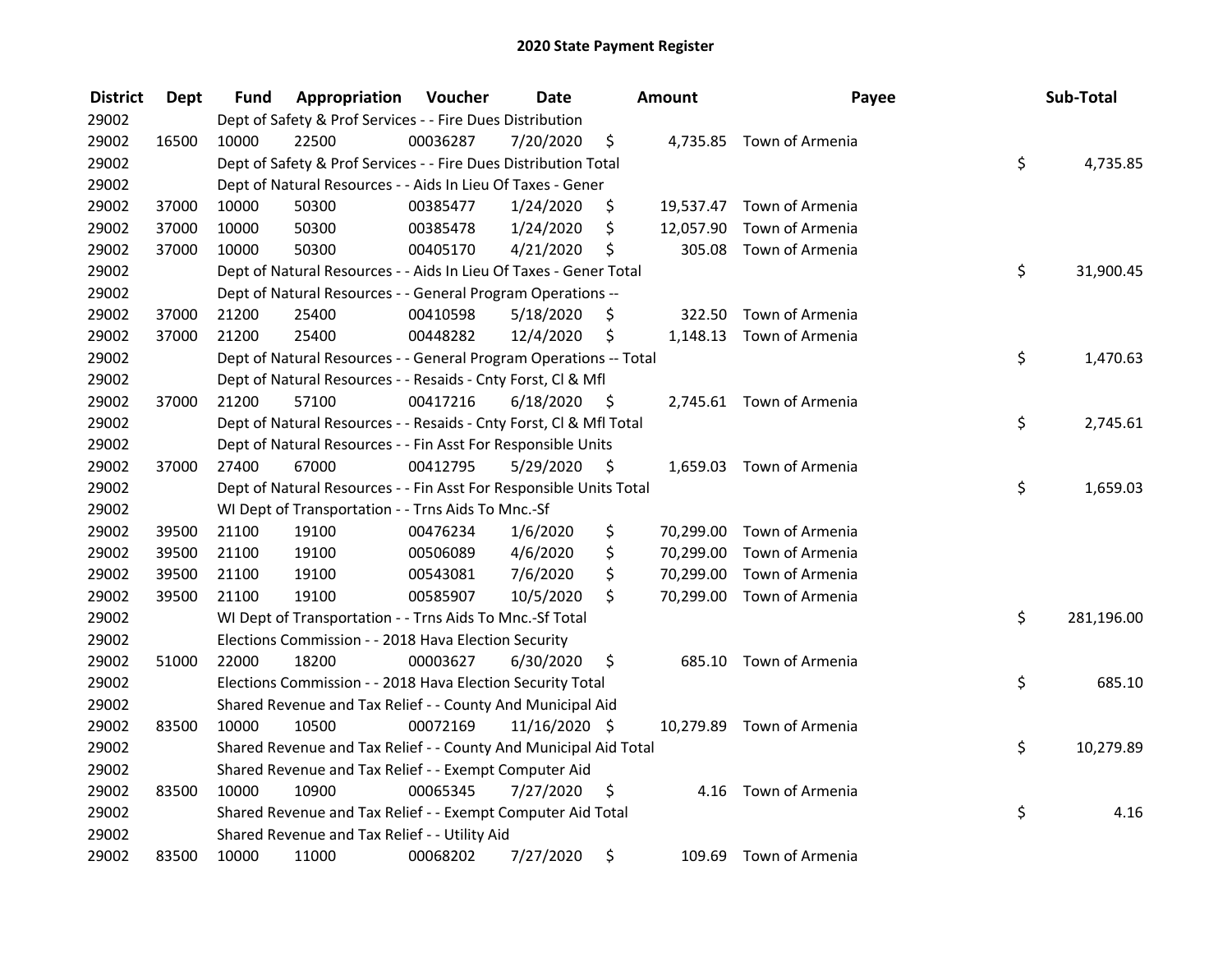| <b>District</b> | <b>Dept</b> | Fund  | Appropriation                                                      | Voucher  | <b>Date</b>   |      | Amount    | Payee                     | Sub-Total        |
|-----------------|-------------|-------|--------------------------------------------------------------------|----------|---------------|------|-----------|---------------------------|------------------|
| 29002           |             |       | Dept of Safety & Prof Services - - Fire Dues Distribution          |          |               |      |           |                           |                  |
| 29002           | 16500       | 10000 | 22500                                                              | 00036287 | 7/20/2020     | \$   |           | 4,735.85 Town of Armenia  |                  |
| 29002           |             |       | Dept of Safety & Prof Services - - Fire Dues Distribution Total    |          |               |      |           |                           | \$<br>4,735.85   |
| 29002           |             |       | Dept of Natural Resources - - Aids In Lieu Of Taxes - Gener        |          |               |      |           |                           |                  |
| 29002           | 37000       | 10000 | 50300                                                              | 00385477 | 1/24/2020     | \$   |           | 19,537.47 Town of Armenia |                  |
| 29002           | 37000       | 10000 | 50300                                                              | 00385478 | 1/24/2020     | \$   | 12,057.90 | Town of Armenia           |                  |
| 29002           | 37000       | 10000 | 50300                                                              | 00405170 | 4/21/2020     | \$   | 305.08    | Town of Armenia           |                  |
| 29002           |             |       | Dept of Natural Resources - - Aids In Lieu Of Taxes - Gener Total  |          |               |      |           |                           | \$<br>31,900.45  |
| 29002           |             |       | Dept of Natural Resources - - General Program Operations --        |          |               |      |           |                           |                  |
| 29002           | 37000       | 21200 | 25400                                                              | 00410598 | 5/18/2020     | \$   |           | 322.50 Town of Armenia    |                  |
| 29002           | 37000       | 21200 | 25400                                                              | 00448282 | 12/4/2020     | \$   |           | 1,148.13 Town of Armenia  |                  |
| 29002           |             |       | Dept of Natural Resources - - General Program Operations -- Total  |          |               |      |           |                           | \$<br>1,470.63   |
| 29002           |             |       | Dept of Natural Resources - - Resaids - Cnty Forst, Cl & Mfl       |          |               |      |           |                           |                  |
| 29002           | 37000       | 21200 | 57100                                                              | 00417216 | 6/18/2020     | - \$ |           | 2,745.61 Town of Armenia  |                  |
| 29002           |             |       | Dept of Natural Resources - - Resaids - Cnty Forst, Cl & Mfl Total |          |               |      |           |                           | \$<br>2,745.61   |
| 29002           |             |       | Dept of Natural Resources - - Fin Asst For Responsible Units       |          |               |      |           |                           |                  |
| 29002           | 37000       | 27400 | 67000                                                              | 00412795 | 5/29/2020     | \$   | 1,659.03  | Town of Armenia           |                  |
| 29002           |             |       | Dept of Natural Resources - - Fin Asst For Responsible Units Total |          |               |      |           |                           | \$<br>1,659.03   |
| 29002           |             |       | WI Dept of Transportation - - Trns Aids To Mnc.-Sf                 |          |               |      |           |                           |                  |
| 29002           | 39500       | 21100 | 19100                                                              | 00476234 | 1/6/2020      | \$   |           | 70,299.00 Town of Armenia |                  |
| 29002           | 39500       | 21100 | 19100                                                              | 00506089 | 4/6/2020      | \$   |           | 70,299.00 Town of Armenia |                  |
| 29002           | 39500       | 21100 | 19100                                                              | 00543081 | 7/6/2020      | \$   |           | 70,299.00 Town of Armenia |                  |
| 29002           | 39500       | 21100 | 19100                                                              | 00585907 | 10/5/2020     | \$   |           | 70,299.00 Town of Armenia |                  |
| 29002           |             |       | WI Dept of Transportation - - Trns Aids To Mnc.-Sf Total           |          |               |      |           |                           | \$<br>281,196.00 |
| 29002           |             |       | Elections Commission - - 2018 Hava Election Security               |          |               |      |           |                           |                  |
| 29002           | 51000       | 22000 | 18200                                                              | 00003627 | 6/30/2020     | \$   |           | 685.10 Town of Armenia    |                  |
| 29002           |             |       | Elections Commission - - 2018 Hava Election Security Total         |          |               |      |           |                           | \$<br>685.10     |
| 29002           |             |       | Shared Revenue and Tax Relief - - County And Municipal Aid         |          |               |      |           |                           |                  |
| 29002           | 83500       | 10000 | 10500                                                              | 00072169 | 11/16/2020 \$ |      |           | 10,279.89 Town of Armenia |                  |
| 29002           |             |       | Shared Revenue and Tax Relief - - County And Municipal Aid Total   |          |               |      |           |                           | \$<br>10,279.89  |
| 29002           |             |       | Shared Revenue and Tax Relief - - Exempt Computer Aid              |          |               |      |           |                           |                  |
| 29002           | 83500       | 10000 | 10900                                                              | 00065345 | 7/27/2020     | \$   | 4.16      | Town of Armenia           |                  |
| 29002           |             |       | Shared Revenue and Tax Relief - - Exempt Computer Aid Total        |          |               |      |           |                           | \$<br>4.16       |
| 29002           |             |       | Shared Revenue and Tax Relief - - Utility Aid                      |          |               |      |           |                           |                  |
| 29002           | 83500       | 10000 | 11000                                                              | 00068202 | 7/27/2020     | \$   |           | 109.69 Town of Armenia    |                  |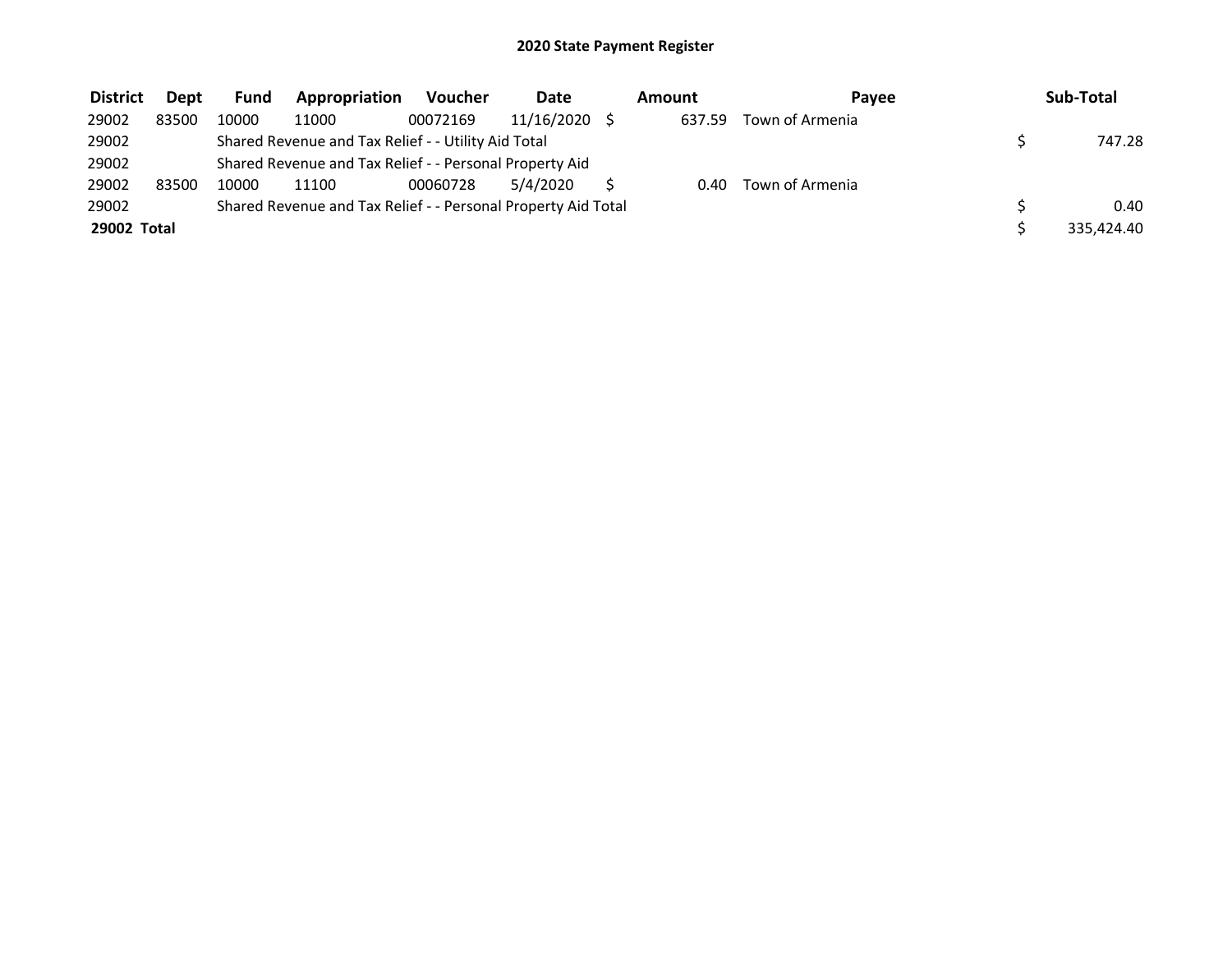| <b>District</b> | <b>Dept</b> | <b>Fund</b> | Appropriation                                                 | Voucher  | <b>Date</b> | Amount | Pavee           | Sub-Total  |
|-----------------|-------------|-------------|---------------------------------------------------------------|----------|-------------|--------|-----------------|------------|
| 29002           | 83500       | 10000       | 11000                                                         | 00072169 | 11/16/2020  | 637.59 | Town of Armenia |            |
| 29002           |             |             | Shared Revenue and Tax Relief - - Utility Aid Total           |          |             |        |                 | 747.28     |
| 29002           |             |             | Shared Revenue and Tax Relief - - Personal Property Aid       |          |             |        |                 |            |
| 29002           | 83500       | 10000       | 11100                                                         | 00060728 | 5/4/2020    | 0.40   | Town of Armenia |            |
| 29002           |             |             | Shared Revenue and Tax Relief - - Personal Property Aid Total |          |             |        |                 | 0.40       |
| 29002 Total     |             |             |                                                               |          |             |        |                 | 335.424.40 |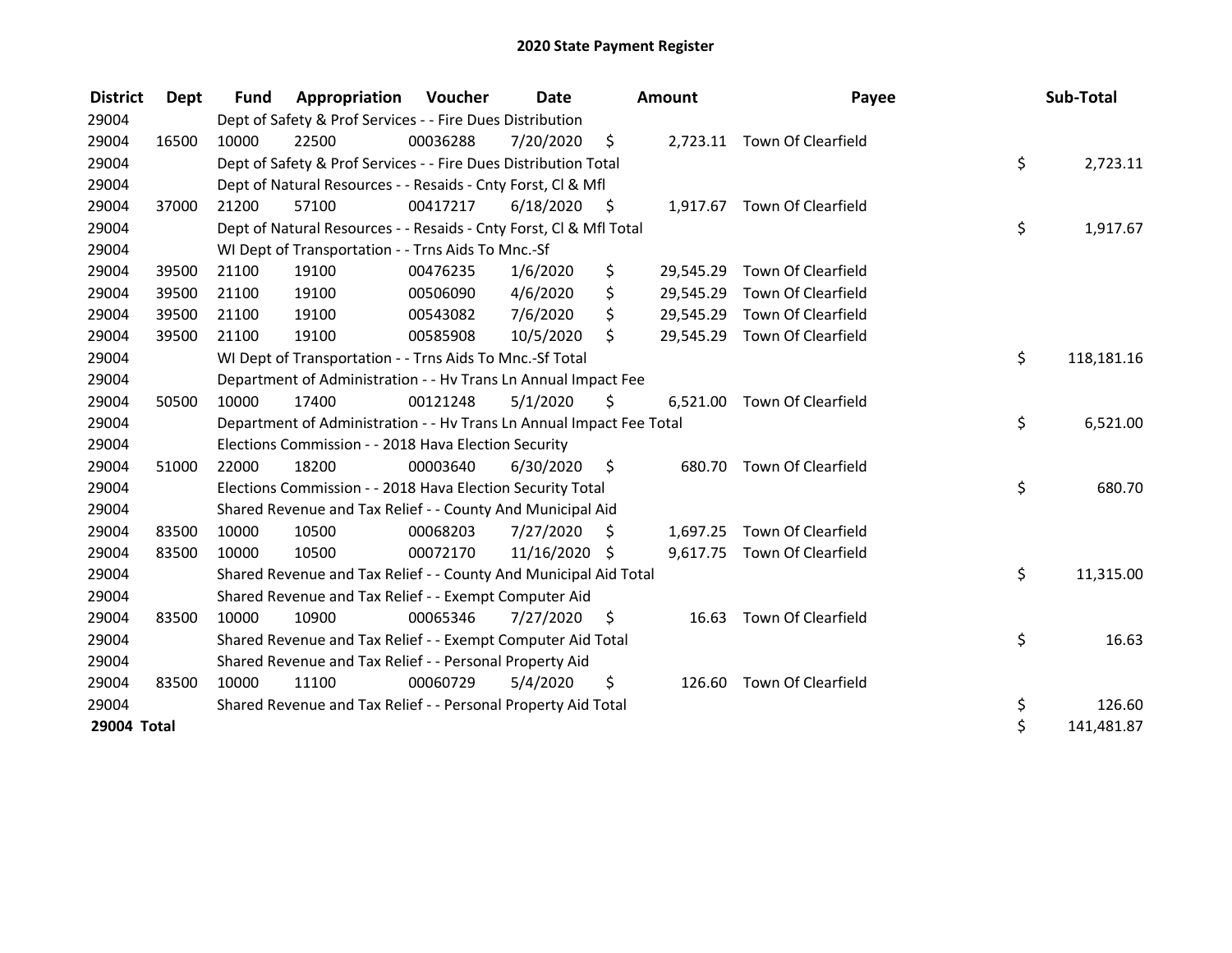| <b>District</b> | Dept  | <b>Fund</b> | Appropriation                                                        | Voucher  | Date          |      | <b>Amount</b> | Payee                        | Sub-Total        |
|-----------------|-------|-------------|----------------------------------------------------------------------|----------|---------------|------|---------------|------------------------------|------------------|
| 29004           |       |             | Dept of Safety & Prof Services - - Fire Dues Distribution            |          |               |      |               |                              |                  |
| 29004           | 16500 | 10000       | 22500                                                                | 00036288 | 7/20/2020     | \$   |               | 2,723.11 Town Of Clearfield  |                  |
| 29004           |       |             | Dept of Safety & Prof Services - - Fire Dues Distribution Total      |          |               |      |               |                              | \$<br>2,723.11   |
| 29004           |       |             | Dept of Natural Resources - - Resaids - Cnty Forst, CI & Mfl         |          |               |      |               |                              |                  |
| 29004           | 37000 | 21200       | 57100                                                                | 00417217 | 6/18/2020     | - \$ |               | 1,917.67 Town Of Clearfield  |                  |
| 29004           |       |             | Dept of Natural Resources - - Resaids - Cnty Forst, CI & Mfl Total   |          |               |      |               |                              | \$<br>1,917.67   |
| 29004           |       |             | WI Dept of Transportation - - Trns Aids To Mnc.-Sf                   |          |               |      |               |                              |                  |
| 29004           | 39500 | 21100       | 19100                                                                | 00476235 | 1/6/2020      | \$   | 29,545.29     | Town Of Clearfield           |                  |
| 29004           | 39500 | 21100       | 19100                                                                | 00506090 | 4/6/2020      | \$   | 29,545.29     | Town Of Clearfield           |                  |
| 29004           | 39500 | 21100       | 19100                                                                | 00543082 | 7/6/2020      | \$   | 29,545.29     | Town Of Clearfield           |                  |
| 29004           | 39500 | 21100       | 19100                                                                | 00585908 | 10/5/2020     | \$   |               | 29,545.29 Town Of Clearfield |                  |
| 29004           |       |             | WI Dept of Transportation - - Trns Aids To Mnc.-Sf Total             |          |               |      |               |                              | \$<br>118,181.16 |
| 29004           |       |             | Department of Administration - - Hv Trans Ln Annual Impact Fee       |          |               |      |               |                              |                  |
| 29004           | 50500 | 10000       | 17400                                                                | 00121248 | 5/1/2020      | \$   | 6,521.00      | Town Of Clearfield           |                  |
| 29004           |       |             | Department of Administration - - Hv Trans Ln Annual Impact Fee Total |          |               |      |               |                              | \$<br>6,521.00   |
| 29004           |       |             | Elections Commission - - 2018 Hava Election Security                 |          |               |      |               |                              |                  |
| 29004           | 51000 | 22000       | 18200                                                                | 00003640 | 6/30/2020     | - \$ | 680.70        | Town Of Clearfield           |                  |
| 29004           |       |             | Elections Commission - - 2018 Hava Election Security Total           |          |               |      |               |                              | \$<br>680.70     |
| 29004           |       |             | Shared Revenue and Tax Relief - - County And Municipal Aid           |          |               |      |               |                              |                  |
| 29004           | 83500 | 10000       | 10500                                                                | 00068203 | 7/27/2020     | \$   |               | 1,697.25 Town Of Clearfield  |                  |
| 29004           | 83500 | 10000       | 10500                                                                | 00072170 | 11/16/2020 \$ |      |               | 9,617.75 Town Of Clearfield  |                  |
| 29004           |       |             | Shared Revenue and Tax Relief - - County And Municipal Aid Total     |          |               |      |               |                              | \$<br>11,315.00  |
| 29004           |       |             | Shared Revenue and Tax Relief - - Exempt Computer Aid                |          |               |      |               |                              |                  |
| 29004           | 83500 | 10000       | 10900                                                                | 00065346 | 7/27/2020     | S    | 16.63         | Town Of Clearfield           |                  |
| 29004           |       |             | Shared Revenue and Tax Relief - - Exempt Computer Aid Total          |          |               |      |               |                              | \$<br>16.63      |
| 29004           |       |             | Shared Revenue and Tax Relief - - Personal Property Aid              |          |               |      |               |                              |                  |
| 29004           | 83500 | 10000       | 11100                                                                | 00060729 | 5/4/2020      | \$   | 126.60        | Town Of Clearfield           |                  |
| 29004           |       |             | Shared Revenue and Tax Relief - - Personal Property Aid Total        |          |               |      |               |                              | \$<br>126.60     |
| 29004 Total     |       |             |                                                                      |          |               |      |               |                              | \$<br>141,481.87 |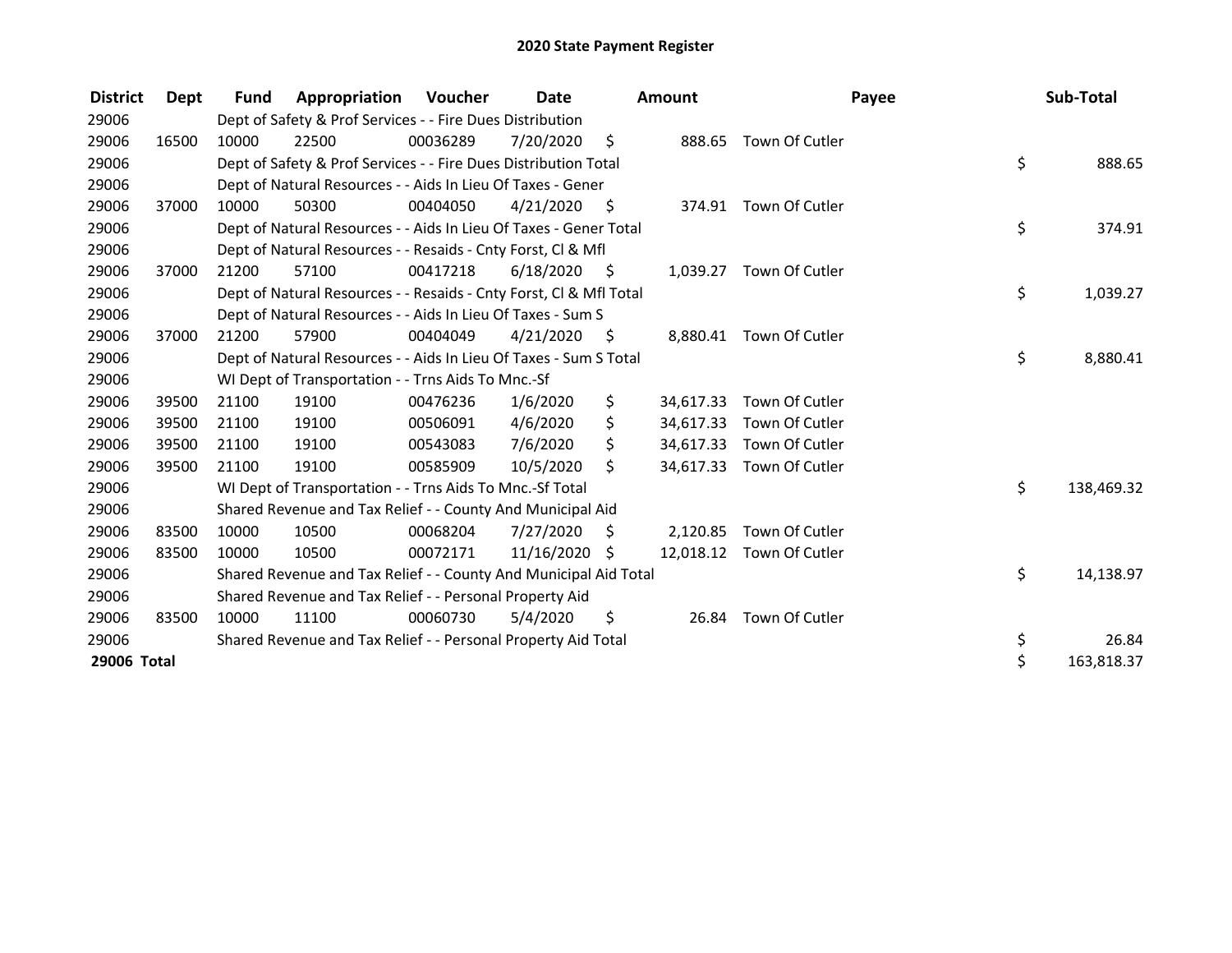| <b>District</b> | <b>Dept</b> | <b>Fund</b> | Appropriation                                                      | Voucher  | <b>Date</b>   |      | <b>Amount</b> |                         | Payee | Sub-Total  |
|-----------------|-------------|-------------|--------------------------------------------------------------------|----------|---------------|------|---------------|-------------------------|-------|------------|
| 29006           |             |             | Dept of Safety & Prof Services - - Fire Dues Distribution          |          |               |      |               |                         |       |            |
| 29006           | 16500       | 10000       | 22500                                                              | 00036289 | 7/20/2020     | \$   |               | 888.65 Town Of Cutler   |       |            |
| 29006           |             |             | Dept of Safety & Prof Services - - Fire Dues Distribution Total    |          |               |      |               |                         | \$    | 888.65     |
| 29006           |             |             | Dept of Natural Resources - - Aids In Lieu Of Taxes - Gener        |          |               |      |               |                         |       |            |
| 29006           | 37000       | 10000       | 50300                                                              | 00404050 | 4/21/2020     | - \$ |               | 374.91 Town Of Cutler   |       |            |
| 29006           |             |             | Dept of Natural Resources - - Aids In Lieu Of Taxes - Gener Total  |          |               |      |               |                         | \$    | 374.91     |
| 29006           |             |             | Dept of Natural Resources - - Resaids - Cnty Forst, CI & Mfl       |          |               |      |               |                         |       |            |
| 29006           | 37000       | 21200       | 57100                                                              | 00417218 | 6/18/2020     | - \$ |               | 1,039.27 Town Of Cutler |       |            |
| 29006           |             |             | Dept of Natural Resources - - Resaids - Cnty Forst, Cl & Mfl Total |          |               |      |               |                         | \$    | 1,039.27   |
| 29006           |             |             | Dept of Natural Resources - - Aids In Lieu Of Taxes - Sum S        |          |               |      |               |                         |       |            |
| 29006           | 37000       | 21200       | 57900                                                              | 00404049 | 4/21/2020     | - \$ | 8.880.41      | Town Of Cutler          |       |            |
| 29006           |             |             | Dept of Natural Resources - - Aids In Lieu Of Taxes - Sum S Total  |          |               |      |               |                         | \$    | 8,880.41   |
| 29006           |             |             | WI Dept of Transportation - - Trns Aids To Mnc.-Sf                 |          |               |      |               |                         |       |            |
| 29006           | 39500       | 21100       | 19100                                                              | 00476236 | 1/6/2020      | \$   | 34,617.33     | Town Of Cutler          |       |            |
| 29006           | 39500       | 21100       | 19100                                                              | 00506091 | 4/6/2020      | \$   | 34,617.33     | Town Of Cutler          |       |            |
| 29006           | 39500       | 21100       | 19100                                                              | 00543083 | 7/6/2020      | \$   | 34,617.33     | Town Of Cutler          |       |            |
| 29006           | 39500       | 21100       | 19100                                                              | 00585909 | 10/5/2020     | \$   | 34,617.33     | Town Of Cutler          |       |            |
| 29006           |             |             | WI Dept of Transportation - - Trns Aids To Mnc.-Sf Total           |          |               |      |               |                         | \$    | 138,469.32 |
| 29006           |             |             | Shared Revenue and Tax Relief - - County And Municipal Aid         |          |               |      |               |                         |       |            |
| 29006           | 83500       | 10000       | 10500                                                              | 00068204 | 7/27/2020     | \$   | 2,120.85      | Town Of Cutler          |       |            |
| 29006           | 83500       | 10000       | 10500                                                              | 00072171 | 11/16/2020 \$ |      | 12,018.12     | Town Of Cutler          |       |            |
| 29006           |             |             | Shared Revenue and Tax Relief - - County And Municipal Aid Total   |          |               |      |               |                         | \$    | 14,138.97  |
| 29006           |             |             | Shared Revenue and Tax Relief - - Personal Property Aid            |          |               |      |               |                         |       |            |
| 29006           | 83500       | 10000       | 11100                                                              | 00060730 | 5/4/2020      | \$   | 26.84         | Town Of Cutler          |       |            |
| 29006           |             |             | Shared Revenue and Tax Relief - - Personal Property Aid Total      |          |               |      |               |                         | \$    | 26.84      |
| 29006 Total     |             |             |                                                                    |          |               |      |               |                         | \$    | 163,818.37 |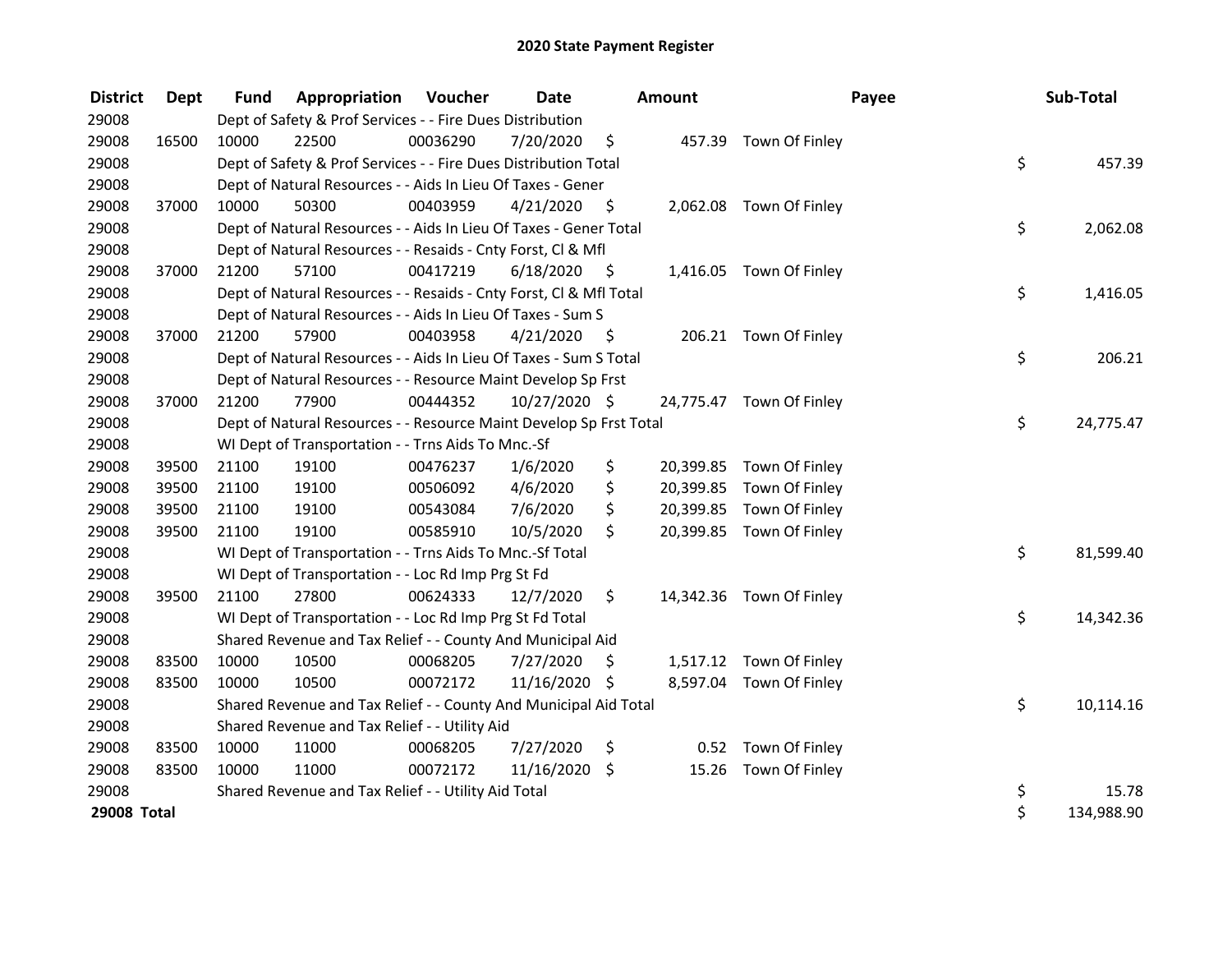| <b>District</b> | Dept  | <b>Fund</b> | <b>Appropriation Voucher</b>                                       |          | Date          |      | Amount |                          | Payee | Sub-Total  |
|-----------------|-------|-------------|--------------------------------------------------------------------|----------|---------------|------|--------|--------------------------|-------|------------|
| 29008           |       |             | Dept of Safety & Prof Services - - Fire Dues Distribution          |          |               |      |        |                          |       |            |
| 29008           | 16500 | 10000       | 22500                                                              | 00036290 | 7/20/2020     | \$   |        | 457.39 Town Of Finley    |       |            |
| 29008           |       |             | Dept of Safety & Prof Services - - Fire Dues Distribution Total    |          |               |      |        |                          | \$    | 457.39     |
| 29008           |       |             | Dept of Natural Resources - - Aids In Lieu Of Taxes - Gener        |          |               |      |        |                          |       |            |
| 29008           | 37000 | 10000       | 50300                                                              | 00403959 | 4/21/2020     | \$   |        | 2,062.08 Town Of Finley  |       |            |
| 29008           |       |             | Dept of Natural Resources - - Aids In Lieu Of Taxes - Gener Total  |          |               |      |        |                          | \$    | 2,062.08   |
| 29008           |       |             | Dept of Natural Resources - - Resaids - Cnty Forst, Cl & Mfl       |          |               |      |        |                          |       |            |
| 29008           | 37000 | 21200       | 57100                                                              | 00417219 | 6/18/2020     | - \$ |        | 1,416.05 Town Of Finley  |       |            |
| 29008           |       |             | Dept of Natural Resources - - Resaids - Cnty Forst, Cl & Mfl Total |          |               |      |        |                          | \$    | 1,416.05   |
| 29008           |       |             | Dept of Natural Resources - - Aids In Lieu Of Taxes - Sum S        |          |               |      |        |                          |       |            |
| 29008           | 37000 | 21200       | 57900                                                              | 00403958 | 4/21/2020     | - \$ |        | 206.21 Town Of Finley    |       |            |
| 29008           |       |             | Dept of Natural Resources - - Aids In Lieu Of Taxes - Sum S Total  |          |               |      |        |                          | \$    | 206.21     |
| 29008           |       |             | Dept of Natural Resources - - Resource Maint Develop Sp Frst       |          |               |      |        |                          |       |            |
| 29008           | 37000 | 21200       | 77900                                                              | 00444352 | 10/27/2020 \$ |      |        | 24,775.47 Town Of Finley |       |            |
| 29008           |       |             | Dept of Natural Resources - - Resource Maint Develop Sp Frst Total |          |               |      |        |                          | \$    | 24,775.47  |
| 29008           |       |             | WI Dept of Transportation - - Trns Aids To Mnc.-Sf                 |          |               |      |        |                          |       |            |
| 29008           | 39500 | 21100       | 19100                                                              | 00476237 | 1/6/2020      | \$   |        | 20,399.85 Town Of Finley |       |            |
| 29008           | 39500 | 21100       | 19100                                                              | 00506092 | 4/6/2020      | \$   |        | 20,399.85 Town Of Finley |       |            |
| 29008           | 39500 | 21100       | 19100                                                              | 00543084 | 7/6/2020      | \$   |        | 20,399.85 Town Of Finley |       |            |
| 29008           | 39500 | 21100       | 19100                                                              | 00585910 | 10/5/2020     | \$   |        | 20,399.85 Town Of Finley |       |            |
| 29008           |       |             | WI Dept of Transportation - - Trns Aids To Mnc.-Sf Total           |          |               |      |        |                          | \$    | 81,599.40  |
| 29008           |       |             | WI Dept of Transportation - - Loc Rd Imp Prg St Fd                 |          |               |      |        |                          |       |            |
| 29008           | 39500 | 21100       | 27800                                                              | 00624333 | 12/7/2020     | \$   |        | 14,342.36 Town Of Finley |       |            |
| 29008           |       |             | WI Dept of Transportation - - Loc Rd Imp Prg St Fd Total           |          |               |      |        |                          | \$    | 14,342.36  |
| 29008           |       |             | Shared Revenue and Tax Relief - - County And Municipal Aid         |          |               |      |        |                          |       |            |
| 29008           | 83500 | 10000       | 10500                                                              | 00068205 | 7/27/2020     | \$   |        | 1,517.12 Town Of Finley  |       |            |
| 29008           | 83500 | 10000       | 10500                                                              | 00072172 | 11/16/2020 \$ |      |        | 8,597.04 Town Of Finley  |       |            |
| 29008           |       |             | Shared Revenue and Tax Relief - - County And Municipal Aid Total   |          |               |      |        |                          | \$    | 10,114.16  |
| 29008           |       |             | Shared Revenue and Tax Relief - - Utility Aid                      |          |               |      |        |                          |       |            |
| 29008           | 83500 | 10000       | 11000                                                              | 00068205 | 7/27/2020     | \$   |        | 0.52 Town Of Finley      |       |            |
| 29008           | 83500 | 10000       | 11000                                                              | 00072172 | 11/16/2020    | \$   | 15.26  | Town Of Finley           |       |            |
| 29008           |       |             | Shared Revenue and Tax Relief - - Utility Aid Total                |          |               |      |        |                          | \$    | 15.78      |
| 29008 Total     |       |             |                                                                    |          |               |      |        |                          | \$    | 134,988.90 |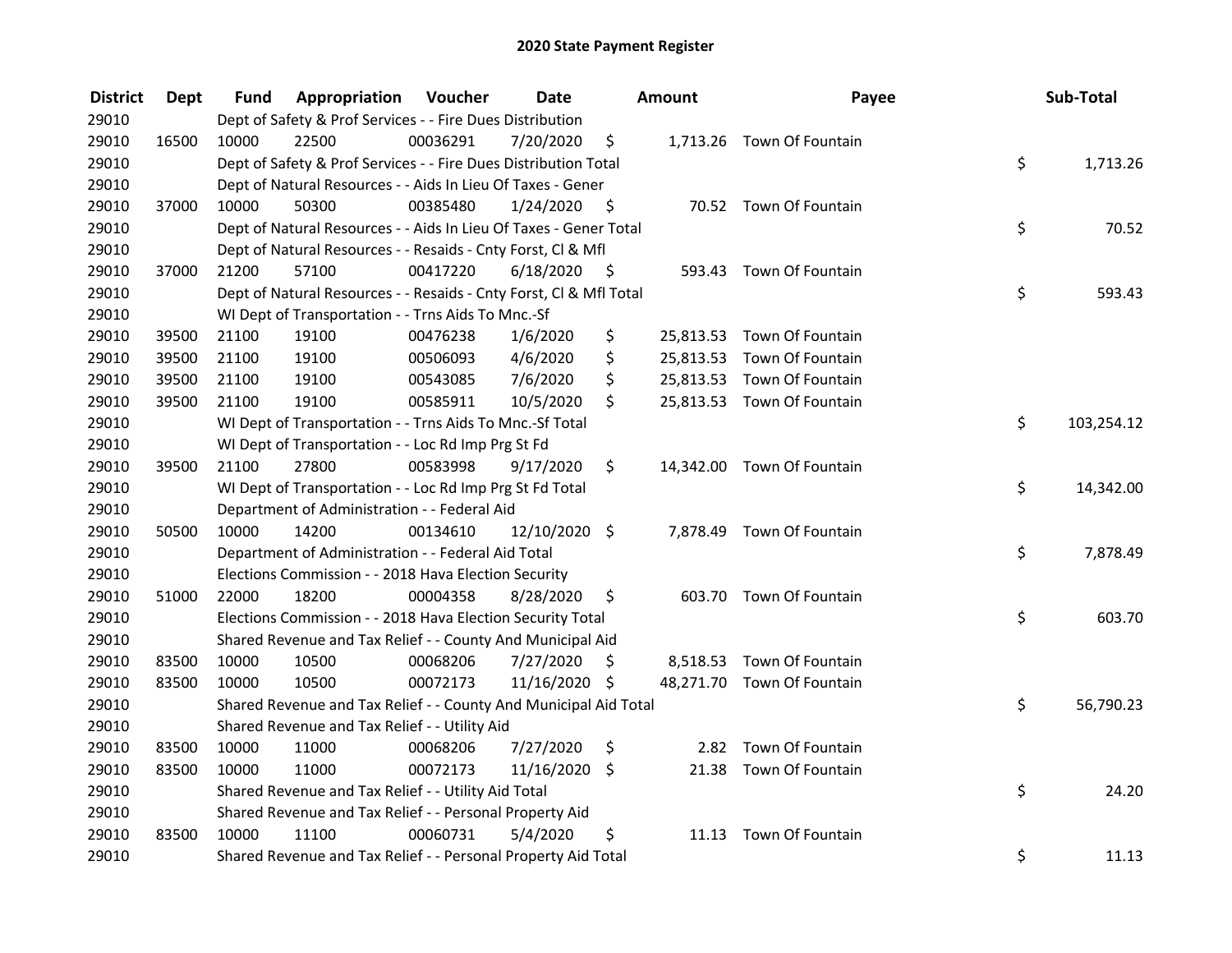| <b>District</b> | <b>Dept</b> | Fund  | Appropriation                                                      | Voucher  | <b>Date</b>   |      | Amount | Payee                      | Sub-Total        |
|-----------------|-------------|-------|--------------------------------------------------------------------|----------|---------------|------|--------|----------------------------|------------------|
| 29010           |             |       | Dept of Safety & Prof Services - - Fire Dues Distribution          |          |               |      |        |                            |                  |
| 29010           | 16500       | 10000 | 22500                                                              | 00036291 | 7/20/2020     | \$   |        | 1,713.26 Town Of Fountain  |                  |
| 29010           |             |       | Dept of Safety & Prof Services - - Fire Dues Distribution Total    |          |               |      |        |                            | \$<br>1,713.26   |
| 29010           |             |       | Dept of Natural Resources - - Aids In Lieu Of Taxes - Gener        |          |               |      |        |                            |                  |
| 29010           | 37000       | 10000 | 50300                                                              | 00385480 | 1/24/2020     | - \$ |        | 70.52 Town Of Fountain     |                  |
| 29010           |             |       | Dept of Natural Resources - - Aids In Lieu Of Taxes - Gener Total  |          |               |      |        |                            | \$<br>70.52      |
| 29010           |             |       | Dept of Natural Resources - - Resaids - Cnty Forst, Cl & Mfl       |          |               |      |        |                            |                  |
| 29010           | 37000       | 21200 | 57100                                                              | 00417220 | 6/18/2020     | - \$ |        | 593.43 Town Of Fountain    |                  |
| 29010           |             |       | Dept of Natural Resources - - Resaids - Cnty Forst, Cl & Mfl Total |          |               |      |        |                            | \$<br>593.43     |
| 29010           |             |       | WI Dept of Transportation - - Trns Aids To Mnc.-Sf                 |          |               |      |        |                            |                  |
| 29010           | 39500       | 21100 | 19100                                                              | 00476238 | 1/6/2020      | \$   |        | 25,813.53 Town Of Fountain |                  |
| 29010           | 39500       | 21100 | 19100                                                              | 00506093 | 4/6/2020      | \$   |        | 25,813.53 Town Of Fountain |                  |
| 29010           | 39500       | 21100 | 19100                                                              | 00543085 | 7/6/2020      | \$   |        | 25,813.53 Town Of Fountain |                  |
| 29010           | 39500       | 21100 | 19100                                                              | 00585911 | 10/5/2020     | \$   |        | 25,813.53 Town Of Fountain |                  |
| 29010           |             |       | WI Dept of Transportation - - Trns Aids To Mnc.-Sf Total           |          |               |      |        |                            | \$<br>103,254.12 |
| 29010           |             |       | WI Dept of Transportation - - Loc Rd Imp Prg St Fd                 |          |               |      |        |                            |                  |
| 29010           | 39500       | 21100 | 27800                                                              | 00583998 | 9/17/2020     | \$.  |        | 14,342.00 Town Of Fountain |                  |
| 29010           |             |       | WI Dept of Transportation - - Loc Rd Imp Prg St Fd Total           |          |               |      |        |                            | \$<br>14,342.00  |
| 29010           |             |       | Department of Administration - - Federal Aid                       |          |               |      |        |                            |                  |
| 29010           | 50500       | 10000 | 14200                                                              | 00134610 | 12/10/2020 \$ |      |        | 7,878.49 Town Of Fountain  |                  |
| 29010           |             |       | Department of Administration - - Federal Aid Total                 |          |               |      |        |                            | \$<br>7,878.49   |
| 29010           |             |       | Elections Commission - - 2018 Hava Election Security               |          |               |      |        |                            |                  |
| 29010           | 51000       | 22000 | 18200                                                              | 00004358 | 8/28/2020     | \$.  |        | 603.70 Town Of Fountain    |                  |
| 29010           |             |       | Elections Commission - - 2018 Hava Election Security Total         |          |               |      |        |                            | \$<br>603.70     |
| 29010           |             |       | Shared Revenue and Tax Relief - - County And Municipal Aid         |          |               |      |        |                            |                  |
| 29010           | 83500       | 10000 | 10500                                                              | 00068206 | 7/27/2020     | S.   |        | 8,518.53 Town Of Fountain  |                  |
| 29010           | 83500       | 10000 | 10500                                                              | 00072173 | 11/16/2020 \$ |      |        | 48,271.70 Town Of Fountain |                  |
| 29010           |             |       | Shared Revenue and Tax Relief - - County And Municipal Aid Total   |          |               |      |        |                            | \$<br>56,790.23  |
| 29010           |             |       | Shared Revenue and Tax Relief - - Utility Aid                      |          |               |      |        |                            |                  |
| 29010           | 83500       | 10000 | 11000                                                              | 00068206 | 7/27/2020     | \$   |        | 2.82 Town Of Fountain      |                  |
| 29010           | 83500       | 10000 | 11000                                                              | 00072173 | 11/16/2020 \$ |      |        | 21.38 Town Of Fountain     |                  |
| 29010           |             |       | Shared Revenue and Tax Relief - - Utility Aid Total                |          |               |      |        |                            | \$<br>24.20      |
| 29010           |             |       | Shared Revenue and Tax Relief - - Personal Property Aid            |          |               |      |        |                            |                  |
| 29010           | 83500       | 10000 | 11100                                                              | 00060731 | 5/4/2020      | \$   |        | 11.13 Town Of Fountain     |                  |
| 29010           |             |       | Shared Revenue and Tax Relief - - Personal Property Aid Total      |          |               |      |        |                            | \$<br>11.13      |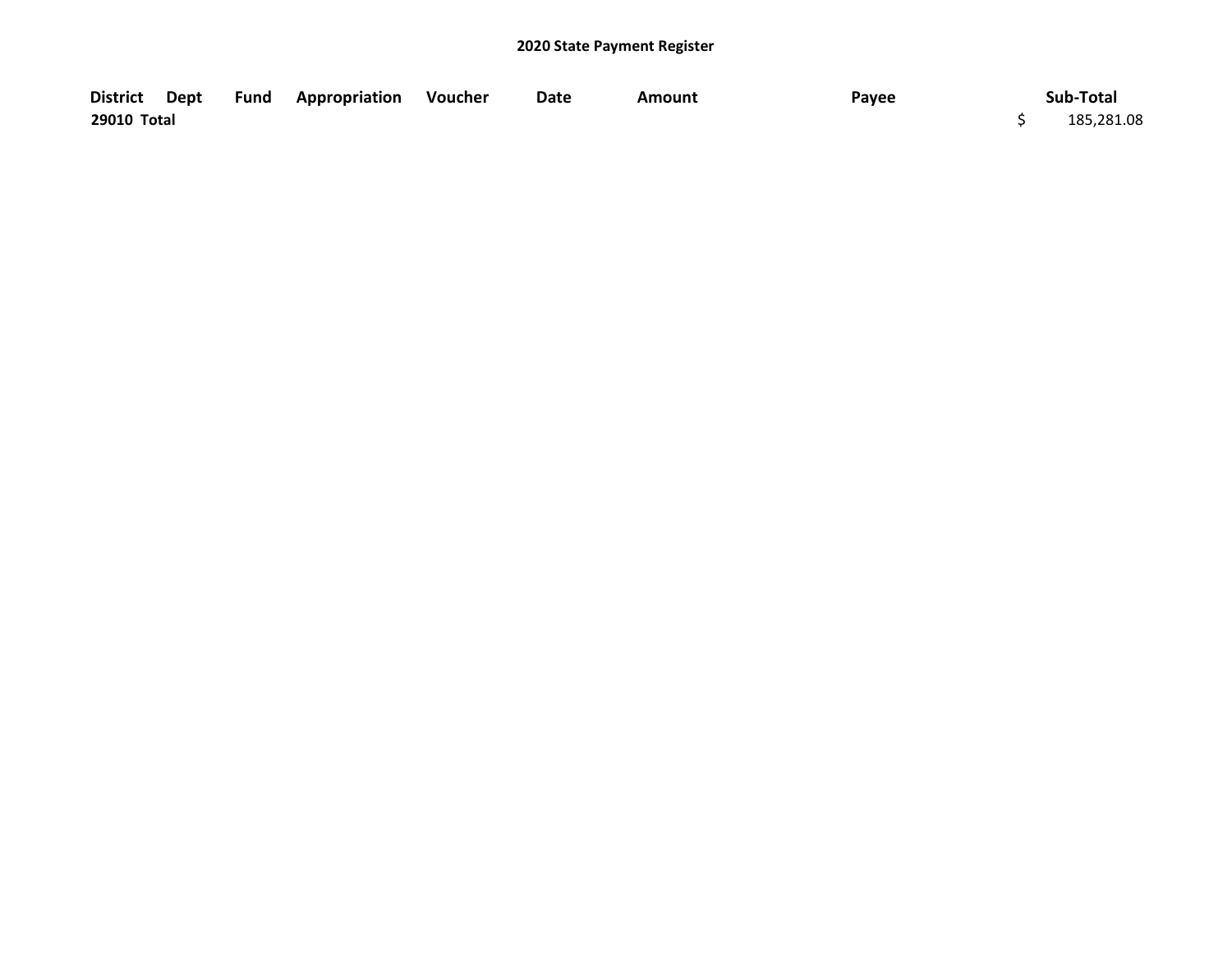|             |  | District Dept Fund Appropriation Voucher | Date | Amount | Payee | Sub-Total  |
|-------------|--|------------------------------------------|------|--------|-------|------------|
| 29010 Total |  |                                          |      |        |       | 185,281.08 |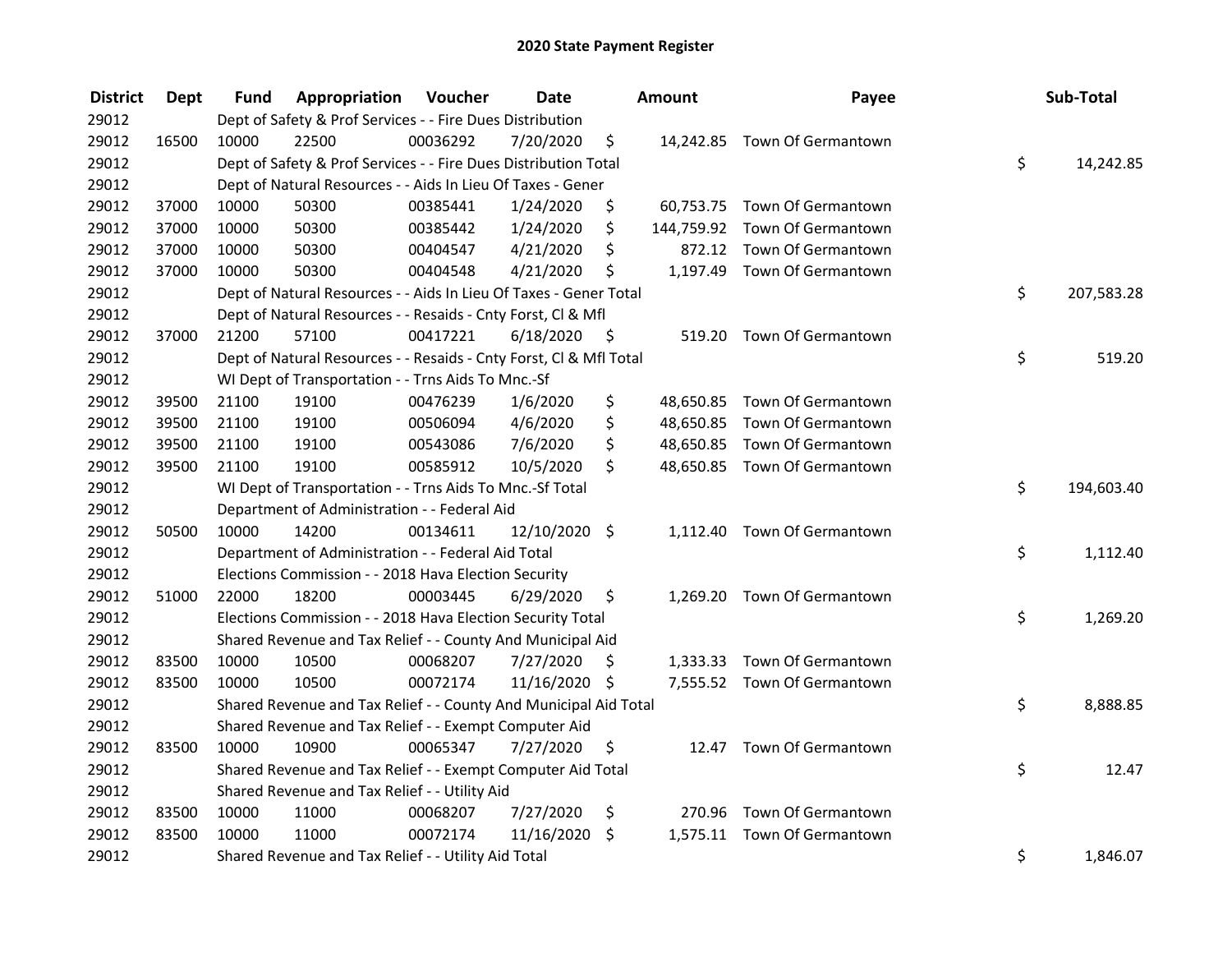| <b>District</b> | <b>Dept</b> | Fund  | Appropriation                                                      | Voucher  | <b>Date</b>   |      | Amount | Payee                         | Sub-Total        |
|-----------------|-------------|-------|--------------------------------------------------------------------|----------|---------------|------|--------|-------------------------------|------------------|
| 29012           |             |       | Dept of Safety & Prof Services - - Fire Dues Distribution          |          |               |      |        |                               |                  |
| 29012           | 16500       | 10000 | 22500                                                              | 00036292 | 7/20/2020     | \$   |        | 14,242.85 Town Of Germantown  |                  |
| 29012           |             |       | Dept of Safety & Prof Services - - Fire Dues Distribution Total    |          |               |      |        |                               | \$<br>14,242.85  |
| 29012           |             |       | Dept of Natural Resources - - Aids In Lieu Of Taxes - Gener        |          |               |      |        |                               |                  |
| 29012           | 37000       | 10000 | 50300                                                              | 00385441 | 1/24/2020     | \$   |        | 60,753.75 Town Of Germantown  |                  |
| 29012           | 37000       | 10000 | 50300                                                              | 00385442 | 1/24/2020     | \$   |        | 144,759.92 Town Of Germantown |                  |
| 29012           | 37000       | 10000 | 50300                                                              | 00404547 | 4/21/2020     | \$   |        | 872.12 Town Of Germantown     |                  |
| 29012           | 37000       | 10000 | 50300                                                              | 00404548 | 4/21/2020     | \$   |        | 1,197.49 Town Of Germantown   |                  |
| 29012           |             |       | Dept of Natural Resources - - Aids In Lieu Of Taxes - Gener Total  |          |               |      |        |                               | \$<br>207,583.28 |
| 29012           |             |       | Dept of Natural Resources - - Resaids - Cnty Forst, Cl & Mfl       |          |               |      |        |                               |                  |
| 29012           | 37000       | 21200 | 57100                                                              | 00417221 | 6/18/2020     | - \$ |        | 519.20 Town Of Germantown     |                  |
| 29012           |             |       | Dept of Natural Resources - - Resaids - Cnty Forst, Cl & Mfl Total |          |               |      |        |                               | \$<br>519.20     |
| 29012           |             |       | WI Dept of Transportation - - Trns Aids To Mnc.-Sf                 |          |               |      |        |                               |                  |
| 29012           | 39500       | 21100 | 19100                                                              | 00476239 | 1/6/2020      | \$   |        | 48,650.85 Town Of Germantown  |                  |
| 29012           | 39500       | 21100 | 19100                                                              | 00506094 | 4/6/2020      | \$   |        | 48,650.85 Town Of Germantown  |                  |
| 29012           | 39500       | 21100 | 19100                                                              | 00543086 | 7/6/2020      | \$   |        | 48,650.85 Town Of Germantown  |                  |
| 29012           | 39500       | 21100 | 19100                                                              | 00585912 | 10/5/2020     | \$   |        | 48,650.85 Town Of Germantown  |                  |
| 29012           |             |       | WI Dept of Transportation - - Trns Aids To Mnc.-Sf Total           |          |               |      |        |                               | \$<br>194,603.40 |
| 29012           |             |       | Department of Administration - - Federal Aid                       |          |               |      |        |                               |                  |
| 29012           | 50500       | 10000 | 14200                                                              | 00134611 | 12/10/2020 \$ |      |        | 1,112.40 Town Of Germantown   |                  |
| 29012           |             |       | Department of Administration - - Federal Aid Total                 |          |               |      |        |                               | \$<br>1,112.40   |
| 29012           |             |       | Elections Commission - - 2018 Hava Election Security               |          |               |      |        |                               |                  |
| 29012           | 51000       | 22000 | 18200                                                              | 00003445 | 6/29/2020     | \$.  |        | 1,269.20 Town Of Germantown   |                  |
| 29012           |             |       | Elections Commission - - 2018 Hava Election Security Total         |          |               |      |        |                               | \$<br>1,269.20   |
| 29012           |             |       | Shared Revenue and Tax Relief - - County And Municipal Aid         |          |               |      |        |                               |                  |
| 29012           | 83500       | 10000 | 10500                                                              | 00068207 | 7/27/2020     | S.   |        | 1,333.33 Town Of Germantown   |                  |
| 29012           | 83500       | 10000 | 10500                                                              | 00072174 | 11/16/2020 \$ |      |        | 7,555.52 Town Of Germantown   |                  |
| 29012           |             |       | Shared Revenue and Tax Relief - - County And Municipal Aid Total   |          |               |      |        |                               | \$<br>8,888.85   |
| 29012           |             |       | Shared Revenue and Tax Relief - - Exempt Computer Aid              |          |               |      |        |                               |                  |
| 29012           | 83500       | 10000 | 10900                                                              | 00065347 | 7/27/2020     | \$   |        | 12.47 Town Of Germantown      |                  |
| 29012           |             |       | Shared Revenue and Tax Relief - - Exempt Computer Aid Total        |          |               |      |        |                               | \$<br>12.47      |
| 29012           |             |       | Shared Revenue and Tax Relief - - Utility Aid                      |          |               |      |        |                               |                  |
| 29012           | 83500       | 10000 | 11000                                                              | 00068207 | 7/27/2020     | \$   |        | 270.96 Town Of Germantown     |                  |
| 29012           | 83500       | 10000 | 11000                                                              | 00072174 | 11/16/2020    | \$   |        | 1,575.11 Town Of Germantown   |                  |
| 29012           |             |       | Shared Revenue and Tax Relief - - Utility Aid Total                |          |               |      |        |                               | \$<br>1,846.07   |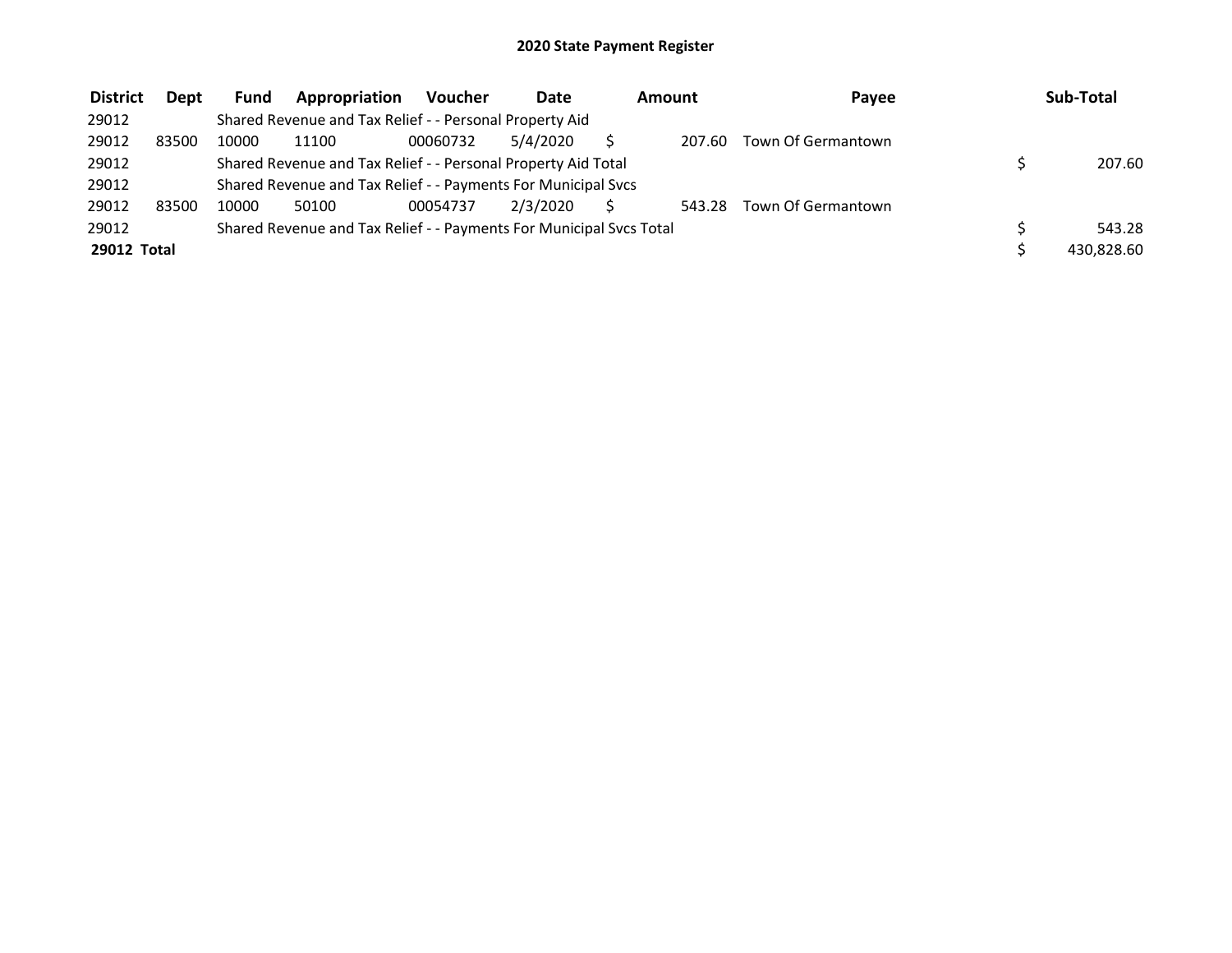| <b>District</b> | <b>Dept</b> | <b>Fund</b> | Appropriation                                                       | Voucher  | Date     | Amount |        | Pavee              | Sub-Total  |
|-----------------|-------------|-------------|---------------------------------------------------------------------|----------|----------|--------|--------|--------------------|------------|
| 29012           |             |             | Shared Revenue and Tax Relief - - Personal Property Aid             |          |          |        |        |                    |            |
| 29012           | 83500       | 10000       | 11100                                                               | 00060732 | 5/4/2020 |        | 207.60 | Town Of Germantown |            |
| 29012           |             |             | Shared Revenue and Tax Relief - - Personal Property Aid Total       |          |          |        |        |                    | 207.60     |
| 29012           |             |             | Shared Revenue and Tax Relief - - Payments For Municipal Svcs       |          |          |        |        |                    |            |
| 29012           | 83500       | 10000       | 50100                                                               | 00054737 | 2/3/2020 |        | 543.28 | Town Of Germantown |            |
| 29012           |             |             | Shared Revenue and Tax Relief - - Payments For Municipal Svcs Total |          |          |        |        |                    | 543.28     |
| 29012 Total     |             |             |                                                                     |          |          |        |        |                    | 430.828.60 |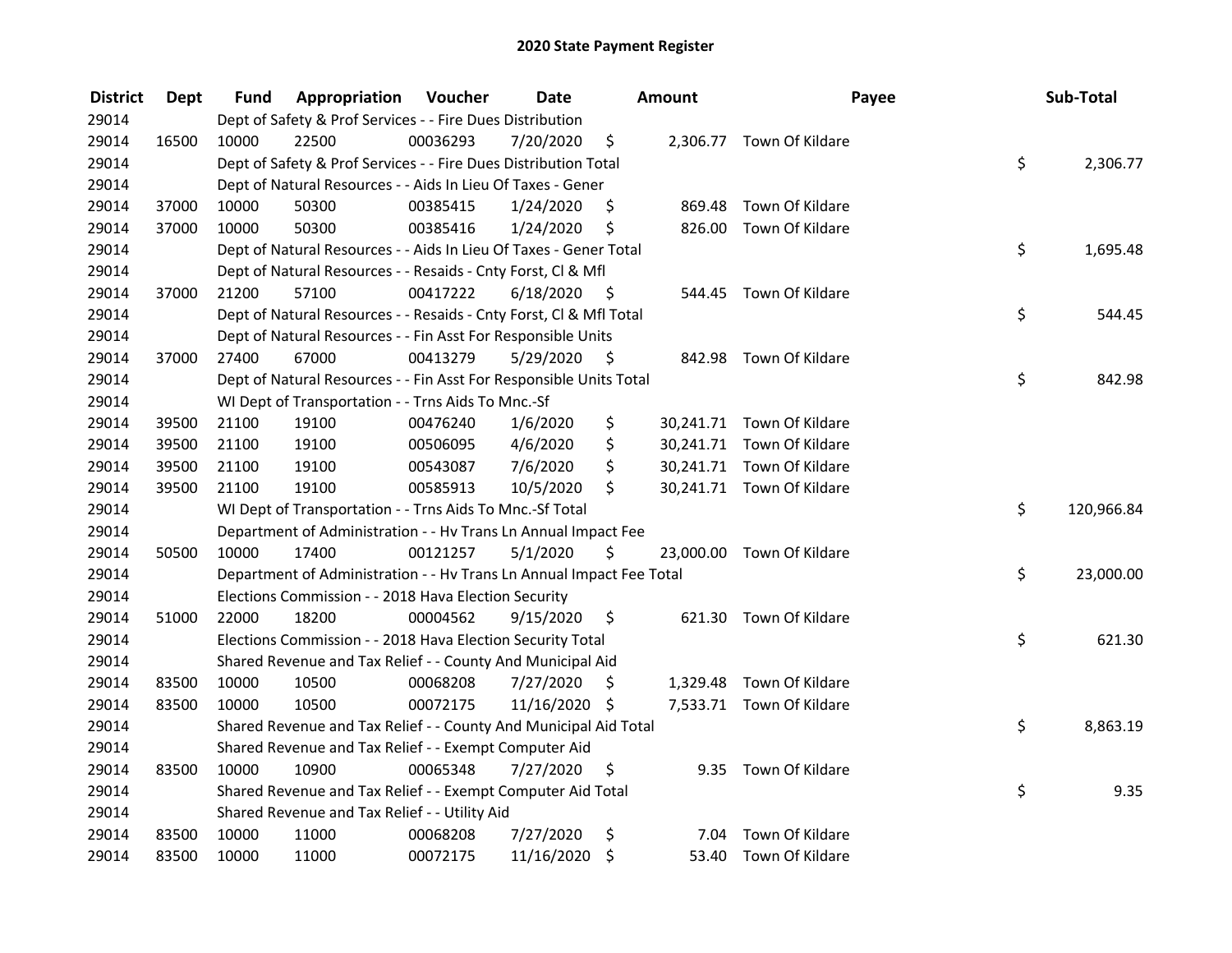| <b>District</b> | Dept  | Fund  | Appropriation                                                        | Voucher  | <b>Date</b>   |      | Amount | Payee                     | Sub-Total        |
|-----------------|-------|-------|----------------------------------------------------------------------|----------|---------------|------|--------|---------------------------|------------------|
| 29014           |       |       | Dept of Safety & Prof Services - - Fire Dues Distribution            |          |               |      |        |                           |                  |
| 29014           | 16500 | 10000 | 22500                                                                | 00036293 | 7/20/2020     | \$   |        | 2,306.77 Town Of Kildare  |                  |
| 29014           |       |       | Dept of Safety & Prof Services - - Fire Dues Distribution Total      |          |               |      |        |                           | \$<br>2,306.77   |
| 29014           |       |       | Dept of Natural Resources - - Aids In Lieu Of Taxes - Gener          |          |               |      |        |                           |                  |
| 29014           | 37000 | 10000 | 50300                                                                | 00385415 | 1/24/2020     | \$   | 869.48 | Town Of Kildare           |                  |
| 29014           | 37000 | 10000 | 50300                                                                | 00385416 | 1/24/2020     | \$   | 826.00 | Town Of Kildare           |                  |
| 29014           |       |       | Dept of Natural Resources - - Aids In Lieu Of Taxes - Gener Total    |          |               |      |        |                           | \$<br>1,695.48   |
| 29014           |       |       | Dept of Natural Resources - - Resaids - Cnty Forst, CI & Mfl         |          |               |      |        |                           |                  |
| 29014           | 37000 | 21200 | 57100                                                                | 00417222 | 6/18/2020     | - \$ |        | 544.45 Town Of Kildare    |                  |
| 29014           |       |       | Dept of Natural Resources - - Resaids - Cnty Forst, Cl & Mfl Total   |          |               |      |        |                           | \$<br>544.45     |
| 29014           |       |       | Dept of Natural Resources - - Fin Asst For Responsible Units         |          |               |      |        |                           |                  |
| 29014           | 37000 | 27400 | 67000                                                                | 00413279 | 5/29/2020     | -\$  | 842.98 | Town Of Kildare           |                  |
| 29014           |       |       | Dept of Natural Resources - - Fin Asst For Responsible Units Total   |          |               |      |        |                           | \$<br>842.98     |
| 29014           |       |       | WI Dept of Transportation - - Trns Aids To Mnc.-Sf                   |          |               |      |        |                           |                  |
| 29014           | 39500 | 21100 | 19100                                                                | 00476240 | 1/6/2020      | \$   |        | 30,241.71 Town Of Kildare |                  |
| 29014           | 39500 | 21100 | 19100                                                                | 00506095 | 4/6/2020      | \$   |        | 30,241.71 Town Of Kildare |                  |
| 29014           | 39500 | 21100 | 19100                                                                | 00543087 | 7/6/2020      | \$   |        | 30,241.71 Town Of Kildare |                  |
| 29014           | 39500 | 21100 | 19100                                                                | 00585913 | 10/5/2020     | \$   |        | 30,241.71 Town Of Kildare |                  |
| 29014           |       |       | WI Dept of Transportation - - Trns Aids To Mnc.-Sf Total             |          |               |      |        |                           | \$<br>120,966.84 |
| 29014           |       |       | Department of Administration - - Hv Trans Ln Annual Impact Fee       |          |               |      |        |                           |                  |
| 29014           | 50500 | 10000 | 17400                                                                | 00121257 | 5/1/2020      | \$   |        | 23,000.00 Town Of Kildare |                  |
| 29014           |       |       | Department of Administration - - Hv Trans Ln Annual Impact Fee Total |          |               |      |        |                           | \$<br>23,000.00  |
| 29014           |       |       | Elections Commission - - 2018 Hava Election Security                 |          |               |      |        |                           |                  |
| 29014           | 51000 | 22000 | 18200                                                                | 00004562 | 9/15/2020     | \$   |        | 621.30 Town Of Kildare    |                  |
| 29014           |       |       | Elections Commission - - 2018 Hava Election Security Total           |          |               |      |        |                           | \$<br>621.30     |
| 29014           |       |       | Shared Revenue and Tax Relief - - County And Municipal Aid           |          |               |      |        |                           |                  |
| 29014           | 83500 | 10000 | 10500                                                                | 00068208 | 7/27/2020     | S.   |        | 1,329.48 Town Of Kildare  |                  |
| 29014           | 83500 | 10000 | 10500                                                                | 00072175 | 11/16/2020 \$ |      |        | 7,533.71 Town Of Kildare  |                  |
| 29014           |       |       | Shared Revenue and Tax Relief - - County And Municipal Aid Total     |          |               |      |        |                           | \$<br>8,863.19   |
| 29014           |       |       | Shared Revenue and Tax Relief - - Exempt Computer Aid                |          |               |      |        |                           |                  |
| 29014           | 83500 | 10000 | 10900                                                                | 00065348 | 7/27/2020     | \$   |        | 9.35 Town Of Kildare      |                  |
| 29014           |       |       | Shared Revenue and Tax Relief - - Exempt Computer Aid Total          |          |               |      |        |                           | \$<br>9.35       |
| 29014           |       |       | Shared Revenue and Tax Relief - - Utility Aid                        |          |               |      |        |                           |                  |
| 29014           | 83500 | 10000 | 11000                                                                | 00068208 | 7/27/2020     | \$   | 7.04   | Town Of Kildare           |                  |
| 29014           | 83500 | 10000 | 11000                                                                | 00072175 | 11/16/2020    | \$   |        | 53.40 Town Of Kildare     |                  |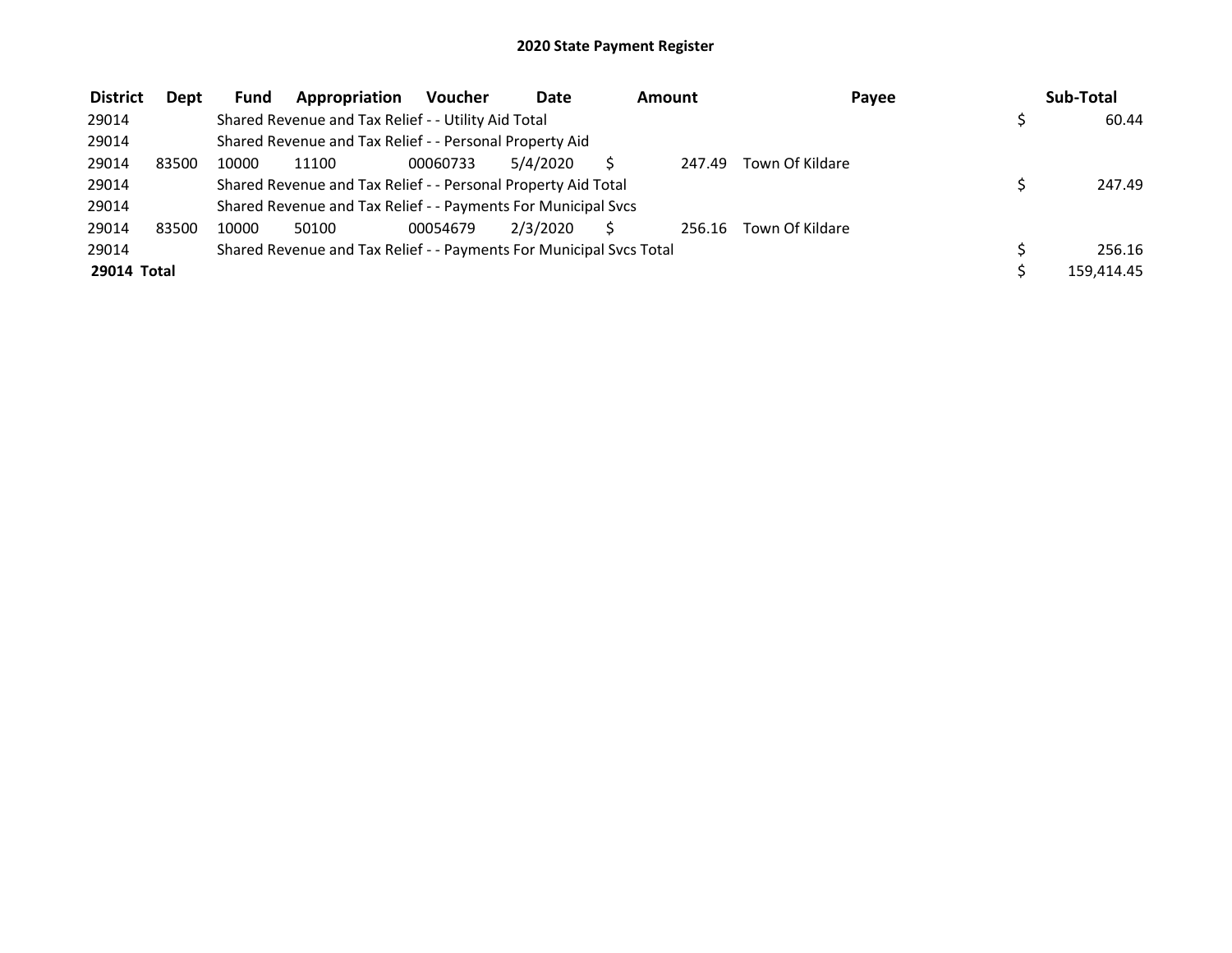| <b>District</b> | Dept  | <b>Fund</b> | Appropriation                                                       | <b>Voucher</b> | <b>Date</b> | Amount |        | Payee           | Sub-Total  |
|-----------------|-------|-------------|---------------------------------------------------------------------|----------------|-------------|--------|--------|-----------------|------------|
| 29014           |       |             | Shared Revenue and Tax Relief - - Utility Aid Total                 |                |             |        |        |                 | 60.44      |
| 29014           |       |             | Shared Revenue and Tax Relief - - Personal Property Aid             |                |             |        |        |                 |            |
| 29014           | 83500 | 10000       | 11100                                                               | 00060733       | 5/4/2020    |        | 247.49 | Town Of Kildare |            |
| 29014           |       |             | Shared Revenue and Tax Relief - - Personal Property Aid Total       |                |             |        |        |                 | 247.49     |
| 29014           |       |             | Shared Revenue and Tax Relief - - Payments For Municipal Svcs       |                |             |        |        |                 |            |
| 29014           | 83500 | 10000       | 50100                                                               | 00054679       | 2/3/2020    |        | 256.16 | Town Of Kildare |            |
| 29014           |       |             | Shared Revenue and Tax Relief - - Payments For Municipal Svcs Total |                |             |        |        |                 | 256.16     |
| 29014 Total     |       |             |                                                                     |                |             |        |        |                 | 159.414.45 |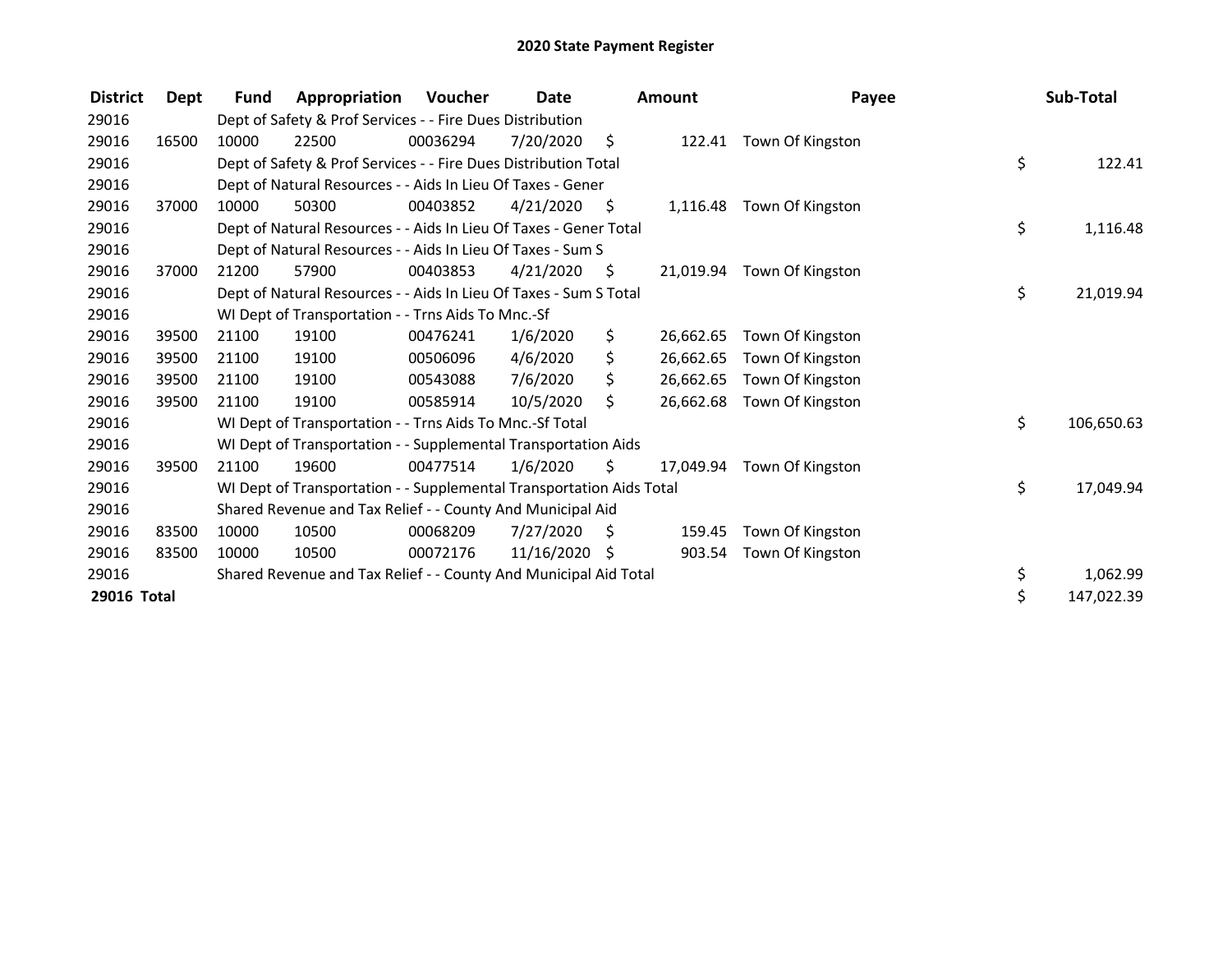| <b>District</b> | Dept  | <b>Fund</b> | Appropriation                                                        | Voucher  | Date            |      | Amount    | Payee                      | Sub-Total        |
|-----------------|-------|-------------|----------------------------------------------------------------------|----------|-----------------|------|-----------|----------------------------|------------------|
| 29016           |       |             | Dept of Safety & Prof Services - - Fire Dues Distribution            |          |                 |      |           |                            |                  |
| 29016           | 16500 | 10000       | 22500                                                                | 00036294 | 7/20/2020       | - \$ |           | 122.41 Town Of Kingston    |                  |
| 29016           |       |             | Dept of Safety & Prof Services - - Fire Dues Distribution Total      |          |                 |      |           |                            | \$<br>122.41     |
| 29016           |       |             | Dept of Natural Resources - - Aids In Lieu Of Taxes - Gener          |          |                 |      |           |                            |                  |
| 29016           | 37000 | 10000       | 50300                                                                | 00403852 | 4/21/2020       | - \$ |           | 1,116.48 Town Of Kingston  |                  |
| 29016           |       |             | Dept of Natural Resources - - Aids In Lieu Of Taxes - Gener Total    |          |                 |      |           |                            | \$<br>1,116.48   |
| 29016           |       |             | Dept of Natural Resources - - Aids In Lieu Of Taxes - Sum S          |          |                 |      |           |                            |                  |
| 29016           | 37000 | 21200       | 57900                                                                | 00403853 | 4/21/2020       | - \$ |           | 21,019.94 Town Of Kingston |                  |
| 29016           |       |             | Dept of Natural Resources - - Aids In Lieu Of Taxes - Sum S Total    |          |                 |      |           |                            | \$<br>21,019.94  |
| 29016           |       |             | WI Dept of Transportation - - Trns Aids To Mnc.-Sf                   |          |                 |      |           |                            |                  |
| 29016           | 39500 | 21100       | 19100                                                                | 00476241 | 1/6/2020        | \$   | 26,662.65 | Town Of Kingston           |                  |
| 29016           | 39500 | 21100       | 19100                                                                | 00506096 | 4/6/2020        | \$   | 26,662.65 | Town Of Kingston           |                  |
| 29016           | 39500 | 21100       | 19100                                                                | 00543088 | 7/6/2020        | \$   | 26,662.65 | Town Of Kingston           |                  |
| 29016           | 39500 | 21100       | 19100                                                                | 00585914 | 10/5/2020       | Ś.   | 26,662.68 | Town Of Kingston           |                  |
| 29016           |       |             | WI Dept of Transportation - - Trns Aids To Mnc.-Sf Total             |          |                 |      |           |                            | \$<br>106,650.63 |
| 29016           |       |             | WI Dept of Transportation - - Supplemental Transportation Aids       |          |                 |      |           |                            |                  |
| 29016           | 39500 | 21100       | 19600                                                                | 00477514 | 1/6/2020        | \$.  |           | 17,049.94 Town Of Kingston |                  |
| 29016           |       |             | WI Dept of Transportation - - Supplemental Transportation Aids Total |          |                 |      |           |                            | \$<br>17,049.94  |
| 29016           |       |             | Shared Revenue and Tax Relief - - County And Municipal Aid           |          |                 |      |           |                            |                  |
| 29016           | 83500 | 10000       | 10500                                                                | 00068209 | 7/27/2020       | S.   | 159.45    | Town Of Kingston           |                  |
| 29016           | 83500 | 10000       | 10500                                                                | 00072176 | $11/16/2020$ \$ |      | 903.54    | Town Of Kingston           |                  |
| 29016           |       |             | Shared Revenue and Tax Relief - - County And Municipal Aid Total     |          |                 |      |           |                            | \$<br>1,062.99   |
| 29016 Total     |       |             |                                                                      |          |                 |      |           |                            | \$<br>147,022.39 |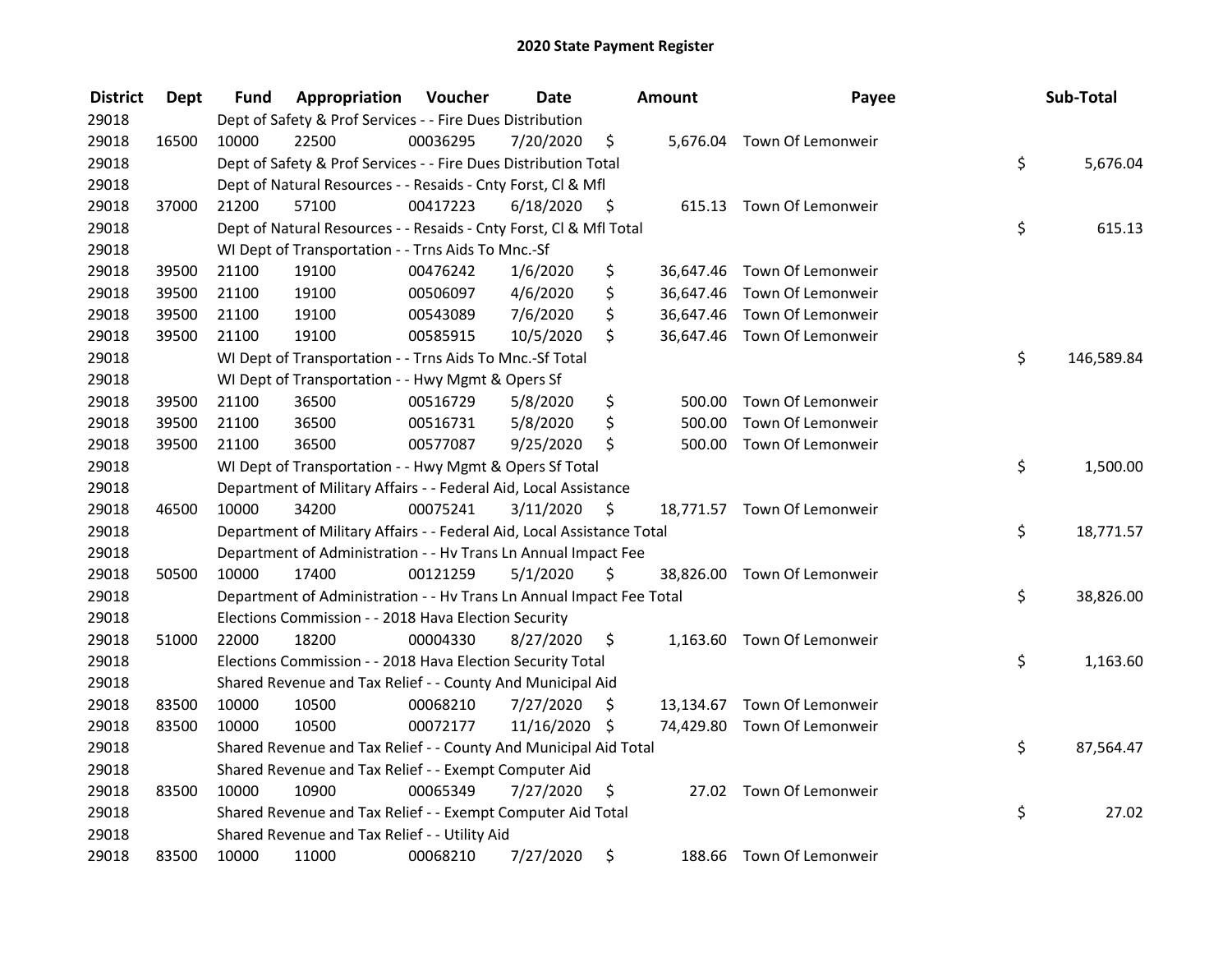| <b>District</b> | <b>Dept</b> | Fund  | Appropriation                                                          | Voucher  | <b>Date</b>   |      | <b>Amount</b> | Payee                       | Sub-Total        |
|-----------------|-------------|-------|------------------------------------------------------------------------|----------|---------------|------|---------------|-----------------------------|------------------|
| 29018           |             |       | Dept of Safety & Prof Services - - Fire Dues Distribution              |          |               |      |               |                             |                  |
| 29018           | 16500       | 10000 | 22500                                                                  | 00036295 | 7/20/2020     | \$   |               | 5,676.04 Town Of Lemonweir  |                  |
| 29018           |             |       | Dept of Safety & Prof Services - - Fire Dues Distribution Total        |          |               |      |               |                             | \$<br>5,676.04   |
| 29018           |             |       | Dept of Natural Resources - - Resaids - Cnty Forst, Cl & Mfl           |          |               |      |               |                             |                  |
| 29018           | 37000       | 21200 | 57100                                                                  | 00417223 | 6/18/2020     | - \$ |               | 615.13 Town Of Lemonweir    |                  |
| 29018           |             |       | Dept of Natural Resources - - Resaids - Cnty Forst, CI & Mfl Total     |          |               |      |               |                             | \$<br>615.13     |
| 29018           |             |       | WI Dept of Transportation - - Trns Aids To Mnc.-Sf                     |          |               |      |               |                             |                  |
| 29018           | 39500       | 21100 | 19100                                                                  | 00476242 | 1/6/2020      | \$   |               | 36,647.46 Town Of Lemonweir |                  |
| 29018           | 39500       | 21100 | 19100                                                                  | 00506097 | 4/6/2020      | \$   |               | 36,647.46 Town Of Lemonweir |                  |
| 29018           | 39500       | 21100 | 19100                                                                  | 00543089 | 7/6/2020      | \$   |               | 36,647.46 Town Of Lemonweir |                  |
| 29018           | 39500       | 21100 | 19100                                                                  | 00585915 | 10/5/2020     | \$   |               | 36,647.46 Town Of Lemonweir |                  |
| 29018           |             |       | WI Dept of Transportation - - Trns Aids To Mnc.-Sf Total               |          |               |      |               |                             | \$<br>146,589.84 |
| 29018           |             |       | WI Dept of Transportation - - Hwy Mgmt & Opers Sf                      |          |               |      |               |                             |                  |
| 29018           | 39500       | 21100 | 36500                                                                  | 00516729 | 5/8/2020      | \$   | 500.00        | Town Of Lemonweir           |                  |
| 29018           | 39500       | 21100 | 36500                                                                  | 00516731 | 5/8/2020      | \$   | 500.00        | Town Of Lemonweir           |                  |
| 29018           | 39500       | 21100 | 36500                                                                  | 00577087 | 9/25/2020     | \$   |               | 500.00 Town Of Lemonweir    |                  |
| 29018           |             |       | WI Dept of Transportation - - Hwy Mgmt & Opers Sf Total                |          |               |      |               |                             | \$<br>1,500.00   |
| 29018           |             |       | Department of Military Affairs - - Federal Aid, Local Assistance       |          |               |      |               |                             |                  |
| 29018           | 46500       | 10000 | 34200                                                                  | 00075241 | 3/11/2020     | - \$ |               | 18,771.57 Town Of Lemonweir |                  |
| 29018           |             |       | Department of Military Affairs - - Federal Aid, Local Assistance Total |          |               |      |               |                             | \$<br>18,771.57  |
| 29018           |             |       | Department of Administration - - Hv Trans Ln Annual Impact Fee         |          |               |      |               |                             |                  |
| 29018           | 50500       | 10000 | 17400                                                                  | 00121259 | 5/1/2020      | \$   |               | 38,826.00 Town Of Lemonweir |                  |
| 29018           |             |       | Department of Administration - - Hv Trans Ln Annual Impact Fee Total   |          |               |      |               |                             | \$<br>38,826.00  |
| 29018           |             |       | Elections Commission - - 2018 Hava Election Security                   |          |               |      |               |                             |                  |
| 29018           | 51000       | 22000 | 18200                                                                  | 00004330 | 8/27/2020     | \$   |               | 1,163.60 Town Of Lemonweir  |                  |
| 29018           |             |       | Elections Commission - - 2018 Hava Election Security Total             |          |               |      |               |                             | \$<br>1,163.60   |
| 29018           |             |       | Shared Revenue and Tax Relief - - County And Municipal Aid             |          |               |      |               |                             |                  |
| 29018           | 83500       | 10000 | 10500                                                                  | 00068210 | 7/27/2020     | \$   |               | 13,134.67 Town Of Lemonweir |                  |
| 29018           | 83500       | 10000 | 10500                                                                  | 00072177 | 11/16/2020 \$ |      |               | 74,429.80 Town Of Lemonweir |                  |
| 29018           |             |       | Shared Revenue and Tax Relief - - County And Municipal Aid Total       |          |               |      |               |                             | \$<br>87,564.47  |
| 29018           |             |       | Shared Revenue and Tax Relief - - Exempt Computer Aid                  |          |               |      |               |                             |                  |
| 29018           | 83500       | 10000 | 10900                                                                  | 00065349 | 7/27/2020     | \$   |               | 27.02 Town Of Lemonweir     |                  |
| 29018           |             |       | Shared Revenue and Tax Relief - - Exempt Computer Aid Total            |          |               |      |               |                             | \$<br>27.02      |
| 29018           |             |       | Shared Revenue and Tax Relief - - Utility Aid                          |          |               |      |               |                             |                  |
| 29018           | 83500       | 10000 | 11000                                                                  | 00068210 | 7/27/2020     | \$   |               | 188.66 Town Of Lemonweir    |                  |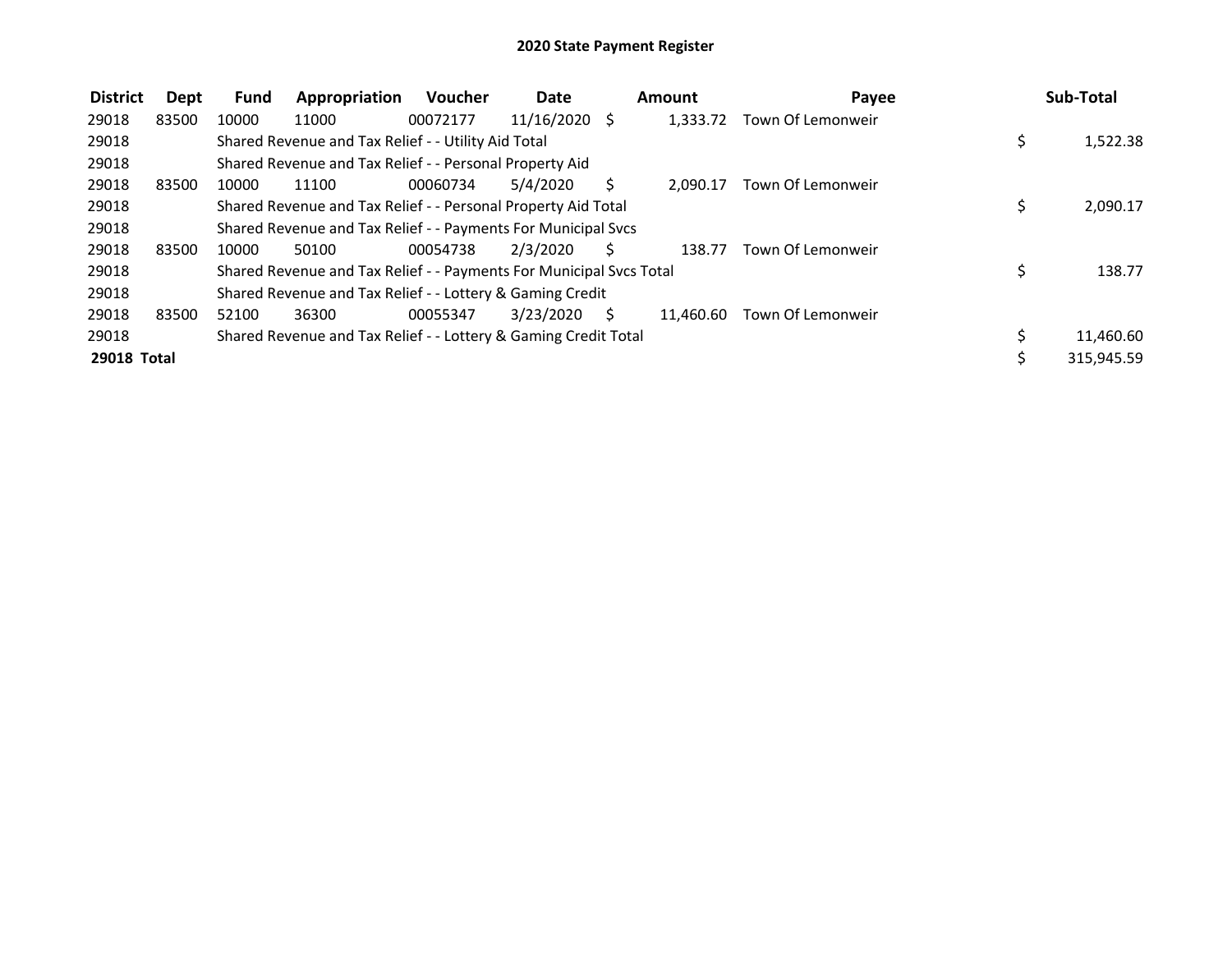| <b>District</b> | Dept  | <b>Fund</b> | Appropriation                                                       | <b>Voucher</b> | <b>Date</b>     |    | Amount    | Payee             |    | Sub-Total  |
|-----------------|-------|-------------|---------------------------------------------------------------------|----------------|-----------------|----|-----------|-------------------|----|------------|
| 29018           | 83500 | 10000       | 11000                                                               | 00072177       | $11/16/2020$ \$ |    | 1.333.72  | Town Of Lemonweir |    |            |
| 29018           |       |             | Shared Revenue and Tax Relief - - Utility Aid Total                 |                |                 |    |           |                   | \$ | 1,522.38   |
| 29018           |       |             | Shared Revenue and Tax Relief - - Personal Property Aid             |                |                 |    |           |                   |    |            |
| 29018           | 83500 | 10000       | 11100                                                               | 00060734       | 5/4/2020        | S  | 2.090.17  | Town Of Lemonweir |    |            |
| 29018           |       |             | Shared Revenue and Tax Relief - - Personal Property Aid Total       |                |                 |    |           |                   | Ś  | 2,090.17   |
| 29018           |       |             | Shared Revenue and Tax Relief - - Payments For Municipal Svcs       |                |                 |    |           |                   |    |            |
| 29018           | 83500 | 10000       | 50100                                                               | 00054738       | 2/3/2020        | Ś. | 138.77    | Town Of Lemonweir |    |            |
| 29018           |       |             | Shared Revenue and Tax Relief - - Payments For Municipal Svcs Total |                |                 |    |           |                   | \$ | 138.77     |
| 29018           |       |             | Shared Revenue and Tax Relief - - Lottery & Gaming Credit           |                |                 |    |           |                   |    |            |
| 29018           | 83500 | 52100       | 36300                                                               | 00055347       | 3/23/2020       | S. | 11.460.60 | Town Of Lemonweir |    |            |
| 29018           |       |             | Shared Revenue and Tax Relief - - Lottery & Gaming Credit Total     |                |                 |    |           |                   |    | 11,460.60  |
| 29018 Total     |       |             |                                                                     |                |                 |    |           |                   | Ś  | 315,945.59 |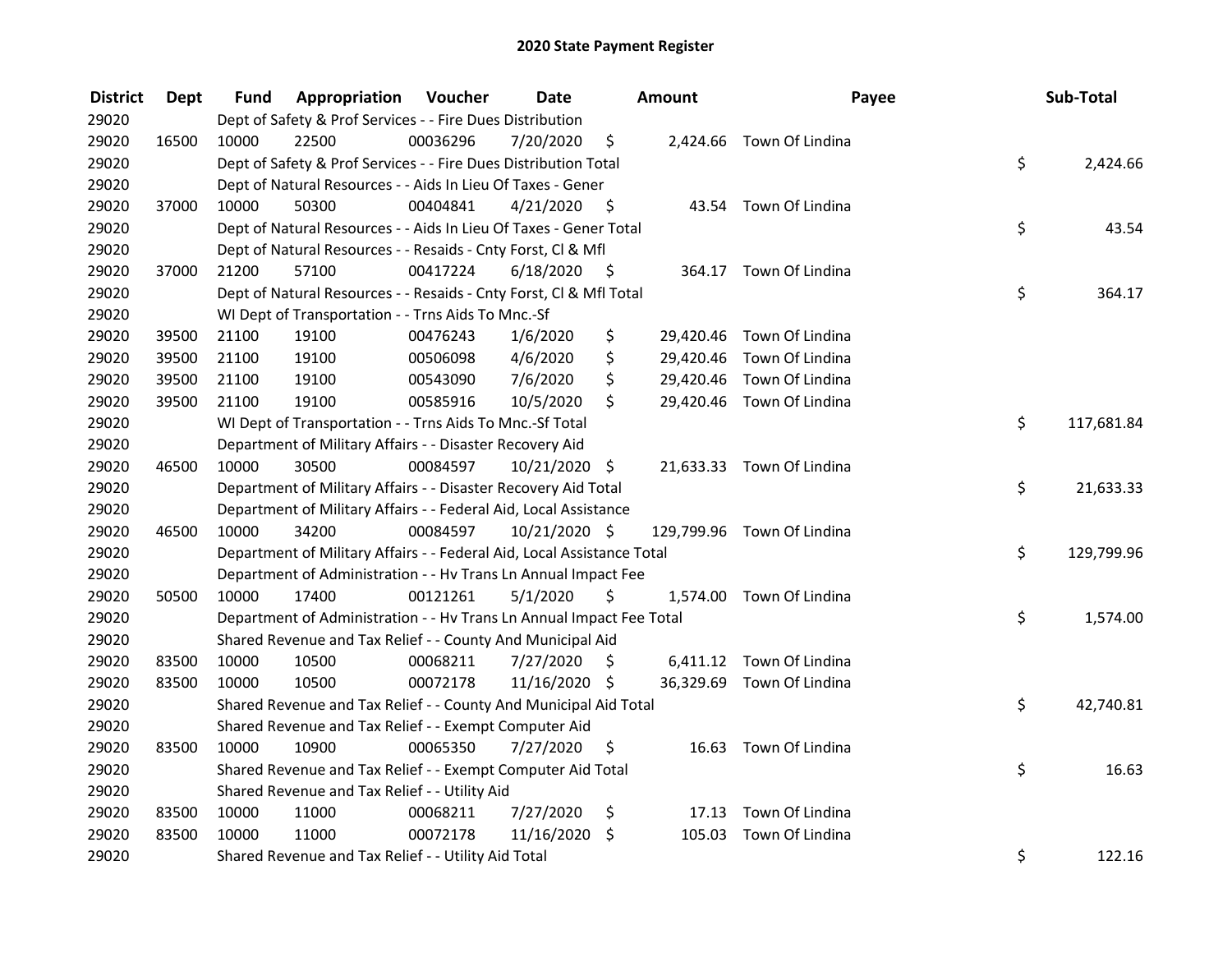| <b>District</b> | <b>Dept</b> | Fund  | Appropriation                                                          | Voucher  | <b>Date</b>   |      | Amount | Payee                      | Sub-Total        |
|-----------------|-------------|-------|------------------------------------------------------------------------|----------|---------------|------|--------|----------------------------|------------------|
| 29020           |             |       | Dept of Safety & Prof Services - - Fire Dues Distribution              |          |               |      |        |                            |                  |
| 29020           | 16500       | 10000 | 22500                                                                  | 00036296 | 7/20/2020     | \$   |        | 2,424.66 Town Of Lindina   |                  |
| 29020           |             |       | Dept of Safety & Prof Services - - Fire Dues Distribution Total        |          |               |      |        |                            | \$<br>2,424.66   |
| 29020           |             |       | Dept of Natural Resources - - Aids In Lieu Of Taxes - Gener            |          |               |      |        |                            |                  |
| 29020           | 37000       | 10000 | 50300                                                                  | 00404841 | 4/21/2020     | -\$  |        | 43.54 Town Of Lindina      |                  |
| 29020           |             |       | Dept of Natural Resources - - Aids In Lieu Of Taxes - Gener Total      |          |               |      |        |                            | \$<br>43.54      |
| 29020           |             |       | Dept of Natural Resources - - Resaids - Cnty Forst, CI & Mfl           |          |               |      |        |                            |                  |
| 29020           | 37000       | 21200 | 57100                                                                  | 00417224 | 6/18/2020     | - \$ |        | 364.17 Town Of Lindina     |                  |
| 29020           |             |       | Dept of Natural Resources - - Resaids - Cnty Forst, Cl & Mfl Total     |          |               |      |        |                            | \$<br>364.17     |
| 29020           |             |       | WI Dept of Transportation - - Trns Aids To Mnc.-Sf                     |          |               |      |        |                            |                  |
| 29020           | 39500       | 21100 | 19100                                                                  | 00476243 | 1/6/2020      | \$   |        | 29,420.46 Town Of Lindina  |                  |
| 29020           | 39500       | 21100 | 19100                                                                  | 00506098 | 4/6/2020      | \$   |        | 29,420.46 Town Of Lindina  |                  |
| 29020           | 39500       | 21100 | 19100                                                                  | 00543090 | 7/6/2020      | \$   |        | 29,420.46 Town Of Lindina  |                  |
| 29020           | 39500       | 21100 | 19100                                                                  | 00585916 | 10/5/2020     | \$   |        | 29,420.46 Town Of Lindina  |                  |
| 29020           |             |       | WI Dept of Transportation - - Trns Aids To Mnc.-Sf Total               |          |               |      |        |                            | \$<br>117,681.84 |
| 29020           |             |       | Department of Military Affairs - - Disaster Recovery Aid               |          |               |      |        |                            |                  |
| 29020           | 46500       | 10000 | 30500                                                                  | 00084597 | 10/21/2020 \$ |      |        | 21,633.33 Town Of Lindina  |                  |
| 29020           |             |       | Department of Military Affairs - - Disaster Recovery Aid Total         |          |               |      |        |                            | \$<br>21,633.33  |
| 29020           |             |       | Department of Military Affairs - - Federal Aid, Local Assistance       |          |               |      |        |                            |                  |
| 29020           | 46500       | 10000 | 34200                                                                  | 00084597 | 10/21/2020 \$ |      |        | 129,799.96 Town Of Lindina |                  |
| 29020           |             |       | Department of Military Affairs - - Federal Aid, Local Assistance Total |          |               |      |        |                            | \$<br>129,799.96 |
| 29020           |             |       | Department of Administration - - Hv Trans Ln Annual Impact Fee         |          |               |      |        |                            |                  |
| 29020           | 50500       | 10000 | 17400                                                                  | 00121261 | 5/1/2020      | \$   |        | 1,574.00 Town Of Lindina   |                  |
| 29020           |             |       | Department of Administration - - Hv Trans Ln Annual Impact Fee Total   |          |               |      |        |                            | \$<br>1,574.00   |
| 29020           |             |       | Shared Revenue and Tax Relief - - County And Municipal Aid             |          |               |      |        |                            |                  |
| 29020           | 83500       | 10000 | 10500                                                                  | 00068211 | 7/27/2020     | S.   |        | 6,411.12 Town Of Lindina   |                  |
| 29020           | 83500       | 10000 | 10500                                                                  | 00072178 | 11/16/2020 \$ |      |        | 36,329.69 Town Of Lindina  |                  |
| 29020           |             |       | Shared Revenue and Tax Relief - - County And Municipal Aid Total       |          |               |      |        |                            | \$<br>42,740.81  |
| 29020           |             |       | Shared Revenue and Tax Relief - - Exempt Computer Aid                  |          |               |      |        |                            |                  |
| 29020           | 83500       | 10000 | 10900                                                                  | 00065350 | 7/27/2020     | \$   |        | 16.63 Town Of Lindina      |                  |
| 29020           |             |       | Shared Revenue and Tax Relief - - Exempt Computer Aid Total            |          |               |      |        |                            | \$<br>16.63      |
| 29020           |             |       | Shared Revenue and Tax Relief - - Utility Aid                          |          |               |      |        |                            |                  |
| 29020           | 83500       | 10000 | 11000                                                                  | 00068211 | 7/27/2020     | \$   |        | 17.13 Town Of Lindina      |                  |
| 29020           | 83500       | 10000 | 11000                                                                  | 00072178 | 11/16/2020    | \$   | 105.03 | Town Of Lindina            |                  |
| 29020           |             |       | Shared Revenue and Tax Relief - - Utility Aid Total                    |          |               |      |        |                            | \$<br>122.16     |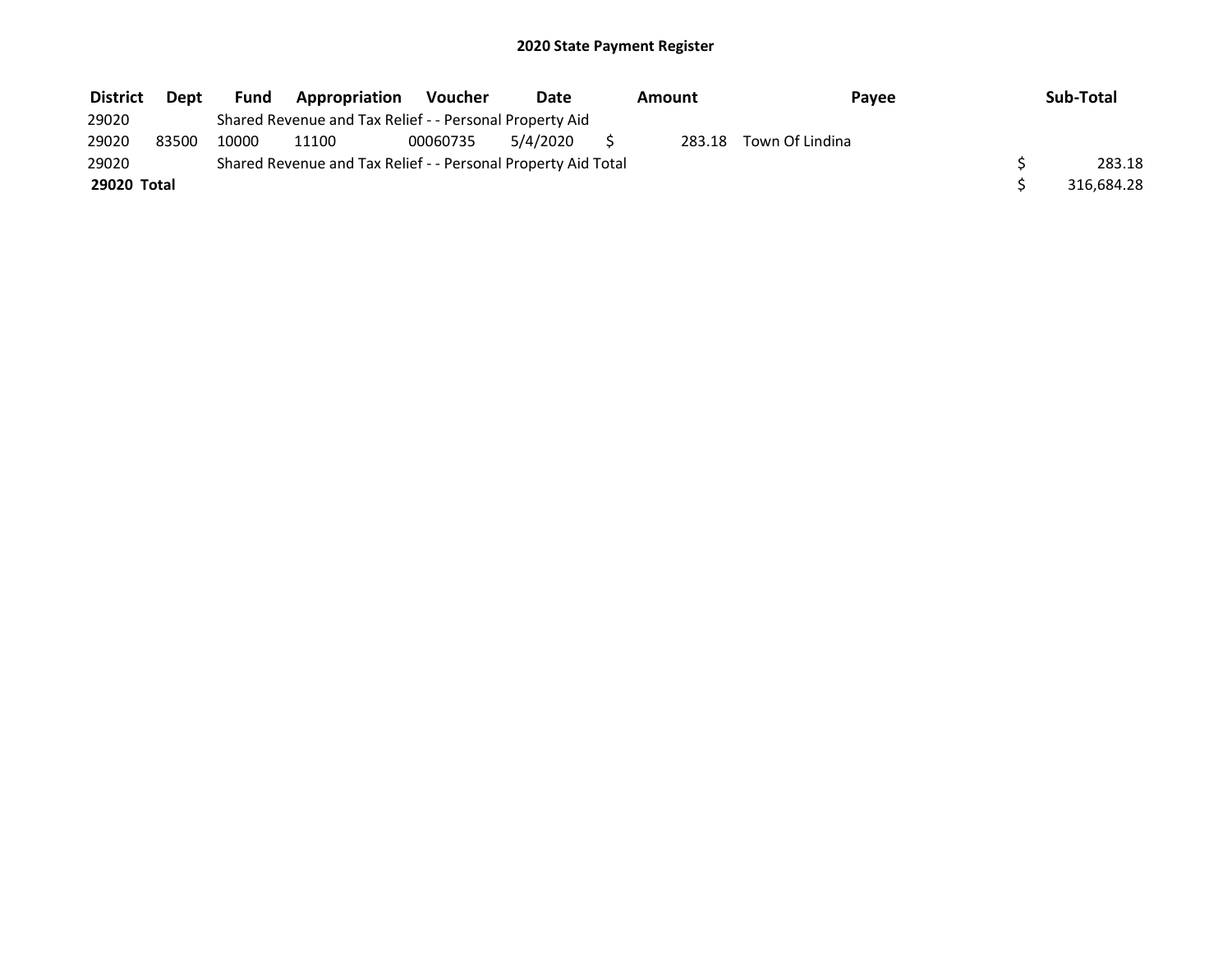| <b>District</b> | <b>Dept</b> | <b>Fund</b> | Appropriation                                                 | Voucher  | Date     | Amount | Pavee           | Sub-Total  |
|-----------------|-------------|-------------|---------------------------------------------------------------|----------|----------|--------|-----------------|------------|
| 29020           |             |             | Shared Revenue and Tax Relief - - Personal Property Aid       |          |          |        |                 |            |
| 29020           | 83500       | 10000       | 11100                                                         | 00060735 | 5/4/2020 | 283.18 | Town Of Lindina |            |
| 29020           |             |             | Shared Revenue and Tax Relief - - Personal Property Aid Total |          |          |        |                 | 283.18     |
| 29020 Total     |             |             |                                                               |          |          |        |                 | 316,684.28 |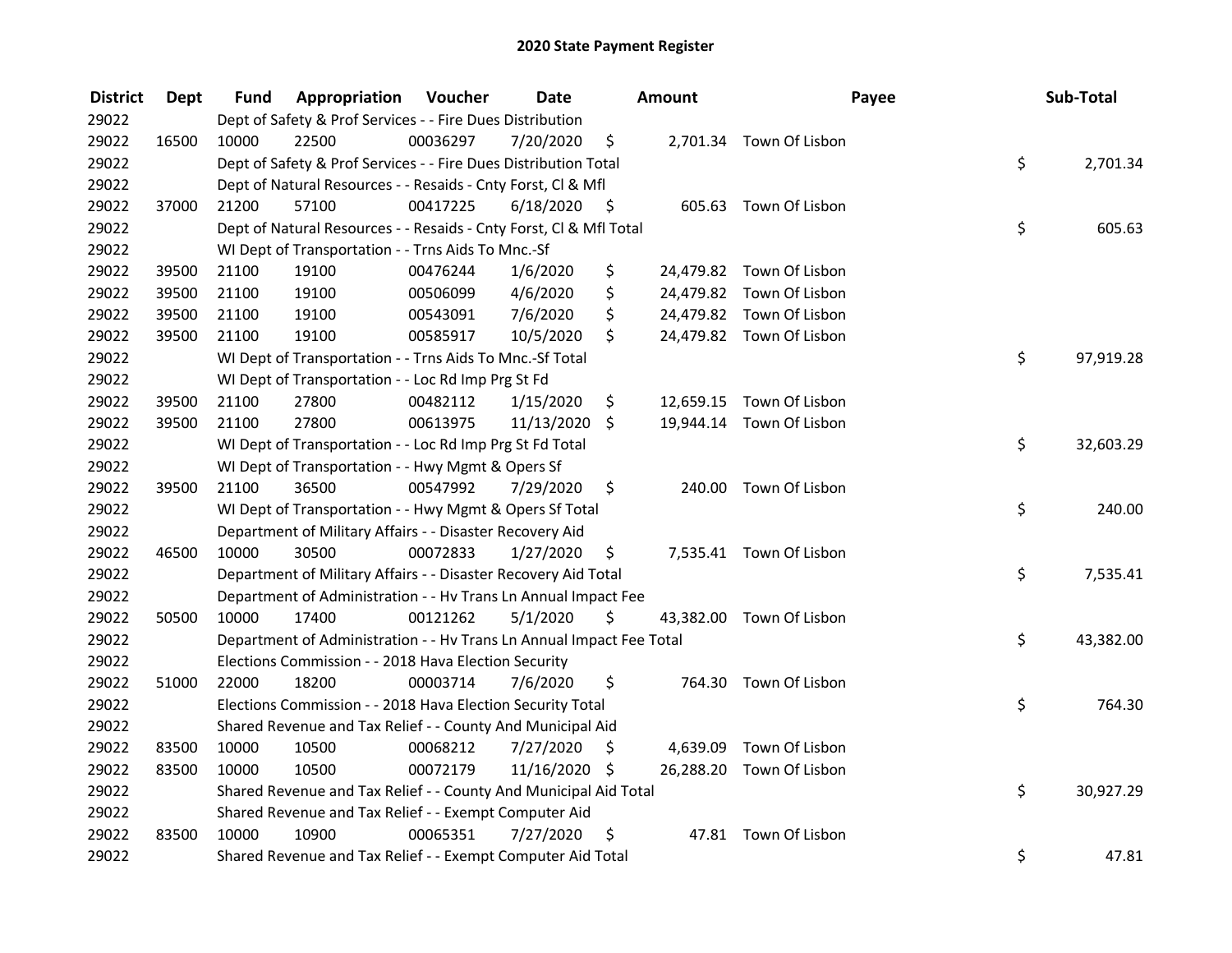| <b>District</b> | <b>Dept</b> | Fund  | Appropriation                                                        | Voucher  | <b>Date</b>   |      | Amount    |                          | Payee | Sub-Total |
|-----------------|-------------|-------|----------------------------------------------------------------------|----------|---------------|------|-----------|--------------------------|-------|-----------|
| 29022           |             |       | Dept of Safety & Prof Services - - Fire Dues Distribution            |          |               |      |           |                          |       |           |
| 29022           | 16500       | 10000 | 22500                                                                | 00036297 | 7/20/2020     | \$   |           | 2,701.34 Town Of Lisbon  |       |           |
| 29022           |             |       | Dept of Safety & Prof Services - - Fire Dues Distribution Total      |          |               |      |           |                          | \$    | 2,701.34  |
| 29022           |             |       | Dept of Natural Resources - - Resaids - Cnty Forst, Cl & Mfl         |          |               |      |           |                          |       |           |
| 29022           | 37000       | 21200 | 57100                                                                | 00417225 | 6/18/2020     | - \$ |           | 605.63 Town Of Lisbon    |       |           |
| 29022           |             |       | Dept of Natural Resources - - Resaids - Cnty Forst, Cl & Mfl Total   |          |               |      |           |                          | \$    | 605.63    |
| 29022           |             |       | WI Dept of Transportation - - Trns Aids To Mnc.-Sf                   |          |               |      |           |                          |       |           |
| 29022           | 39500       | 21100 | 19100                                                                | 00476244 | 1/6/2020      | \$   |           | 24,479.82 Town Of Lisbon |       |           |
| 29022           | 39500       | 21100 | 19100                                                                | 00506099 | 4/6/2020      | \$   |           | 24,479.82 Town Of Lisbon |       |           |
| 29022           | 39500       | 21100 | 19100                                                                | 00543091 | 7/6/2020      | \$   |           | 24,479.82 Town Of Lisbon |       |           |
| 29022           | 39500       | 21100 | 19100                                                                | 00585917 | 10/5/2020     | \$   |           | 24,479.82 Town Of Lisbon |       |           |
| 29022           |             |       | WI Dept of Transportation - - Trns Aids To Mnc.-Sf Total             |          |               |      |           |                          | \$    | 97,919.28 |
| 29022           |             |       | WI Dept of Transportation - - Loc Rd Imp Prg St Fd                   |          |               |      |           |                          |       |           |
| 29022           | 39500       | 21100 | 27800                                                                | 00482112 | 1/15/2020     | \$   | 12,659.15 | Town Of Lisbon           |       |           |
| 29022           | 39500       | 21100 | 27800                                                                | 00613975 | 11/13/2020    | \$   |           | 19,944.14 Town Of Lisbon |       |           |
| 29022           |             |       | WI Dept of Transportation - - Loc Rd Imp Prg St Fd Total             |          |               |      |           |                          | \$    | 32,603.29 |
| 29022           |             |       | WI Dept of Transportation - - Hwy Mgmt & Opers Sf                    |          |               |      |           |                          |       |           |
| 29022           | 39500       | 21100 | 36500                                                                | 00547992 | 7/29/2020     | \$   | 240.00    | Town Of Lisbon           |       |           |
| 29022           |             |       | WI Dept of Transportation - - Hwy Mgmt & Opers Sf Total              |          |               |      |           |                          | \$    | 240.00    |
| 29022           |             |       | Department of Military Affairs - - Disaster Recovery Aid             |          |               |      |           |                          |       |           |
| 29022           | 46500       | 10000 | 30500                                                                | 00072833 | 1/27/2020     | \$   |           | 7,535.41 Town Of Lisbon  |       |           |
| 29022           |             |       | Department of Military Affairs - - Disaster Recovery Aid Total       |          |               |      |           |                          | \$    | 7,535.41  |
| 29022           |             |       | Department of Administration - - Hv Trans Ln Annual Impact Fee       |          |               |      |           |                          |       |           |
| 29022           | 50500       | 10000 | 17400                                                                | 00121262 | 5/1/2020      | \$   |           | 43,382.00 Town Of Lisbon |       |           |
| 29022           |             |       | Department of Administration - - Hv Trans Ln Annual Impact Fee Total |          |               |      |           |                          | \$    | 43,382.00 |
| 29022           |             |       | Elections Commission - - 2018 Hava Election Security                 |          |               |      |           |                          |       |           |
| 29022           | 51000       | 22000 | 18200                                                                | 00003714 | 7/6/2020      | \$   |           | 764.30 Town Of Lisbon    |       |           |
| 29022           |             |       | Elections Commission - - 2018 Hava Election Security Total           |          |               |      |           |                          | \$    | 764.30    |
| 29022           |             |       | Shared Revenue and Tax Relief - - County And Municipal Aid           |          |               |      |           |                          |       |           |
| 29022           | 83500       | 10000 | 10500                                                                | 00068212 | 7/27/2020     | \$   | 4,639.09  | Town Of Lisbon           |       |           |
| 29022           | 83500       | 10000 | 10500                                                                | 00072179 | 11/16/2020 \$ |      |           | 26,288.20 Town Of Lisbon |       |           |
| 29022           |             |       | Shared Revenue and Tax Relief - - County And Municipal Aid Total     |          |               |      |           |                          | \$    | 30,927.29 |
| 29022           |             |       | Shared Revenue and Tax Relief - - Exempt Computer Aid                |          |               |      |           |                          |       |           |
| 29022           | 83500       | 10000 | 10900                                                                | 00065351 | 7/27/2020     | \$   |           | 47.81 Town Of Lisbon     |       |           |
| 29022           |             |       | Shared Revenue and Tax Relief - - Exempt Computer Aid Total          |          |               |      |           |                          | \$    | 47.81     |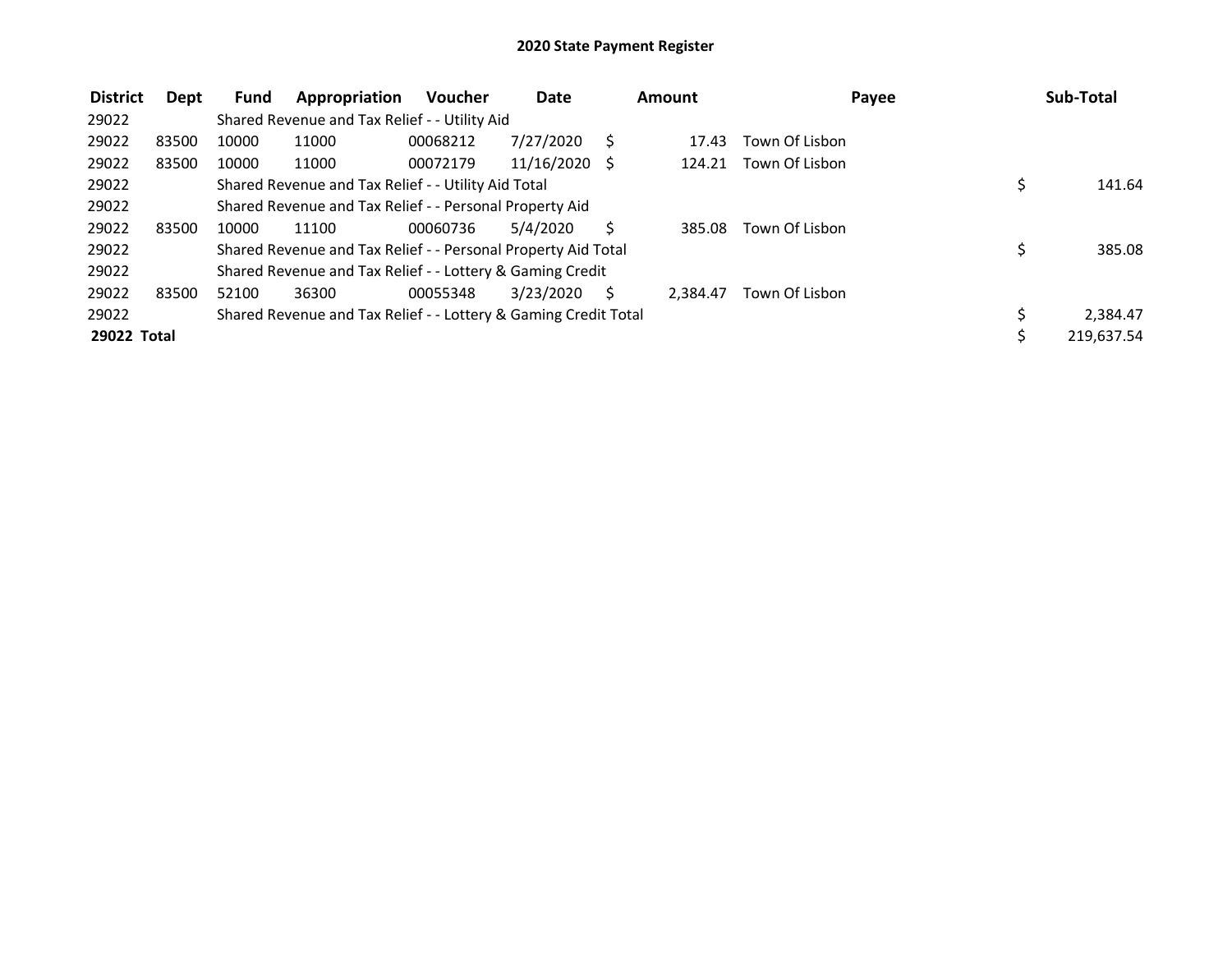| <b>District</b> | Dept  | Fund  | Appropriation                                                   | <b>Voucher</b> | Date          |    | Amount   |                | Payee | Sub-Total  |
|-----------------|-------|-------|-----------------------------------------------------------------|----------------|---------------|----|----------|----------------|-------|------------|
| 29022           |       |       | Shared Revenue and Tax Relief - - Utility Aid                   |                |               |    |          |                |       |            |
| 29022           | 83500 | 10000 | 11000                                                           | 00068212       | 7/27/2020     |    | 17.43    | Town Of Lisbon |       |            |
| 29022           | 83500 | 10000 | 11000                                                           | 00072179       | 11/16/2020 \$ |    | 124.21   | Town Of Lisbon |       |            |
| 29022           |       |       | Shared Revenue and Tax Relief - - Utility Aid Total             |                |               |    |          |                |       | 141.64     |
| 29022           |       |       | Shared Revenue and Tax Relief - - Personal Property Aid         |                |               |    |          |                |       |            |
| 29022           | 83500 | 10000 | 11100                                                           | 00060736       | 5/4/2020      |    | 385.08   | Town Of Lisbon |       |            |
| 29022           |       |       | Shared Revenue and Tax Relief - - Personal Property Aid Total   |                |               |    |          |                | \$    | 385.08     |
| 29022           |       |       | Shared Revenue and Tax Relief - - Lottery & Gaming Credit       |                |               |    |          |                |       |            |
| 29022           | 83500 | 52100 | 36300                                                           | 00055348       | 3/23/2020     | S. | 2.384.47 | Town Of Lisbon |       |            |
| 29022           |       |       | Shared Revenue and Tax Relief - - Lottery & Gaming Credit Total |                |               |    |          |                |       | 2,384.47   |
| 29022 Total     |       |       |                                                                 |                |               |    |          |                |       | 219,637.54 |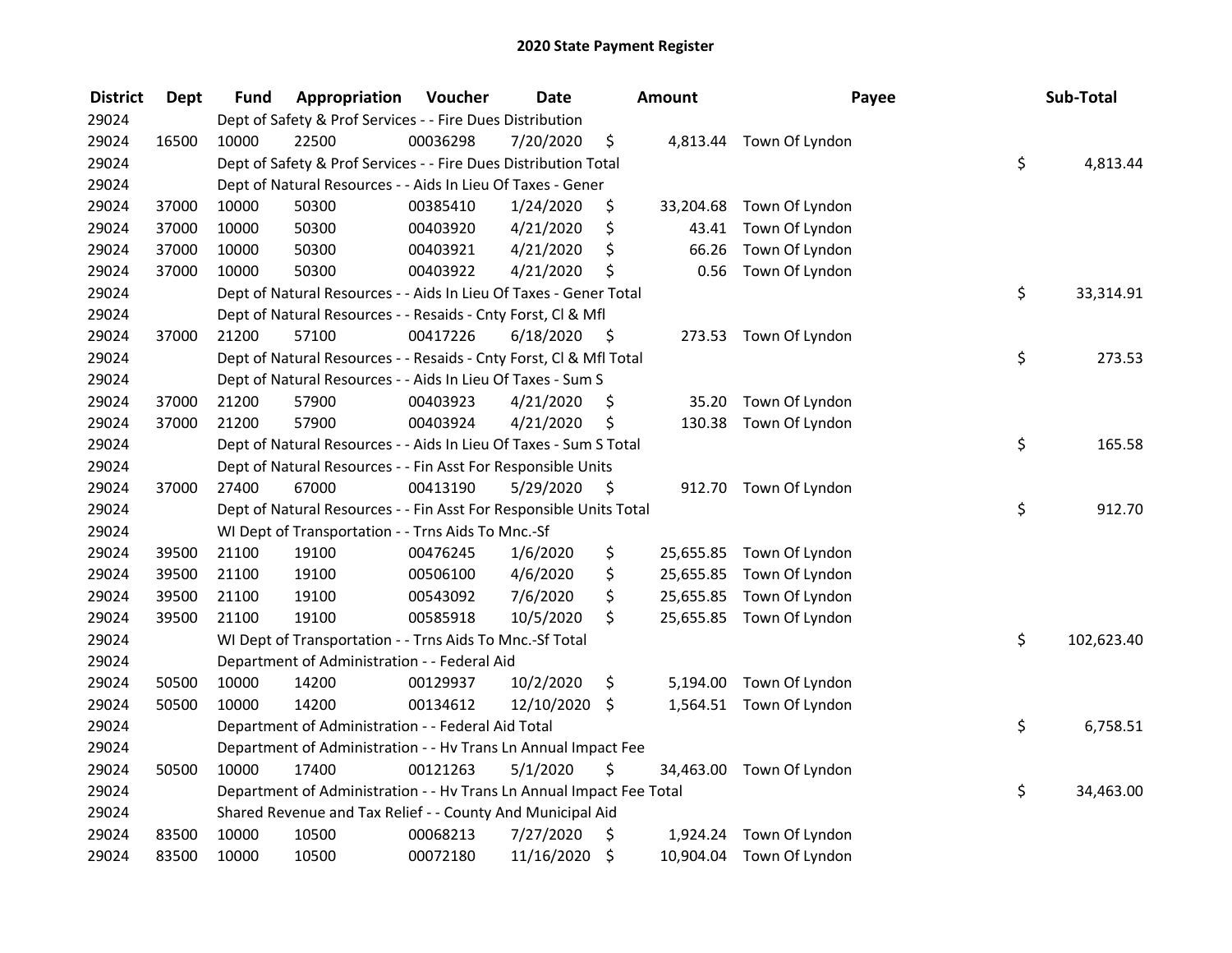| <b>District</b> | <b>Dept</b> | Fund  | Appropriation                                                        | Voucher  | <b>Date</b>   |         | <b>Amount</b> | Payee                    | Sub-Total        |
|-----------------|-------------|-------|----------------------------------------------------------------------|----------|---------------|---------|---------------|--------------------------|------------------|
| 29024           |             |       | Dept of Safety & Prof Services - - Fire Dues Distribution            |          |               |         |               |                          |                  |
| 29024           | 16500       | 10000 | 22500                                                                | 00036298 | 7/20/2020     | \$      |               | 4,813.44 Town Of Lyndon  |                  |
| 29024           |             |       | Dept of Safety & Prof Services - - Fire Dues Distribution Total      |          |               |         |               |                          | \$<br>4,813.44   |
| 29024           |             |       | Dept of Natural Resources - - Aids In Lieu Of Taxes - Gener          |          |               |         |               |                          |                  |
| 29024           | 37000       | 10000 | 50300                                                                | 00385410 | 1/24/2020     | \$      | 33,204.68     | Town Of Lyndon           |                  |
| 29024           | 37000       | 10000 | 50300                                                                | 00403920 | 4/21/2020     | \$      | 43.41         | Town Of Lyndon           |                  |
| 29024           | 37000       | 10000 | 50300                                                                | 00403921 | 4/21/2020     | \$      | 66.26         | Town Of Lyndon           |                  |
| 29024           | 37000       | 10000 | 50300                                                                | 00403922 | 4/21/2020     | \$      | 0.56          | Town Of Lyndon           |                  |
| 29024           |             |       | Dept of Natural Resources - - Aids In Lieu Of Taxes - Gener Total    |          |               |         |               |                          | \$<br>33,314.91  |
| 29024           |             |       | Dept of Natural Resources - - Resaids - Cnty Forst, Cl & Mfl         |          |               |         |               |                          |                  |
| 29024           | 37000       | 21200 | 57100                                                                | 00417226 | 6/18/2020     | - \$    |               | 273.53 Town Of Lyndon    |                  |
| 29024           |             |       | Dept of Natural Resources - - Resaids - Cnty Forst, Cl & Mfl Total   |          |               |         |               |                          | \$<br>273.53     |
| 29024           |             |       | Dept of Natural Resources - - Aids In Lieu Of Taxes - Sum S          |          |               |         |               |                          |                  |
| 29024           | 37000       | 21200 | 57900                                                                | 00403923 | 4/21/2020     | \$      | 35.20         | Town Of Lyndon           |                  |
| 29024           | 37000       | 21200 | 57900                                                                | 00403924 | 4/21/2020     | \$      | 130.38        | Town Of Lyndon           |                  |
| 29024           |             |       | Dept of Natural Resources - - Aids In Lieu Of Taxes - Sum S Total    |          |               |         |               |                          | \$<br>165.58     |
| 29024           |             |       | Dept of Natural Resources - - Fin Asst For Responsible Units         |          |               |         |               |                          |                  |
| 29024           | 37000       | 27400 | 67000                                                                | 00413190 | 5/29/2020     | \$      | 912.70        | Town Of Lyndon           |                  |
| 29024           |             |       | Dept of Natural Resources - - Fin Asst For Responsible Units Total   |          |               |         |               |                          | \$<br>912.70     |
| 29024           |             |       | WI Dept of Transportation - - Trns Aids To Mnc.-Sf                   |          |               |         |               |                          |                  |
| 29024           | 39500       | 21100 | 19100                                                                | 00476245 | 1/6/2020      | \$      |               | 25,655.85 Town Of Lyndon |                  |
| 29024           | 39500       | 21100 | 19100                                                                | 00506100 | 4/6/2020      | \$      |               | 25,655.85 Town Of Lyndon |                  |
| 29024           | 39500       | 21100 | 19100                                                                | 00543092 | 7/6/2020      | \$      |               | 25,655.85 Town Of Lyndon |                  |
| 29024           | 39500       | 21100 | 19100                                                                | 00585918 | 10/5/2020     | \$      |               | 25,655.85 Town Of Lyndon |                  |
| 29024           |             |       | WI Dept of Transportation - - Trns Aids To Mnc.-Sf Total             |          |               |         |               |                          | \$<br>102,623.40 |
| 29024           |             |       | Department of Administration - - Federal Aid                         |          |               |         |               |                          |                  |
| 29024           | 50500       | 10000 | 14200                                                                | 00129937 | 10/2/2020     | \$      | 5,194.00      | Town Of Lyndon           |                  |
| 29024           | 50500       | 10000 | 14200                                                                | 00134612 | 12/10/2020 \$ |         |               | 1,564.51 Town Of Lyndon  |                  |
| 29024           |             |       | Department of Administration - - Federal Aid Total                   |          |               |         |               |                          | \$<br>6,758.51   |
| 29024           |             |       | Department of Administration - - Hv Trans Ln Annual Impact Fee       |          |               |         |               |                          |                  |
| 29024           | 50500       | 10000 | 17400                                                                | 00121263 | 5/1/2020      | \$      | 34,463.00     | Town Of Lyndon           |                  |
| 29024           |             |       | Department of Administration - - Hv Trans Ln Annual Impact Fee Total |          |               |         |               |                          | \$<br>34,463.00  |
| 29024           |             |       | Shared Revenue and Tax Relief - - County And Municipal Aid           |          |               |         |               |                          |                  |
| 29024           | 83500       | 10000 | 10500                                                                | 00068213 | 7/27/2020     | \$      | 1,924.24      | Town Of Lyndon           |                  |
| 29024           | 83500       | 10000 | 10500                                                                | 00072180 | 11/16/2020    | $\zeta$ |               | 10,904.04 Town Of Lyndon |                  |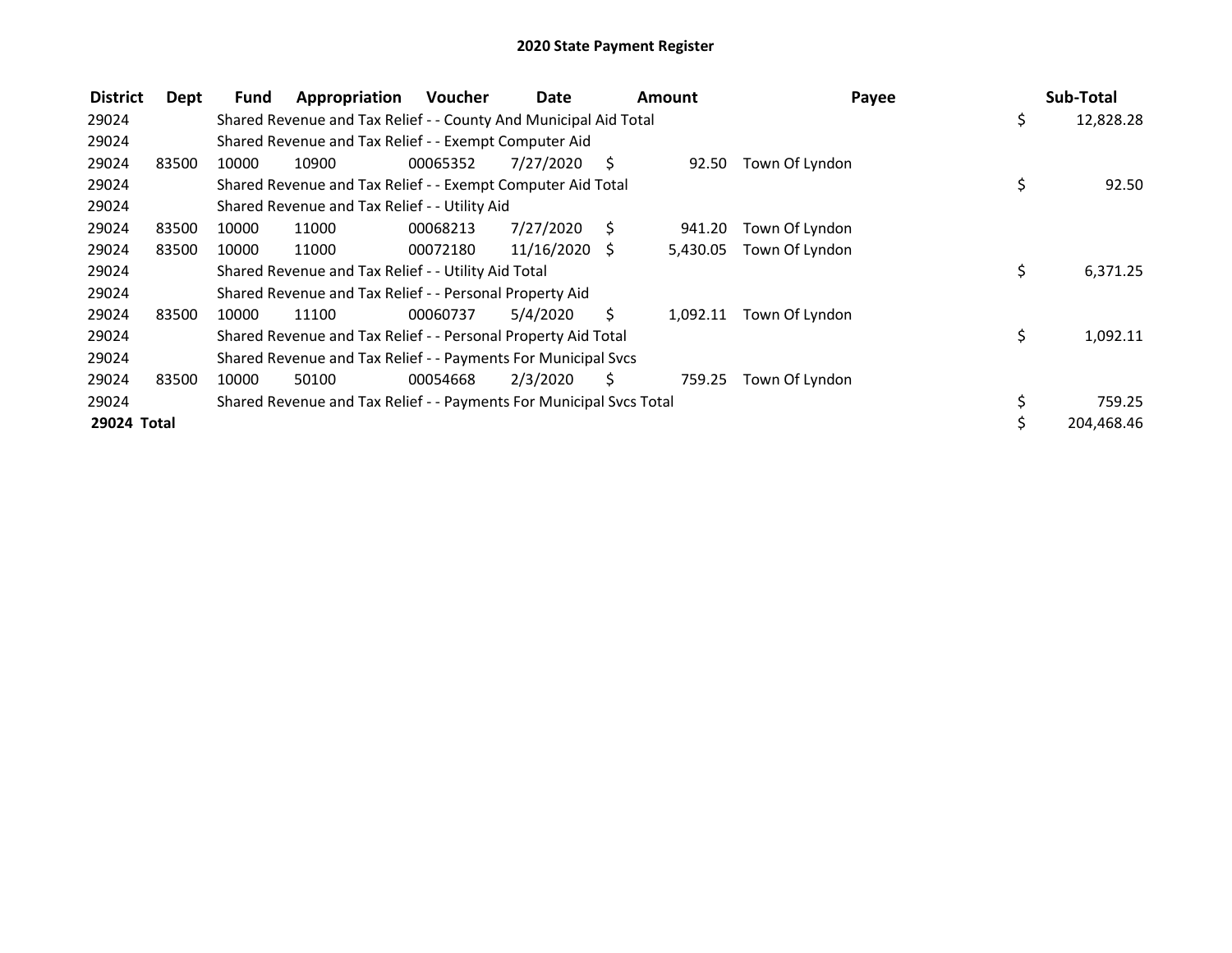| <b>District</b> | Dept  | Fund  | Appropriation                                                       | Voucher  | Date          |    | Amount   | Payee          |    | Sub-Total  |
|-----------------|-------|-------|---------------------------------------------------------------------|----------|---------------|----|----------|----------------|----|------------|
| 29024           |       |       | Shared Revenue and Tax Relief - - County And Municipal Aid Total    |          |               |    |          |                | \$ | 12,828.28  |
| 29024           |       |       | Shared Revenue and Tax Relief - - Exempt Computer Aid               |          |               |    |          |                |    |            |
| 29024           | 83500 | 10000 | 10900                                                               | 00065352 | 7/27/2020     | S. | 92.50    | Town Of Lyndon |    |            |
| 29024           |       |       | Shared Revenue and Tax Relief - - Exempt Computer Aid Total         |          |               |    |          |                | \$ | 92.50      |
| 29024           |       |       | Shared Revenue and Tax Relief - - Utility Aid                       |          |               |    |          |                |    |            |
| 29024           | 83500 | 10000 | 11000                                                               | 00068213 | 7/27/2020     | S  | 941.20   | Town Of Lyndon |    |            |
| 29024           | 83500 | 10000 | 11000                                                               | 00072180 | 11/16/2020 \$ |    | 5,430.05 | Town Of Lyndon |    |            |
| 29024           |       |       | Shared Revenue and Tax Relief - - Utility Aid Total                 |          |               |    |          |                | \$ | 6,371.25   |
| 29024           |       |       | Shared Revenue and Tax Relief - - Personal Property Aid             |          |               |    |          |                |    |            |
| 29024           | 83500 | 10000 | 11100                                                               | 00060737 | 5/4/2020      | S. | 1,092.11 | Town Of Lyndon |    |            |
| 29024           |       |       | Shared Revenue and Tax Relief - - Personal Property Aid Total       |          |               |    |          |                | \$ | 1,092.11   |
| 29024           |       |       | Shared Revenue and Tax Relief - - Payments For Municipal Svcs       |          |               |    |          |                |    |            |
| 29024           | 83500 | 10000 | 50100                                                               | 00054668 | 2/3/2020      | Ś. | 759.25   | Town Of Lyndon |    |            |
| 29024           |       |       | Shared Revenue and Tax Relief - - Payments For Municipal Svcs Total |          |               |    |          |                | \$ | 759.25     |
| 29024 Total     |       |       |                                                                     |          |               |    |          |                | Ś. | 204,468.46 |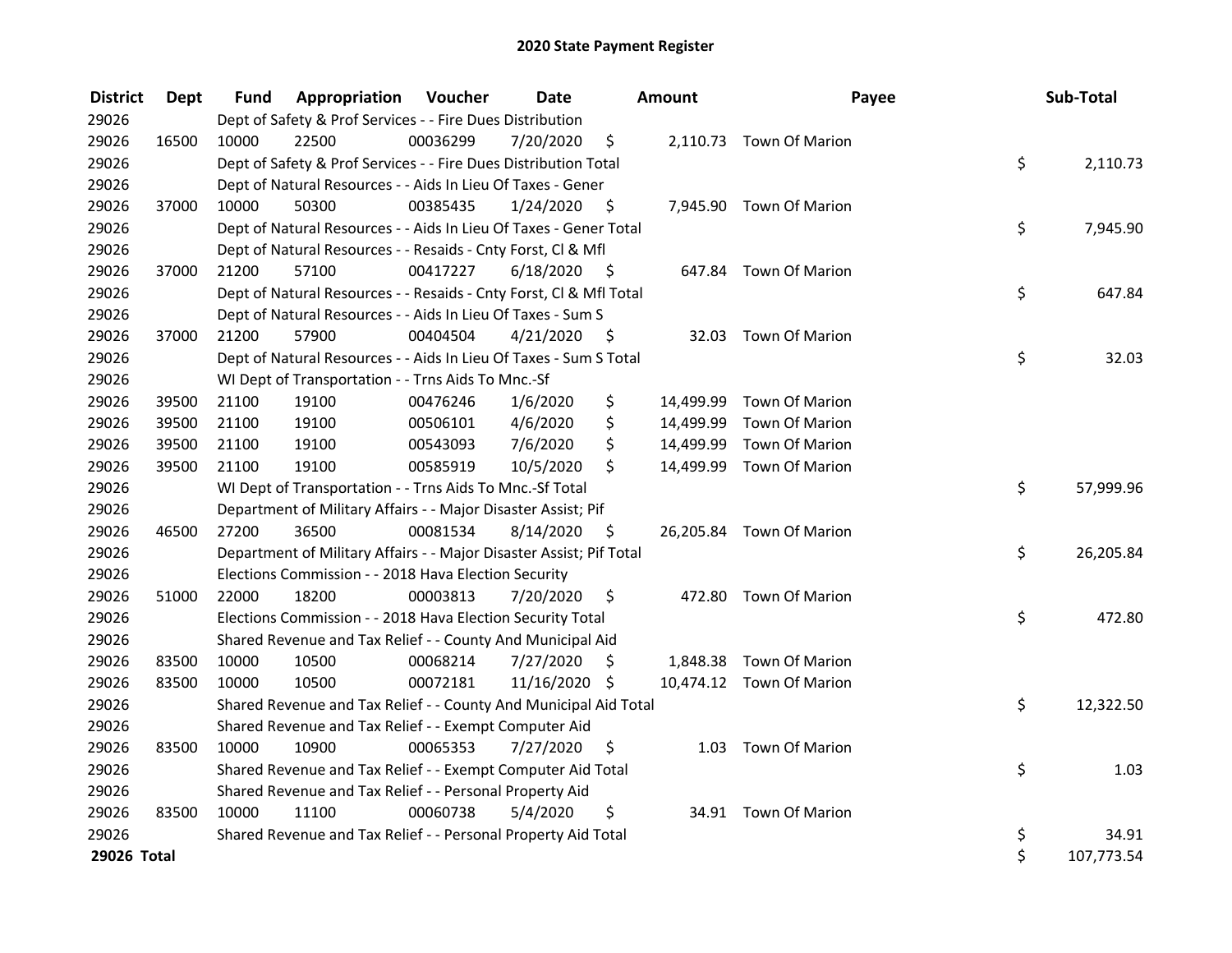| <b>District</b> | <b>Dept</b> | Fund  | Appropriation                                                       | Voucher  | <b>Date</b>   |      | Amount    | Payee                    | Sub-Total        |
|-----------------|-------------|-------|---------------------------------------------------------------------|----------|---------------|------|-----------|--------------------------|------------------|
| 29026           |             |       | Dept of Safety & Prof Services - - Fire Dues Distribution           |          |               |      |           |                          |                  |
| 29026           | 16500       | 10000 | 22500                                                               | 00036299 | 7/20/2020     | \$   |           | 2,110.73 Town Of Marion  |                  |
| 29026           |             |       | Dept of Safety & Prof Services - - Fire Dues Distribution Total     |          |               |      |           |                          | \$<br>2,110.73   |
| 29026           |             |       | Dept of Natural Resources - - Aids In Lieu Of Taxes - Gener         |          |               |      |           |                          |                  |
| 29026           | 37000       | 10000 | 50300                                                               | 00385435 | 1/24/2020     | \$   |           | 7,945.90 Town Of Marion  |                  |
| 29026           |             |       | Dept of Natural Resources - - Aids In Lieu Of Taxes - Gener Total   |          |               |      |           |                          | \$<br>7,945.90   |
| 29026           |             |       | Dept of Natural Resources - - Resaids - Cnty Forst, Cl & Mfl        |          |               |      |           |                          |                  |
| 29026           | 37000       | 21200 | 57100                                                               | 00417227 | 6/18/2020     | - \$ |           | 647.84 Town Of Marion    |                  |
| 29026           |             |       | Dept of Natural Resources - - Resaids - Cnty Forst, Cl & Mfl Total  |          |               |      |           |                          | \$<br>647.84     |
| 29026           |             |       | Dept of Natural Resources - - Aids In Lieu Of Taxes - Sum S         |          |               |      |           |                          |                  |
| 29026           | 37000       | 21200 | 57900                                                               | 00404504 | 4/21/2020     | - \$ |           | 32.03 Town Of Marion     |                  |
| 29026           |             |       | Dept of Natural Resources - - Aids In Lieu Of Taxes - Sum S Total   |          |               |      |           |                          | \$<br>32.03      |
| 29026           |             |       | WI Dept of Transportation - - Trns Aids To Mnc.-Sf                  |          |               |      |           |                          |                  |
| 29026           | 39500       | 21100 | 19100                                                               | 00476246 | 1/6/2020      | \$   | 14,499.99 | Town Of Marion           |                  |
| 29026           | 39500       | 21100 | 19100                                                               | 00506101 | 4/6/2020      | \$   | 14,499.99 | <b>Town Of Marion</b>    |                  |
| 29026           | 39500       | 21100 | 19100                                                               | 00543093 | 7/6/2020      | \$   | 14,499.99 | Town Of Marion           |                  |
| 29026           | 39500       | 21100 | 19100                                                               | 00585919 | 10/5/2020     | \$   | 14,499.99 | Town Of Marion           |                  |
| 29026           |             |       | WI Dept of Transportation - - Trns Aids To Mnc.-Sf Total            |          |               |      |           |                          | \$<br>57,999.96  |
| 29026           |             |       | Department of Military Affairs - - Major Disaster Assist; Pif       |          |               |      |           |                          |                  |
| 29026           | 46500       | 27200 | 36500                                                               | 00081534 | 8/14/2020     | \$   |           | 26,205.84 Town Of Marion |                  |
| 29026           |             |       | Department of Military Affairs - - Major Disaster Assist; Pif Total |          |               |      |           |                          | \$<br>26,205.84  |
| 29026           |             |       | Elections Commission - - 2018 Hava Election Security                |          |               |      |           |                          |                  |
| 29026           | 51000       | 22000 | 18200                                                               | 00003813 | 7/20/2020     | \$   |           | 472.80 Town Of Marion    |                  |
| 29026           |             |       | Elections Commission - - 2018 Hava Election Security Total          |          |               |      |           |                          | \$<br>472.80     |
| 29026           |             |       | Shared Revenue and Tax Relief - - County And Municipal Aid          |          |               |      |           |                          |                  |
| 29026           | 83500       | 10000 | 10500                                                               | 00068214 | 7/27/2020     | S    |           | 1,848.38 Town Of Marion  |                  |
| 29026           | 83500       | 10000 | 10500                                                               | 00072181 | 11/16/2020 \$ |      |           | 10,474.12 Town Of Marion |                  |
| 29026           |             |       | Shared Revenue and Tax Relief - - County And Municipal Aid Total    |          |               |      |           |                          | \$<br>12,322.50  |
| 29026           |             |       | Shared Revenue and Tax Relief - - Exempt Computer Aid               |          |               |      |           |                          |                  |
| 29026           | 83500       | 10000 | 10900                                                               | 00065353 | 7/27/2020     | \$.  |           | 1.03 Town Of Marion      |                  |
| 29026           |             |       | Shared Revenue and Tax Relief - - Exempt Computer Aid Total         |          |               |      |           |                          | \$<br>1.03       |
| 29026           |             |       | Shared Revenue and Tax Relief - - Personal Property Aid             |          |               |      |           |                          |                  |
| 29026           | 83500       | 10000 | 11100                                                               | 00060738 | 5/4/2020      | \$   |           | 34.91 Town Of Marion     |                  |
| 29026           |             |       | Shared Revenue and Tax Relief - - Personal Property Aid Total       |          |               |      |           |                          | \$<br>34.91      |
| 29026 Total     |             |       |                                                                     |          |               |      |           |                          | \$<br>107,773.54 |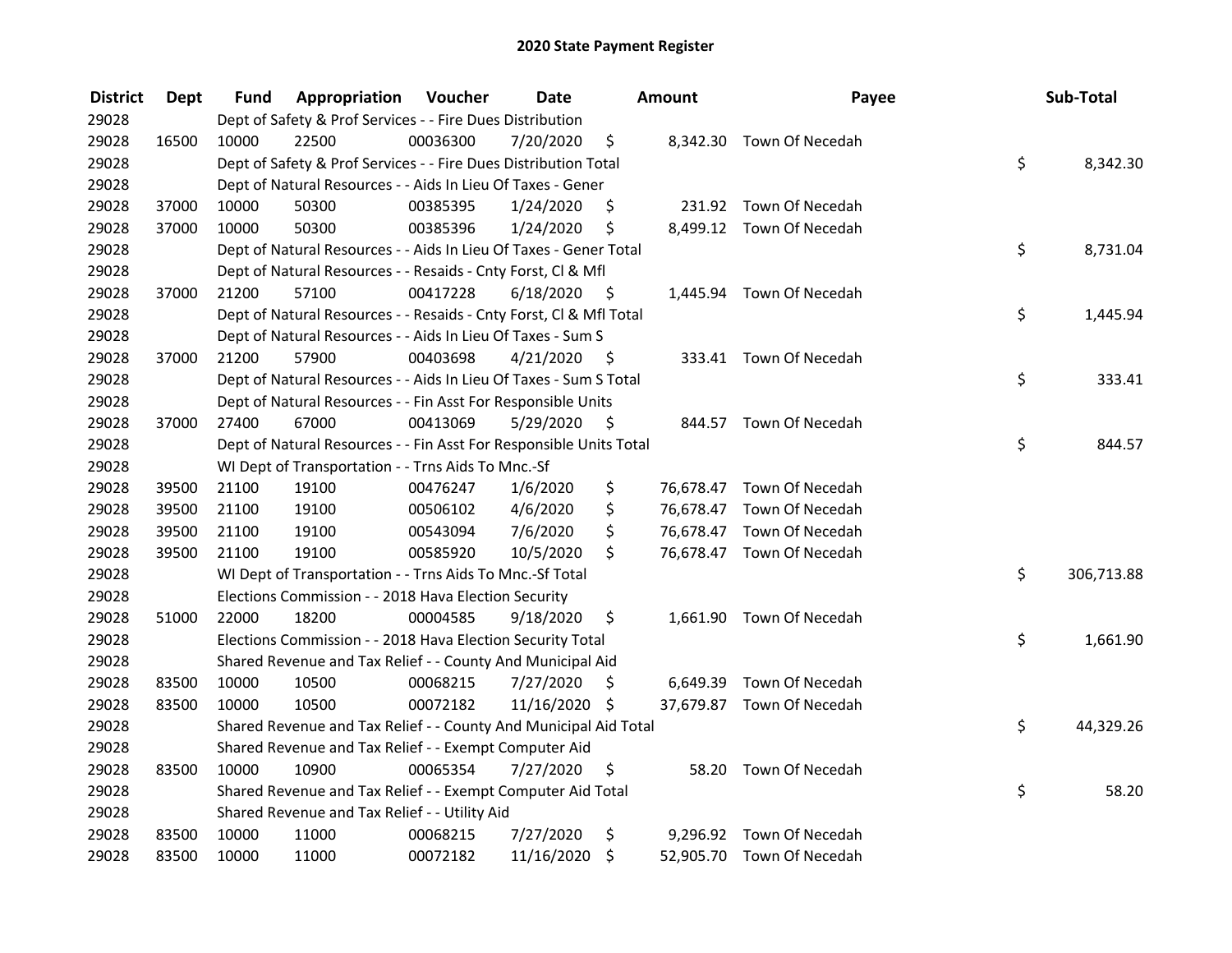| <b>District</b> | Dept  | Fund  | Appropriation                                                      | Voucher  | <b>Date</b>   |      | Amount | Payee                     | Sub-Total        |
|-----------------|-------|-------|--------------------------------------------------------------------|----------|---------------|------|--------|---------------------------|------------------|
| 29028           |       |       | Dept of Safety & Prof Services - - Fire Dues Distribution          |          |               |      |        |                           |                  |
| 29028           | 16500 | 10000 | 22500                                                              | 00036300 | 7/20/2020     | \$   |        | 8,342.30 Town Of Necedah  |                  |
| 29028           |       |       | Dept of Safety & Prof Services - - Fire Dues Distribution Total    |          |               |      |        |                           | \$<br>8,342.30   |
| 29028           |       |       | Dept of Natural Resources - - Aids In Lieu Of Taxes - Gener        |          |               |      |        |                           |                  |
| 29028           | 37000 | 10000 | 50300                                                              | 00385395 | 1/24/2020     | \$   |        | 231.92 Town Of Necedah    |                  |
| 29028           | 37000 | 10000 | 50300                                                              | 00385396 | 1/24/2020     | \$   |        | 8,499.12 Town Of Necedah  |                  |
| 29028           |       |       | Dept of Natural Resources - - Aids In Lieu Of Taxes - Gener Total  |          |               |      |        |                           | \$<br>8,731.04   |
| 29028           |       |       | Dept of Natural Resources - - Resaids - Cnty Forst, Cl & Mfl       |          |               |      |        |                           |                  |
| 29028           | 37000 | 21200 | 57100                                                              | 00417228 | 6/18/2020     | - \$ |        | 1,445.94 Town Of Necedah  |                  |
| 29028           |       |       | Dept of Natural Resources - - Resaids - Cnty Forst, CI & Mfl Total |          |               |      |        |                           | \$<br>1,445.94   |
| 29028           |       |       | Dept of Natural Resources - - Aids In Lieu Of Taxes - Sum S        |          |               |      |        |                           |                  |
| 29028           | 37000 | 21200 | 57900                                                              | 00403698 | 4/21/2020     | - \$ |        | 333.41 Town Of Necedah    |                  |
| 29028           |       |       | Dept of Natural Resources - - Aids In Lieu Of Taxes - Sum S Total  |          |               |      |        |                           | \$<br>333.41     |
| 29028           |       |       | Dept of Natural Resources - - Fin Asst For Responsible Units       |          |               |      |        |                           |                  |
| 29028           | 37000 | 27400 | 67000                                                              | 00413069 | 5/29/2020     | -S   |        | 844.57 Town Of Necedah    |                  |
| 29028           |       |       | Dept of Natural Resources - - Fin Asst For Responsible Units Total |          |               |      |        |                           | \$<br>844.57     |
| 29028           |       |       | WI Dept of Transportation - - Trns Aids To Mnc.-Sf                 |          |               |      |        |                           |                  |
| 29028           | 39500 | 21100 | 19100                                                              | 00476247 | 1/6/2020      | \$   |        | 76,678.47 Town Of Necedah |                  |
| 29028           | 39500 | 21100 | 19100                                                              | 00506102 | 4/6/2020      | \$   |        | 76,678.47 Town Of Necedah |                  |
| 29028           | 39500 | 21100 | 19100                                                              | 00543094 | 7/6/2020      | \$   |        | 76,678.47 Town Of Necedah |                  |
| 29028           | 39500 | 21100 | 19100                                                              | 00585920 | 10/5/2020     | \$   |        | 76,678.47 Town Of Necedah |                  |
| 29028           |       |       | WI Dept of Transportation - - Trns Aids To Mnc.-Sf Total           |          |               |      |        |                           | \$<br>306,713.88 |
| 29028           |       |       | Elections Commission - - 2018 Hava Election Security               |          |               |      |        |                           |                  |
| 29028           | 51000 | 22000 | 18200                                                              | 00004585 | 9/18/2020     | \$   |        | 1,661.90 Town Of Necedah  |                  |
| 29028           |       |       | Elections Commission - - 2018 Hava Election Security Total         |          |               |      |        |                           | \$<br>1,661.90   |
| 29028           |       |       | Shared Revenue and Tax Relief - - County And Municipal Aid         |          |               |      |        |                           |                  |
| 29028           | 83500 | 10000 | 10500                                                              | 00068215 | 7/27/2020     | \$   |        | 6,649.39 Town Of Necedah  |                  |
| 29028           | 83500 | 10000 | 10500                                                              | 00072182 | 11/16/2020 \$ |      |        | 37,679.87 Town Of Necedah |                  |
| 29028           |       |       | Shared Revenue and Tax Relief - - County And Municipal Aid Total   |          |               |      |        |                           | \$<br>44,329.26  |
| 29028           |       |       | Shared Revenue and Tax Relief - - Exempt Computer Aid              |          |               |      |        |                           |                  |
| 29028           | 83500 | 10000 | 10900                                                              | 00065354 | 7/27/2020     | \$   | 58.20  | Town Of Necedah           |                  |
| 29028           |       |       | Shared Revenue and Tax Relief - - Exempt Computer Aid Total        |          |               |      |        |                           | \$<br>58.20      |
| 29028           |       |       | Shared Revenue and Tax Relief - - Utility Aid                      |          |               |      |        |                           |                  |
| 29028           | 83500 | 10000 | 11000                                                              | 00068215 | 7/27/2020     | \$   |        | 9,296.92 Town Of Necedah  |                  |
| 29028           | 83500 | 10000 | 11000                                                              | 00072182 | 11/16/2020    | \$   |        | 52,905.70 Town Of Necedah |                  |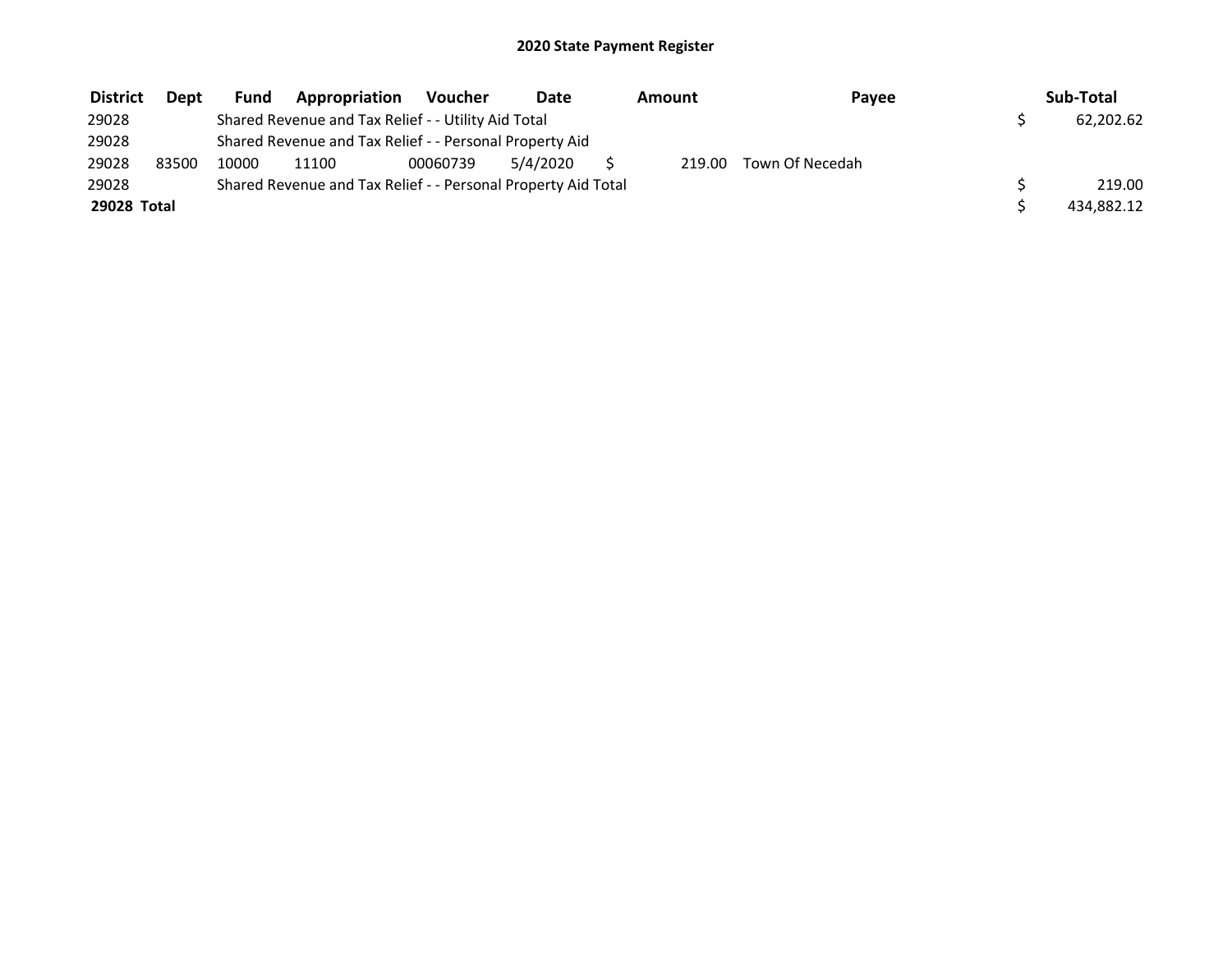| <b>District</b> | <b>Dept</b> | Fund  | Appropriation                                                 | Voucher  | Date     | Amount | Payee           | Sub-Total  |
|-----------------|-------------|-------|---------------------------------------------------------------|----------|----------|--------|-----------------|------------|
| 29028           |             |       | Shared Revenue and Tax Relief - - Utility Aid Total           |          |          |        |                 | 62,202.62  |
| 29028           |             |       | Shared Revenue and Tax Relief - - Personal Property Aid       |          |          |        |                 |            |
| 29028           | 83500       | 10000 | 11100                                                         | 00060739 | 5/4/2020 | 219.00 | Town Of Necedah |            |
| 29028           |             |       | Shared Revenue and Tax Relief - - Personal Property Aid Total |          |          |        |                 | 219.00     |
| 29028 Total     |             |       |                                                               |          |          |        |                 | 434,882.12 |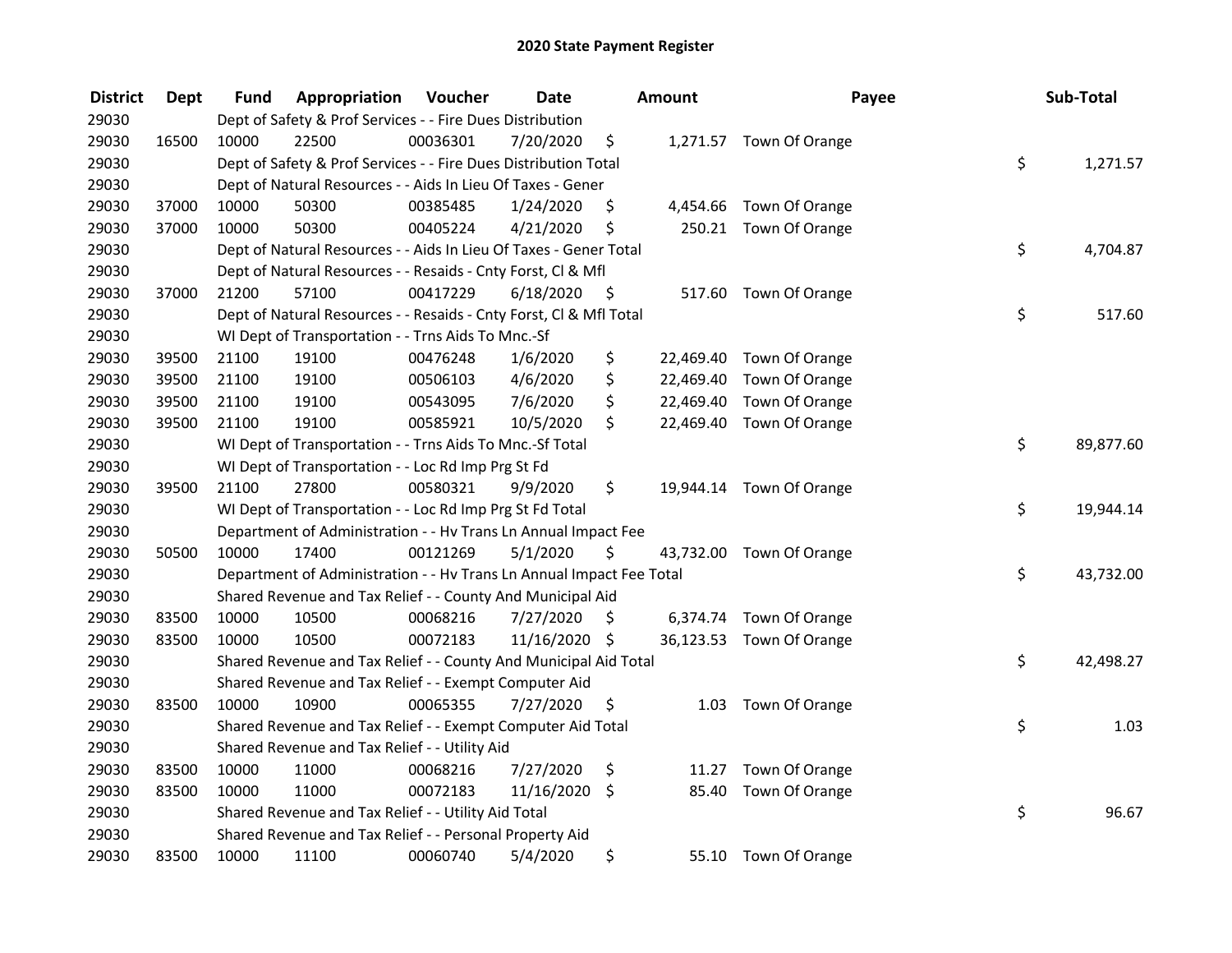| <b>District</b> | <b>Dept</b> | Fund  | Appropriation                                                        | Voucher  | <b>Date</b>   |         | <b>Amount</b> | Payee                    | Sub-Total       |
|-----------------|-------------|-------|----------------------------------------------------------------------|----------|---------------|---------|---------------|--------------------------|-----------------|
| 29030           |             |       | Dept of Safety & Prof Services - - Fire Dues Distribution            |          |               |         |               |                          |                 |
| 29030           | 16500       | 10000 | 22500                                                                | 00036301 | 7/20/2020     | \$      |               | 1,271.57 Town Of Orange  |                 |
| 29030           |             |       | Dept of Safety & Prof Services - - Fire Dues Distribution Total      |          |               |         |               |                          | \$<br>1,271.57  |
| 29030           |             |       | Dept of Natural Resources - - Aids In Lieu Of Taxes - Gener          |          |               |         |               |                          |                 |
| 29030           | 37000       | 10000 | 50300                                                                | 00385485 | 1/24/2020     | \$      |               | 4,454.66 Town Of Orange  |                 |
| 29030           | 37000       | 10000 | 50300                                                                | 00405224 | 4/21/2020     | \$      | 250.21        | Town Of Orange           |                 |
| 29030           |             |       | Dept of Natural Resources - - Aids In Lieu Of Taxes - Gener Total    |          |               |         |               |                          | \$<br>4,704.87  |
| 29030           |             |       | Dept of Natural Resources - - Resaids - Cnty Forst, Cl & Mfl         |          |               |         |               |                          |                 |
| 29030           | 37000       | 21200 | 57100                                                                | 00417229 | 6/18/2020     | - \$    |               | 517.60 Town Of Orange    |                 |
| 29030           |             |       | Dept of Natural Resources - - Resaids - Cnty Forst, CI & Mfl Total   |          |               |         |               |                          | \$<br>517.60    |
| 29030           |             |       | WI Dept of Transportation - - Trns Aids To Mnc.-Sf                   |          |               |         |               |                          |                 |
| 29030           | 39500       | 21100 | 19100                                                                | 00476248 | 1/6/2020      | \$      | 22,469.40     | Town Of Orange           |                 |
| 29030           | 39500       | 21100 | 19100                                                                | 00506103 | 4/6/2020      | \$      | 22,469.40     | Town Of Orange           |                 |
| 29030           | 39500       | 21100 | 19100                                                                | 00543095 | 7/6/2020      | \$      | 22,469.40     | Town Of Orange           |                 |
| 29030           | 39500       | 21100 | 19100                                                                | 00585921 | 10/5/2020     | \$      |               | 22,469.40 Town Of Orange |                 |
| 29030           |             |       | WI Dept of Transportation - - Trns Aids To Mnc.-Sf Total             |          |               |         |               |                          | \$<br>89,877.60 |
| 29030           |             |       | WI Dept of Transportation - - Loc Rd Imp Prg St Fd                   |          |               |         |               |                          |                 |
| 29030           | 39500       | 21100 | 27800                                                                | 00580321 | 9/9/2020      | \$      |               | 19,944.14 Town Of Orange |                 |
| 29030           |             |       | WI Dept of Transportation - - Loc Rd Imp Prg St Fd Total             |          |               |         |               |                          | \$<br>19,944.14 |
| 29030           |             |       | Department of Administration - - Hv Trans Ln Annual Impact Fee       |          |               |         |               |                          |                 |
| 29030           | 50500       | 10000 | 17400                                                                | 00121269 | 5/1/2020      | \$      |               | 43,732.00 Town Of Orange |                 |
| 29030           |             |       | Department of Administration - - Hv Trans Ln Annual Impact Fee Total |          |               |         |               |                          | \$<br>43,732.00 |
| 29030           |             |       | Shared Revenue and Tax Relief - - County And Municipal Aid           |          |               |         |               |                          |                 |
| 29030           | 83500       | 10000 | 10500                                                                | 00068216 | 7/27/2020     | S       |               | 6,374.74 Town Of Orange  |                 |
| 29030           | 83500       | 10000 | 10500                                                                | 00072183 | 11/16/2020 \$ |         |               | 36,123.53 Town Of Orange |                 |
| 29030           |             |       | Shared Revenue and Tax Relief - - County And Municipal Aid Total     |          |               |         |               |                          | \$<br>42,498.27 |
| 29030           |             |       | Shared Revenue and Tax Relief - - Exempt Computer Aid                |          |               |         |               |                          |                 |
| 29030           | 83500       | 10000 | 10900                                                                | 00065355 | 7/27/2020     | \$      | 1.03          | Town Of Orange           |                 |
| 29030           |             |       | Shared Revenue and Tax Relief - - Exempt Computer Aid Total          |          |               |         |               |                          | \$<br>1.03      |
| 29030           |             |       | Shared Revenue and Tax Relief - - Utility Aid                        |          |               |         |               |                          |                 |
| 29030           | 83500       | 10000 | 11000                                                                | 00068216 | 7/27/2020     | \$      | 11.27         | Town Of Orange           |                 |
| 29030           | 83500       | 10000 | 11000                                                                | 00072183 | 11/16/2020    | $\zeta$ | 85.40         | Town Of Orange           |                 |
| 29030           |             |       | Shared Revenue and Tax Relief - - Utility Aid Total                  |          |               |         |               |                          | \$<br>96.67     |
| 29030           |             |       | Shared Revenue and Tax Relief - - Personal Property Aid              |          |               |         |               |                          |                 |
| 29030           | 83500       | 10000 | 11100                                                                | 00060740 | 5/4/2020      | \$      |               | 55.10 Town Of Orange     |                 |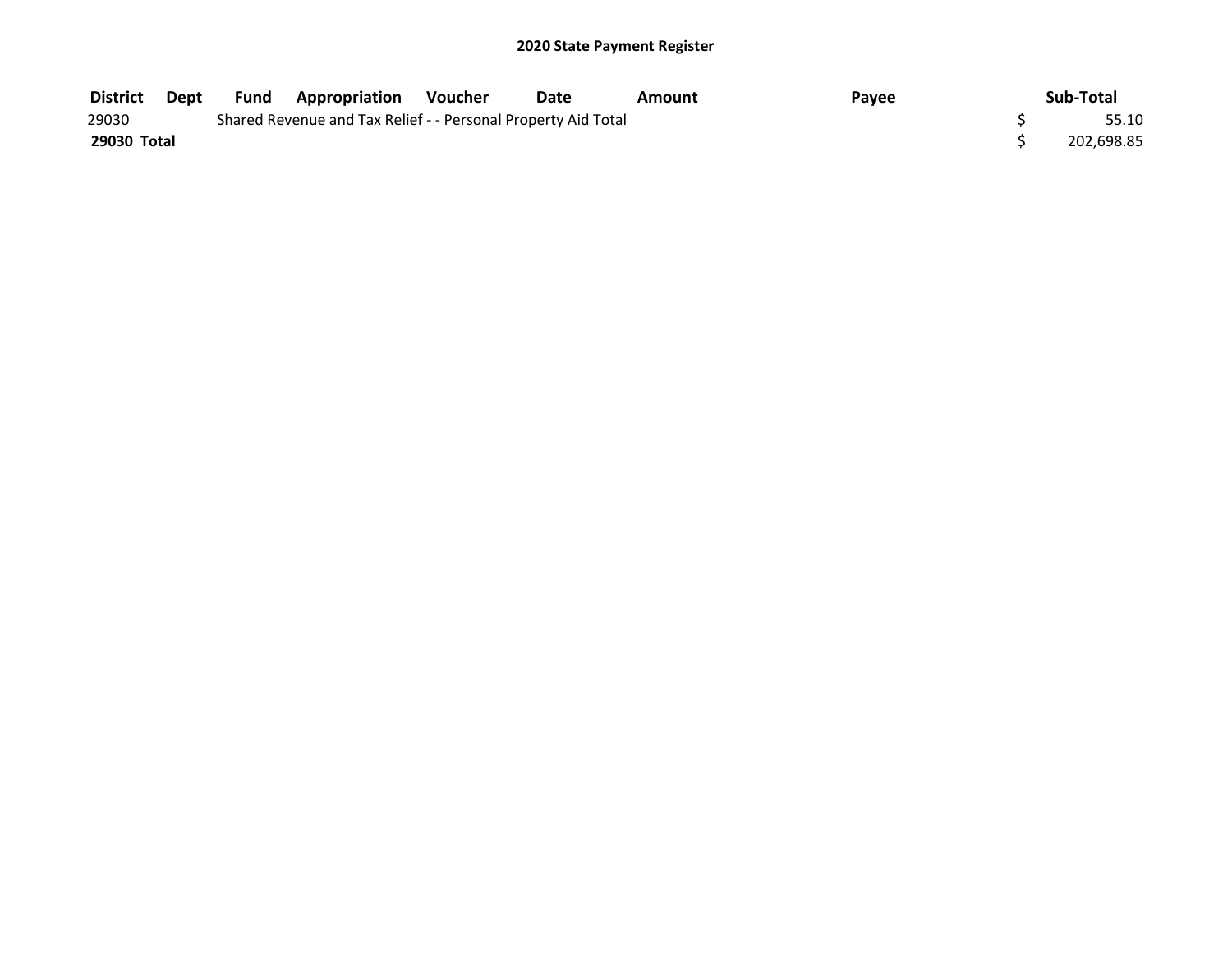| <b>District</b> | Dept | <b>Fund</b> | <b>Appropriation Voucher</b>                                  | Date | Amount | Pavee | Sub-Total  |
|-----------------|------|-------------|---------------------------------------------------------------|------|--------|-------|------------|
| 29030           |      |             | Shared Revenue and Tax Relief - - Personal Property Aid Total |      |        |       | 55.10      |
| 29030 Total     |      |             |                                                               |      |        |       | 202.698.85 |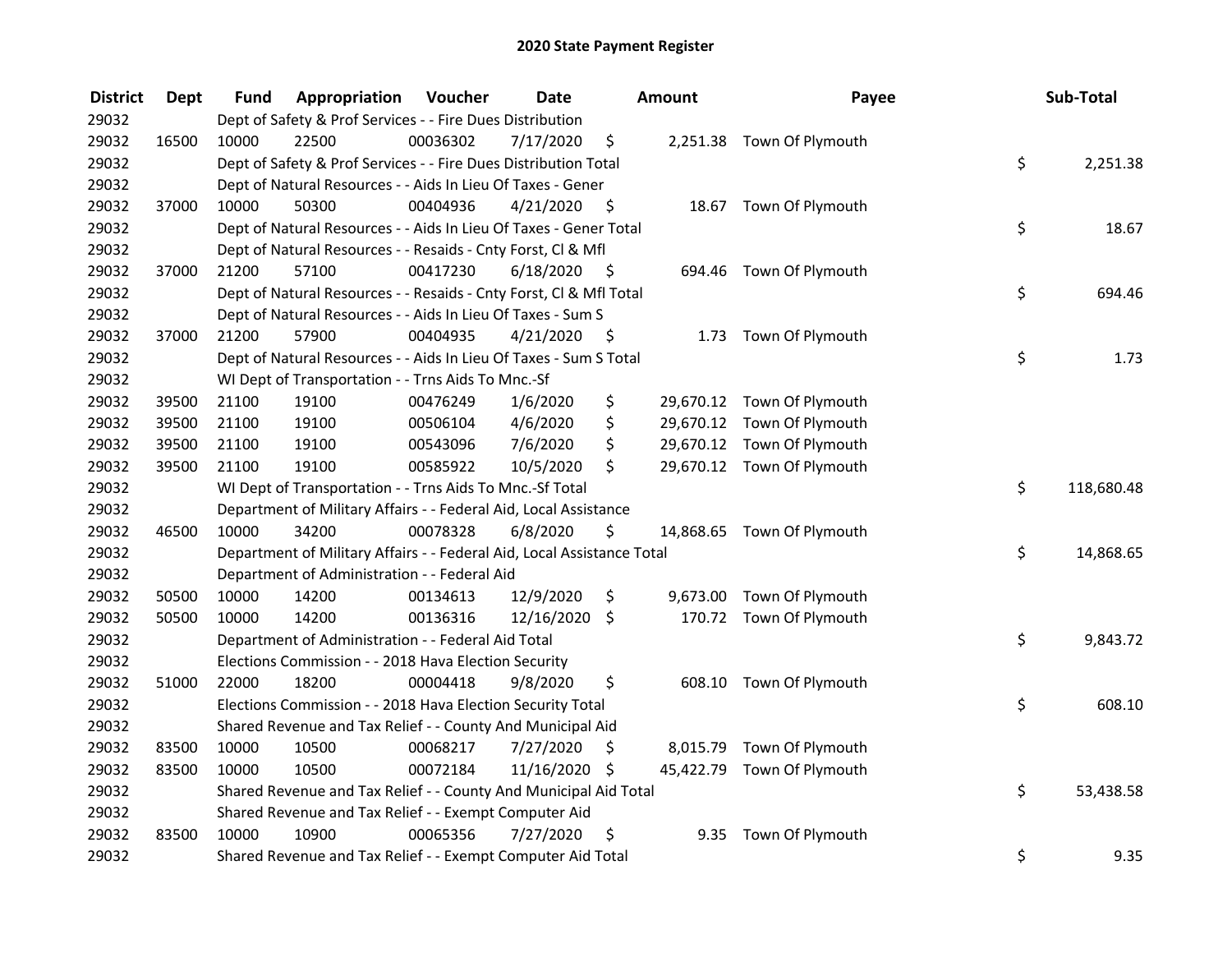| <b>District</b> | <b>Dept</b> | Fund  | Appropriation                                                          | Voucher  | <b>Date</b>   |      | Amount | Payee                      | Sub-Total        |
|-----------------|-------------|-------|------------------------------------------------------------------------|----------|---------------|------|--------|----------------------------|------------------|
| 29032           |             |       | Dept of Safety & Prof Services - - Fire Dues Distribution              |          |               |      |        |                            |                  |
| 29032           | 16500       | 10000 | 22500                                                                  | 00036302 | 7/17/2020     | \$   |        | 2,251.38 Town Of Plymouth  |                  |
| 29032           |             |       | Dept of Safety & Prof Services - - Fire Dues Distribution Total        |          |               |      |        |                            | \$<br>2,251.38   |
| 29032           |             |       | Dept of Natural Resources - - Aids In Lieu Of Taxes - Gener            |          |               |      |        |                            |                  |
| 29032           | 37000       | 10000 | 50300                                                                  | 00404936 | 4/21/2020     | \$   |        | 18.67 Town Of Plymouth     |                  |
| 29032           |             |       | Dept of Natural Resources - - Aids In Lieu Of Taxes - Gener Total      |          |               |      |        |                            | \$<br>18.67      |
| 29032           |             |       | Dept of Natural Resources - - Resaids - Cnty Forst, CI & Mfl           |          |               |      |        |                            |                  |
| 29032           | 37000       | 21200 | 57100                                                                  | 00417230 | 6/18/2020     | - \$ |        | 694.46 Town Of Plymouth    |                  |
| 29032           |             |       | Dept of Natural Resources - - Resaids - Cnty Forst, Cl & Mfl Total     |          |               |      |        |                            | \$<br>694.46     |
| 29032           |             |       | Dept of Natural Resources - - Aids In Lieu Of Taxes - Sum S            |          |               |      |        |                            |                  |
| 29032           | 37000       | 21200 | 57900                                                                  | 00404935 | 4/21/2020     | \$   |        | 1.73 Town Of Plymouth      |                  |
| 29032           |             |       | Dept of Natural Resources - - Aids In Lieu Of Taxes - Sum S Total      |          |               |      |        |                            | \$<br>1.73       |
| 29032           |             |       | WI Dept of Transportation - - Trns Aids To Mnc.-Sf                     |          |               |      |        |                            |                  |
| 29032           | 39500       | 21100 | 19100                                                                  | 00476249 | 1/6/2020      | \$   |        | 29,670.12 Town Of Plymouth |                  |
| 29032           | 39500       | 21100 | 19100                                                                  | 00506104 | 4/6/2020      | \$   |        | 29,670.12 Town Of Plymouth |                  |
| 29032           | 39500       | 21100 | 19100                                                                  | 00543096 | 7/6/2020      | \$   |        | 29,670.12 Town Of Plymouth |                  |
| 29032           | 39500       | 21100 | 19100                                                                  | 00585922 | 10/5/2020     | \$   |        | 29,670.12 Town Of Plymouth |                  |
| 29032           |             |       | WI Dept of Transportation - - Trns Aids To Mnc.-Sf Total               |          |               |      |        |                            | \$<br>118,680.48 |
| 29032           |             |       | Department of Military Affairs - - Federal Aid, Local Assistance       |          |               |      |        |                            |                  |
| 29032           | 46500       | 10000 | 34200                                                                  | 00078328 | 6/8/2020      | \$   |        | 14,868.65 Town Of Plymouth |                  |
| 29032           |             |       | Department of Military Affairs - - Federal Aid, Local Assistance Total |          |               |      |        |                            | \$<br>14,868.65  |
| 29032           |             |       | Department of Administration - - Federal Aid                           |          |               |      |        |                            |                  |
| 29032           | 50500       | 10000 | 14200                                                                  | 00134613 | 12/9/2020     | \$   |        | 9,673.00 Town Of Plymouth  |                  |
| 29032           | 50500       | 10000 | 14200                                                                  | 00136316 | 12/16/2020    | \$   |        | 170.72 Town Of Plymouth    |                  |
| 29032           |             |       | Department of Administration - - Federal Aid Total                     |          |               |      |        |                            | \$<br>9,843.72   |
| 29032           |             |       | Elections Commission - - 2018 Hava Election Security                   |          |               |      |        |                            |                  |
| 29032           | 51000       | 22000 | 18200                                                                  | 00004418 | 9/8/2020      | \$   |        | 608.10 Town Of Plymouth    |                  |
| 29032           |             |       | Elections Commission - - 2018 Hava Election Security Total             |          |               |      |        |                            | \$<br>608.10     |
| 29032           |             |       | Shared Revenue and Tax Relief - - County And Municipal Aid             |          |               |      |        |                            |                  |
| 29032           | 83500       | 10000 | 10500                                                                  | 00068217 | 7/27/2020     | \$   |        | 8,015.79 Town Of Plymouth  |                  |
| 29032           | 83500       | 10000 | 10500                                                                  | 00072184 | 11/16/2020 \$ |      |        | 45,422.79 Town Of Plymouth |                  |
| 29032           |             |       | Shared Revenue and Tax Relief - - County And Municipal Aid Total       |          |               |      |        |                            | \$<br>53,438.58  |
| 29032           |             |       | Shared Revenue and Tax Relief - - Exempt Computer Aid                  |          |               |      |        |                            |                  |
| 29032           | 83500       | 10000 | 10900                                                                  | 00065356 | 7/27/2020     | \$   | 9.35   | Town Of Plymouth           |                  |
| 29032           |             |       | Shared Revenue and Tax Relief - - Exempt Computer Aid Total            |          |               |      |        |                            | \$<br>9.35       |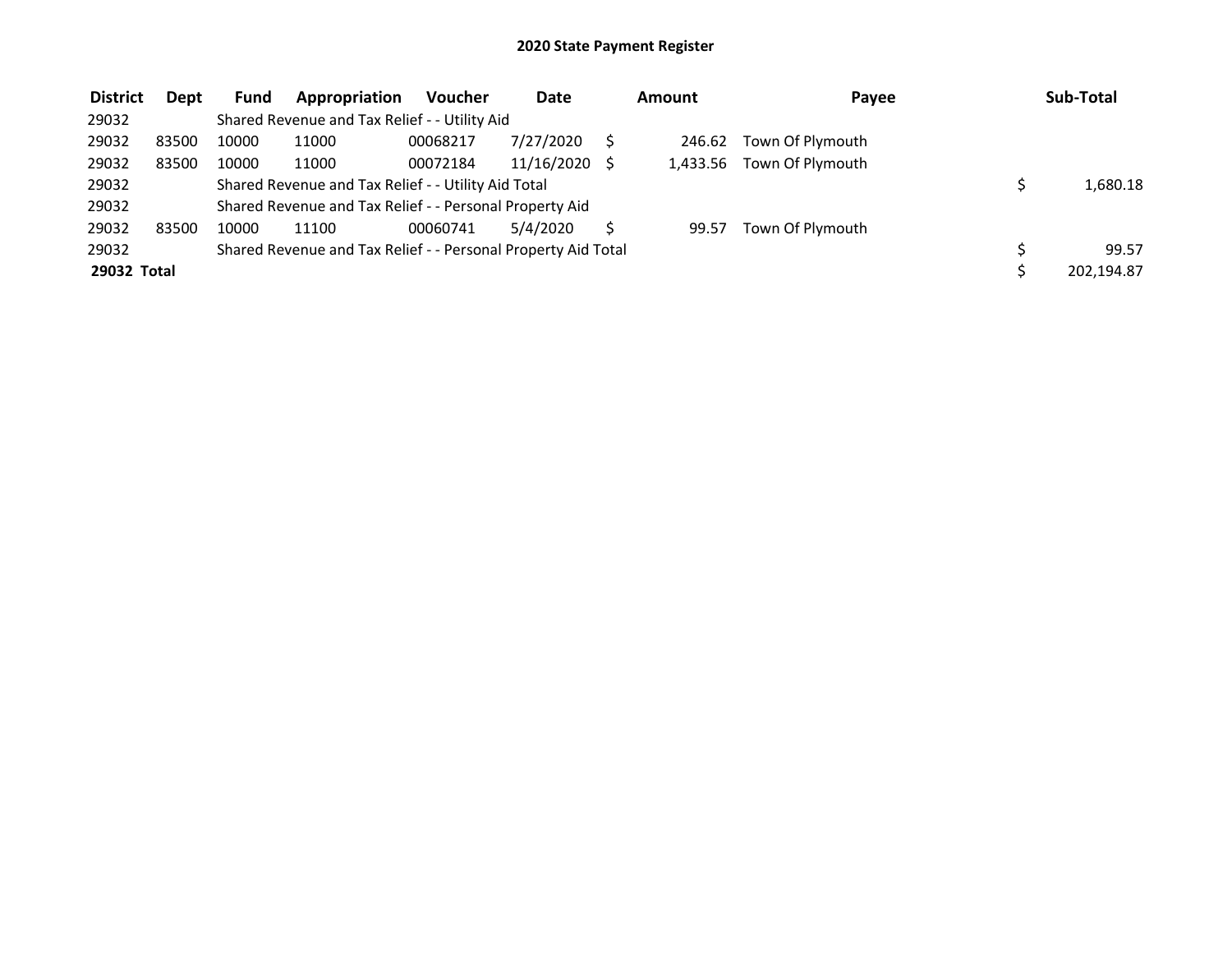| <b>District</b> | Dept  | Fund  | Appropriation                                                 | <b>Voucher</b> | Date       | Amount | Payee                     | Sub-Total  |
|-----------------|-------|-------|---------------------------------------------------------------|----------------|------------|--------|---------------------------|------------|
| 29032           |       |       | Shared Revenue and Tax Relief - - Utility Aid                 |                |            |        |                           |            |
| 29032           | 83500 | 10000 | 11000                                                         | 00068217       | 7/27/2020  | 246.62 | Town Of Plymouth          |            |
| 29032           | 83500 | 10000 | 11000                                                         | 00072184       | 11/16/2020 |        | 1,433.56 Town Of Plymouth |            |
| 29032           |       |       | Shared Revenue and Tax Relief - - Utility Aid Total           |                |            |        |                           | 1,680.18   |
| 29032           |       |       | Shared Revenue and Tax Relief - - Personal Property Aid       |                |            |        |                           |            |
| 29032           | 83500 | 10000 | 11100                                                         | 00060741       | 5/4/2020   | 99.57  | Town Of Plymouth          |            |
| 29032           |       |       | Shared Revenue and Tax Relief - - Personal Property Aid Total |                |            |        |                           | 99.57      |
| 29032 Total     |       |       |                                                               |                |            |        |                           | 202,194.87 |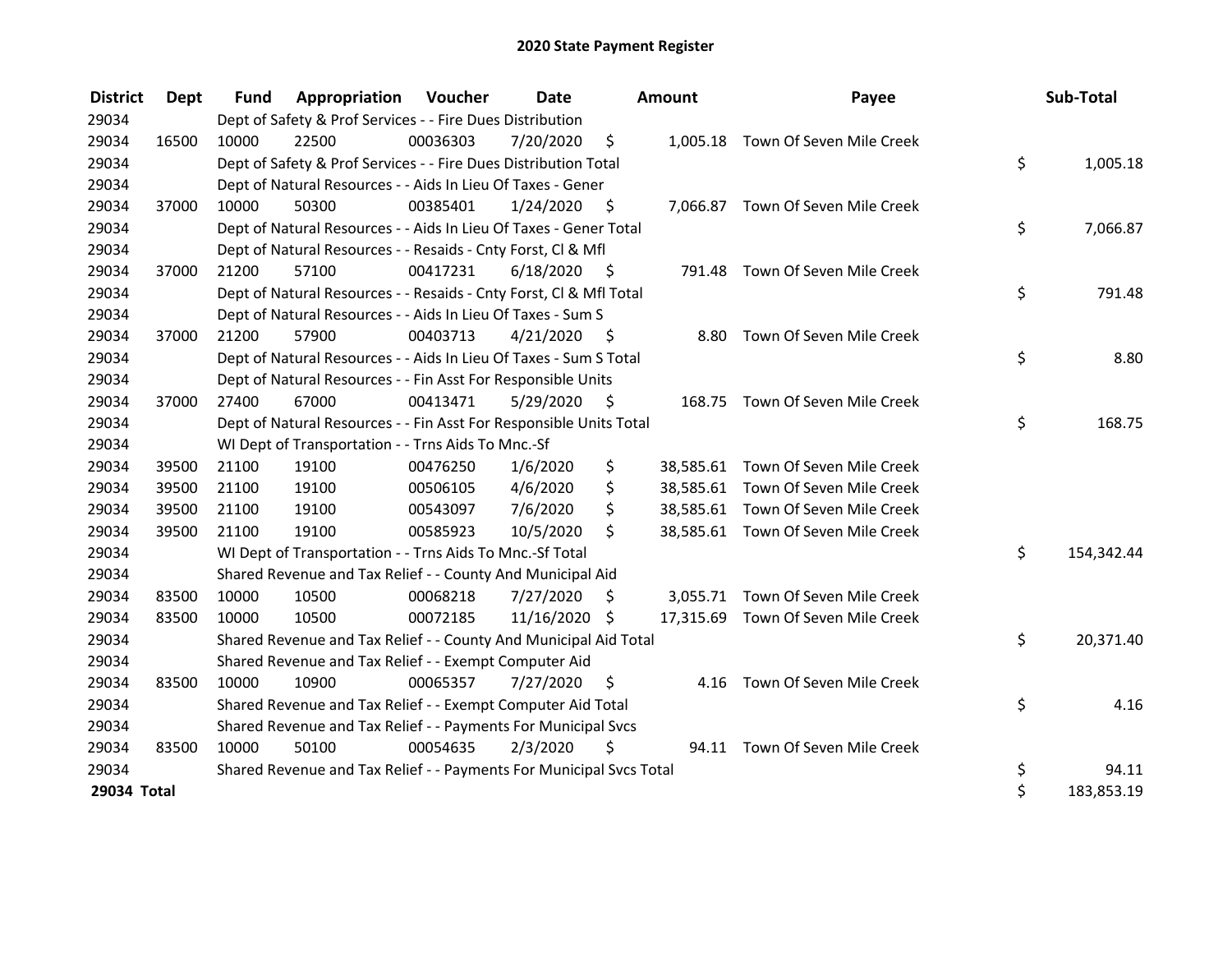| <b>District</b> | Dept  | <b>Fund</b> | <b>Appropriation Voucher</b>                                        |          | Date          |      | <b>Amount</b> | Payee                              | Sub-Total        |
|-----------------|-------|-------------|---------------------------------------------------------------------|----------|---------------|------|---------------|------------------------------------|------------------|
| 29034           |       |             | Dept of Safety & Prof Services - - Fire Dues Distribution           |          |               |      |               |                                    |                  |
| 29034           | 16500 | 10000       | 22500                                                               | 00036303 | 7/20/2020     | \$   |               | 1,005.18 Town Of Seven Mile Creek  |                  |
| 29034           |       |             | Dept of Safety & Prof Services - - Fire Dues Distribution Total     |          |               |      |               |                                    | \$<br>1,005.18   |
| 29034           |       |             | Dept of Natural Resources - - Aids In Lieu Of Taxes - Gener         |          |               |      |               |                                    |                  |
| 29034           | 37000 | 10000       | 50300                                                               | 00385401 | 1/24/2020     | \$   |               | 7,066.87 Town Of Seven Mile Creek  |                  |
| 29034           |       |             | Dept of Natural Resources - - Aids In Lieu Of Taxes - Gener Total   |          |               |      |               |                                    | \$<br>7,066.87   |
| 29034           |       |             | Dept of Natural Resources - - Resaids - Cnty Forst, CI & Mfl        |          |               |      |               |                                    |                  |
| 29034           | 37000 | 21200       | 57100                                                               | 00417231 | 6/18/2020     | - \$ |               | 791.48 Town Of Seven Mile Creek    |                  |
| 29034           |       |             | Dept of Natural Resources - - Resaids - Cnty Forst, Cl & Mfl Total  |          |               |      |               |                                    | \$<br>791.48     |
| 29034           |       |             | Dept of Natural Resources - - Aids In Lieu Of Taxes - Sum S         |          |               |      |               |                                    |                  |
| 29034           | 37000 | 21200       | 57900                                                               | 00403713 | 4/21/2020     | - \$ | 8.80          | Town Of Seven Mile Creek           |                  |
| 29034           |       |             | Dept of Natural Resources - - Aids In Lieu Of Taxes - Sum S Total   |          |               |      |               |                                    | \$<br>8.80       |
| 29034           |       |             | Dept of Natural Resources - - Fin Asst For Responsible Units        |          |               |      |               |                                    |                  |
| 29034           | 37000 | 27400       | 67000                                                               | 00413471 | 5/29/2020     | - \$ |               | 168.75 Town Of Seven Mile Creek    |                  |
| 29034           |       |             | Dept of Natural Resources - - Fin Asst For Responsible Units Total  |          |               |      |               |                                    | \$<br>168.75     |
| 29034           |       |             | WI Dept of Transportation - - Trns Aids To Mnc.-Sf                  |          |               |      |               |                                    |                  |
| 29034           | 39500 | 21100       | 19100                                                               | 00476250 | 1/6/2020      | \$   |               | 38,585.61 Town Of Seven Mile Creek |                  |
| 29034           | 39500 | 21100       | 19100                                                               | 00506105 | 4/6/2020      | \$   |               | 38,585.61 Town Of Seven Mile Creek |                  |
| 29034           | 39500 | 21100       | 19100                                                               | 00543097 | 7/6/2020      | \$   |               | 38,585.61 Town Of Seven Mile Creek |                  |
| 29034           | 39500 | 21100       | 19100                                                               | 00585923 | 10/5/2020     | \$   |               | 38,585.61 Town Of Seven Mile Creek |                  |
| 29034           |       |             | WI Dept of Transportation - - Trns Aids To Mnc.-Sf Total            |          |               |      |               |                                    | \$<br>154,342.44 |
| 29034           |       |             | Shared Revenue and Tax Relief - - County And Municipal Aid          |          |               |      |               |                                    |                  |
| 29034           | 83500 | 10000       | 10500                                                               | 00068218 | 7/27/2020     | \$.  |               | 3,055.71 Town Of Seven Mile Creek  |                  |
| 29034           | 83500 | 10000       | 10500                                                               | 00072185 | 11/16/2020 \$ |      |               | 17,315.69 Town Of Seven Mile Creek |                  |
| 29034           |       |             | Shared Revenue and Tax Relief - - County And Municipal Aid Total    |          |               |      |               |                                    | \$<br>20,371.40  |
| 29034           |       |             | Shared Revenue and Tax Relief - - Exempt Computer Aid               |          |               |      |               |                                    |                  |
| 29034           | 83500 | 10000       | 10900                                                               | 00065357 | 7/27/2020     | \$   | 4.16          | Town Of Seven Mile Creek           |                  |
| 29034           |       |             | Shared Revenue and Tax Relief - - Exempt Computer Aid Total         |          |               |      |               |                                    | \$<br>4.16       |
| 29034           |       |             | Shared Revenue and Tax Relief - - Payments For Municipal Svcs       |          |               |      |               |                                    |                  |
| 29034           | 83500 | 10000       | 50100                                                               | 00054635 | 2/3/2020      | Ś.   |               | 94.11 Town Of Seven Mile Creek     |                  |
| 29034           |       |             | Shared Revenue and Tax Relief - - Payments For Municipal Svcs Total |          |               |      |               |                                    | \$<br>94.11      |
| 29034 Total     |       |             |                                                                     |          |               |      |               |                                    | \$<br>183,853.19 |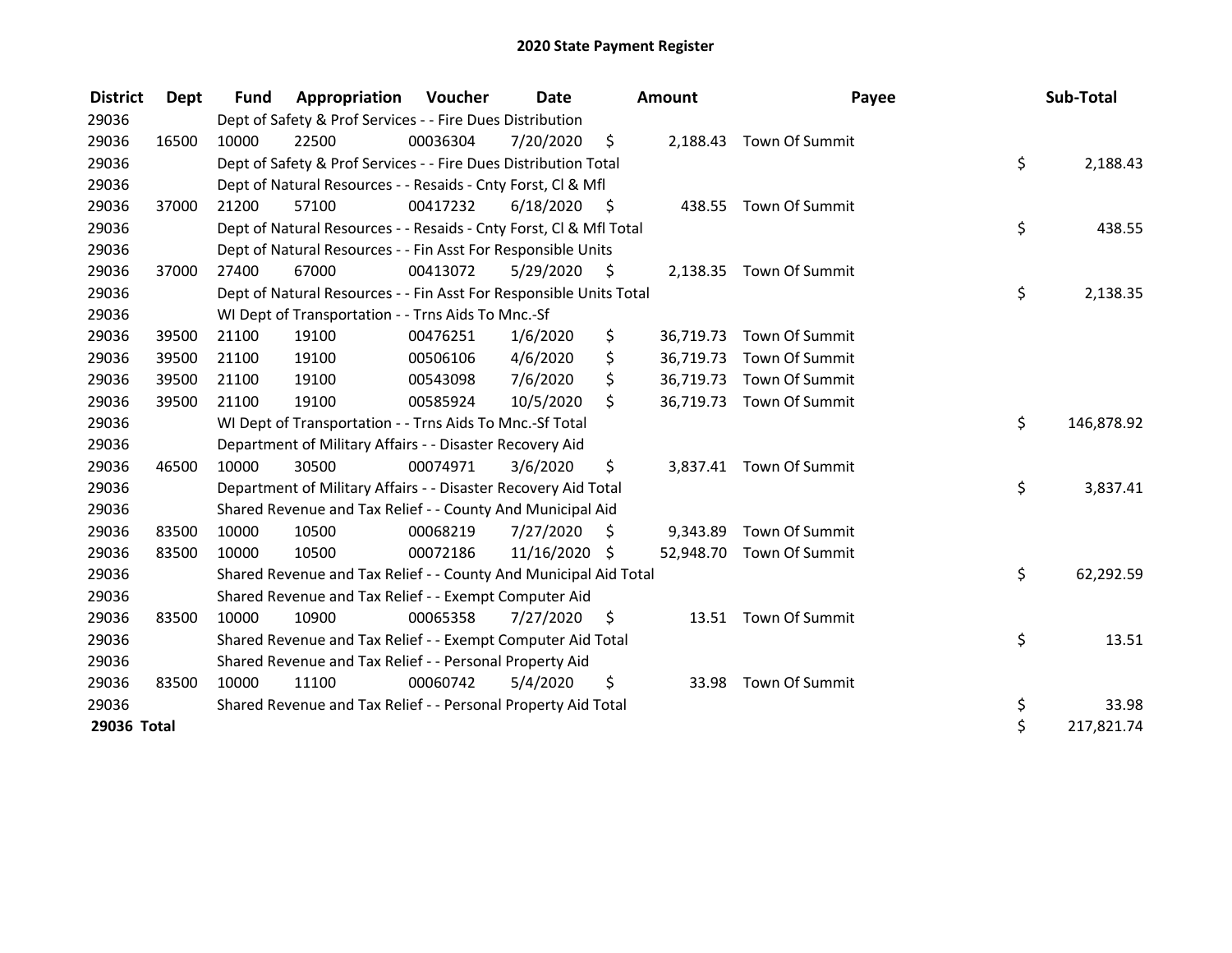| <b>District</b> | Dept  | <b>Fund</b> | Appropriation                                                      | Voucher  | <b>Date</b>   |      | <b>Amount</b> | Payee                    | Sub-Total        |
|-----------------|-------|-------------|--------------------------------------------------------------------|----------|---------------|------|---------------|--------------------------|------------------|
| 29036           |       |             | Dept of Safety & Prof Services - - Fire Dues Distribution          |          |               |      |               |                          |                  |
| 29036           | 16500 | 10000       | 22500                                                              | 00036304 | 7/20/2020     | \$   | 2,188.43      | Town Of Summit           |                  |
| 29036           |       |             | Dept of Safety & Prof Services - - Fire Dues Distribution Total    |          |               |      |               |                          | \$<br>2,188.43   |
| 29036           |       |             | Dept of Natural Resources - - Resaids - Cnty Forst, CI & Mfl       |          |               |      |               |                          |                  |
| 29036           | 37000 | 21200       | 57100                                                              | 00417232 | 6/18/2020     | - \$ |               | 438.55 Town Of Summit    |                  |
| 29036           |       |             | Dept of Natural Resources - - Resaids - Cnty Forst, Cl & Mfl Total |          |               |      |               |                          | \$<br>438.55     |
| 29036           |       |             | Dept of Natural Resources - - Fin Asst For Responsible Units       |          |               |      |               |                          |                  |
| 29036           | 37000 | 27400       | 67000                                                              | 00413072 | 5/29/2020     | \$.  |               | 2,138.35 Town Of Summit  |                  |
| 29036           |       |             | Dept of Natural Resources - - Fin Asst For Responsible Units Total |          |               |      |               |                          | \$<br>2,138.35   |
| 29036           |       |             | WI Dept of Transportation - - Trns Aids To Mnc.-Sf                 |          |               |      |               |                          |                  |
| 29036           | 39500 | 21100       | 19100                                                              | 00476251 | 1/6/2020      | \$   | 36,719.73     | Town Of Summit           |                  |
| 29036           | 39500 | 21100       | 19100                                                              | 00506106 | 4/6/2020      | \$   | 36,719.73     | Town Of Summit           |                  |
| 29036           | 39500 | 21100       | 19100                                                              | 00543098 | 7/6/2020      | \$   | 36,719.73     | Town Of Summit           |                  |
| 29036           | 39500 | 21100       | 19100                                                              | 00585924 | 10/5/2020     | \$   | 36,719.73     | Town Of Summit           |                  |
| 29036           |       |             | WI Dept of Transportation - - Trns Aids To Mnc.-Sf Total           |          |               |      |               |                          | \$<br>146,878.92 |
| 29036           |       |             | Department of Military Affairs - - Disaster Recovery Aid           |          |               |      |               |                          |                  |
| 29036           | 46500 | 10000       | 30500                                                              | 00074971 | 3/6/2020      | \$   |               | 3,837.41 Town Of Summit  |                  |
| 29036           |       |             | Department of Military Affairs - - Disaster Recovery Aid Total     |          |               |      |               |                          | \$<br>3,837.41   |
| 29036           |       |             | Shared Revenue and Tax Relief - - County And Municipal Aid         |          |               |      |               |                          |                  |
| 29036           | 83500 | 10000       | 10500                                                              | 00068219 | 7/27/2020     | S    | 9,343.89      | Town Of Summit           |                  |
| 29036           | 83500 | 10000       | 10500                                                              | 00072186 | 11/16/2020 \$ |      |               | 52,948.70 Town Of Summit |                  |
| 29036           |       |             | Shared Revenue and Tax Relief - - County And Municipal Aid Total   |          |               |      |               |                          | \$<br>62,292.59  |
| 29036           |       |             | Shared Revenue and Tax Relief - - Exempt Computer Aid              |          |               |      |               |                          |                  |
| 29036           | 83500 | 10000       | 10900                                                              | 00065358 | 7/27/2020     | \$   | 13.51         | Town Of Summit           |                  |
| 29036           |       |             | Shared Revenue and Tax Relief - - Exempt Computer Aid Total        |          |               |      |               |                          | \$<br>13.51      |
| 29036           |       |             | Shared Revenue and Tax Relief - - Personal Property Aid            |          |               |      |               |                          |                  |
| 29036           | 83500 | 10000       | 11100                                                              | 00060742 | 5/4/2020      | \$   | 33.98         | Town Of Summit           |                  |
| 29036           |       |             | Shared Revenue and Tax Relief - - Personal Property Aid Total      |          |               |      |               |                          | \$<br>33.98      |
| 29036 Total     |       |             |                                                                    |          |               |      |               |                          | \$<br>217,821.74 |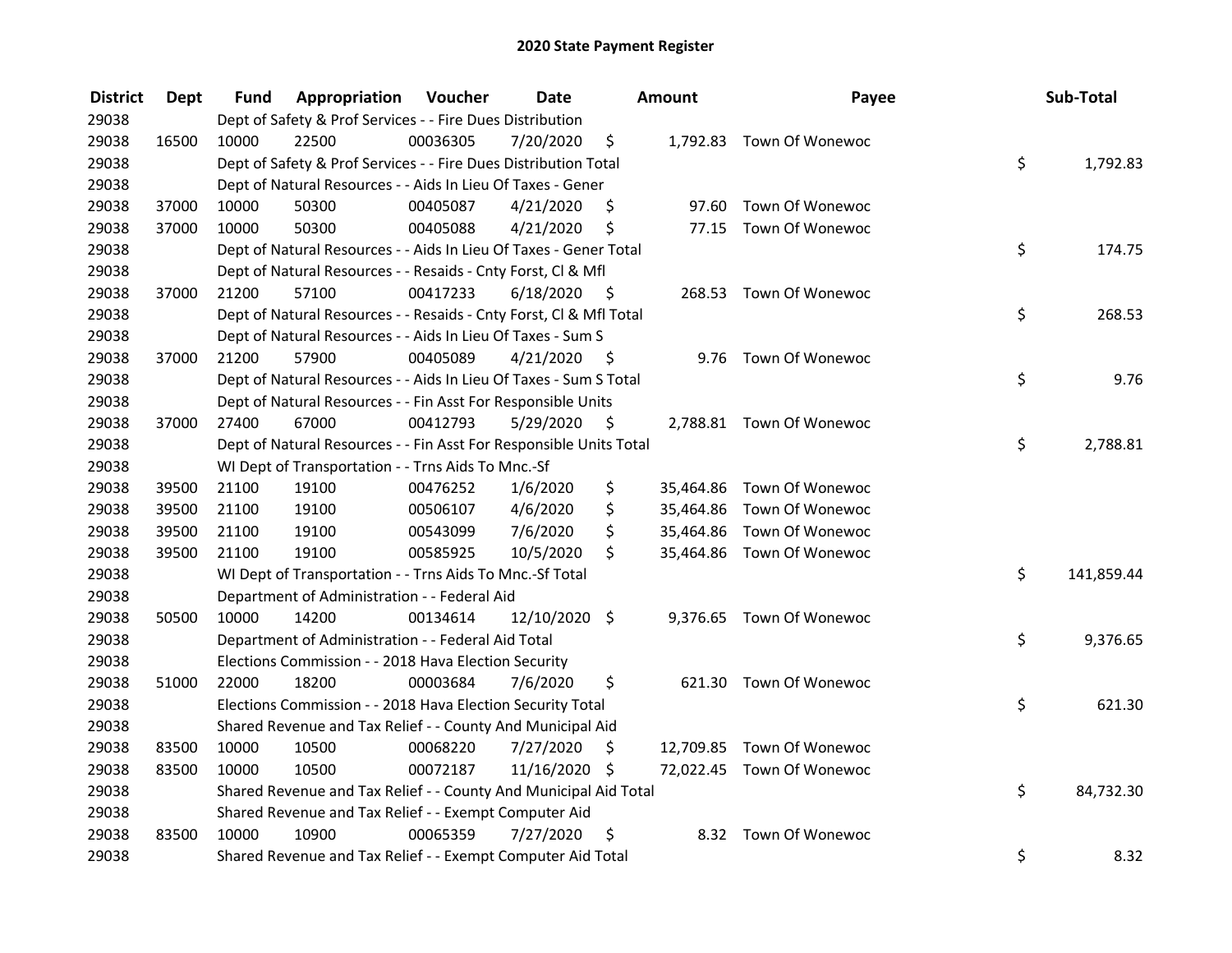| <b>District</b> | Dept  | Fund  | Appropriation                                                      | Voucher  | <b>Date</b>     |      | Amount | Payee                     | Sub-Total        |
|-----------------|-------|-------|--------------------------------------------------------------------|----------|-----------------|------|--------|---------------------------|------------------|
| 29038           |       |       | Dept of Safety & Prof Services - - Fire Dues Distribution          |          |                 |      |        |                           |                  |
| 29038           | 16500 | 10000 | 22500                                                              | 00036305 | 7/20/2020       | \$   |        | 1,792.83 Town Of Wonewoc  |                  |
| 29038           |       |       | Dept of Safety & Prof Services - - Fire Dues Distribution Total    |          |                 |      |        |                           | \$<br>1,792.83   |
| 29038           |       |       | Dept of Natural Resources - - Aids In Lieu Of Taxes - Gener        |          |                 |      |        |                           |                  |
| 29038           | 37000 | 10000 | 50300                                                              | 00405087 | 4/21/2020       | \$   | 97.60  | Town Of Wonewoc           |                  |
| 29038           | 37000 | 10000 | 50300                                                              | 00405088 | 4/21/2020       | \$   |        | 77.15 Town Of Wonewoc     |                  |
| 29038           |       |       | Dept of Natural Resources - - Aids In Lieu Of Taxes - Gener Total  |          |                 |      |        |                           | \$<br>174.75     |
| 29038           |       |       | Dept of Natural Resources - - Resaids - Cnty Forst, Cl & Mfl       |          |                 |      |        |                           |                  |
| 29038           | 37000 | 21200 | 57100                                                              | 00417233 | 6/18/2020       | - \$ |        | 268.53 Town Of Wonewoc    |                  |
| 29038           |       |       | Dept of Natural Resources - - Resaids - Cnty Forst, Cl & Mfl Total |          |                 |      |        |                           | \$<br>268.53     |
| 29038           |       |       | Dept of Natural Resources - - Aids In Lieu Of Taxes - Sum S        |          |                 |      |        |                           |                  |
| 29038           | 37000 | 21200 | 57900                                                              | 00405089 | 4/21/2020       | - \$ |        | 9.76 Town Of Wonewoc      |                  |
| 29038           |       |       | Dept of Natural Resources - - Aids In Lieu Of Taxes - Sum S Total  |          |                 |      |        |                           | \$<br>9.76       |
| 29038           |       |       | Dept of Natural Resources - - Fin Asst For Responsible Units       |          |                 |      |        |                           |                  |
| 29038           | 37000 | 27400 | 67000                                                              | 00412793 | 5/29/2020       | \$   |        | 2,788.81 Town Of Wonewoc  |                  |
| 29038           |       |       | Dept of Natural Resources - - Fin Asst For Responsible Units Total |          |                 |      |        |                           | \$<br>2,788.81   |
| 29038           |       |       | WI Dept of Transportation - - Trns Aids To Mnc.-Sf                 |          |                 |      |        |                           |                  |
| 29038           | 39500 | 21100 | 19100                                                              | 00476252 | 1/6/2020        | \$   |        | 35,464.86 Town Of Wonewoc |                  |
| 29038           | 39500 | 21100 | 19100                                                              | 00506107 | 4/6/2020        | \$   |        | 35,464.86 Town Of Wonewoc |                  |
| 29038           | 39500 | 21100 | 19100                                                              | 00543099 | 7/6/2020        | \$   |        | 35,464.86 Town Of Wonewoc |                  |
| 29038           | 39500 | 21100 | 19100                                                              | 00585925 | 10/5/2020       | \$   |        | 35,464.86 Town Of Wonewoc |                  |
| 29038           |       |       | WI Dept of Transportation - - Trns Aids To Mnc.-Sf Total           |          |                 |      |        |                           | \$<br>141,859.44 |
| 29038           |       |       | Department of Administration - - Federal Aid                       |          |                 |      |        |                           |                  |
| 29038           | 50500 | 10000 | 14200                                                              | 00134614 | $12/10/2020$ \$ |      |        | 9,376.65 Town Of Wonewoc  |                  |
| 29038           |       |       | Department of Administration - - Federal Aid Total                 |          |                 |      |        |                           | \$<br>9,376.65   |
| 29038           |       |       | Elections Commission - - 2018 Hava Election Security               |          |                 |      |        |                           |                  |
| 29038           | 51000 | 22000 | 18200                                                              | 00003684 | 7/6/2020        | \$   |        | 621.30 Town Of Wonewoc    |                  |
| 29038           |       |       | Elections Commission - - 2018 Hava Election Security Total         |          |                 |      |        |                           | \$<br>621.30     |
| 29038           |       |       | Shared Revenue and Tax Relief - - County And Municipal Aid         |          |                 |      |        |                           |                  |
| 29038           | 83500 | 10000 | 10500                                                              | 00068220 | 7/27/2020       | \$   |        | 12,709.85 Town Of Wonewoc |                  |
| 29038           | 83500 | 10000 | 10500                                                              | 00072187 | 11/16/2020 \$   |      |        | 72,022.45 Town Of Wonewoc |                  |
| 29038           |       |       | Shared Revenue and Tax Relief - - County And Municipal Aid Total   |          |                 |      |        |                           | \$<br>84,732.30  |
| 29038           |       |       | Shared Revenue and Tax Relief - - Exempt Computer Aid              |          |                 |      |        |                           |                  |
| 29038           | 83500 | 10000 | 10900                                                              | 00065359 | 7/27/2020       | \$   |        | 8.32 Town Of Wonewoc      |                  |
| 29038           |       |       | Shared Revenue and Tax Relief - - Exempt Computer Aid Total        |          |                 |      |        |                           | \$<br>8.32       |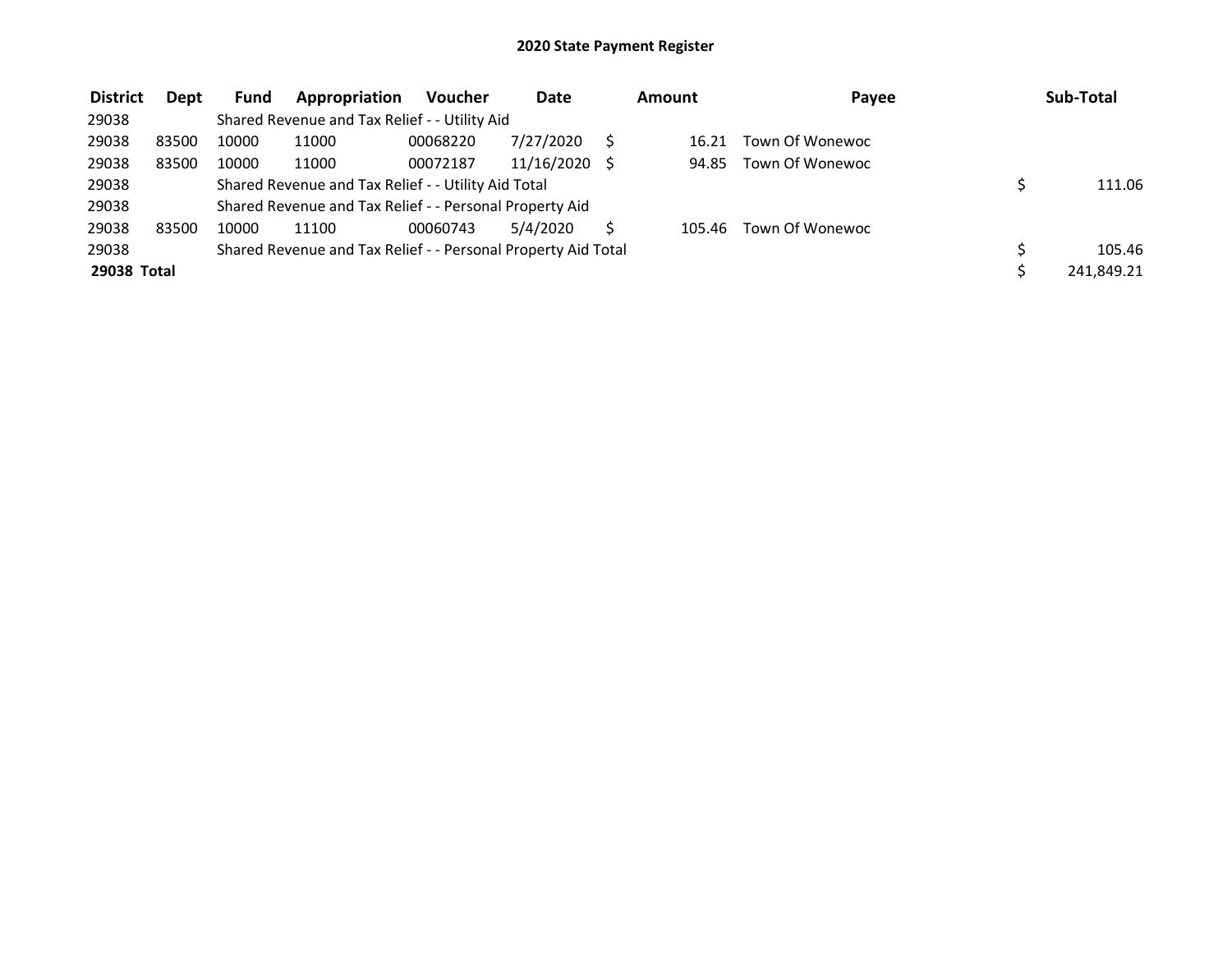| <b>District</b> | Dept  | <b>Fund</b> | Appropriation                                                 | <b>Voucher</b> | <b>Date</b> | Amount | Payee           | Sub-Total  |
|-----------------|-------|-------------|---------------------------------------------------------------|----------------|-------------|--------|-----------------|------------|
| 29038           |       |             | Shared Revenue and Tax Relief - - Utility Aid                 |                |             |        |                 |            |
| 29038           | 83500 | 10000       | 11000                                                         | 00068220       | 7/27/2020   | 16.21  | Town Of Wonewoc |            |
| 29038           | 83500 | 10000       | 11000                                                         | 00072187       | 11/16/2020  | 94.85  | Town Of Wonewoc |            |
| 29038           |       |             | Shared Revenue and Tax Relief - - Utility Aid Total           |                |             |        |                 | 111.06     |
| 29038           |       |             | Shared Revenue and Tax Relief - - Personal Property Aid       |                |             |        |                 |            |
| 29038           | 83500 | 10000       | 11100                                                         | 00060743       | 5/4/2020    | 105.46 | Town Of Wonewoc |            |
| 29038           |       |             | Shared Revenue and Tax Relief - - Personal Property Aid Total |                |             |        |                 | 105.46     |
| 29038 Total     |       |             |                                                               |                |             |        |                 | 241,849.21 |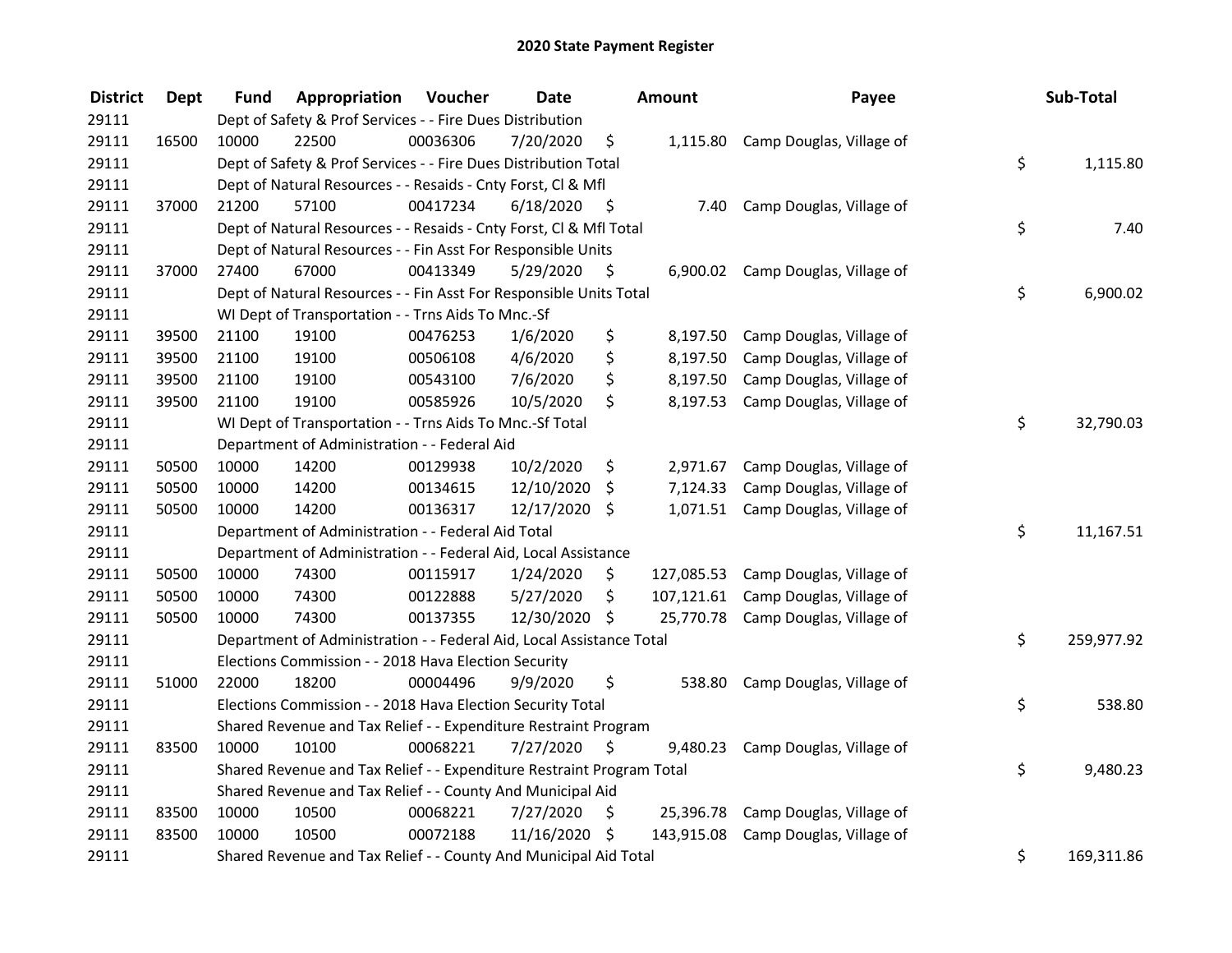| <b>District</b> | <b>Dept</b> | <b>Fund</b> | Appropriation                                                         | Voucher  | <b>Date</b>   |      | Amount     | Payee                               | Sub-Total        |
|-----------------|-------------|-------------|-----------------------------------------------------------------------|----------|---------------|------|------------|-------------------------------------|------------------|
| 29111           |             |             | Dept of Safety & Prof Services - - Fire Dues Distribution             |          |               |      |            |                                     |                  |
| 29111           | 16500       | 10000       | 22500                                                                 | 00036306 | 7/20/2020     | \$   |            | 1,115.80 Camp Douglas, Village of   |                  |
| 29111           |             |             | Dept of Safety & Prof Services - - Fire Dues Distribution Total       |          |               |      |            |                                     | \$<br>1,115.80   |
| 29111           |             |             | Dept of Natural Resources - - Resaids - Cnty Forst, Cl & Mfl          |          |               |      |            |                                     |                  |
| 29111           | 37000       | 21200       | 57100                                                                 | 00417234 | 6/18/2020     | - \$ | 7.40       | Camp Douglas, Village of            |                  |
| 29111           |             |             | Dept of Natural Resources - - Resaids - Cnty Forst, CI & Mfl Total    |          |               |      |            |                                     | \$<br>7.40       |
| 29111           |             |             | Dept of Natural Resources - - Fin Asst For Responsible Units          |          |               |      |            |                                     |                  |
| 29111           | 37000       | 27400       | 67000                                                                 | 00413349 | 5/29/2020     | - \$ |            | 6,900.02 Camp Douglas, Village of   |                  |
| 29111           |             |             | Dept of Natural Resources - - Fin Asst For Responsible Units Total    |          |               |      |            |                                     | \$<br>6,900.02   |
| 29111           |             |             | WI Dept of Transportation - - Trns Aids To Mnc.-Sf                    |          |               |      |            |                                     |                  |
| 29111           | 39500       | 21100       | 19100                                                                 | 00476253 | 1/6/2020      | \$   | 8,197.50   | Camp Douglas, Village of            |                  |
| 29111           | 39500       | 21100       | 19100                                                                 | 00506108 | 4/6/2020      | \$   | 8,197.50   | Camp Douglas, Village of            |                  |
| 29111           | 39500       | 21100       | 19100                                                                 | 00543100 | 7/6/2020      | \$   | 8,197.50   | Camp Douglas, Village of            |                  |
| 29111           | 39500       | 21100       | 19100                                                                 | 00585926 | 10/5/2020     | \$   | 8,197.53   | Camp Douglas, Village of            |                  |
| 29111           |             |             | WI Dept of Transportation - - Trns Aids To Mnc.-Sf Total              |          |               |      |            |                                     | \$<br>32,790.03  |
| 29111           |             |             | Department of Administration - - Federal Aid                          |          |               |      |            |                                     |                  |
| 29111           | 50500       | 10000       | 14200                                                                 | 00129938 | 10/2/2020     | \$   | 2,971.67   | Camp Douglas, Village of            |                  |
| 29111           | 50500       | 10000       | 14200                                                                 | 00134615 | 12/10/2020    | \$   | 7,124.33   | Camp Douglas, Village of            |                  |
| 29111           | 50500       | 10000       | 14200                                                                 | 00136317 | 12/17/2020 \$ |      | 1,071.51   | Camp Douglas, Village of            |                  |
| 29111           |             |             | Department of Administration - - Federal Aid Total                    |          |               |      |            |                                     | \$<br>11,167.51  |
| 29111           |             |             | Department of Administration - - Federal Aid, Local Assistance        |          |               |      |            |                                     |                  |
| 29111           | 50500       | 10000       | 74300                                                                 | 00115917 | 1/24/2020     | \$   | 127,085.53 | Camp Douglas, Village of            |                  |
| 29111           | 50500       | 10000       | 74300                                                                 | 00122888 | 5/27/2020     | \$   |            | 107,121.61 Camp Douglas, Village of |                  |
| 29111           | 50500       | 10000       | 74300                                                                 | 00137355 | 12/30/2020 \$ |      | 25,770.78  | Camp Douglas, Village of            |                  |
| 29111           |             |             | Department of Administration - - Federal Aid, Local Assistance Total  |          |               |      |            |                                     | \$<br>259,977.92 |
| 29111           |             |             | Elections Commission - - 2018 Hava Election Security                  |          |               |      |            |                                     |                  |
| 29111           | 51000       | 22000       | 18200                                                                 | 00004496 | 9/9/2020      | \$   | 538.80     | Camp Douglas, Village of            |                  |
| 29111           |             |             | Elections Commission - - 2018 Hava Election Security Total            |          |               |      |            |                                     | \$<br>538.80     |
| 29111           |             |             | Shared Revenue and Tax Relief - - Expenditure Restraint Program       |          |               |      |            |                                     |                  |
| 29111           | 83500       | 10000       | 10100                                                                 | 00068221 | 7/27/2020     | \$   | 9,480.23   | Camp Douglas, Village of            |                  |
| 29111           |             |             | Shared Revenue and Tax Relief - - Expenditure Restraint Program Total |          |               |      |            |                                     | \$<br>9,480.23   |
| 29111           |             |             | Shared Revenue and Tax Relief - - County And Municipal Aid            |          |               |      |            |                                     |                  |
| 29111           | 83500       | 10000       | 10500                                                                 | 00068221 | 7/27/2020     | \$   | 25,396.78  | Camp Douglas, Village of            |                  |
| 29111           | 83500       | 10000       | 10500                                                                 | 00072188 | 11/16/2020    | \$   | 143,915.08 | Camp Douglas, Village of            |                  |
| 29111           |             |             | Shared Revenue and Tax Relief - - County And Municipal Aid Total      |          |               |      |            |                                     | \$<br>169,311.86 |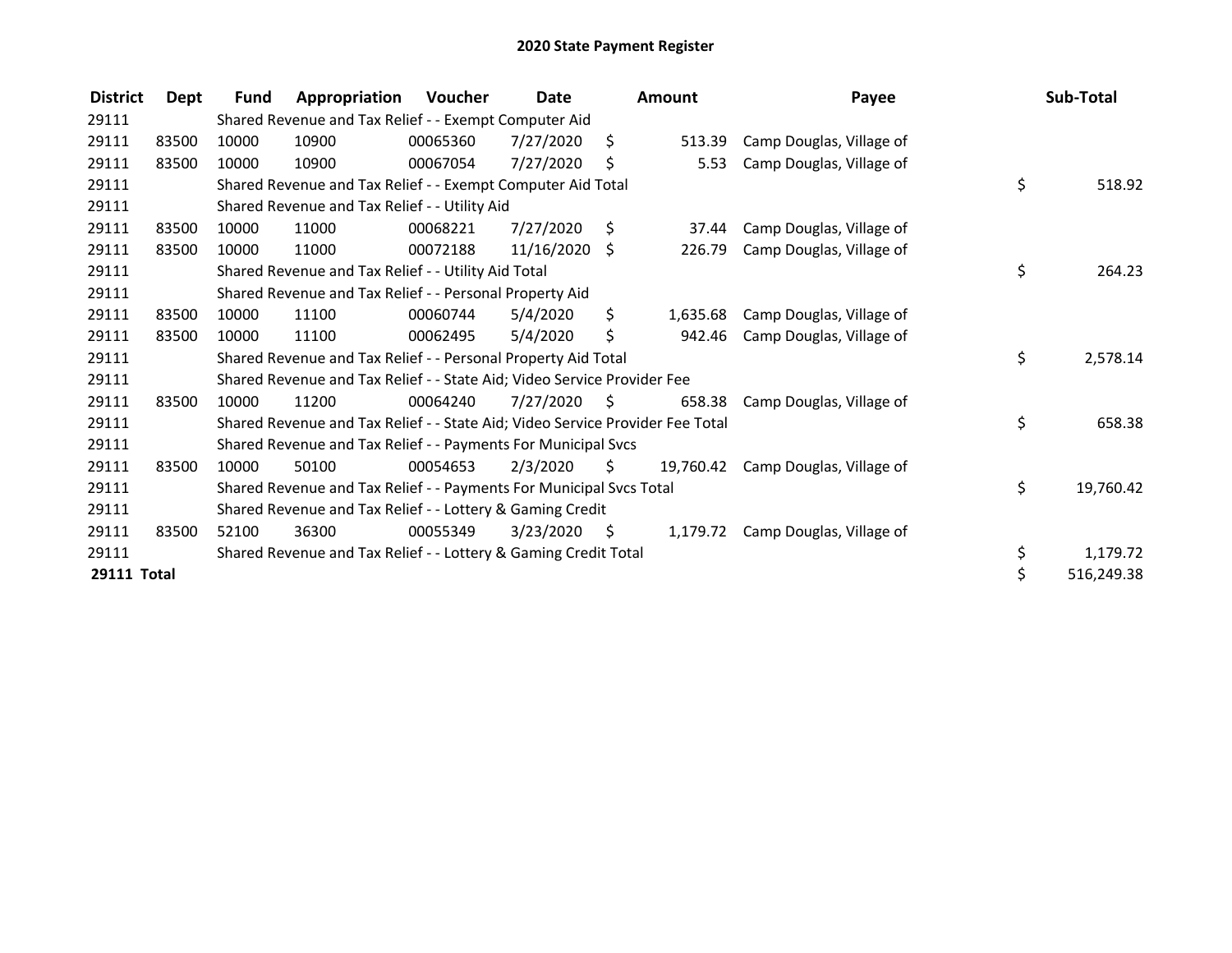| <b>District</b> | Dept  | <b>Fund</b> | Appropriation                                                                 | Voucher  | Date            |      | <b>Amount</b> | Payee                    | Sub-Total        |
|-----------------|-------|-------------|-------------------------------------------------------------------------------|----------|-----------------|------|---------------|--------------------------|------------------|
| 29111           |       |             | Shared Revenue and Tax Relief - - Exempt Computer Aid                         |          |                 |      |               |                          |                  |
| 29111           | 83500 | 10000       | 10900                                                                         | 00065360 | 7/27/2020       | Ŝ.   | 513.39        | Camp Douglas, Village of |                  |
| 29111           | 83500 | 10000       | 10900                                                                         | 00067054 | 7/27/2020       | \$   | 5.53          | Camp Douglas, Village of |                  |
| 29111           |       |             | Shared Revenue and Tax Relief - - Exempt Computer Aid Total                   |          |                 |      |               |                          | \$<br>518.92     |
| 29111           |       |             | Shared Revenue and Tax Relief - - Utility Aid                                 |          |                 |      |               |                          |                  |
| 29111           | 83500 | 10000       | 11000                                                                         | 00068221 | 7/27/2020       | S.   | 37.44         | Camp Douglas, Village of |                  |
| 29111           | 83500 | 10000       | 11000                                                                         | 00072188 | $11/16/2020$ \$ |      | 226.79        | Camp Douglas, Village of |                  |
| 29111           |       |             | Shared Revenue and Tax Relief - - Utility Aid Total                           |          |                 |      |               |                          | \$<br>264.23     |
| 29111           |       |             | Shared Revenue and Tax Relief - - Personal Property Aid                       |          |                 |      |               |                          |                  |
| 29111           | 83500 | 10000       | 11100                                                                         | 00060744 | 5/4/2020        | \$.  | 1,635.68      | Camp Douglas, Village of |                  |
| 29111           | 83500 | 10000       | 11100                                                                         | 00062495 | 5/4/2020        | \$   | 942.46        | Camp Douglas, Village of |                  |
| 29111           |       |             | Shared Revenue and Tax Relief - - Personal Property Aid Total                 |          |                 |      |               |                          | \$<br>2,578.14   |
| 29111           |       |             | Shared Revenue and Tax Relief - - State Aid; Video Service Provider Fee       |          |                 |      |               |                          |                  |
| 29111           | 83500 | 10000       | 11200                                                                         | 00064240 | 7/27/2020       | - S  | 658.38        | Camp Douglas, Village of |                  |
| 29111           |       |             | Shared Revenue and Tax Relief - - State Aid; Video Service Provider Fee Total |          |                 |      |               |                          | \$<br>658.38     |
| 29111           |       |             | Shared Revenue and Tax Relief - - Payments For Municipal Svcs                 |          |                 |      |               |                          |                  |
| 29111           | 83500 | 10000       | 50100                                                                         | 00054653 | 2/3/2020        | \$.  | 19,760.42     | Camp Douglas, Village of |                  |
| 29111           |       |             | Shared Revenue and Tax Relief - - Payments For Municipal Svcs Total           |          |                 |      |               |                          | \$<br>19,760.42  |
| 29111           |       |             | Shared Revenue and Tax Relief - - Lottery & Gaming Credit                     |          |                 |      |               |                          |                  |
| 29111           | 83500 | 52100       | 36300                                                                         | 00055349 | 3/23/2020       | - \$ | 1,179.72      | Camp Douglas, Village of |                  |
| 29111           |       |             | Shared Revenue and Tax Relief - - Lottery & Gaming Credit Total               |          |                 |      |               |                          | \$<br>1,179.72   |
| 29111 Total     |       |             |                                                                               |          |                 |      |               |                          | \$<br>516,249.38 |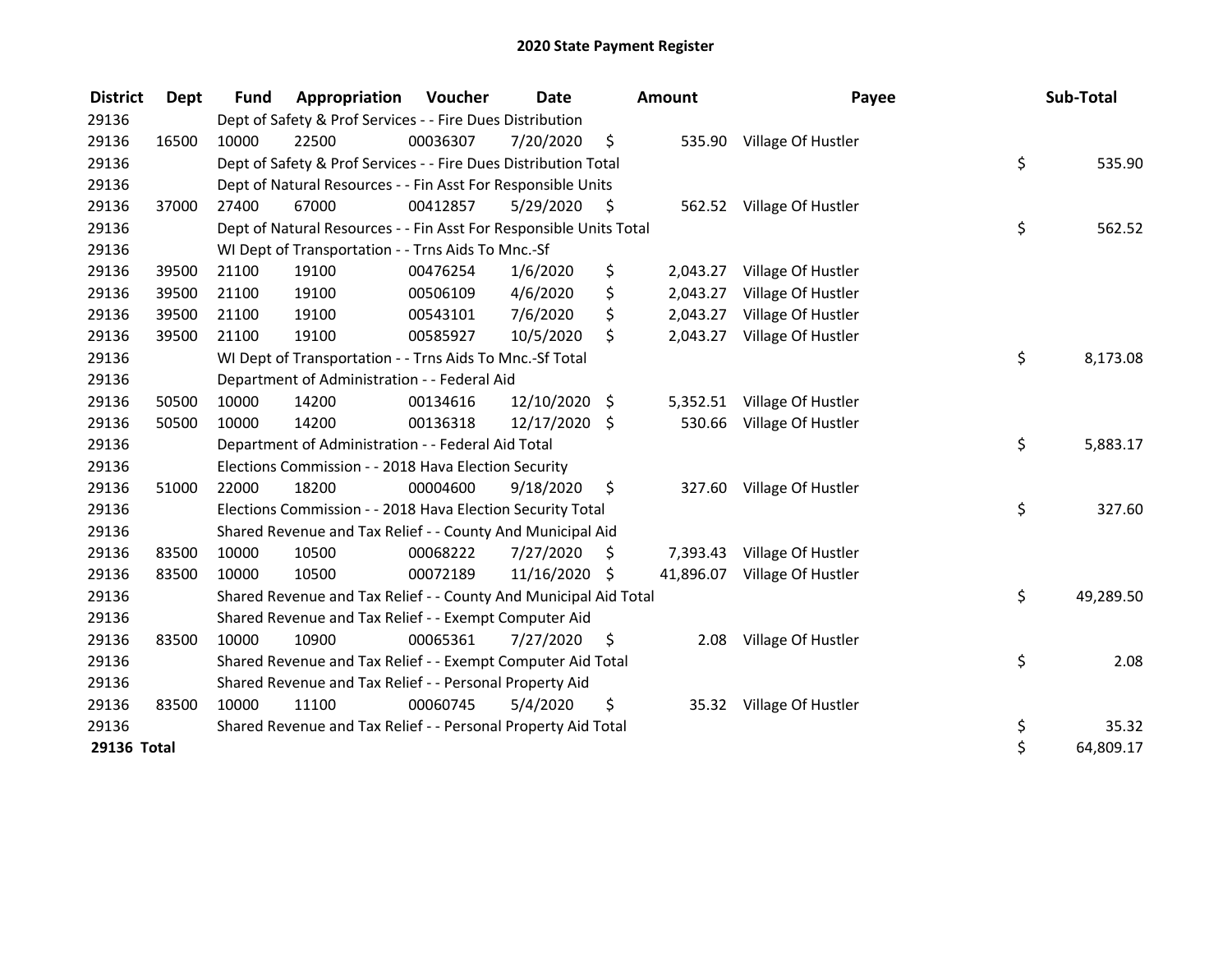| <b>District</b> | Dept  | <b>Fund</b> | Appropriation                                                      | Voucher  | <b>Date</b>   |      | <b>Amount</b> | Payee                     | Sub-Total       |
|-----------------|-------|-------------|--------------------------------------------------------------------|----------|---------------|------|---------------|---------------------------|-----------------|
| 29136           |       |             | Dept of Safety & Prof Services - - Fire Dues Distribution          |          |               |      |               |                           |                 |
| 29136           | 16500 | 10000       | 22500                                                              | 00036307 | 7/20/2020     | \$   |               | 535.90 Village Of Hustler |                 |
| 29136           |       |             | Dept of Safety & Prof Services - - Fire Dues Distribution Total    |          |               |      |               |                           | \$<br>535.90    |
| 29136           |       |             | Dept of Natural Resources - - Fin Asst For Responsible Units       |          |               |      |               |                           |                 |
| 29136           | 37000 | 27400       | 67000                                                              | 00412857 | 5/29/2020     | - \$ |               | 562.52 Village Of Hustler |                 |
| 29136           |       |             | Dept of Natural Resources - - Fin Asst For Responsible Units Total |          |               |      |               |                           | \$<br>562.52    |
| 29136           |       |             | WI Dept of Transportation - - Trns Aids To Mnc.-Sf                 |          |               |      |               |                           |                 |
| 29136           | 39500 | 21100       | 19100                                                              | 00476254 | 1/6/2020      | \$   | 2,043.27      | Village Of Hustler        |                 |
| 29136           | 39500 | 21100       | 19100                                                              | 00506109 | 4/6/2020      | \$   | 2,043.27      | Village Of Hustler        |                 |
| 29136           | 39500 | 21100       | 19100                                                              | 00543101 | 7/6/2020      | \$   | 2,043.27      | Village Of Hustler        |                 |
| 29136           | 39500 | 21100       | 19100                                                              | 00585927 | 10/5/2020     | \$   | 2,043.27      | Village Of Hustler        |                 |
| 29136           |       |             | WI Dept of Transportation - - Trns Aids To Mnc.-Sf Total           |          |               |      |               |                           | \$<br>8,173.08  |
| 29136           |       |             | Department of Administration - - Federal Aid                       |          |               |      |               |                           |                 |
| 29136           | 50500 | 10000       | 14200                                                              | 00134616 | 12/10/2020    | \$.  | 5,352.51      | Village Of Hustler        |                 |
| 29136           | 50500 | 10000       | 14200                                                              | 00136318 | 12/17/2020 \$ |      | 530.66        | Village Of Hustler        |                 |
| 29136           |       |             | Department of Administration - - Federal Aid Total                 |          |               |      |               |                           | \$<br>5,883.17  |
| 29136           |       |             | Elections Commission - - 2018 Hava Election Security               |          |               |      |               |                           |                 |
| 29136           | 51000 | 22000       | 18200                                                              | 00004600 | 9/18/2020     | \$   | 327.60        | Village Of Hustler        |                 |
| 29136           |       |             | Elections Commission - - 2018 Hava Election Security Total         |          |               |      |               |                           | \$<br>327.60    |
| 29136           |       |             | Shared Revenue and Tax Relief - - County And Municipal Aid         |          |               |      |               |                           |                 |
| 29136           | 83500 | 10000       | 10500                                                              | 00068222 | 7/27/2020     | \$   | 7,393.43      | Village Of Hustler        |                 |
| 29136           | 83500 | 10000       | 10500                                                              | 00072189 | 11/16/2020 \$ |      | 41,896.07     | Village Of Hustler        |                 |
| 29136           |       |             | Shared Revenue and Tax Relief - - County And Municipal Aid Total   |          |               |      |               |                           | \$<br>49,289.50 |
| 29136           |       |             | Shared Revenue and Tax Relief - - Exempt Computer Aid              |          |               |      |               |                           |                 |
| 29136           | 83500 | 10000       | 10900                                                              | 00065361 | 7/27/2020     | \$   | 2.08          | Village Of Hustler        |                 |
| 29136           |       |             | Shared Revenue and Tax Relief - - Exempt Computer Aid Total        |          |               |      |               |                           | \$<br>2.08      |
| 29136           |       |             | Shared Revenue and Tax Relief - - Personal Property Aid            |          |               |      |               |                           |                 |
| 29136           | 83500 | 10000       | 11100                                                              | 00060745 | 5/4/2020      | \$   |               | 35.32 Village Of Hustler  |                 |
| 29136           |       |             | Shared Revenue and Tax Relief - - Personal Property Aid Total      |          |               |      |               |                           | \$<br>35.32     |
| 29136 Total     |       |             |                                                                    |          |               |      |               |                           | \$<br>64,809.17 |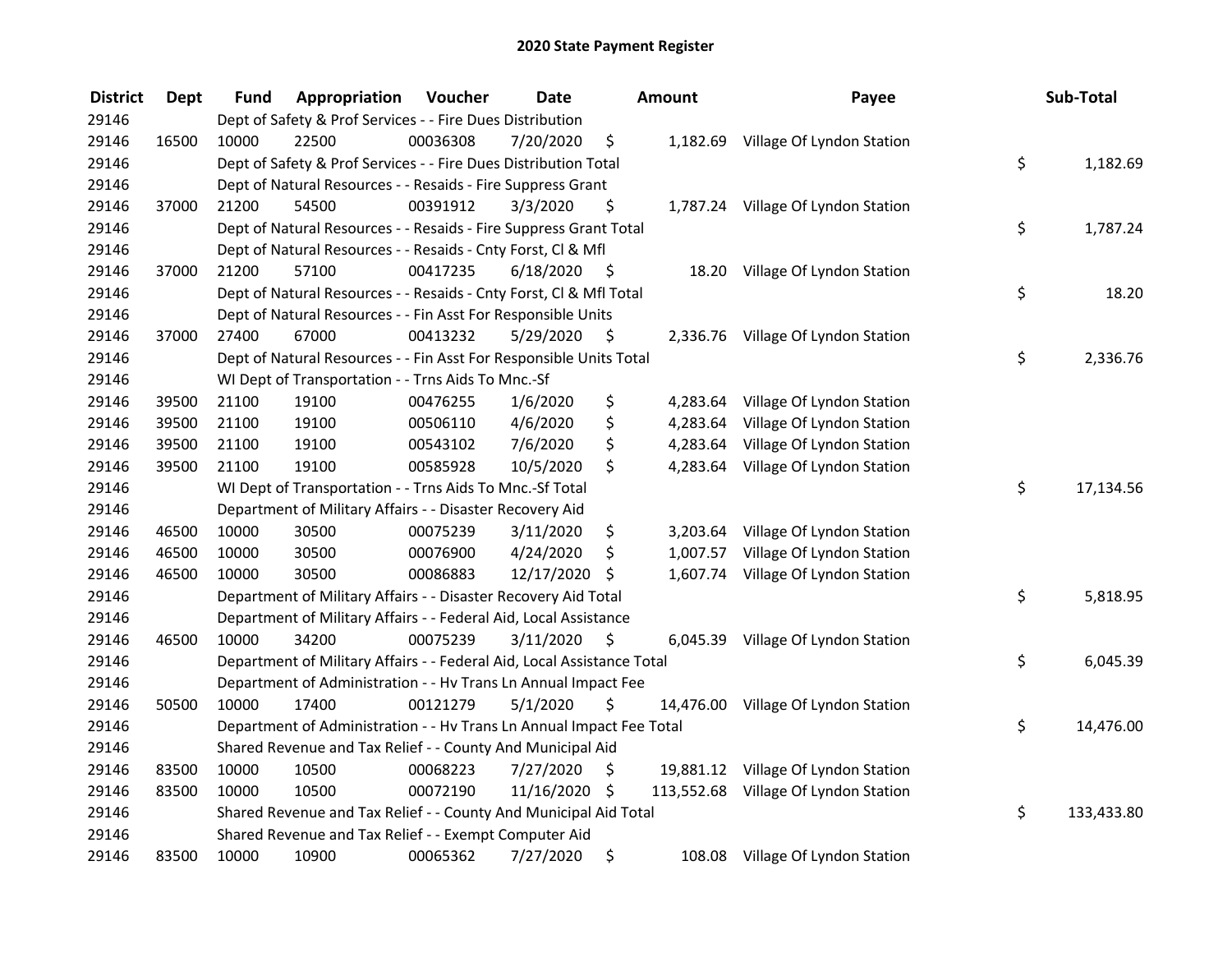| <b>District</b> | <b>Dept</b> | Fund  | Appropriation                                                          | Voucher  | <b>Date</b>   |      | <b>Amount</b> | Payee                                | Sub-Total        |
|-----------------|-------------|-------|------------------------------------------------------------------------|----------|---------------|------|---------------|--------------------------------------|------------------|
| 29146           |             |       | Dept of Safety & Prof Services - - Fire Dues Distribution              |          |               |      |               |                                      |                  |
| 29146           | 16500       | 10000 | 22500                                                                  | 00036308 | 7/20/2020     | \$   |               | 1,182.69 Village Of Lyndon Station   |                  |
| 29146           |             |       | Dept of Safety & Prof Services - - Fire Dues Distribution Total        |          |               |      |               |                                      | \$<br>1,182.69   |
| 29146           |             |       | Dept of Natural Resources - - Resaids - Fire Suppress Grant            |          |               |      |               |                                      |                  |
| 29146           | 37000       | 21200 | 54500                                                                  | 00391912 | 3/3/2020      | \$   |               | 1,787.24 Village Of Lyndon Station   |                  |
| 29146           |             |       | Dept of Natural Resources - - Resaids - Fire Suppress Grant Total      |          |               |      |               |                                      | \$<br>1,787.24   |
| 29146           |             |       | Dept of Natural Resources - - Resaids - Cnty Forst, Cl & Mfl           |          |               |      |               |                                      |                  |
| 29146           | 37000       | 21200 | 57100                                                                  | 00417235 | 6/18/2020     | - \$ |               | 18.20 Village Of Lyndon Station      |                  |
| 29146           |             |       | Dept of Natural Resources - - Resaids - Cnty Forst, Cl & Mfl Total     |          |               |      |               |                                      | \$<br>18.20      |
| 29146           |             |       | Dept of Natural Resources - - Fin Asst For Responsible Units           |          |               |      |               |                                      |                  |
| 29146           | 37000       | 27400 | 67000                                                                  | 00413232 | 5/29/2020     | -\$  |               | 2,336.76 Village Of Lyndon Station   |                  |
| 29146           |             |       | Dept of Natural Resources - - Fin Asst For Responsible Units Total     |          |               |      |               |                                      | \$<br>2,336.76   |
| 29146           |             |       | WI Dept of Transportation - - Trns Aids To Mnc.-Sf                     |          |               |      |               |                                      |                  |
| 29146           | 39500       | 21100 | 19100                                                                  | 00476255 | 1/6/2020      | \$   | 4,283.64      | Village Of Lyndon Station            |                  |
| 29146           | 39500       | 21100 | 19100                                                                  | 00506110 | 4/6/2020      | \$   | 4,283.64      | Village Of Lyndon Station            |                  |
| 29146           | 39500       | 21100 | 19100                                                                  | 00543102 | 7/6/2020      | \$   | 4,283.64      | Village Of Lyndon Station            |                  |
| 29146           | 39500       | 21100 | 19100                                                                  | 00585928 | 10/5/2020     | \$   | 4,283.64      | Village Of Lyndon Station            |                  |
| 29146           |             |       | WI Dept of Transportation - - Trns Aids To Mnc.-Sf Total               |          |               |      |               |                                      | \$<br>17,134.56  |
| 29146           |             |       | Department of Military Affairs - - Disaster Recovery Aid               |          |               |      |               |                                      |                  |
| 29146           | 46500       | 10000 | 30500                                                                  | 00075239 | 3/11/2020     | \$   | 3,203.64      | Village Of Lyndon Station            |                  |
| 29146           | 46500       | 10000 | 30500                                                                  | 00076900 | 4/24/2020     | \$   |               | 1,007.57 Village Of Lyndon Station   |                  |
| 29146           | 46500       | 10000 | 30500                                                                  | 00086883 | 12/17/2020    | \$   |               | 1,607.74 Village Of Lyndon Station   |                  |
| 29146           |             |       | Department of Military Affairs - - Disaster Recovery Aid Total         |          |               |      |               |                                      | \$<br>5,818.95   |
| 29146           |             |       | Department of Military Affairs - - Federal Aid, Local Assistance       |          |               |      |               |                                      |                  |
| 29146           | 46500       | 10000 | 34200                                                                  | 00075239 | 3/11/2020     | \$   |               | 6,045.39 Village Of Lyndon Station   |                  |
| 29146           |             |       | Department of Military Affairs - - Federal Aid, Local Assistance Total |          |               |      |               |                                      | \$<br>6,045.39   |
| 29146           |             |       | Department of Administration - - Hv Trans Ln Annual Impact Fee         |          |               |      |               |                                      |                  |
| 29146           | 50500       | 10000 | 17400                                                                  | 00121279 | 5/1/2020      | \$   |               | 14,476.00 Village Of Lyndon Station  |                  |
| 29146           |             |       | Department of Administration - - Hv Trans Ln Annual Impact Fee Total   |          |               |      |               |                                      | \$<br>14,476.00  |
| 29146           |             |       | Shared Revenue and Tax Relief - - County And Municipal Aid             |          |               |      |               |                                      |                  |
| 29146           | 83500       | 10000 | 10500                                                                  | 00068223 | 7/27/2020     | \$.  |               | 19,881.12 Village Of Lyndon Station  |                  |
| 29146           | 83500       | 10000 | 10500                                                                  | 00072190 | 11/16/2020 \$ |      |               | 113,552.68 Village Of Lyndon Station |                  |
| 29146           |             |       | Shared Revenue and Tax Relief - - County And Municipal Aid Total       |          |               |      |               |                                      | \$<br>133,433.80 |
| 29146           |             |       | Shared Revenue and Tax Relief - - Exempt Computer Aid                  |          |               |      |               |                                      |                  |
| 29146           | 83500       | 10000 | 10900                                                                  | 00065362 | 7/27/2020     | \$   |               | 108.08 Village Of Lyndon Station     |                  |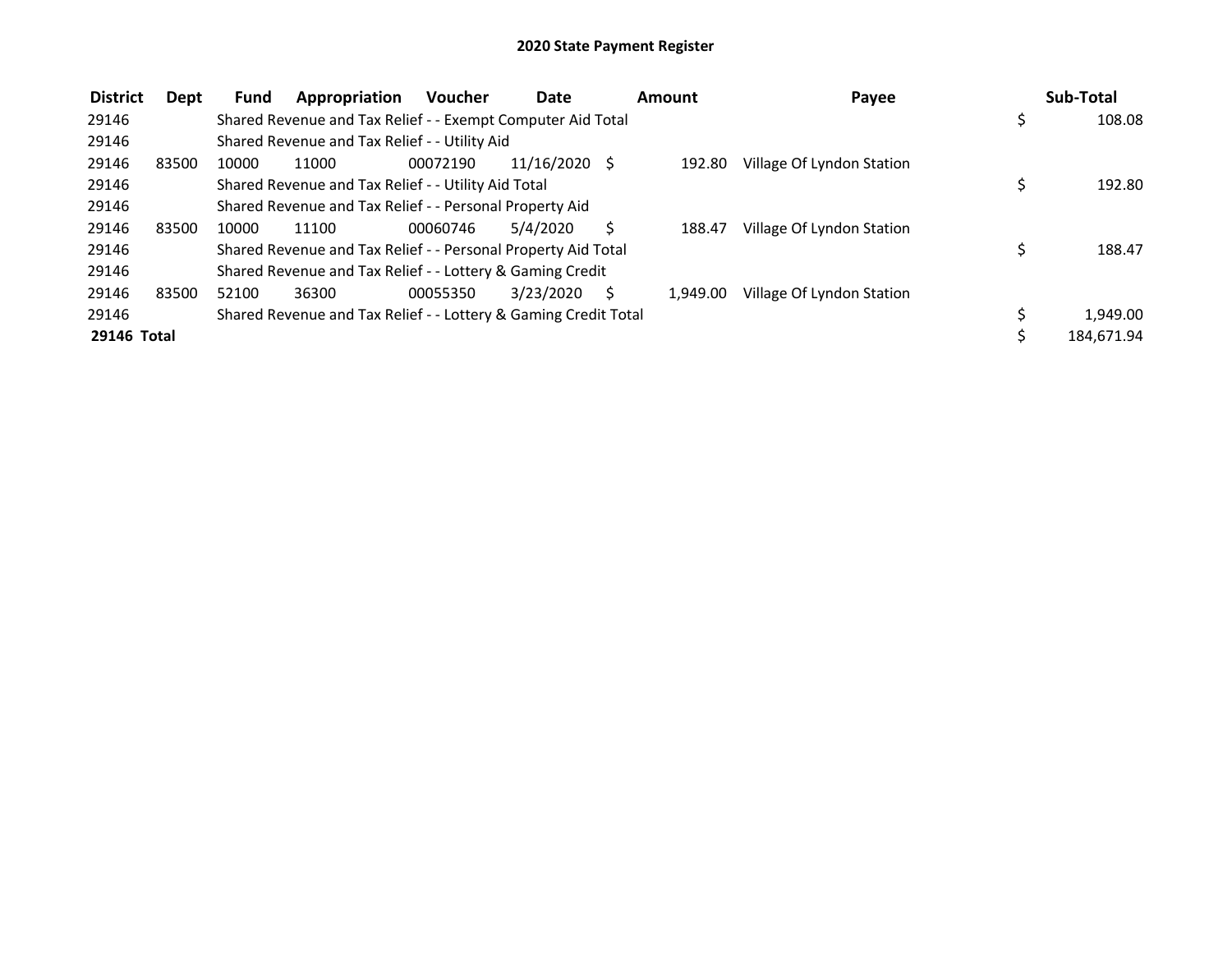| <b>District</b> | Dept  | Fund  | Appropriation                                                   | <b>Voucher</b> | <b>Date</b>     | Amount   | Payee                     |    | Sub-Total  |
|-----------------|-------|-------|-----------------------------------------------------------------|----------------|-----------------|----------|---------------------------|----|------------|
| 29146           |       |       | Shared Revenue and Tax Relief - - Exempt Computer Aid Total     |                |                 |          |                           | \$ | 108.08     |
| 29146           |       |       | Shared Revenue and Tax Relief - - Utility Aid                   |                |                 |          |                           |    |            |
| 29146           | 83500 | 10000 | 11000                                                           | 00072190       | $11/16/2020$ \$ | 192.80   | Village Of Lyndon Station |    |            |
| 29146           |       |       | Shared Revenue and Tax Relief - - Utility Aid Total             |                |                 |          |                           | Ś  | 192.80     |
| 29146           |       |       | Shared Revenue and Tax Relief - - Personal Property Aid         |                |                 |          |                           |    |            |
| 29146           | 83500 | 10000 | 11100                                                           | 00060746       | 5/4/2020        | 188.47   | Village Of Lyndon Station |    |            |
| 29146           |       |       | Shared Revenue and Tax Relief - - Personal Property Aid Total   |                |                 |          |                           |    | 188.47     |
| 29146           |       |       | Shared Revenue and Tax Relief - - Lottery & Gaming Credit       |                |                 |          |                           |    |            |
| 29146           | 83500 | 52100 | 36300                                                           | 00055350       | 3/23/2020       | 1.949.00 | Village Of Lyndon Station |    |            |
| 29146           |       |       | Shared Revenue and Tax Relief - - Lottery & Gaming Credit Total |                |                 |          |                           |    | 1,949.00   |
| 29146 Total     |       |       |                                                                 |                |                 |          |                           |    | 184,671.94 |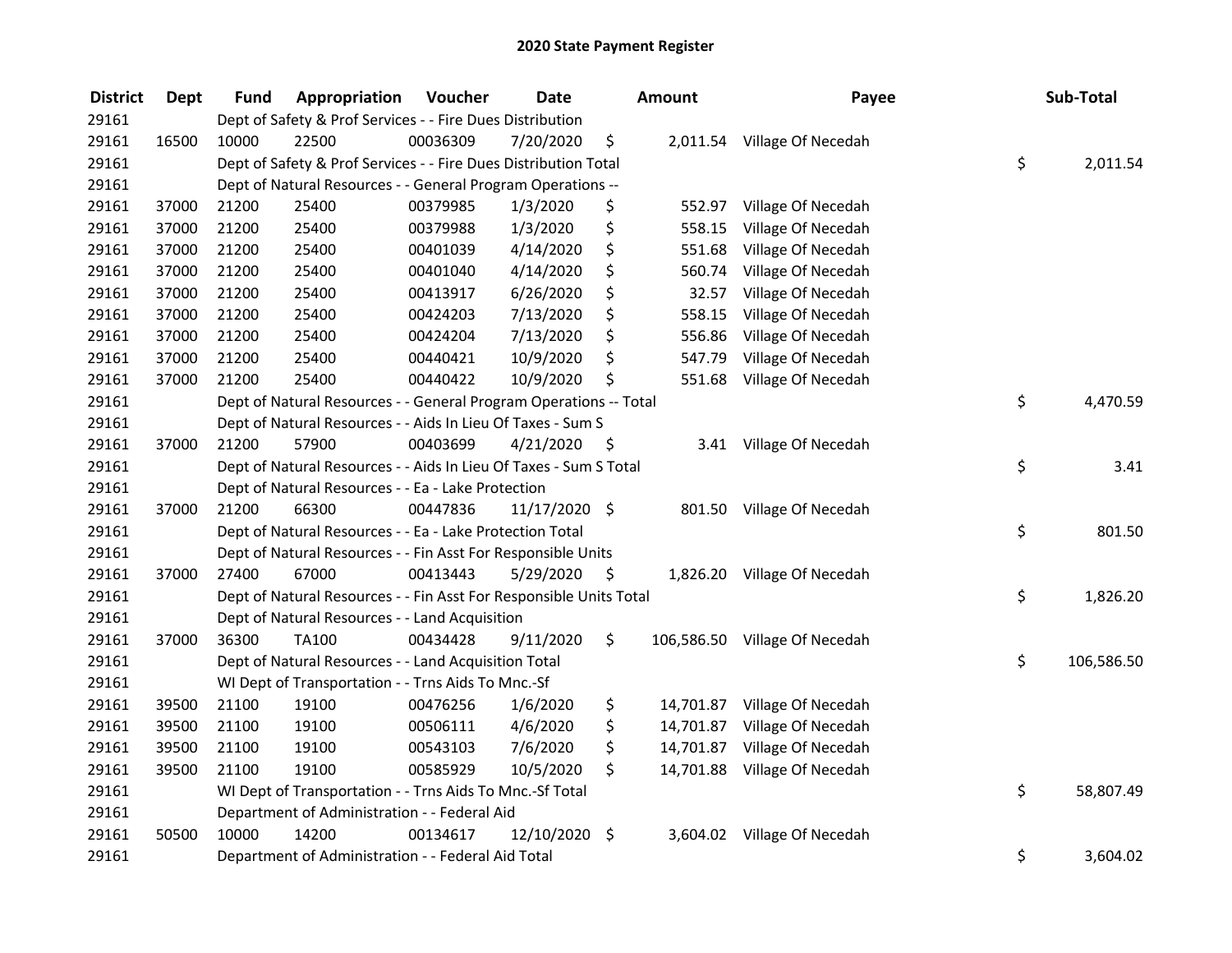| <b>District</b> | <b>Dept</b> | <b>Fund</b> | Appropriation                                                      | Voucher  | <b>Date</b>   |      | Amount     | Payee                       | Sub-Total        |
|-----------------|-------------|-------------|--------------------------------------------------------------------|----------|---------------|------|------------|-----------------------------|------------------|
| 29161           |             |             | Dept of Safety & Prof Services - - Fire Dues Distribution          |          |               |      |            |                             |                  |
| 29161           | 16500       | 10000       | 22500                                                              | 00036309 | 7/20/2020     | \$   |            | 2,011.54 Village Of Necedah |                  |
| 29161           |             |             | Dept of Safety & Prof Services - - Fire Dues Distribution Total    |          |               |      |            |                             | \$<br>2,011.54   |
| 29161           |             |             | Dept of Natural Resources - - General Program Operations --        |          |               |      |            |                             |                  |
| 29161           | 37000       | 21200       | 25400                                                              | 00379985 | 1/3/2020      | \$   | 552.97     | Village Of Necedah          |                  |
| 29161           | 37000       | 21200       | 25400                                                              | 00379988 | 1/3/2020      | \$   | 558.15     | Village Of Necedah          |                  |
| 29161           | 37000       | 21200       | 25400                                                              | 00401039 | 4/14/2020     | \$   | 551.68     | Village Of Necedah          |                  |
| 29161           | 37000       | 21200       | 25400                                                              | 00401040 | 4/14/2020     | \$   | 560.74     | Village Of Necedah          |                  |
| 29161           | 37000       | 21200       | 25400                                                              | 00413917 | 6/26/2020     | \$   | 32.57      | Village Of Necedah          |                  |
| 29161           | 37000       | 21200       | 25400                                                              | 00424203 | 7/13/2020     | \$   | 558.15     | Village Of Necedah          |                  |
| 29161           | 37000       | 21200       | 25400                                                              | 00424204 | 7/13/2020     | \$   | 556.86     | Village Of Necedah          |                  |
| 29161           | 37000       | 21200       | 25400                                                              | 00440421 | 10/9/2020     | \$   | 547.79     | Village Of Necedah          |                  |
| 29161           | 37000       | 21200       | 25400                                                              | 00440422 | 10/9/2020     | \$   | 551.68     | Village Of Necedah          |                  |
| 29161           |             |             | Dept of Natural Resources - - General Program Operations -- Total  |          |               |      |            |                             | \$<br>4,470.59   |
| 29161           |             |             | Dept of Natural Resources - - Aids In Lieu Of Taxes - Sum S        |          |               |      |            |                             |                  |
| 29161           | 37000       | 21200       | 57900                                                              | 00403699 | 4/21/2020     | \$   | 3.41       | Village Of Necedah          |                  |
| 29161           |             |             | Dept of Natural Resources - - Aids In Lieu Of Taxes - Sum S Total  |          |               |      |            |                             | \$<br>3.41       |
| 29161           |             |             | Dept of Natural Resources - - Ea - Lake Protection                 |          |               |      |            |                             |                  |
| 29161           | 37000       | 21200       | 66300                                                              | 00447836 | 11/17/2020 \$ |      |            | 801.50 Village Of Necedah   |                  |
| 29161           |             |             | Dept of Natural Resources - - Ea - Lake Protection Total           |          |               |      |            |                             | \$<br>801.50     |
| 29161           |             |             | Dept of Natural Resources - - Fin Asst For Responsible Units       |          |               |      |            |                             |                  |
| 29161           | 37000       | 27400       | 67000                                                              | 00413443 | 5/29/2020     | - \$ |            | 1,826.20 Village Of Necedah |                  |
| 29161           |             |             | Dept of Natural Resources - - Fin Asst For Responsible Units Total |          |               |      |            |                             | \$<br>1,826.20   |
| 29161           |             |             | Dept of Natural Resources - - Land Acquisition                     |          |               |      |            |                             |                  |
| 29161           | 37000       | 36300       | <b>TA100</b>                                                       | 00434428 | 9/11/2020     | \$   | 106,586.50 | Village Of Necedah          |                  |
| 29161           |             |             | Dept of Natural Resources - - Land Acquisition Total               |          |               |      |            |                             | \$<br>106,586.50 |
| 29161           |             |             | WI Dept of Transportation - - Trns Aids To Mnc.-Sf                 |          |               |      |            |                             |                  |
| 29161           | 39500       | 21100       | 19100                                                              | 00476256 | 1/6/2020      | \$   | 14,701.87  | Village Of Necedah          |                  |
| 29161           | 39500       | 21100       | 19100                                                              | 00506111 | 4/6/2020      | \$   | 14,701.87  | Village Of Necedah          |                  |
| 29161           | 39500       | 21100       | 19100                                                              | 00543103 | 7/6/2020      | \$   | 14,701.87  | Village Of Necedah          |                  |
| 29161           | 39500       | 21100       | 19100                                                              | 00585929 | 10/5/2020     | \$   | 14,701.88  | Village Of Necedah          |                  |
| 29161           |             |             | WI Dept of Transportation - - Trns Aids To Mnc.-Sf Total           |          |               |      |            |                             | \$<br>58,807.49  |
| 29161           |             |             | Department of Administration - - Federal Aid                       |          |               |      |            |                             |                  |
| 29161           | 50500       | 10000       | 14200                                                              | 00134617 | 12/10/2020 \$ |      | 3,604.02   | Village Of Necedah          |                  |
| 29161           |             |             | Department of Administration - - Federal Aid Total                 |          |               |      |            |                             | \$<br>3,604.02   |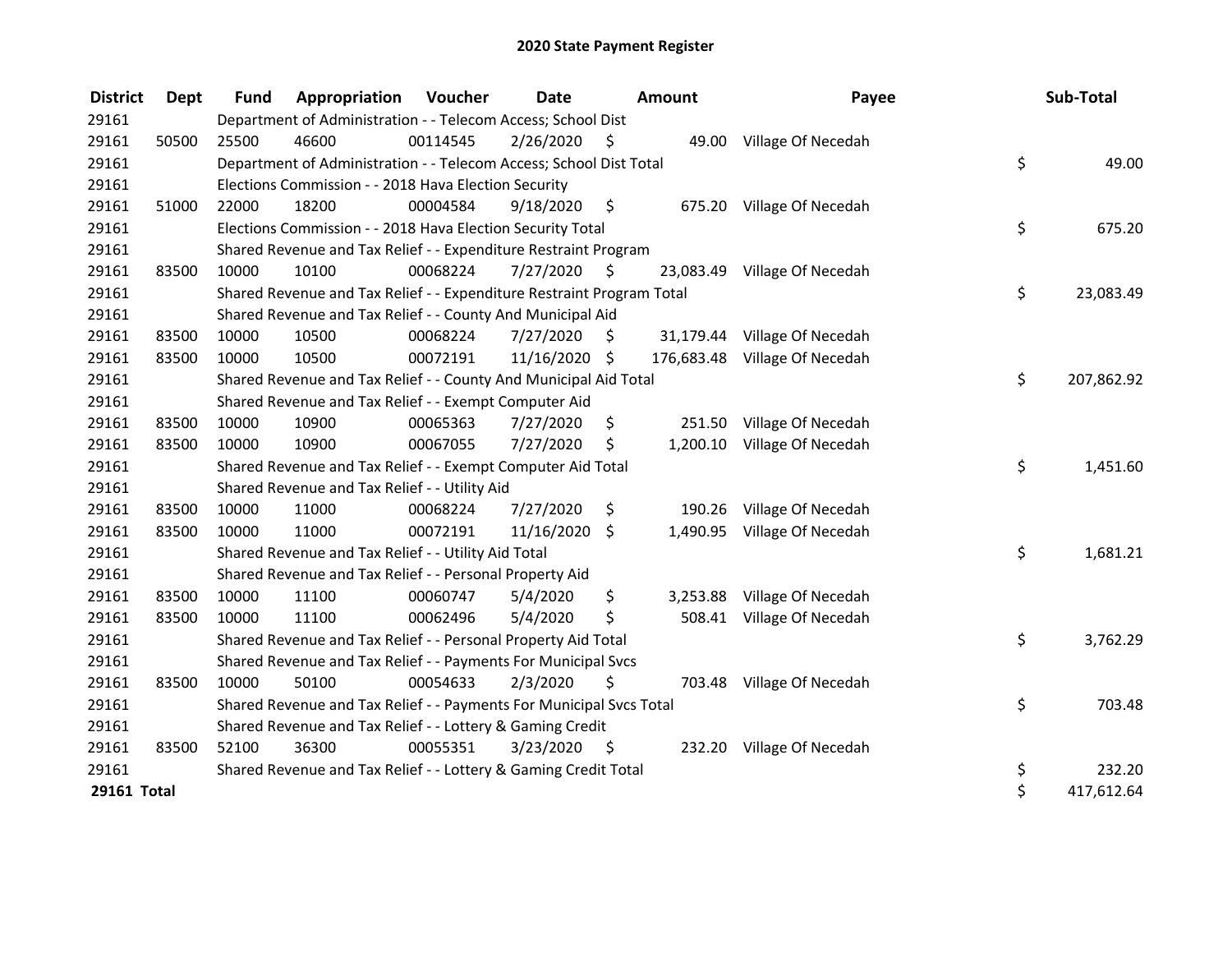| <b>District</b> | Dept  | <b>Fund</b> | Appropriation                                                         | Voucher  | Date          |      | <b>Amount</b> | Payee                         | Sub-Total        |
|-----------------|-------|-------------|-----------------------------------------------------------------------|----------|---------------|------|---------------|-------------------------------|------------------|
| 29161           |       |             | Department of Administration - - Telecom Access; School Dist          |          |               |      |               |                               |                  |
| 29161           | 50500 | 25500       | 46600                                                                 | 00114545 | 2/26/2020     | - \$ |               | 49.00 Village Of Necedah      |                  |
| 29161           |       |             | Department of Administration - - Telecom Access; School Dist Total    |          |               |      |               |                               | \$<br>49.00      |
| 29161           |       |             | Elections Commission - - 2018 Hava Election Security                  |          |               |      |               |                               |                  |
| 29161           | 51000 | 22000       | 18200                                                                 | 00004584 | 9/18/2020     | - \$ | 675.20        | Village Of Necedah            |                  |
| 29161           |       |             | Elections Commission - - 2018 Hava Election Security Total            |          |               |      |               |                               | \$<br>675.20     |
| 29161           |       |             | Shared Revenue and Tax Relief - - Expenditure Restraint Program       |          |               |      |               |                               |                  |
| 29161           | 83500 | 10000       | 10100                                                                 | 00068224 | 7/27/2020     | S    |               | 23,083.49 Village Of Necedah  |                  |
| 29161           |       |             | Shared Revenue and Tax Relief - - Expenditure Restraint Program Total |          |               |      |               |                               | \$<br>23,083.49  |
| 29161           |       |             | Shared Revenue and Tax Relief - - County And Municipal Aid            |          |               |      |               |                               |                  |
| 29161           | 83500 | 10000       | 10500                                                                 | 00068224 | 7/27/2020     | \$   |               | 31,179.44 Village Of Necedah  |                  |
| 29161           | 83500 | 10000       | 10500                                                                 | 00072191 | 11/16/2020    | \$   |               | 176,683.48 Village Of Necedah |                  |
| 29161           |       |             | Shared Revenue and Tax Relief - - County And Municipal Aid Total      |          |               |      |               |                               | \$<br>207,862.92 |
| 29161           |       |             | Shared Revenue and Tax Relief - - Exempt Computer Aid                 |          |               |      |               |                               |                  |
| 29161           | 83500 | 10000       | 10900                                                                 | 00065363 | 7/27/2020     | \$   | 251.50        | Village Of Necedah            |                  |
| 29161           | 83500 | 10000       | 10900                                                                 | 00067055 | 7/27/2020     | \$   | 1,200.10      | Village Of Necedah            |                  |
| 29161           |       |             | Shared Revenue and Tax Relief - - Exempt Computer Aid Total           |          |               |      |               |                               | \$<br>1,451.60   |
| 29161           |       |             | Shared Revenue and Tax Relief - - Utility Aid                         |          |               |      |               |                               |                  |
| 29161           | 83500 | 10000       | 11000                                                                 | 00068224 | 7/27/2020     | \$   | 190.26        | Village Of Necedah            |                  |
| 29161           | 83500 | 10000       | 11000                                                                 | 00072191 | 11/16/2020 \$ |      | 1,490.95      | Village Of Necedah            |                  |
| 29161           |       |             | Shared Revenue and Tax Relief - - Utility Aid Total                   |          |               |      |               |                               | \$<br>1,681.21   |
| 29161           |       |             | Shared Revenue and Tax Relief - - Personal Property Aid               |          |               |      |               |                               |                  |
| 29161           | 83500 | 10000       | 11100                                                                 | 00060747 | 5/4/2020      | \$   | 3,253.88      | Village Of Necedah            |                  |
| 29161           | 83500 | 10000       | 11100                                                                 | 00062496 | 5/4/2020      | \$   |               | 508.41 Village Of Necedah     |                  |
| 29161           |       |             | Shared Revenue and Tax Relief - - Personal Property Aid Total         |          |               |      |               |                               | \$<br>3,762.29   |
| 29161           |       |             | Shared Revenue and Tax Relief - - Payments For Municipal Svcs         |          |               |      |               |                               |                  |
| 29161           | 83500 | 10000       | 50100                                                                 | 00054633 | 2/3/2020      | \$   | 703.48        | Village Of Necedah            |                  |
| 29161           |       |             | Shared Revenue and Tax Relief - - Payments For Municipal Svcs Total   |          |               |      |               |                               | \$<br>703.48     |
| 29161           |       |             | Shared Revenue and Tax Relief - - Lottery & Gaming Credit             |          |               |      |               |                               |                  |
| 29161           | 83500 | 52100       | 36300                                                                 | 00055351 | 3/23/2020     | - \$ |               | 232.20 Village Of Necedah     |                  |
| 29161           |       |             | Shared Revenue and Tax Relief - - Lottery & Gaming Credit Total       |          |               |      |               |                               | \$<br>232.20     |
| 29161 Total     |       |             |                                                                       |          |               |      |               |                               | \$<br>417,612.64 |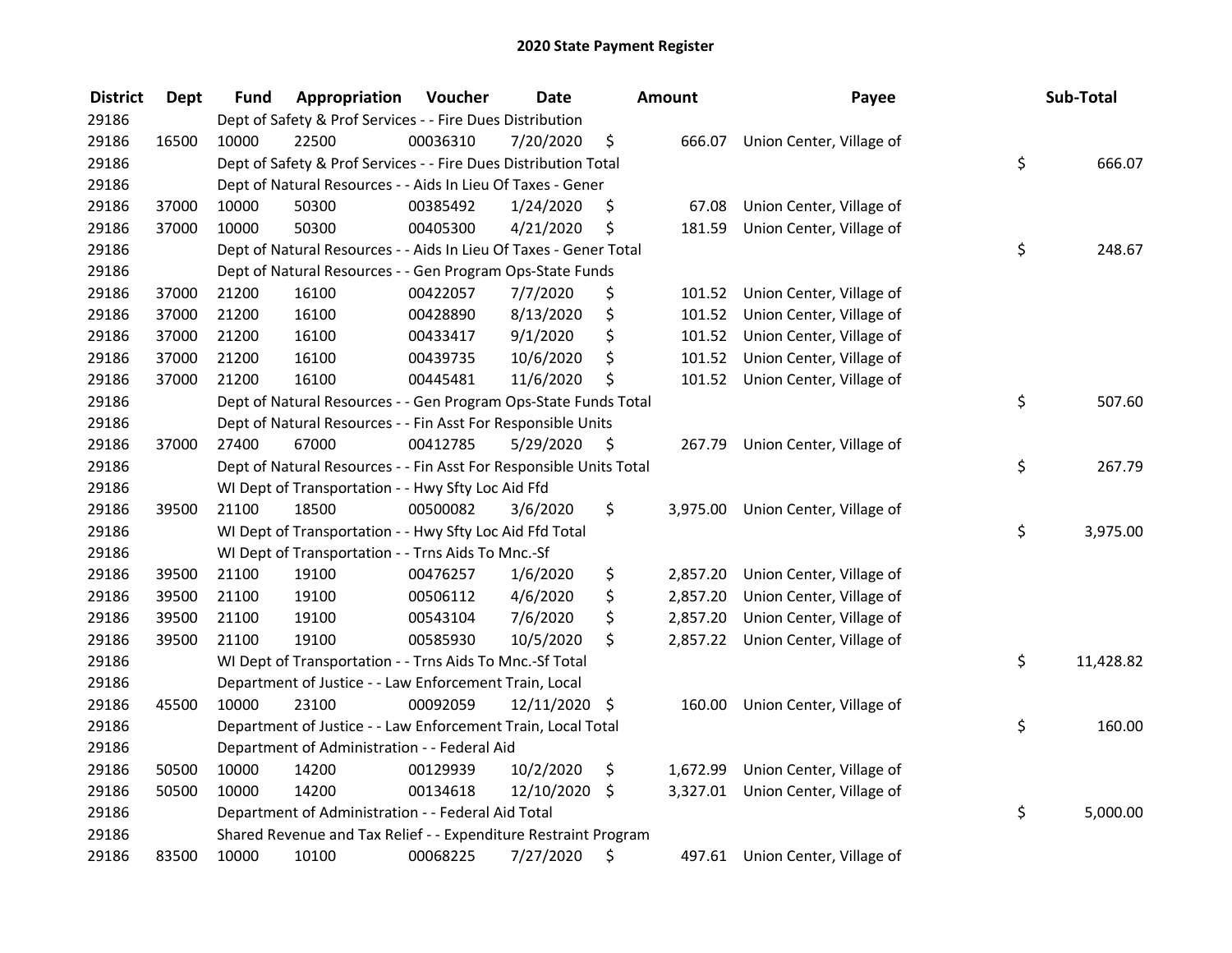| <b>District</b> | <b>Dept</b> | Fund  | Appropriation                                                      | Voucher  | <b>Date</b>   | <b>Amount</b>  | Payee                             | Sub-Total       |
|-----------------|-------------|-------|--------------------------------------------------------------------|----------|---------------|----------------|-----------------------------------|-----------------|
| 29186           |             |       | Dept of Safety & Prof Services - - Fire Dues Distribution          |          |               |                |                                   |                 |
| 29186           | 16500       | 10000 | 22500                                                              | 00036310 | 7/20/2020     | \$             | 666.07 Union Center, Village of   |                 |
| 29186           |             |       | Dept of Safety & Prof Services - - Fire Dues Distribution Total    |          |               |                |                                   | \$<br>666.07    |
| 29186           |             |       | Dept of Natural Resources - - Aids In Lieu Of Taxes - Gener        |          |               |                |                                   |                 |
| 29186           | 37000       | 10000 | 50300                                                              | 00385492 | 1/24/2020     | \$<br>67.08    | Union Center, Village of          |                 |
| 29186           | 37000       | 10000 | 50300                                                              | 00405300 | 4/21/2020     | \$<br>181.59   | Union Center, Village of          |                 |
| 29186           |             |       | Dept of Natural Resources - - Aids In Lieu Of Taxes - Gener Total  |          |               |                |                                   | \$<br>248.67    |
| 29186           |             |       | Dept of Natural Resources - - Gen Program Ops-State Funds          |          |               |                |                                   |                 |
| 29186           | 37000       | 21200 | 16100                                                              | 00422057 | 7/7/2020      | \$             | 101.52 Union Center, Village of   |                 |
| 29186           | 37000       | 21200 | 16100                                                              | 00428890 | 8/13/2020     | \$<br>101.52   | Union Center, Village of          |                 |
| 29186           | 37000       | 21200 | 16100                                                              | 00433417 | 9/1/2020      | \$<br>101.52   | Union Center, Village of          |                 |
| 29186           | 37000       | 21200 | 16100                                                              | 00439735 | 10/6/2020     | \$<br>101.52   | Union Center, Village of          |                 |
| 29186           | 37000       | 21200 | 16100                                                              | 00445481 | 11/6/2020     | \$<br>101.52   | Union Center, Village of          |                 |
| 29186           |             |       | Dept of Natural Resources - - Gen Program Ops-State Funds Total    |          |               |                |                                   | \$<br>507.60    |
| 29186           |             |       | Dept of Natural Resources - - Fin Asst For Responsible Units       |          |               |                |                                   |                 |
| 29186           | 37000       | 27400 | 67000                                                              | 00412785 | 5/29/2020     | \$<br>267.79   | Union Center, Village of          |                 |
| 29186           |             |       | Dept of Natural Resources - - Fin Asst For Responsible Units Total |          |               |                |                                   | \$<br>267.79    |
| 29186           |             |       | WI Dept of Transportation - - Hwy Sfty Loc Aid Ffd                 |          |               |                |                                   |                 |
| 29186           | 39500       | 21100 | 18500                                                              | 00500082 | 3/6/2020      | \$             | 3,975.00 Union Center, Village of |                 |
| 29186           |             |       | WI Dept of Transportation - - Hwy Sfty Loc Aid Ffd Total           |          |               |                |                                   | \$<br>3,975.00  |
| 29186           |             |       | WI Dept of Transportation - - Trns Aids To Mnc.-Sf                 |          |               |                |                                   |                 |
| 29186           | 39500       | 21100 | 19100                                                              | 00476257 | 1/6/2020      | \$<br>2,857.20 | Union Center, Village of          |                 |
| 29186           | 39500       | 21100 | 19100                                                              | 00506112 | 4/6/2020      | \$<br>2,857.20 | Union Center, Village of          |                 |
| 29186           | 39500       | 21100 | 19100                                                              | 00543104 | 7/6/2020      | \$<br>2,857.20 | Union Center, Village of          |                 |
| 29186           | 39500       | 21100 | 19100                                                              | 00585930 | 10/5/2020     | \$<br>2,857.22 | Union Center, Village of          |                 |
| 29186           |             |       | WI Dept of Transportation - - Trns Aids To Mnc.-Sf Total           |          |               |                |                                   | \$<br>11,428.82 |
| 29186           |             |       | Department of Justice - - Law Enforcement Train, Local             |          |               |                |                                   |                 |
| 29186           | 45500       | 10000 | 23100                                                              | 00092059 | 12/11/2020 \$ | 160.00         | Union Center, Village of          |                 |
| 29186           |             |       | Department of Justice - - Law Enforcement Train, Local Total       |          |               |                |                                   | \$<br>160.00    |
| 29186           |             |       | Department of Administration - - Federal Aid                       |          |               |                |                                   |                 |
| 29186           | 50500       | 10000 | 14200                                                              | 00129939 | 10/2/2020     | \$<br>1,672.99 | Union Center, Village of          |                 |
| 29186           | 50500       | 10000 | 14200                                                              | 00134618 | 12/10/2020 \$ | 3,327.01       | Union Center, Village of          |                 |
| 29186           |             |       | Department of Administration - - Federal Aid Total                 |          |               |                |                                   | \$<br>5,000.00  |
| 29186           |             |       | Shared Revenue and Tax Relief - - Expenditure Restraint Program    |          |               |                |                                   |                 |
| 29186           | 83500       | 10000 | 10100                                                              | 00068225 | 7/27/2020     | \$             | 497.61 Union Center, Village of   |                 |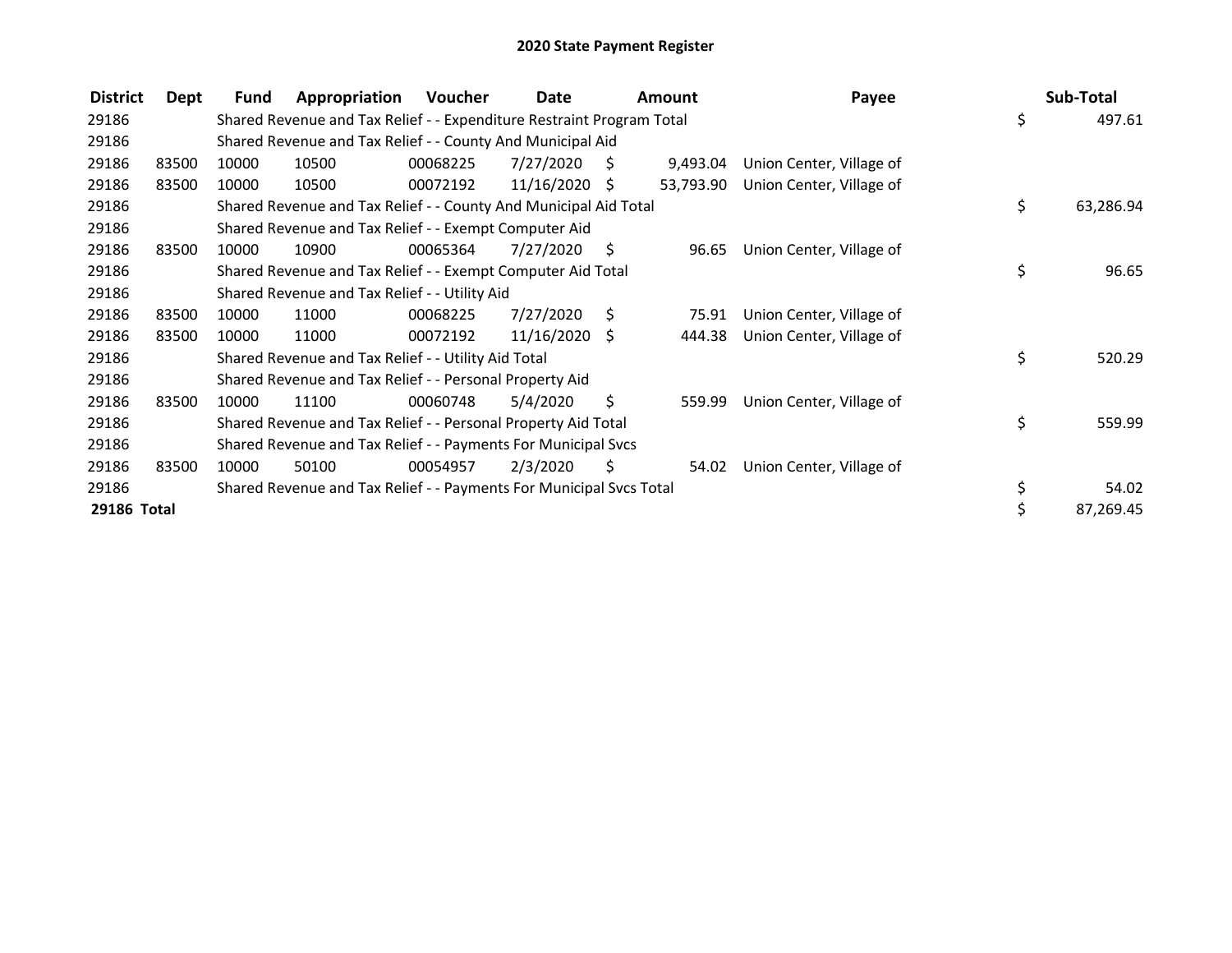| <b>District</b> | Dept  | Fund  | Appropriation                                                         | Voucher  | Date            |     | <b>Amount</b> | Payee                    |     | Sub-Total |
|-----------------|-------|-------|-----------------------------------------------------------------------|----------|-----------------|-----|---------------|--------------------------|-----|-----------|
| 29186           |       |       | Shared Revenue and Tax Relief - - Expenditure Restraint Program Total |          |                 |     |               |                          | \$  | 497.61    |
| 29186           |       |       | Shared Revenue and Tax Relief - - County And Municipal Aid            |          |                 |     |               |                          |     |           |
| 29186           | 83500 | 10000 | 10500                                                                 | 00068225 | 7/27/2020       | - S | 9,493.04      | Union Center, Village of |     |           |
| 29186           | 83500 | 10000 | 10500                                                                 | 00072192 | $11/16/2020$ \$ |     | 53,793.90     | Union Center, Village of |     |           |
| 29186           |       |       | Shared Revenue and Tax Relief - - County And Municipal Aid Total      |          |                 |     |               |                          | \$. | 63,286.94 |
| 29186           |       |       | Shared Revenue and Tax Relief - - Exempt Computer Aid                 |          |                 |     |               |                          |     |           |
| 29186           | 83500 | 10000 | 10900                                                                 | 00065364 | 7/27/2020       | S   | 96.65         | Union Center, Village of |     |           |
| 29186           |       |       | Shared Revenue and Tax Relief - - Exempt Computer Aid Total           |          |                 |     |               |                          | \$  | 96.65     |
| 29186           |       |       | Shared Revenue and Tax Relief - - Utility Aid                         |          |                 |     |               |                          |     |           |
| 29186           | 83500 | 10000 | 11000                                                                 | 00068225 | 7/27/2020       | - S | 75.91         | Union Center, Village of |     |           |
| 29186           | 83500 | 10000 | 11000                                                                 | 00072192 | $11/16/2020$ \$ |     | 444.38        | Union Center, Village of |     |           |
| 29186           |       |       | Shared Revenue and Tax Relief - - Utility Aid Total                   |          |                 |     |               |                          | \$  | 520.29    |
| 29186           |       |       | Shared Revenue and Tax Relief - - Personal Property Aid               |          |                 |     |               |                          |     |           |
| 29186           | 83500 | 10000 | 11100                                                                 | 00060748 | 5/4/2020        | \$  | 559.99        | Union Center, Village of |     |           |
| 29186           |       |       | Shared Revenue and Tax Relief - - Personal Property Aid Total         |          |                 |     |               |                          | \$  | 559.99    |
| 29186           |       |       | Shared Revenue and Tax Relief - - Payments For Municipal Svcs         |          |                 |     |               |                          |     |           |
| 29186           | 83500 | 10000 | 50100                                                                 | 00054957 | 2/3/2020        | S   | 54.02         | Union Center, Village of |     |           |
| 29186           |       |       | Shared Revenue and Tax Relief - - Payments For Municipal Svcs Total   |          |                 |     |               |                          | \$  | 54.02     |
| 29186 Total     |       |       |                                                                       |          |                 |     |               |                          |     | 87,269.45 |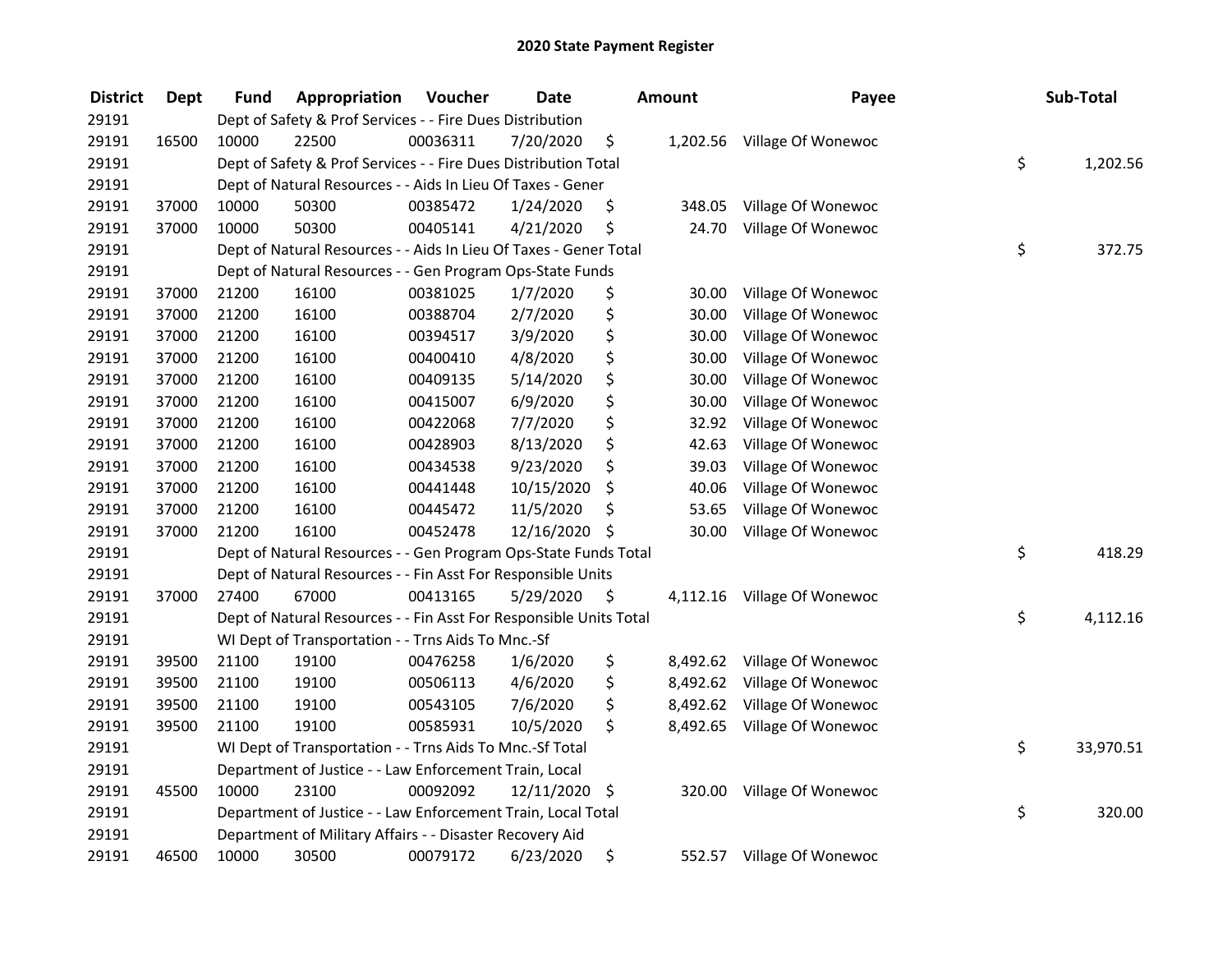| <b>District</b> | <b>Dept</b> | Fund  | Appropriation                                                      | Voucher  | <b>Date</b>   |      | <b>Amount</b> | Payee                       | Sub-Total       |
|-----------------|-------------|-------|--------------------------------------------------------------------|----------|---------------|------|---------------|-----------------------------|-----------------|
| 29191           |             |       | Dept of Safety & Prof Services - - Fire Dues Distribution          |          |               |      |               |                             |                 |
| 29191           | 16500       | 10000 | 22500                                                              | 00036311 | 7/20/2020     | \$   |               | 1,202.56 Village Of Wonewoc |                 |
| 29191           |             |       | Dept of Safety & Prof Services - - Fire Dues Distribution Total    |          |               |      |               |                             | \$<br>1,202.56  |
| 29191           |             |       | Dept of Natural Resources - - Aids In Lieu Of Taxes - Gener        |          |               |      |               |                             |                 |
| 29191           | 37000       | 10000 | 50300                                                              | 00385472 | 1/24/2020     | \$   | 348.05        | Village Of Wonewoc          |                 |
| 29191           | 37000       | 10000 | 50300                                                              | 00405141 | 4/21/2020     | \$   | 24.70         | Village Of Wonewoc          |                 |
| 29191           |             |       | Dept of Natural Resources - - Aids In Lieu Of Taxes - Gener Total  |          |               |      |               |                             | \$<br>372.75    |
| 29191           |             |       | Dept of Natural Resources - - Gen Program Ops-State Funds          |          |               |      |               |                             |                 |
| 29191           | 37000       | 21200 | 16100                                                              | 00381025 | 1/7/2020      | \$   | 30.00         | Village Of Wonewoc          |                 |
| 29191           | 37000       | 21200 | 16100                                                              | 00388704 | 2/7/2020      | \$   | 30.00         | Village Of Wonewoc          |                 |
| 29191           | 37000       | 21200 | 16100                                                              | 00394517 | 3/9/2020      | \$   | 30.00         | Village Of Wonewoc          |                 |
| 29191           | 37000       | 21200 | 16100                                                              | 00400410 | 4/8/2020      | \$   | 30.00         | Village Of Wonewoc          |                 |
| 29191           | 37000       | 21200 | 16100                                                              | 00409135 | 5/14/2020     | \$   | 30.00         | Village Of Wonewoc          |                 |
| 29191           | 37000       | 21200 | 16100                                                              | 00415007 | 6/9/2020      | \$   | 30.00         | Village Of Wonewoc          |                 |
| 29191           | 37000       | 21200 | 16100                                                              | 00422068 | 7/7/2020      | \$   | 32.92         | Village Of Wonewoc          |                 |
| 29191           | 37000       | 21200 | 16100                                                              | 00428903 | 8/13/2020     | \$   | 42.63         | Village Of Wonewoc          |                 |
| 29191           | 37000       | 21200 | 16100                                                              | 00434538 | 9/23/2020     | \$   | 39.03         | Village Of Wonewoc          |                 |
| 29191           | 37000       | 21200 | 16100                                                              | 00441448 | 10/15/2020    | \$   | 40.06         | Village Of Wonewoc          |                 |
| 29191           | 37000       | 21200 | 16100                                                              | 00445472 | 11/5/2020     | \$   | 53.65         | Village Of Wonewoc          |                 |
| 29191           | 37000       | 21200 | 16100                                                              | 00452478 | 12/16/2020    | -\$  | 30.00         | Village Of Wonewoc          |                 |
| 29191           |             |       | Dept of Natural Resources - - Gen Program Ops-State Funds Total    |          |               |      |               |                             | \$<br>418.29    |
| 29191           |             |       | Dept of Natural Resources - - Fin Asst For Responsible Units       |          |               |      |               |                             |                 |
| 29191           | 37000       | 27400 | 67000                                                              | 00413165 | 5/29/2020     | - \$ |               | 4,112.16 Village Of Wonewoc |                 |
| 29191           |             |       | Dept of Natural Resources - - Fin Asst For Responsible Units Total |          |               |      |               |                             | \$<br>4,112.16  |
| 29191           |             |       | WI Dept of Transportation - - Trns Aids To Mnc.-Sf                 |          |               |      |               |                             |                 |
| 29191           | 39500       | 21100 | 19100                                                              | 00476258 | 1/6/2020      | \$   | 8,492.62      | Village Of Wonewoc          |                 |
| 29191           | 39500       | 21100 | 19100                                                              | 00506113 | 4/6/2020      | \$   | 8,492.62      | Village Of Wonewoc          |                 |
| 29191           | 39500       | 21100 | 19100                                                              | 00543105 | 7/6/2020      | \$   | 8,492.62      | Village Of Wonewoc          |                 |
| 29191           | 39500       | 21100 | 19100                                                              | 00585931 | 10/5/2020     | \$   | 8,492.65      | Village Of Wonewoc          |                 |
| 29191           |             |       | WI Dept of Transportation - - Trns Aids To Mnc.-Sf Total           |          |               |      |               |                             | \$<br>33,970.51 |
| 29191           |             |       | Department of Justice - - Law Enforcement Train, Local             |          |               |      |               |                             |                 |
| 29191           | 45500       | 10000 | 23100                                                              | 00092092 | 12/11/2020 \$ |      |               | 320.00 Village Of Wonewoc   |                 |
| 29191           |             |       | Department of Justice - - Law Enforcement Train, Local Total       |          |               |      |               |                             | \$<br>320.00    |
| 29191           |             |       | Department of Military Affairs - - Disaster Recovery Aid           |          |               |      |               |                             |                 |
| 29191           | 46500       | 10000 | 30500                                                              | 00079172 | 6/23/2020     | \$   |               | 552.57 Village Of Wonewoc   |                 |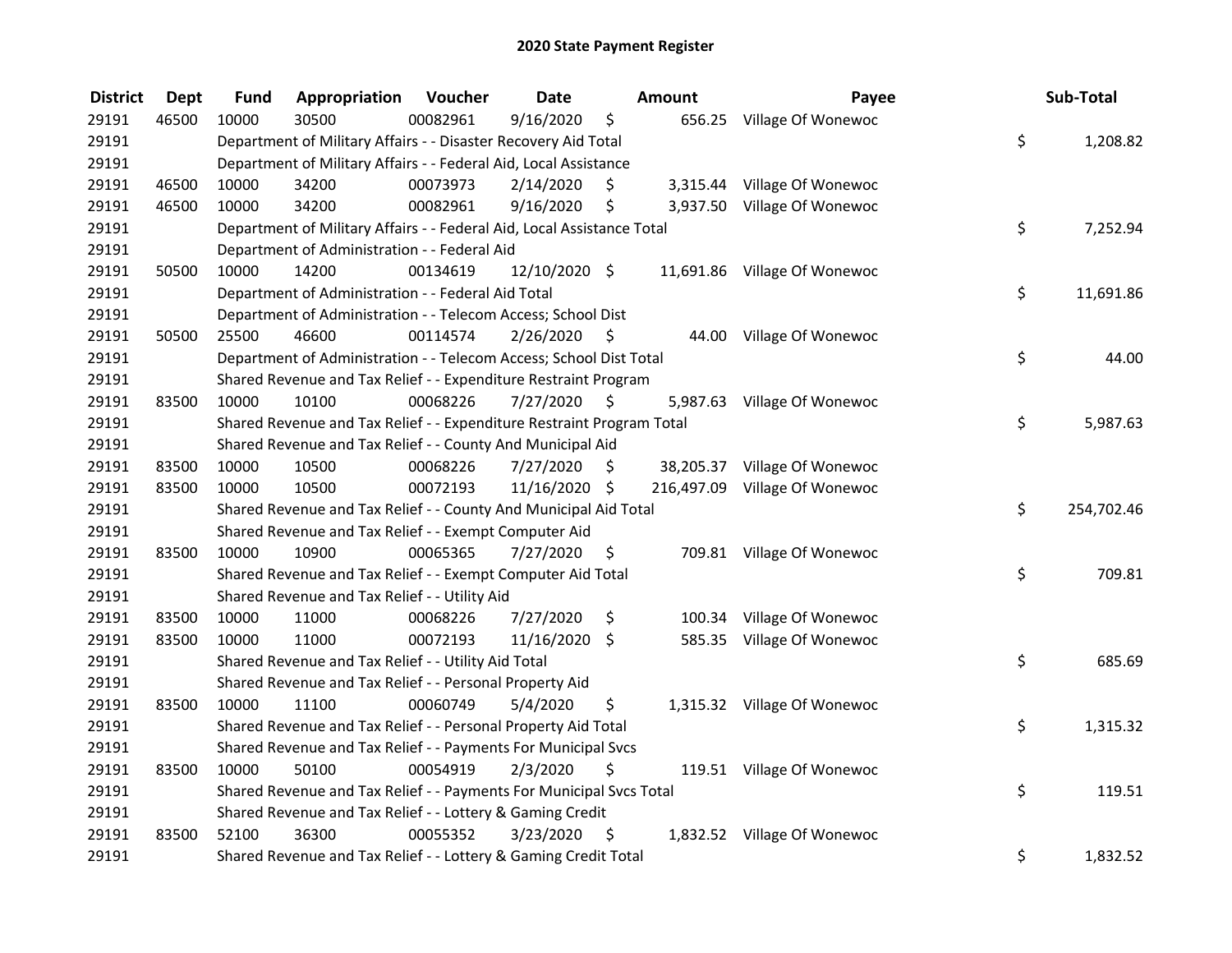| <b>District</b> | Dept  | Fund  | Appropriation                                                          | Voucher  | <b>Date</b>   |      | Amount | Payee                         | Sub-Total        |
|-----------------|-------|-------|------------------------------------------------------------------------|----------|---------------|------|--------|-------------------------------|------------------|
| 29191           | 46500 | 10000 | 30500                                                                  | 00082961 | 9/16/2020     | \$   |        | 656.25 Village Of Wonewoc     |                  |
| 29191           |       |       | Department of Military Affairs - - Disaster Recovery Aid Total         |          |               |      |        |                               | \$<br>1,208.82   |
| 29191           |       |       | Department of Military Affairs - - Federal Aid, Local Assistance       |          |               |      |        |                               |                  |
| 29191           | 46500 | 10000 | 34200                                                                  | 00073973 | 2/14/2020     | \$   |        | 3,315.44 Village Of Wonewoc   |                  |
| 29191           | 46500 | 10000 | 34200                                                                  | 00082961 | 9/16/2020     | \$   |        | 3,937.50 Village Of Wonewoc   |                  |
| 29191           |       |       | Department of Military Affairs - - Federal Aid, Local Assistance Total |          |               |      |        |                               | \$<br>7,252.94   |
| 29191           |       |       | Department of Administration - - Federal Aid                           |          |               |      |        |                               |                  |
| 29191           | 50500 | 10000 | 14200                                                                  | 00134619 | 12/10/2020 \$ |      |        | 11,691.86 Village Of Wonewoc  |                  |
| 29191           |       |       | Department of Administration - - Federal Aid Total                     |          |               |      |        |                               | \$<br>11,691.86  |
| 29191           |       |       | Department of Administration - - Telecom Access; School Dist           |          |               |      |        |                               |                  |
| 29191           | 50500 | 25500 | 46600                                                                  | 00114574 | 2/26/2020     | - \$ |        | 44.00 Village Of Wonewoc      |                  |
| 29191           |       |       | Department of Administration - - Telecom Access; School Dist Total     |          |               |      |        |                               | \$<br>44.00      |
| 29191           |       |       | Shared Revenue and Tax Relief - - Expenditure Restraint Program        |          |               |      |        |                               |                  |
| 29191           | 83500 | 10000 | 10100                                                                  | 00068226 | 7/27/2020     | - \$ |        | 5,987.63 Village Of Wonewoc   |                  |
| 29191           |       |       | Shared Revenue and Tax Relief - - Expenditure Restraint Program Total  |          |               |      |        |                               | \$<br>5,987.63   |
| 29191           |       |       | Shared Revenue and Tax Relief - - County And Municipal Aid             |          |               |      |        |                               |                  |
| 29191           | 83500 | 10000 | 10500                                                                  | 00068226 | 7/27/2020     | S.   |        | 38,205.37 Village Of Wonewoc  |                  |
| 29191           | 83500 | 10000 | 10500                                                                  | 00072193 | 11/16/2020 \$ |      |        | 216,497.09 Village Of Wonewoc |                  |
| 29191           |       |       | Shared Revenue and Tax Relief - - County And Municipal Aid Total       |          |               |      |        |                               | \$<br>254,702.46 |
| 29191           |       |       | Shared Revenue and Tax Relief - - Exempt Computer Aid                  |          |               |      |        |                               |                  |
| 29191           | 83500 | 10000 | 10900                                                                  | 00065365 | 7/27/2020     | \$   |        | 709.81 Village Of Wonewoc     |                  |
| 29191           |       |       | Shared Revenue and Tax Relief - - Exempt Computer Aid Total            |          |               |      |        |                               | \$<br>709.81     |
| 29191           |       |       | Shared Revenue and Tax Relief - - Utility Aid                          |          |               |      |        |                               |                  |
| 29191           | 83500 | 10000 | 11000                                                                  | 00068226 | 7/27/2020     | \$   |        | 100.34 Village Of Wonewoc     |                  |
| 29191           | 83500 | 10000 | 11000                                                                  | 00072193 | 11/16/2020 \$ |      |        | 585.35 Village Of Wonewoc     |                  |
| 29191           |       |       | Shared Revenue and Tax Relief - - Utility Aid Total                    |          |               |      |        |                               | \$<br>685.69     |
| 29191           |       |       | Shared Revenue and Tax Relief - - Personal Property Aid                |          |               |      |        |                               |                  |
| 29191           | 83500 | 10000 | 11100                                                                  | 00060749 | 5/4/2020      | \$   |        | 1,315.32 Village Of Wonewoc   |                  |
| 29191           |       |       | Shared Revenue and Tax Relief - - Personal Property Aid Total          |          |               |      |        |                               | \$<br>1,315.32   |
| 29191           |       |       | Shared Revenue and Tax Relief - - Payments For Municipal Svcs          |          |               |      |        |                               |                  |
| 29191           | 83500 | 10000 | 50100                                                                  | 00054919 | 2/3/2020      | \$   |        | 119.51 Village Of Wonewoc     |                  |
| 29191           |       |       | Shared Revenue and Tax Relief - - Payments For Municipal Svcs Total    |          |               |      |        |                               | \$<br>119.51     |
| 29191           |       |       | Shared Revenue and Tax Relief - - Lottery & Gaming Credit              |          |               |      |        |                               |                  |
| 29191           | 83500 | 52100 | 36300                                                                  | 00055352 | 3/23/2020     | - \$ |        | 1,832.52 Village Of Wonewoc   |                  |
| 29191           |       |       | Shared Revenue and Tax Relief - - Lottery & Gaming Credit Total        |          |               |      |        |                               | \$<br>1,832.52   |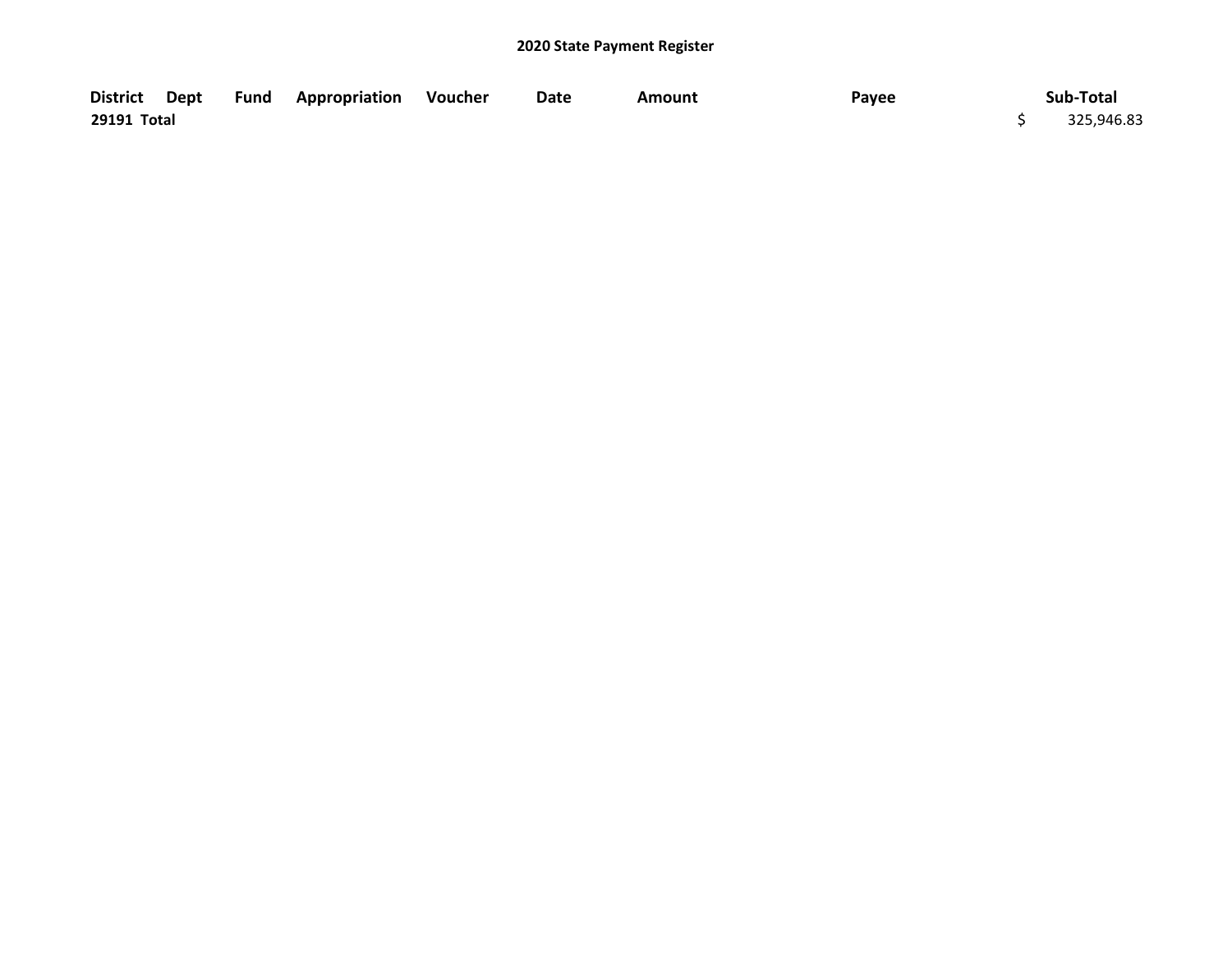|             |  | District Dept Fund Appropriation Voucher | Date | Amount | Payee | Sub-Total  |
|-------------|--|------------------------------------------|------|--------|-------|------------|
| 29191 Total |  |                                          |      |        |       | 325,946.83 |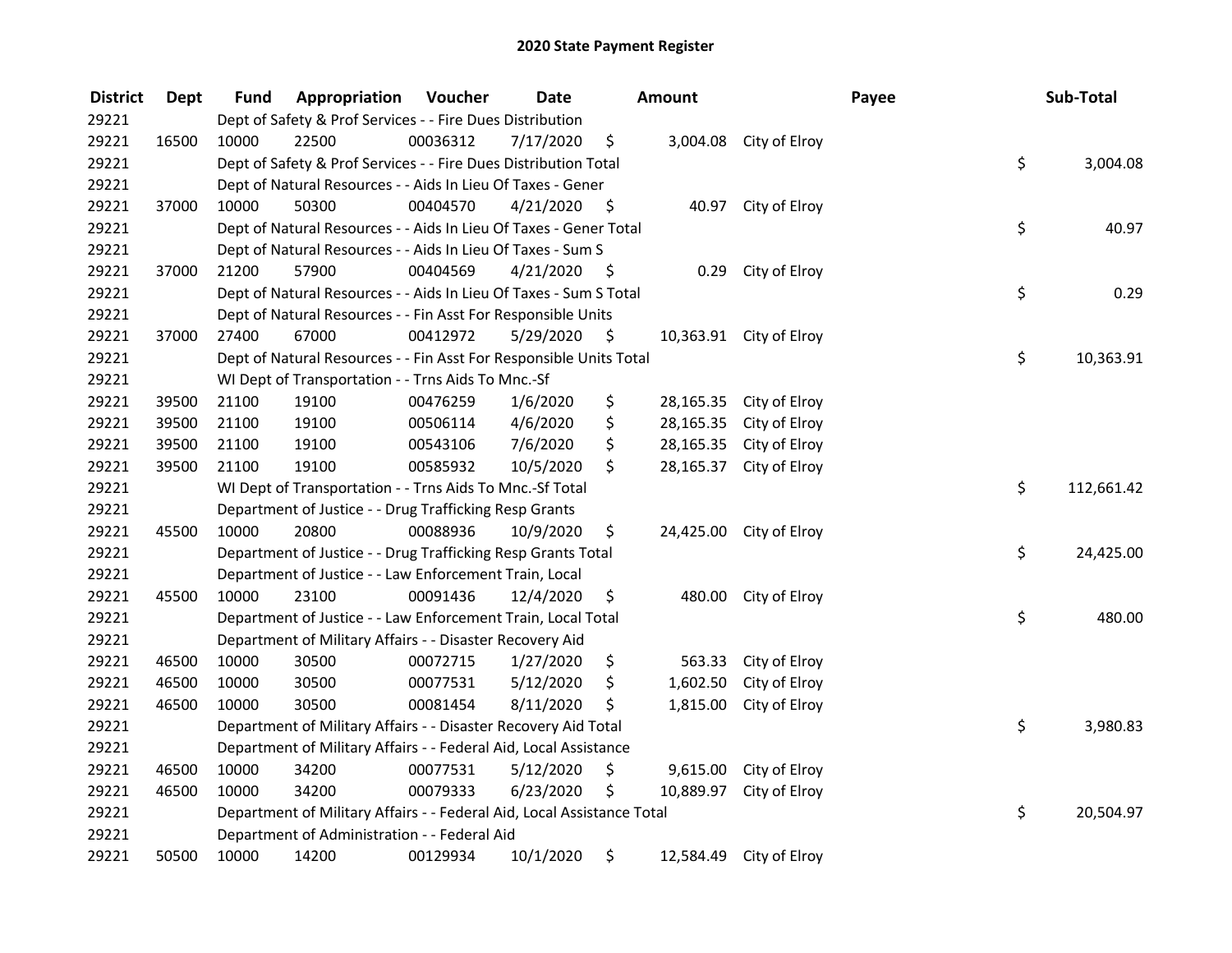| <b>District</b> | <b>Dept</b> | Fund  | Appropriation                                                          | Voucher  | <b>Date</b> |      | <b>Amount</b> |                         | Payee | Sub-Total  |
|-----------------|-------------|-------|------------------------------------------------------------------------|----------|-------------|------|---------------|-------------------------|-------|------------|
| 29221           |             |       | Dept of Safety & Prof Services - - Fire Dues Distribution              |          |             |      |               |                         |       |            |
| 29221           | 16500       | 10000 | 22500                                                                  | 00036312 | 7/17/2020   | \$   |               | 3,004.08 City of Elroy  |       |            |
| 29221           |             |       | Dept of Safety & Prof Services - - Fire Dues Distribution Total        |          |             |      |               |                         | \$    | 3,004.08   |
| 29221           |             |       | Dept of Natural Resources - - Aids In Lieu Of Taxes - Gener            |          |             |      |               |                         |       |            |
| 29221           | 37000       | 10000 | 50300                                                                  | 00404570 | 4/21/2020   | - \$ |               | 40.97 City of Elroy     |       |            |
| 29221           |             |       | Dept of Natural Resources - - Aids In Lieu Of Taxes - Gener Total      |          |             |      |               |                         | \$    | 40.97      |
| 29221           |             |       | Dept of Natural Resources - - Aids In Lieu Of Taxes - Sum S            |          |             |      |               |                         |       |            |
| 29221           | 37000       | 21200 | 57900                                                                  | 00404569 | 4/21/2020   | - \$ |               | 0.29 City of Elroy      |       |            |
| 29221           |             |       | Dept of Natural Resources - - Aids In Lieu Of Taxes - Sum S Total      |          |             |      |               |                         | \$    | 0.29       |
| 29221           |             |       | Dept of Natural Resources - - Fin Asst For Responsible Units           |          |             |      |               |                         |       |            |
| 29221           | 37000       | 27400 | 67000                                                                  | 00412972 | 5/29/2020   | \$   |               | 10,363.91 City of Elroy |       |            |
| 29221           |             |       | Dept of Natural Resources - - Fin Asst For Responsible Units Total     |          |             |      |               |                         | \$    | 10,363.91  |
| 29221           |             |       | WI Dept of Transportation - - Trns Aids To Mnc.-Sf                     |          |             |      |               |                         |       |            |
| 29221           | 39500       | 21100 | 19100                                                                  | 00476259 | 1/6/2020    | \$   | 28,165.35     | City of Elroy           |       |            |
| 29221           | 39500       | 21100 | 19100                                                                  | 00506114 | 4/6/2020    | \$   | 28,165.35     | City of Elroy           |       |            |
| 29221           | 39500       | 21100 | 19100                                                                  | 00543106 | 7/6/2020    | \$   | 28,165.35     | City of Elroy           |       |            |
| 29221           | 39500       | 21100 | 19100                                                                  | 00585932 | 10/5/2020   | \$   | 28,165.37     | City of Elroy           |       |            |
| 29221           |             |       | WI Dept of Transportation - - Trns Aids To Mnc.-Sf Total               |          |             |      |               |                         | \$    | 112,661.42 |
| 29221           |             |       | Department of Justice - - Drug Trafficking Resp Grants                 |          |             |      |               |                         |       |            |
| 29221           | 45500       | 10000 | 20800                                                                  | 00088936 | 10/9/2020   | \$   |               | 24,425.00 City of Elroy |       |            |
| 29221           |             |       | Department of Justice - - Drug Trafficking Resp Grants Total           |          |             |      |               |                         | \$    | 24,425.00  |
| 29221           |             |       | Department of Justice - - Law Enforcement Train, Local                 |          |             |      |               |                         |       |            |
| 29221           | 45500       | 10000 | 23100                                                                  | 00091436 | 12/4/2020   | \$   | 480.00        | City of Elroy           |       |            |
| 29221           |             |       | Department of Justice - - Law Enforcement Train, Local Total           |          |             |      |               |                         | \$    | 480.00     |
| 29221           |             |       | Department of Military Affairs - - Disaster Recovery Aid               |          |             |      |               |                         |       |            |
| 29221           | 46500       | 10000 | 30500                                                                  | 00072715 | 1/27/2020   | \$   | 563.33        | City of Elroy           |       |            |
| 29221           | 46500       | 10000 | 30500                                                                  | 00077531 | 5/12/2020   | \$   | 1,602.50      | City of Elroy           |       |            |
| 29221           | 46500       | 10000 | 30500                                                                  | 00081454 | 8/11/2020   | \$   | 1,815.00      | City of Elroy           |       |            |
| 29221           |             |       | Department of Military Affairs - - Disaster Recovery Aid Total         |          |             |      |               |                         | \$    | 3,980.83   |
| 29221           |             |       | Department of Military Affairs - - Federal Aid, Local Assistance       |          |             |      |               |                         |       |            |
| 29221           | 46500       | 10000 | 34200                                                                  | 00077531 | 5/12/2020   | \$   |               | 9,615.00 City of Elroy  |       |            |
| 29221           | 46500       | 10000 | 34200                                                                  | 00079333 | 6/23/2020   | \$   |               | 10,889.97 City of Elroy |       |            |
| 29221           |             |       | Department of Military Affairs - - Federal Aid, Local Assistance Total |          |             |      |               |                         | \$    | 20,504.97  |
| 29221           |             |       | Department of Administration - - Federal Aid                           |          |             |      |               |                         |       |            |
| 29221           | 50500       | 10000 | 14200                                                                  | 00129934 | 10/1/2020   | \$   | 12,584.49     | City of Elroy           |       |            |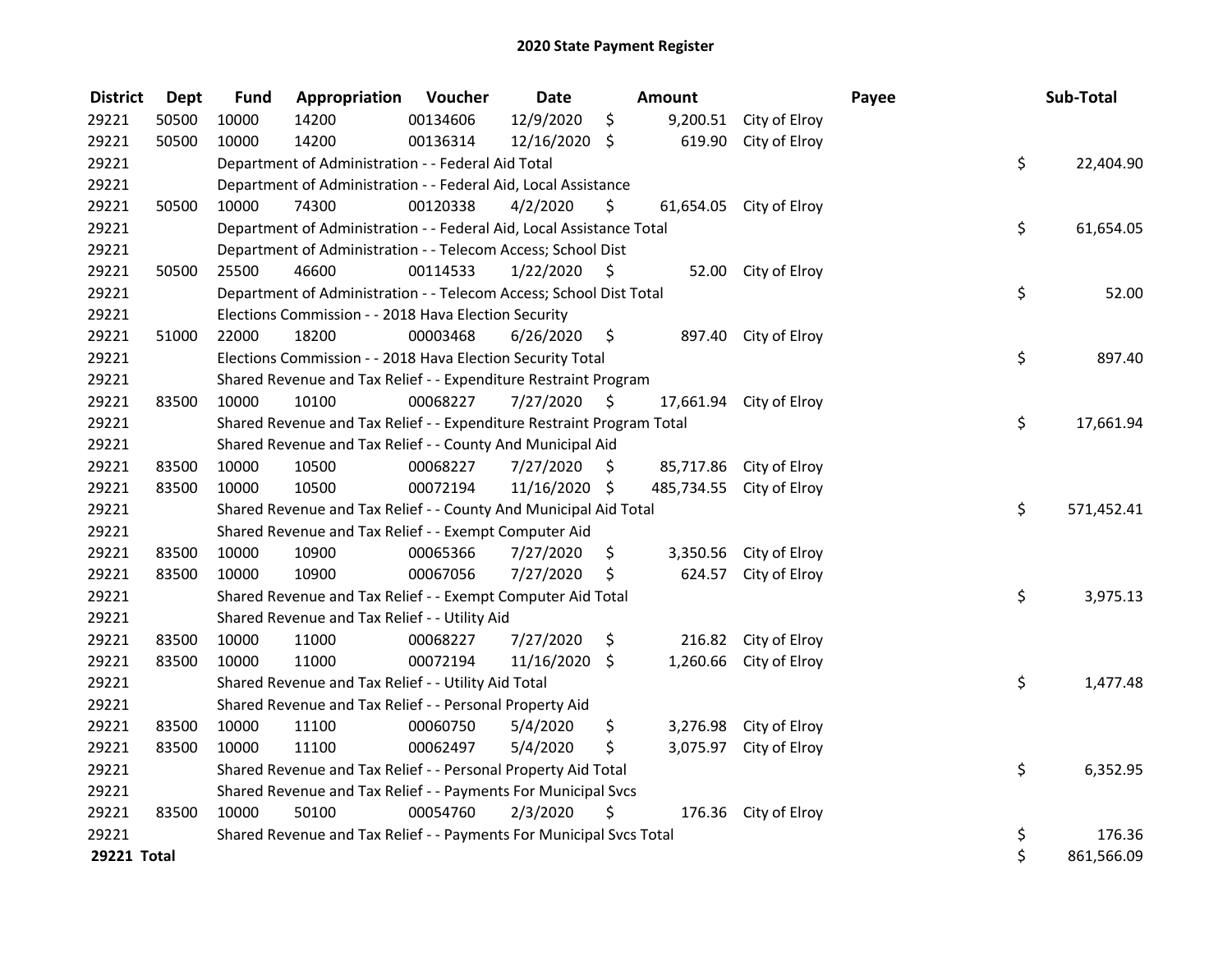| <b>District</b>    | <b>Dept</b> | <b>Fund</b> | Appropriation                                                         | Voucher  | <b>Date</b>     |      | <b>Amount</b> |                         | Payee | Sub-Total        |
|--------------------|-------------|-------------|-----------------------------------------------------------------------|----------|-----------------|------|---------------|-------------------------|-------|------------------|
| 29221              | 50500       | 10000       | 14200                                                                 | 00134606 | 12/9/2020       | \$   | 9,200.51      | City of Elroy           |       |                  |
| 29221              | 50500       | 10000       | 14200                                                                 | 00136314 | $12/16/2020$ \$ |      | 619.90        | City of Elroy           |       |                  |
| 29221              |             |             | Department of Administration - - Federal Aid Total                    |          |                 |      |               |                         |       | \$<br>22,404.90  |
| 29221              |             |             | Department of Administration - - Federal Aid, Local Assistance        |          |                 |      |               |                         |       |                  |
| 29221              | 50500       | 10000       | 74300                                                                 | 00120338 | 4/2/2020        | \$   |               | 61,654.05 City of Elroy |       |                  |
| 29221              |             |             | Department of Administration - - Federal Aid, Local Assistance Total  |          |                 |      |               |                         |       | \$<br>61,654.05  |
| 29221              |             |             | Department of Administration - - Telecom Access; School Dist          |          |                 |      |               |                         |       |                  |
| 29221              | 50500       | 25500       | 46600                                                                 | 00114533 | 1/22/2020       | - \$ |               | 52.00 City of Elroy     |       |                  |
| 29221              |             |             | Department of Administration - - Telecom Access; School Dist Total    |          |                 |      |               |                         |       | \$<br>52.00      |
| 29221              |             |             | Elections Commission - - 2018 Hava Election Security                  |          |                 |      |               |                         |       |                  |
| 29221              | 51000       | 22000       | 18200                                                                 | 00003468 | 6/26/2020       | - \$ | 897.40        | City of Elroy           |       |                  |
| 29221              |             |             | Elections Commission - - 2018 Hava Election Security Total            |          |                 |      |               |                         |       | \$<br>897.40     |
| 29221              |             |             | Shared Revenue and Tax Relief - - Expenditure Restraint Program       |          |                 |      |               |                         |       |                  |
| 29221              | 83500       | 10000       | 10100                                                                 | 00068227 | 7/27/2020       | \$   | 17,661.94     | City of Elroy           |       |                  |
| 29221              |             |             | Shared Revenue and Tax Relief - - Expenditure Restraint Program Total |          |                 |      |               |                         |       | \$<br>17,661.94  |
| 29221              |             |             | Shared Revenue and Tax Relief - - County And Municipal Aid            |          |                 |      |               |                         |       |                  |
| 29221              | 83500       | 10000       | 10500                                                                 | 00068227 | 7/27/2020       | \$   |               | 85,717.86 City of Elroy |       |                  |
| 29221              | 83500       | 10000       | 10500                                                                 | 00072194 | 11/16/2020 \$   |      | 485,734.55    | City of Elroy           |       |                  |
| 29221              |             |             | Shared Revenue and Tax Relief - - County And Municipal Aid Total      |          |                 |      |               |                         |       | \$<br>571,452.41 |
| 29221              |             |             | Shared Revenue and Tax Relief - - Exempt Computer Aid                 |          |                 |      |               |                         |       |                  |
| 29221              | 83500       | 10000       | 10900                                                                 | 00065366 | 7/27/2020       | \$   | 3,350.56      | City of Elroy           |       |                  |
| 29221              | 83500       | 10000       | 10900                                                                 | 00067056 | 7/27/2020       | \$   | 624.57        | City of Elroy           |       |                  |
| 29221              |             |             | Shared Revenue and Tax Relief - - Exempt Computer Aid Total           |          |                 |      |               |                         |       | \$<br>3,975.13   |
| 29221              |             |             | Shared Revenue and Tax Relief - - Utility Aid                         |          |                 |      |               |                         |       |                  |
| 29221              | 83500       | 10000       | 11000                                                                 | 00068227 | 7/27/2020       | \$   | 216.82        | City of Elroy           |       |                  |
| 29221              | 83500       | 10000       | 11000                                                                 | 00072194 | 11/16/2020      | \$   | 1,260.66      | City of Elroy           |       |                  |
| 29221              |             |             | Shared Revenue and Tax Relief - - Utility Aid Total                   |          |                 |      |               |                         |       | \$<br>1,477.48   |
| 29221              |             |             | Shared Revenue and Tax Relief - - Personal Property Aid               |          |                 |      |               |                         |       |                  |
| 29221              | 83500       | 10000       | 11100                                                                 | 00060750 | 5/4/2020        | \$   | 3,276.98      | City of Elroy           |       |                  |
| 29221              | 83500       | 10000       | 11100                                                                 | 00062497 | 5/4/2020        | \$   | 3,075.97      | City of Elroy           |       |                  |
| 29221              |             |             | Shared Revenue and Tax Relief - - Personal Property Aid Total         |          |                 |      |               |                         |       | \$<br>6,352.95   |
| 29221              |             |             | Shared Revenue and Tax Relief - - Payments For Municipal Svcs         |          |                 |      |               |                         |       |                  |
| 29221              | 83500       | 10000       | 50100                                                                 | 00054760 | 2/3/2020        | \$   |               | 176.36 City of Elroy    |       |                  |
| 29221              |             |             | Shared Revenue and Tax Relief - - Payments For Municipal Svcs Total   |          |                 |      |               |                         |       | \$<br>176.36     |
| <b>29221 Total</b> |             |             |                                                                       |          |                 |      |               |                         |       | \$<br>861,566.09 |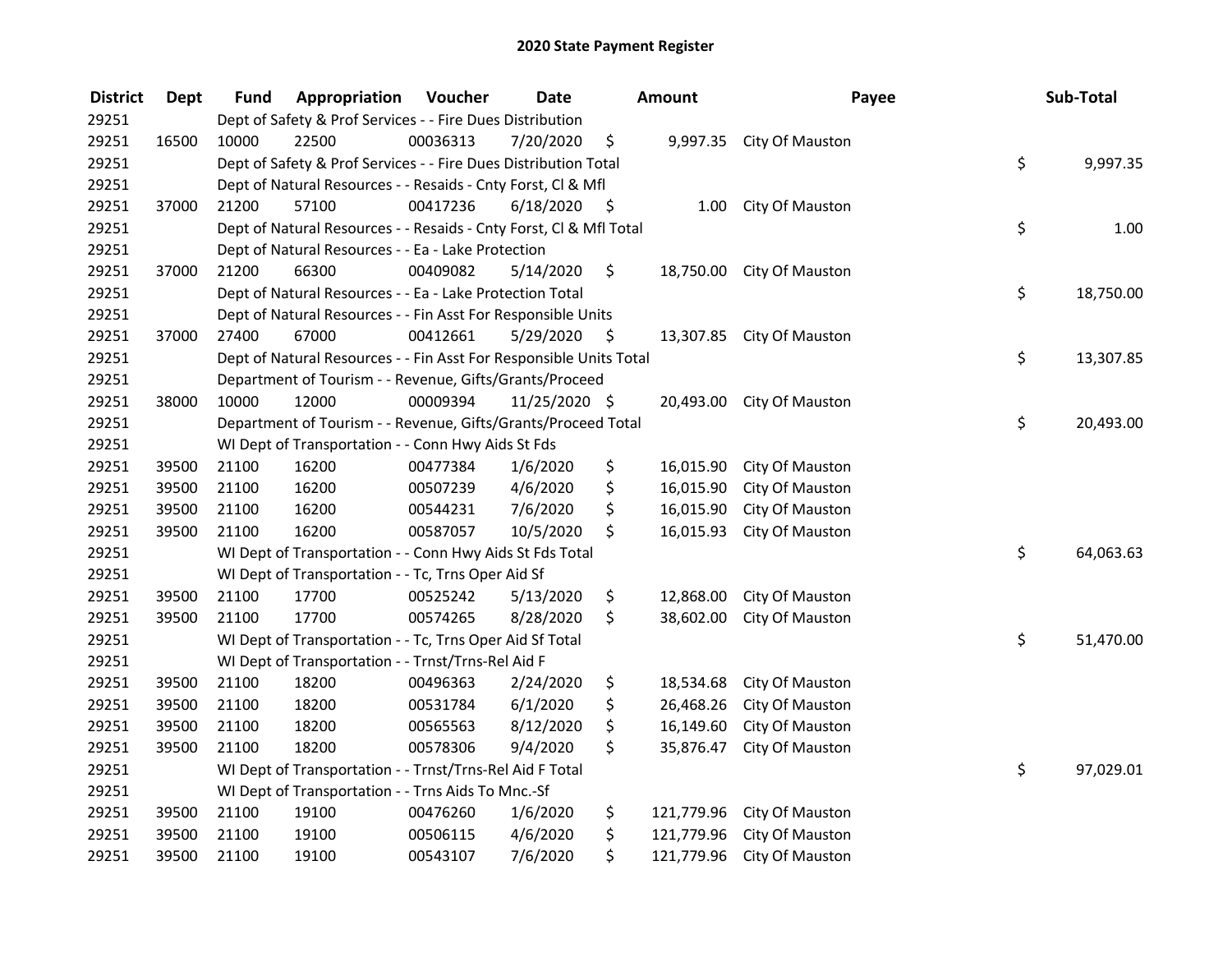| <b>District</b> | <b>Dept</b> | Fund  | Appropriation                                                      | Voucher  | <b>Date</b>   |      | <b>Amount</b> | Payee                     | Sub-Total       |
|-----------------|-------------|-------|--------------------------------------------------------------------|----------|---------------|------|---------------|---------------------------|-----------------|
| 29251           |             |       | Dept of Safety & Prof Services - - Fire Dues Distribution          |          |               |      |               |                           |                 |
| 29251           | 16500       | 10000 | 22500                                                              | 00036313 | 7/20/2020     | \$   |               | 9,997.35 City Of Mauston  |                 |
| 29251           |             |       | Dept of Safety & Prof Services - - Fire Dues Distribution Total    |          |               |      |               |                           | \$<br>9,997.35  |
| 29251           |             |       | Dept of Natural Resources - - Resaids - Cnty Forst, Cl & Mfl       |          |               |      |               |                           |                 |
| 29251           | 37000       | 21200 | 57100                                                              | 00417236 | 6/18/2020     | - \$ | 1.00          | City Of Mauston           |                 |
| 29251           |             |       | Dept of Natural Resources - - Resaids - Cnty Forst, Cl & Mfl Total |          |               |      |               |                           | \$<br>1.00      |
| 29251           |             |       | Dept of Natural Resources - - Ea - Lake Protection                 |          |               |      |               |                           |                 |
| 29251           | 37000       | 21200 | 66300                                                              | 00409082 | 5/14/2020     | \$   |               | 18,750.00 City Of Mauston |                 |
| 29251           |             |       | Dept of Natural Resources - - Ea - Lake Protection Total           |          |               |      |               |                           | \$<br>18,750.00 |
| 29251           |             |       | Dept of Natural Resources - - Fin Asst For Responsible Units       |          |               |      |               |                           |                 |
| 29251           | 37000       | 27400 | 67000                                                              | 00412661 | 5/29/2020     | -\$  |               | 13,307.85 City Of Mauston |                 |
| 29251           |             |       | Dept of Natural Resources - - Fin Asst For Responsible Units Total |          |               |      |               |                           | \$<br>13,307.85 |
| 29251           |             |       | Department of Tourism - - Revenue, Gifts/Grants/Proceed            |          |               |      |               |                           |                 |
| 29251           | 38000       | 10000 | 12000                                                              | 00009394 | 11/25/2020 \$ |      | 20,493.00     | City Of Mauston           |                 |
| 29251           |             |       | Department of Tourism - - Revenue, Gifts/Grants/Proceed Total      |          |               |      |               |                           | \$<br>20,493.00 |
| 29251           |             |       | WI Dept of Transportation - - Conn Hwy Aids St Fds                 |          |               |      |               |                           |                 |
| 29251           | 39500       | 21100 | 16200                                                              | 00477384 | 1/6/2020      | \$   | 16,015.90     | City Of Mauston           |                 |
| 29251           | 39500       | 21100 | 16200                                                              | 00507239 | 4/6/2020      | \$   | 16,015.90     | City Of Mauston           |                 |
| 29251           | 39500       | 21100 | 16200                                                              | 00544231 | 7/6/2020      | \$   | 16,015.90     | City Of Mauston           |                 |
| 29251           | 39500       | 21100 | 16200                                                              | 00587057 | 10/5/2020     | \$   | 16,015.93     | City Of Mauston           |                 |
| 29251           |             |       | WI Dept of Transportation - - Conn Hwy Aids St Fds Total           |          |               |      |               |                           | \$<br>64,063.63 |
| 29251           |             |       | WI Dept of Transportation - - Tc, Trns Oper Aid Sf                 |          |               |      |               |                           |                 |
| 29251           | 39500       | 21100 | 17700                                                              | 00525242 | 5/13/2020     | \$   | 12,868.00     | City Of Mauston           |                 |
| 29251           | 39500       | 21100 | 17700                                                              | 00574265 | 8/28/2020     | \$   | 38,602.00     | City Of Mauston           |                 |
| 29251           |             |       | WI Dept of Transportation - - Tc, Trns Oper Aid Sf Total           |          |               |      |               |                           | \$<br>51,470.00 |
| 29251           |             |       | WI Dept of Transportation - - Trnst/Trns-Rel Aid F                 |          |               |      |               |                           |                 |
| 29251           | 39500       | 21100 | 18200                                                              | 00496363 | 2/24/2020     | \$   | 18,534.68     | City Of Mauston           |                 |
| 29251           | 39500       | 21100 | 18200                                                              | 00531784 | 6/1/2020      | \$   | 26,468.26     | City Of Mauston           |                 |
| 29251           | 39500       | 21100 | 18200                                                              | 00565563 | 8/12/2020     | \$   | 16,149.60     | City Of Mauston           |                 |
| 29251           | 39500       | 21100 | 18200                                                              | 00578306 | 9/4/2020      | \$   | 35,876.47     | City Of Mauston           |                 |
| 29251           |             |       | WI Dept of Transportation - - Trnst/Trns-Rel Aid F Total           |          |               |      |               |                           | \$<br>97,029.01 |
| 29251           |             |       | WI Dept of Transportation - - Trns Aids To Mnc.-Sf                 |          |               |      |               |                           |                 |
| 29251           | 39500       | 21100 | 19100                                                              | 00476260 | 1/6/2020      | \$   | 121,779.96    | City Of Mauston           |                 |
| 29251           | 39500       | 21100 | 19100                                                              | 00506115 | 4/6/2020      | \$   | 121,779.96    | City Of Mauston           |                 |
| 29251           | 39500       | 21100 | 19100                                                              | 00543107 | 7/6/2020      | \$   | 121,779.96    | City Of Mauston           |                 |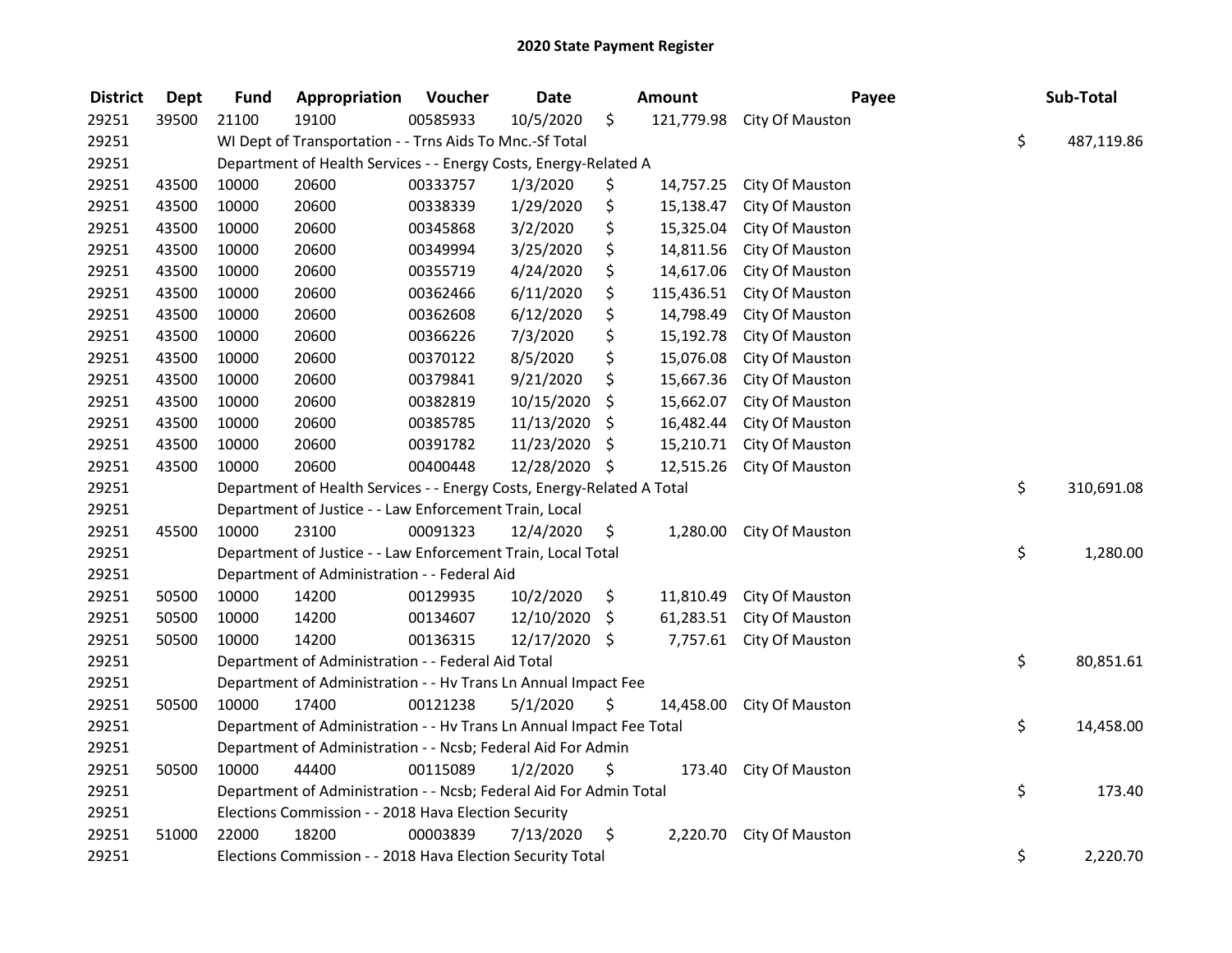| <b>District</b> | <b>Dept</b> | <b>Fund</b> | Appropriation                                                          | Voucher  | <b>Date</b>   | Amount           | Payee                  | Sub-Total        |
|-----------------|-------------|-------------|------------------------------------------------------------------------|----------|---------------|------------------|------------------------|------------------|
| 29251           | 39500       | 21100       | 19100                                                                  | 00585933 | 10/5/2020     | \$<br>121,779.98 | City Of Mauston        |                  |
| 29251           |             |             | WI Dept of Transportation - - Trns Aids To Mnc.-Sf Total               |          |               |                  |                        | \$<br>487,119.86 |
| 29251           |             |             | Department of Health Services - - Energy Costs, Energy-Related A       |          |               |                  |                        |                  |
| 29251           | 43500       | 10000       | 20600                                                                  | 00333757 | 1/3/2020      | \$<br>14,757.25  | City Of Mauston        |                  |
| 29251           | 43500       | 10000       | 20600                                                                  | 00338339 | 1/29/2020     | \$<br>15,138.47  | City Of Mauston        |                  |
| 29251           | 43500       | 10000       | 20600                                                                  | 00345868 | 3/2/2020      | \$<br>15,325.04  | City Of Mauston        |                  |
| 29251           | 43500       | 10000       | 20600                                                                  | 00349994 | 3/25/2020     | \$<br>14,811.56  | City Of Mauston        |                  |
| 29251           | 43500       | 10000       | 20600                                                                  | 00355719 | 4/24/2020     | \$<br>14,617.06  | City Of Mauston        |                  |
| 29251           | 43500       | 10000       | 20600                                                                  | 00362466 | 6/11/2020     | \$<br>115,436.51 | City Of Mauston        |                  |
| 29251           | 43500       | 10000       | 20600                                                                  | 00362608 | 6/12/2020     | \$<br>14,798.49  | City Of Mauston        |                  |
| 29251           | 43500       | 10000       | 20600                                                                  | 00366226 | 7/3/2020      | \$<br>15,192.78  | City Of Mauston        |                  |
| 29251           | 43500       | 10000       | 20600                                                                  | 00370122 | 8/5/2020      | \$<br>15,076.08  | City Of Mauston        |                  |
| 29251           | 43500       | 10000       | 20600                                                                  | 00379841 | 9/21/2020     | \$<br>15,667.36  | City Of Mauston        |                  |
| 29251           | 43500       | 10000       | 20600                                                                  | 00382819 | 10/15/2020    | \$<br>15,662.07  | City Of Mauston        |                  |
| 29251           | 43500       | 10000       | 20600                                                                  | 00385785 | 11/13/2020    | \$<br>16,482.44  | City Of Mauston        |                  |
| 29251           | 43500       | 10000       | 20600                                                                  | 00391782 | 11/23/2020    | \$<br>15,210.71  | City Of Mauston        |                  |
| 29251           | 43500       | 10000       | 20600                                                                  | 00400448 | 12/28/2020 \$ | 12,515.26        | City Of Mauston        |                  |
| 29251           |             |             | Department of Health Services - - Energy Costs, Energy-Related A Total |          |               |                  |                        | \$<br>310,691.08 |
| 29251           |             |             | Department of Justice - - Law Enforcement Train, Local                 |          |               |                  |                        |                  |
| 29251           | 45500       | 10000       | 23100                                                                  | 00091323 | 12/4/2020     | \$<br>1,280.00   | City Of Mauston        |                  |
| 29251           |             |             | Department of Justice - - Law Enforcement Train, Local Total           |          |               |                  |                        | \$<br>1,280.00   |
| 29251           |             |             | Department of Administration - - Federal Aid                           |          |               |                  |                        |                  |
| 29251           | 50500       | 10000       | 14200                                                                  | 00129935 | 10/2/2020     | \$<br>11,810.49  | City Of Mauston        |                  |
| 29251           | 50500       | 10000       | 14200                                                                  | 00134607 | 12/10/2020    | \$<br>61,283.51  | City Of Mauston        |                  |
| 29251           | 50500       | 10000       | 14200                                                                  | 00136315 | 12/17/2020    | \$<br>7,757.61   | City Of Mauston        |                  |
| 29251           |             |             | Department of Administration - - Federal Aid Total                     |          |               |                  |                        | \$<br>80,851.61  |
| 29251           |             |             | Department of Administration - - Hv Trans Ln Annual Impact Fee         |          |               |                  |                        |                  |
| 29251           | 50500       | 10000       | 17400                                                                  | 00121238 | 5/1/2020      | \$<br>14,458.00  | City Of Mauston        |                  |
| 29251           |             |             | Department of Administration - - Hv Trans Ln Annual Impact Fee Total   |          |               |                  |                        | \$<br>14,458.00  |
| 29251           |             |             | Department of Administration - - Ncsb; Federal Aid For Admin           |          |               |                  |                        |                  |
| 29251           | 50500       | 10000       | 44400                                                                  | 00115089 | 1/2/2020      | \$               | 173.40 City Of Mauston |                  |
| 29251           |             |             | Department of Administration - - Ncsb; Federal Aid For Admin Total     |          |               |                  |                        | \$<br>173.40     |
| 29251           |             |             | Elections Commission - - 2018 Hava Election Security                   |          |               |                  |                        |                  |
| 29251           | 51000       | 22000       | 18200                                                                  | 00003839 | 7/13/2020     | \$<br>2,220.70   | City Of Mauston        |                  |
| 29251           |             |             | Elections Commission - - 2018 Hava Election Security Total             |          |               |                  |                        | \$<br>2,220.70   |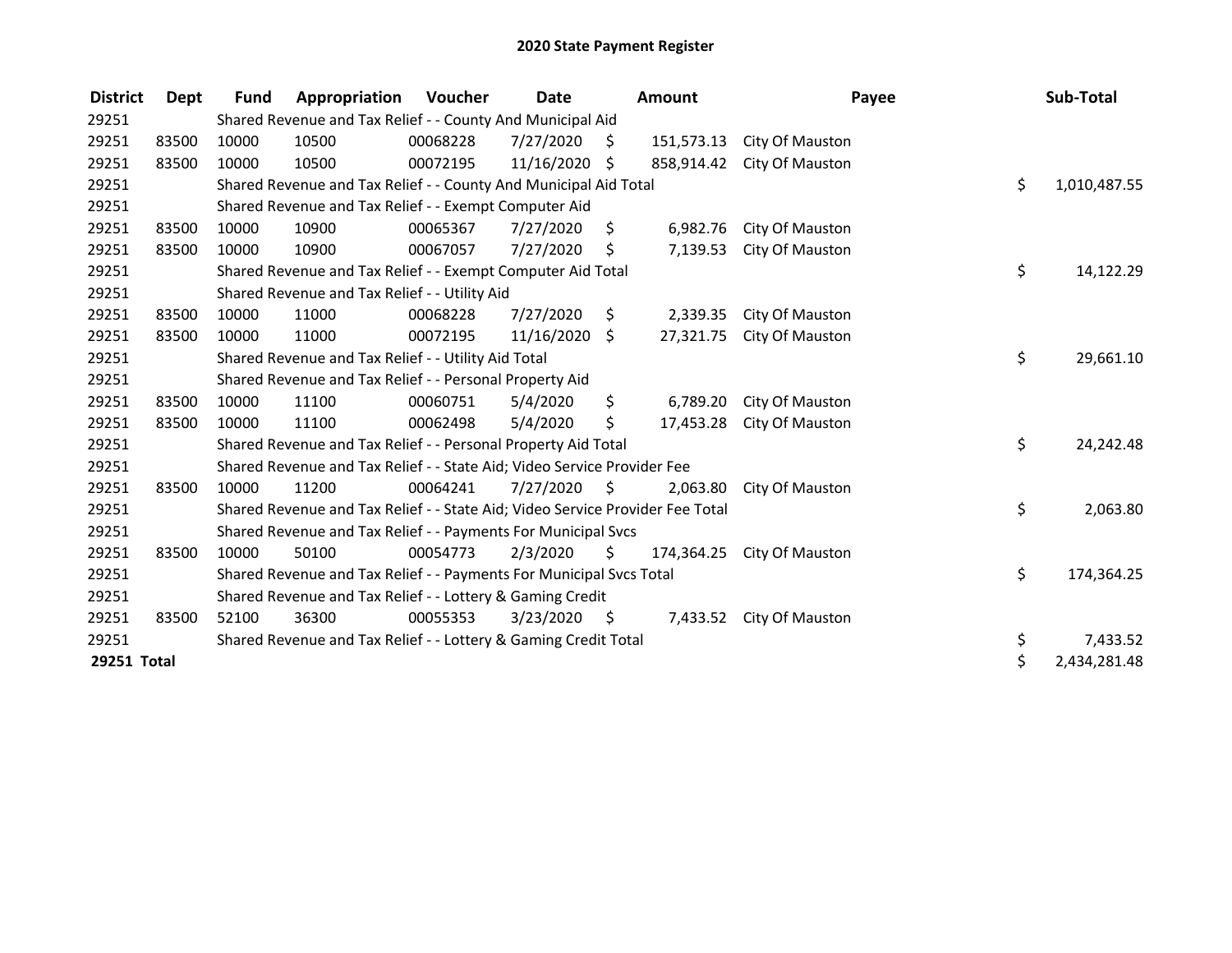| <b>District</b> | Dept  | <b>Fund</b> | Appropriation                                                                 | Voucher  | <b>Date</b> |      | Amount     |                          | Payee | Sub-Total    |
|-----------------|-------|-------------|-------------------------------------------------------------------------------|----------|-------------|------|------------|--------------------------|-------|--------------|
| 29251           |       |             | Shared Revenue and Tax Relief - - County And Municipal Aid                    |          |             |      |            |                          |       |              |
| 29251           | 83500 | 10000       | 10500                                                                         | 00068228 | 7/27/2020   | S    | 151,573.13 | City Of Mauston          |       |              |
| 29251           | 83500 | 10000       | 10500                                                                         | 00072195 | 11/16/2020  | Ŝ.   | 858,914.42 | City Of Mauston          |       |              |
| 29251           |       |             | Shared Revenue and Tax Relief - - County And Municipal Aid Total              |          |             |      |            |                          | \$    | 1,010,487.55 |
| 29251           |       |             | Shared Revenue and Tax Relief - - Exempt Computer Aid                         |          |             |      |            |                          |       |              |
| 29251           | 83500 | 10000       | 10900                                                                         | 00065367 | 7/27/2020   | \$   | 6,982.76   | City Of Mauston          |       |              |
| 29251           | 83500 | 10000       | 10900                                                                         | 00067057 | 7/27/2020   | \$   | 7,139.53   | City Of Mauston          |       |              |
| 29251           |       |             | Shared Revenue and Tax Relief - - Exempt Computer Aid Total                   |          |             |      |            |                          | \$    | 14,122.29    |
| 29251           |       |             | Shared Revenue and Tax Relief - - Utility Aid                                 |          |             |      |            |                          |       |              |
| 29251           | 83500 | 10000       | 11000                                                                         | 00068228 | 7/27/2020   | \$.  | 2,339.35   | City Of Mauston          |       |              |
| 29251           | 83500 | 10000       | 11000                                                                         | 00072195 | 11/16/2020  | \$   | 27,321.75  | City Of Mauston          |       |              |
| 29251           |       |             | Shared Revenue and Tax Relief - - Utility Aid Total                           |          |             |      |            |                          | \$    | 29,661.10    |
| 29251           |       |             | Shared Revenue and Tax Relief - - Personal Property Aid                       |          |             |      |            |                          |       |              |
| 29251           | 83500 | 10000       | 11100                                                                         | 00060751 | 5/4/2020    | \$   | 6,789.20   | City Of Mauston          |       |              |
| 29251           | 83500 | 10000       | 11100                                                                         | 00062498 | 5/4/2020    | \$   | 17,453.28  | City Of Mauston          |       |              |
| 29251           |       |             | Shared Revenue and Tax Relief - - Personal Property Aid Total                 |          |             |      |            |                          | \$    | 24,242.48    |
| 29251           |       |             | Shared Revenue and Tax Relief - - State Aid; Video Service Provider Fee       |          |             |      |            |                          |       |              |
| 29251           | 83500 | 10000       | 11200                                                                         | 00064241 | 7/27/2020   | S.   | 2.063.80   | City Of Mauston          |       |              |
| 29251           |       |             | Shared Revenue and Tax Relief - - State Aid; Video Service Provider Fee Total |          |             |      |            |                          | \$    | 2,063.80     |
| 29251           |       |             | Shared Revenue and Tax Relief - - Payments For Municipal Svcs                 |          |             |      |            |                          |       |              |
| 29251           | 83500 | 10000       | 50100                                                                         | 00054773 | 2/3/2020    | \$   | 174,364.25 | City Of Mauston          |       |              |
| 29251           |       |             | Shared Revenue and Tax Relief - - Payments For Municipal Svcs Total           |          |             |      |            |                          | \$    | 174,364.25   |
| 29251           |       |             | Shared Revenue and Tax Relief - - Lottery & Gaming Credit                     |          |             |      |            |                          |       |              |
| 29251           | 83500 | 52100       | 36300                                                                         | 00055353 | 3/23/2020   | - \$ |            | 7,433.52 City Of Mauston |       |              |
| 29251           |       |             | Shared Revenue and Tax Relief - - Lottery & Gaming Credit Total               |          |             |      |            |                          | \$    | 7,433.52     |
| 29251 Total     |       |             |                                                                               |          |             |      |            |                          | \$    | 2,434,281.48 |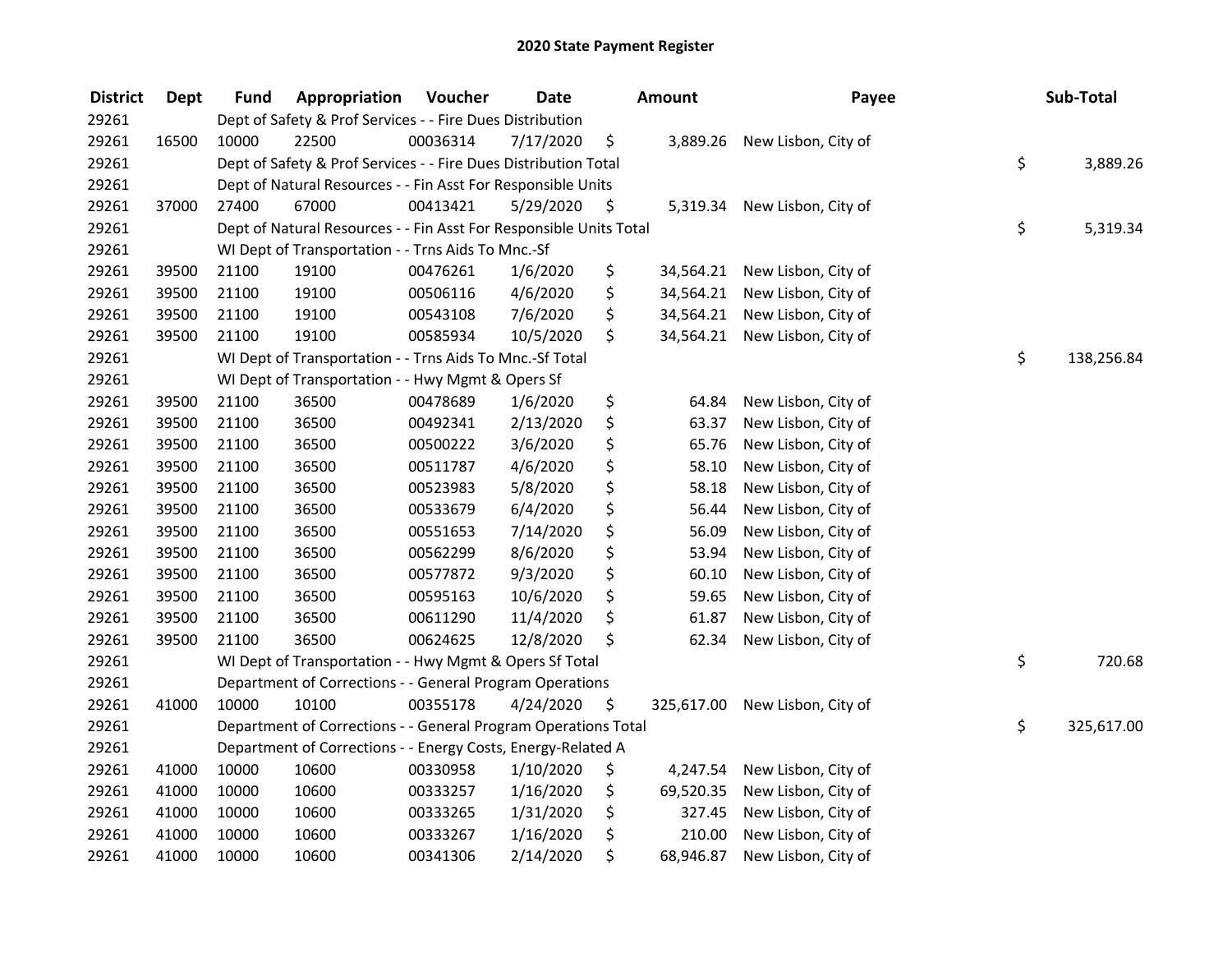| <b>District</b> | <b>Dept</b> | <b>Fund</b> | Appropriation                                                      | Voucher  | <b>Date</b> | <b>Amount</b>    | Payee               | Sub-Total        |
|-----------------|-------------|-------------|--------------------------------------------------------------------|----------|-------------|------------------|---------------------|------------------|
| 29261           |             |             | Dept of Safety & Prof Services - - Fire Dues Distribution          |          |             |                  |                     |                  |
| 29261           | 16500       | 10000       | 22500                                                              | 00036314 | 7/17/2020   | \$<br>3,889.26   | New Lisbon, City of |                  |
| 29261           |             |             | Dept of Safety & Prof Services - - Fire Dues Distribution Total    |          |             |                  |                     | \$<br>3,889.26   |
| 29261           |             |             | Dept of Natural Resources - - Fin Asst For Responsible Units       |          |             |                  |                     |                  |
| 29261           | 37000       | 27400       | 67000                                                              | 00413421 | 5/29/2020   | \$<br>5,319.34   | New Lisbon, City of |                  |
| 29261           |             |             | Dept of Natural Resources - - Fin Asst For Responsible Units Total |          |             |                  |                     | \$<br>5,319.34   |
| 29261           |             |             | WI Dept of Transportation - - Trns Aids To Mnc.-Sf                 |          |             |                  |                     |                  |
| 29261           | 39500       | 21100       | 19100                                                              | 00476261 | 1/6/2020    | \$<br>34,564.21  | New Lisbon, City of |                  |
| 29261           | 39500       | 21100       | 19100                                                              | 00506116 | 4/6/2020    | \$<br>34,564.21  | New Lisbon, City of |                  |
| 29261           | 39500       | 21100       | 19100                                                              | 00543108 | 7/6/2020    | \$<br>34,564.21  | New Lisbon, City of |                  |
| 29261           | 39500       | 21100       | 19100                                                              | 00585934 | 10/5/2020   | \$<br>34,564.21  | New Lisbon, City of |                  |
| 29261           |             |             | WI Dept of Transportation - - Trns Aids To Mnc.-Sf Total           |          |             |                  |                     | \$<br>138,256.84 |
| 29261           |             |             | WI Dept of Transportation - - Hwy Mgmt & Opers Sf                  |          |             |                  |                     |                  |
| 29261           | 39500       | 21100       | 36500                                                              | 00478689 | 1/6/2020    | \$<br>64.84      | New Lisbon, City of |                  |
| 29261           | 39500       | 21100       | 36500                                                              | 00492341 | 2/13/2020   | \$<br>63.37      | New Lisbon, City of |                  |
| 29261           | 39500       | 21100       | 36500                                                              | 00500222 | 3/6/2020    | \$<br>65.76      | New Lisbon, City of |                  |
| 29261           | 39500       | 21100       | 36500                                                              | 00511787 | 4/6/2020    | \$<br>58.10      | New Lisbon, City of |                  |
| 29261           | 39500       | 21100       | 36500                                                              | 00523983 | 5/8/2020    | \$<br>58.18      | New Lisbon, City of |                  |
| 29261           | 39500       | 21100       | 36500                                                              | 00533679 | 6/4/2020    | \$<br>56.44      | New Lisbon, City of |                  |
| 29261           | 39500       | 21100       | 36500                                                              | 00551653 | 7/14/2020   | \$<br>56.09      | New Lisbon, City of |                  |
| 29261           | 39500       | 21100       | 36500                                                              | 00562299 | 8/6/2020    | \$<br>53.94      | New Lisbon, City of |                  |
| 29261           | 39500       | 21100       | 36500                                                              | 00577872 | 9/3/2020    | \$<br>60.10      | New Lisbon, City of |                  |
| 29261           | 39500       | 21100       | 36500                                                              | 00595163 | 10/6/2020   | \$<br>59.65      | New Lisbon, City of |                  |
| 29261           | 39500       | 21100       | 36500                                                              | 00611290 | 11/4/2020   | \$<br>61.87      | New Lisbon, City of |                  |
| 29261           | 39500       | 21100       | 36500                                                              | 00624625 | 12/8/2020   | \$<br>62.34      | New Lisbon, City of |                  |
| 29261           |             |             | WI Dept of Transportation - - Hwy Mgmt & Opers Sf Total            |          |             |                  |                     | \$<br>720.68     |
| 29261           |             |             | Department of Corrections - - General Program Operations           |          |             |                  |                     |                  |
| 29261           | 41000       | 10000       | 10100                                                              | 00355178 | 4/24/2020   | \$<br>325,617.00 | New Lisbon, City of |                  |
| 29261           |             |             | Department of Corrections - - General Program Operations Total     |          |             |                  |                     | \$<br>325,617.00 |
| 29261           |             |             | Department of Corrections - - Energy Costs, Energy-Related A       |          |             |                  |                     |                  |
| 29261           | 41000       | 10000       | 10600                                                              | 00330958 | 1/10/2020   | \$<br>4,247.54   | New Lisbon, City of |                  |
| 29261           | 41000       | 10000       | 10600                                                              | 00333257 | 1/16/2020   | \$<br>69,520.35  | New Lisbon, City of |                  |
| 29261           | 41000       | 10000       | 10600                                                              | 00333265 | 1/31/2020   | \$<br>327.45     | New Lisbon, City of |                  |
| 29261           | 41000       | 10000       | 10600                                                              | 00333267 | 1/16/2020   | \$<br>210.00     | New Lisbon, City of |                  |
| 29261           | 41000       | 10000       | 10600                                                              | 00341306 | 2/14/2020   | \$<br>68,946.87  | New Lisbon, City of |                  |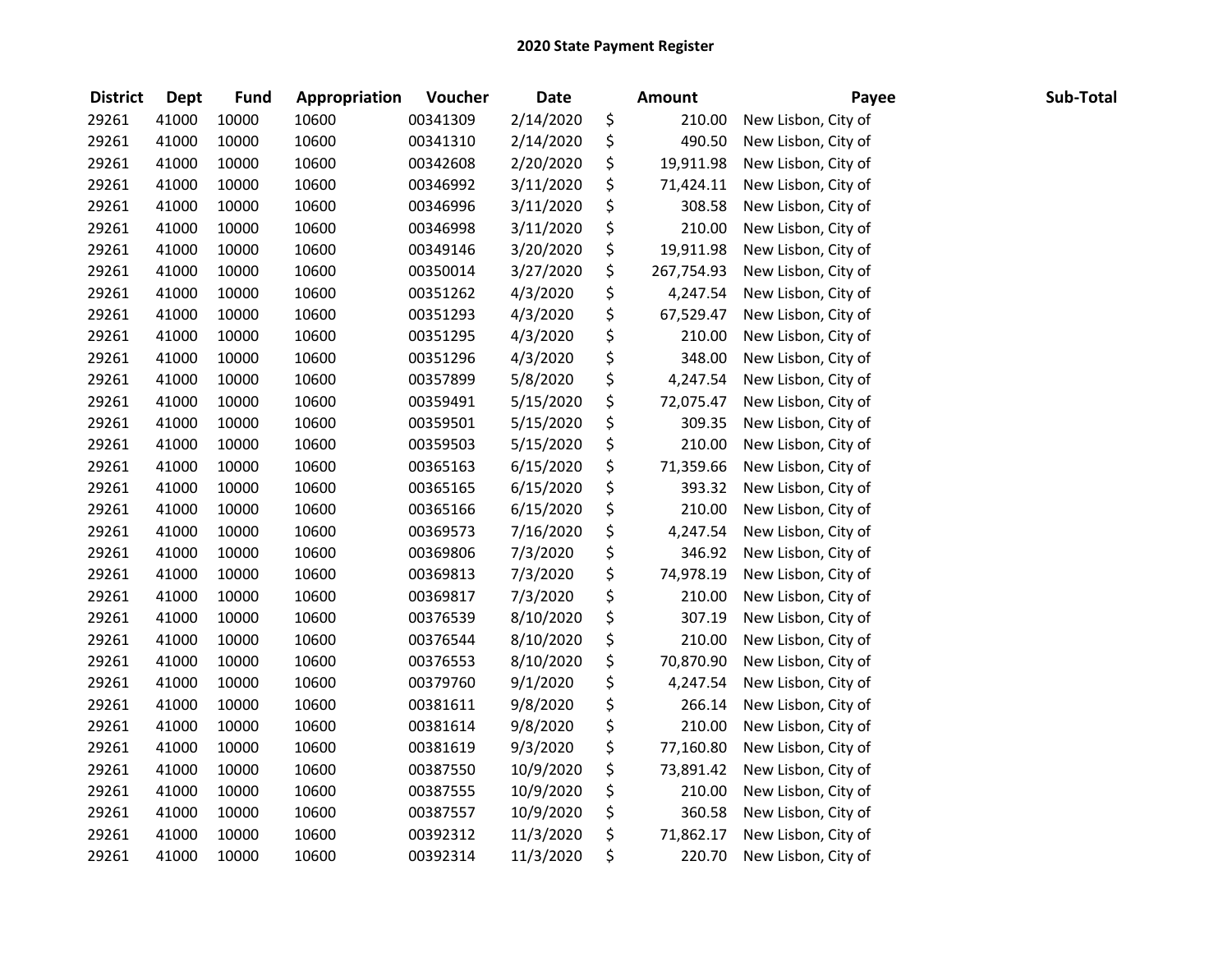| <b>District</b> | <b>Dept</b> | <b>Fund</b> | Appropriation | Voucher  | <b>Date</b> | <b>Amount</b>    | Payee               | Sub-Total |
|-----------------|-------------|-------------|---------------|----------|-------------|------------------|---------------------|-----------|
| 29261           | 41000       | 10000       | 10600         | 00341309 | 2/14/2020   | \$<br>210.00     | New Lisbon, City of |           |
| 29261           | 41000       | 10000       | 10600         | 00341310 | 2/14/2020   | \$<br>490.50     | New Lisbon, City of |           |
| 29261           | 41000       | 10000       | 10600         | 00342608 | 2/20/2020   | \$<br>19,911.98  | New Lisbon, City of |           |
| 29261           | 41000       | 10000       | 10600         | 00346992 | 3/11/2020   | \$<br>71,424.11  | New Lisbon, City of |           |
| 29261           | 41000       | 10000       | 10600         | 00346996 | 3/11/2020   | \$<br>308.58     | New Lisbon, City of |           |
| 29261           | 41000       | 10000       | 10600         | 00346998 | 3/11/2020   | \$<br>210.00     | New Lisbon, City of |           |
| 29261           | 41000       | 10000       | 10600         | 00349146 | 3/20/2020   | \$<br>19,911.98  | New Lisbon, City of |           |
| 29261           | 41000       | 10000       | 10600         | 00350014 | 3/27/2020   | \$<br>267,754.93 | New Lisbon, City of |           |
| 29261           | 41000       | 10000       | 10600         | 00351262 | 4/3/2020    | \$<br>4,247.54   | New Lisbon, City of |           |
| 29261           | 41000       | 10000       | 10600         | 00351293 | 4/3/2020    | \$<br>67,529.47  | New Lisbon, City of |           |
| 29261           | 41000       | 10000       | 10600         | 00351295 | 4/3/2020    | \$<br>210.00     | New Lisbon, City of |           |
| 29261           | 41000       | 10000       | 10600         | 00351296 | 4/3/2020    | \$<br>348.00     | New Lisbon, City of |           |
| 29261           | 41000       | 10000       | 10600         | 00357899 | 5/8/2020    | \$<br>4,247.54   | New Lisbon, City of |           |
| 29261           | 41000       | 10000       | 10600         | 00359491 | 5/15/2020   | \$<br>72,075.47  | New Lisbon, City of |           |
| 29261           | 41000       | 10000       | 10600         | 00359501 | 5/15/2020   | \$<br>309.35     | New Lisbon, City of |           |
| 29261           | 41000       | 10000       | 10600         | 00359503 | 5/15/2020   | \$<br>210.00     | New Lisbon, City of |           |
| 29261           | 41000       | 10000       | 10600         | 00365163 | 6/15/2020   | \$<br>71,359.66  | New Lisbon, City of |           |
| 29261           | 41000       | 10000       | 10600         | 00365165 | 6/15/2020   | \$<br>393.32     | New Lisbon, City of |           |
| 29261           | 41000       | 10000       | 10600         | 00365166 | 6/15/2020   | \$<br>210.00     | New Lisbon, City of |           |
| 29261           | 41000       | 10000       | 10600         | 00369573 | 7/16/2020   | \$<br>4,247.54   | New Lisbon, City of |           |
| 29261           | 41000       | 10000       | 10600         | 00369806 | 7/3/2020    | \$<br>346.92     | New Lisbon, City of |           |
| 29261           | 41000       | 10000       | 10600         | 00369813 | 7/3/2020    | \$<br>74,978.19  | New Lisbon, City of |           |
| 29261           | 41000       | 10000       | 10600         | 00369817 | 7/3/2020    | \$<br>210.00     | New Lisbon, City of |           |
| 29261           | 41000       | 10000       | 10600         | 00376539 | 8/10/2020   | \$<br>307.19     | New Lisbon, City of |           |
| 29261           | 41000       | 10000       | 10600         | 00376544 | 8/10/2020   | \$<br>210.00     | New Lisbon, City of |           |
| 29261           | 41000       | 10000       | 10600         | 00376553 | 8/10/2020   | \$<br>70,870.90  | New Lisbon, City of |           |
| 29261           | 41000       | 10000       | 10600         | 00379760 | 9/1/2020    | \$<br>4,247.54   | New Lisbon, City of |           |
| 29261           | 41000       | 10000       | 10600         | 00381611 | 9/8/2020    | \$<br>266.14     | New Lisbon, City of |           |
| 29261           | 41000       | 10000       | 10600         | 00381614 | 9/8/2020    | \$<br>210.00     | New Lisbon, City of |           |
| 29261           | 41000       | 10000       | 10600         | 00381619 | 9/3/2020    | \$<br>77,160.80  | New Lisbon, City of |           |
| 29261           | 41000       | 10000       | 10600         | 00387550 | 10/9/2020   | \$<br>73,891.42  | New Lisbon, City of |           |
| 29261           | 41000       | 10000       | 10600         | 00387555 | 10/9/2020   | \$<br>210.00     | New Lisbon, City of |           |
| 29261           | 41000       | 10000       | 10600         | 00387557 | 10/9/2020   | \$<br>360.58     | New Lisbon, City of |           |
| 29261           | 41000       | 10000       | 10600         | 00392312 | 11/3/2020   | \$<br>71,862.17  | New Lisbon, City of |           |
| 29261           | 41000       | 10000       | 10600         | 00392314 | 11/3/2020   | \$<br>220.70     | New Lisbon, City of |           |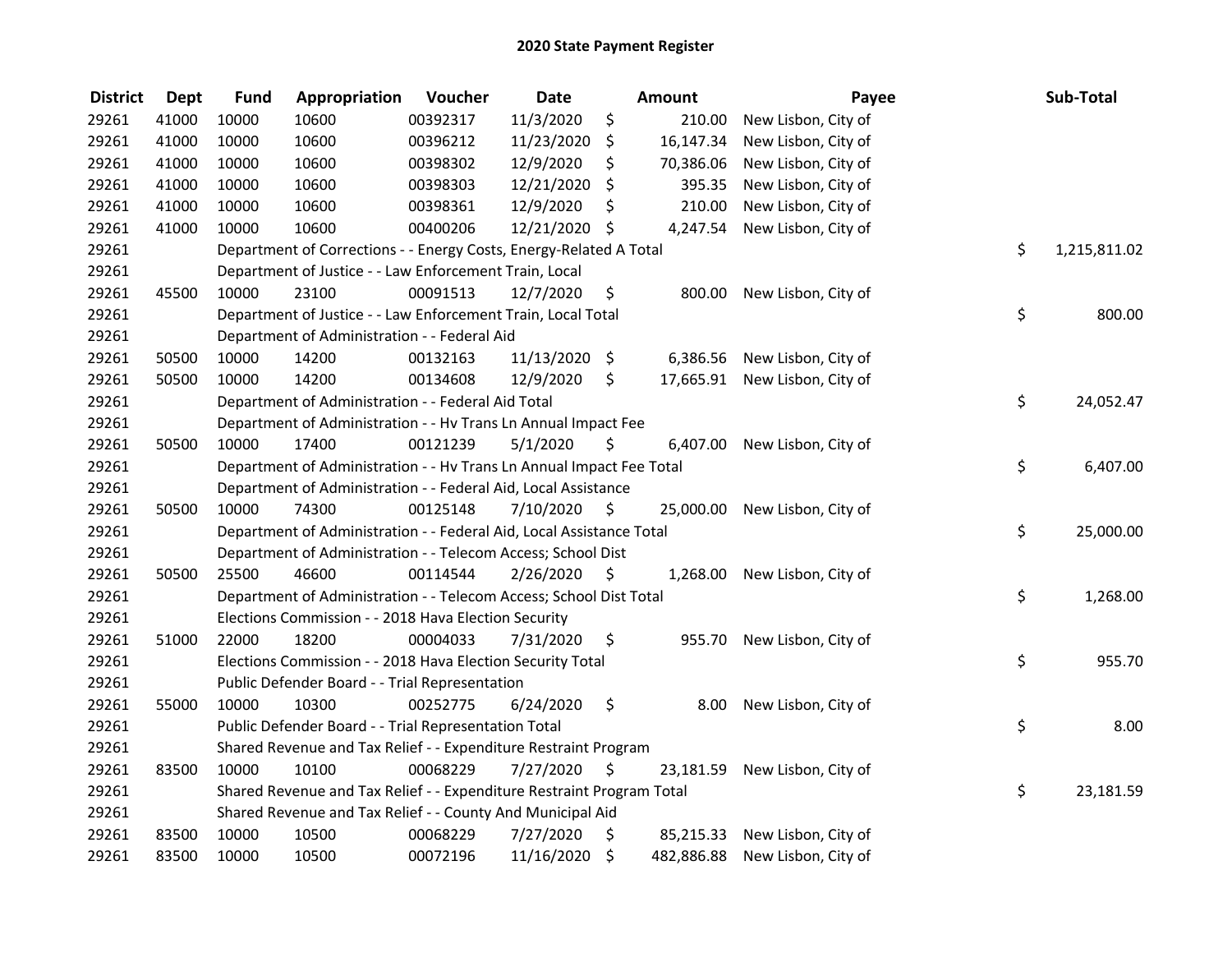| <b>District</b> | <b>Dept</b> | <b>Fund</b> | Appropriation                                                         | Voucher  | <b>Date</b> |      | <b>Amount</b> | Payee               | Sub-Total          |
|-----------------|-------------|-------------|-----------------------------------------------------------------------|----------|-------------|------|---------------|---------------------|--------------------|
| 29261           | 41000       | 10000       | 10600                                                                 | 00392317 | 11/3/2020   | \$   | 210.00        | New Lisbon, City of |                    |
| 29261           | 41000       | 10000       | 10600                                                                 | 00396212 | 11/23/2020  | \$   | 16,147.34     | New Lisbon, City of |                    |
| 29261           | 41000       | 10000       | 10600                                                                 | 00398302 | 12/9/2020   | \$   | 70,386.06     | New Lisbon, City of |                    |
| 29261           | 41000       | 10000       | 10600                                                                 | 00398303 | 12/21/2020  | \$   | 395.35        | New Lisbon, City of |                    |
| 29261           | 41000       | 10000       | 10600                                                                 | 00398361 | 12/9/2020   | \$   | 210.00        | New Lisbon, City of |                    |
| 29261           | 41000       | 10000       | 10600                                                                 | 00400206 | 12/21/2020  | - \$ | 4,247.54      | New Lisbon, City of |                    |
| 29261           |             |             | Department of Corrections - - Energy Costs, Energy-Related A Total    |          |             |      |               |                     | \$<br>1,215,811.02 |
| 29261           |             |             | Department of Justice - - Law Enforcement Train, Local                |          |             |      |               |                     |                    |
| 29261           | 45500       | 10000       | 23100                                                                 | 00091513 | 12/7/2020   | \$   | 800.00        | New Lisbon, City of |                    |
| 29261           |             |             | Department of Justice - - Law Enforcement Train, Local Total          |          |             |      |               |                     | \$<br>800.00       |
| 29261           |             |             | Department of Administration - - Federal Aid                          |          |             |      |               |                     |                    |
| 29261           | 50500       | 10000       | 14200                                                                 | 00132163 | 11/13/2020  | \$   | 6,386.56      | New Lisbon, City of |                    |
| 29261           | 50500       | 10000       | 14200                                                                 | 00134608 | 12/9/2020   | \$   | 17,665.91     | New Lisbon, City of |                    |
| 29261           |             |             | Department of Administration - - Federal Aid Total                    |          |             |      |               |                     | \$<br>24,052.47    |
| 29261           |             |             | Department of Administration - - Hv Trans Ln Annual Impact Fee        |          |             |      |               |                     |                    |
| 29261           | 50500       | 10000       | 17400                                                                 | 00121239 | 5/1/2020    | \$   | 6,407.00      | New Lisbon, City of |                    |
| 29261           |             |             | Department of Administration - - Hv Trans Ln Annual Impact Fee Total  |          |             |      |               |                     | \$<br>6,407.00     |
| 29261           |             |             | Department of Administration - - Federal Aid, Local Assistance        |          |             |      |               |                     |                    |
| 29261           | 50500       | 10000       | 74300                                                                 | 00125148 | 7/10/2020   | - \$ | 25,000.00     | New Lisbon, City of |                    |
| 29261           |             |             | Department of Administration - - Federal Aid, Local Assistance Total  |          |             |      |               |                     | \$<br>25,000.00    |
| 29261           |             |             | Department of Administration - - Telecom Access; School Dist          |          |             |      |               |                     |                    |
| 29261           | 50500       | 25500       | 46600                                                                 | 00114544 | 2/26/2020   | - \$ | 1,268.00      | New Lisbon, City of |                    |
| 29261           |             |             | Department of Administration - - Telecom Access; School Dist Total    |          |             |      |               |                     | \$<br>1,268.00     |
| 29261           |             |             | Elections Commission - - 2018 Hava Election Security                  |          |             |      |               |                     |                    |
| 29261           | 51000       | 22000       | 18200                                                                 | 00004033 | 7/31/2020   | \$   | 955.70        | New Lisbon, City of |                    |
| 29261           |             |             | Elections Commission - - 2018 Hava Election Security Total            |          |             |      |               |                     | \$<br>955.70       |
| 29261           |             |             | Public Defender Board - - Trial Representation                        |          |             |      |               |                     |                    |
| 29261           | 55000       | 10000       | 10300                                                                 | 00252775 | 6/24/2020   | \$   | 8.00          | New Lisbon, City of |                    |
| 29261           |             |             | Public Defender Board - - Trial Representation Total                  |          |             |      |               |                     | \$<br>8.00         |
| 29261           |             |             | Shared Revenue and Tax Relief - - Expenditure Restraint Program       |          |             |      |               |                     |                    |
| 29261           | 83500       | 10000       | 10100                                                                 | 00068229 | 7/27/2020   | - S  | 23,181.59     | New Lisbon, City of |                    |
| 29261           |             |             | Shared Revenue and Tax Relief - - Expenditure Restraint Program Total |          |             |      |               |                     | \$<br>23,181.59    |
| 29261           |             |             | Shared Revenue and Tax Relief - - County And Municipal Aid            |          |             |      |               |                     |                    |
| 29261           | 83500       | 10000       | 10500                                                                 | 00068229 | 7/27/2020   | \$   | 85,215.33     | New Lisbon, City of |                    |
| 29261           | 83500       | 10000       | 10500                                                                 | 00072196 | 11/16/2020  | \$   | 482,886.88    | New Lisbon, City of |                    |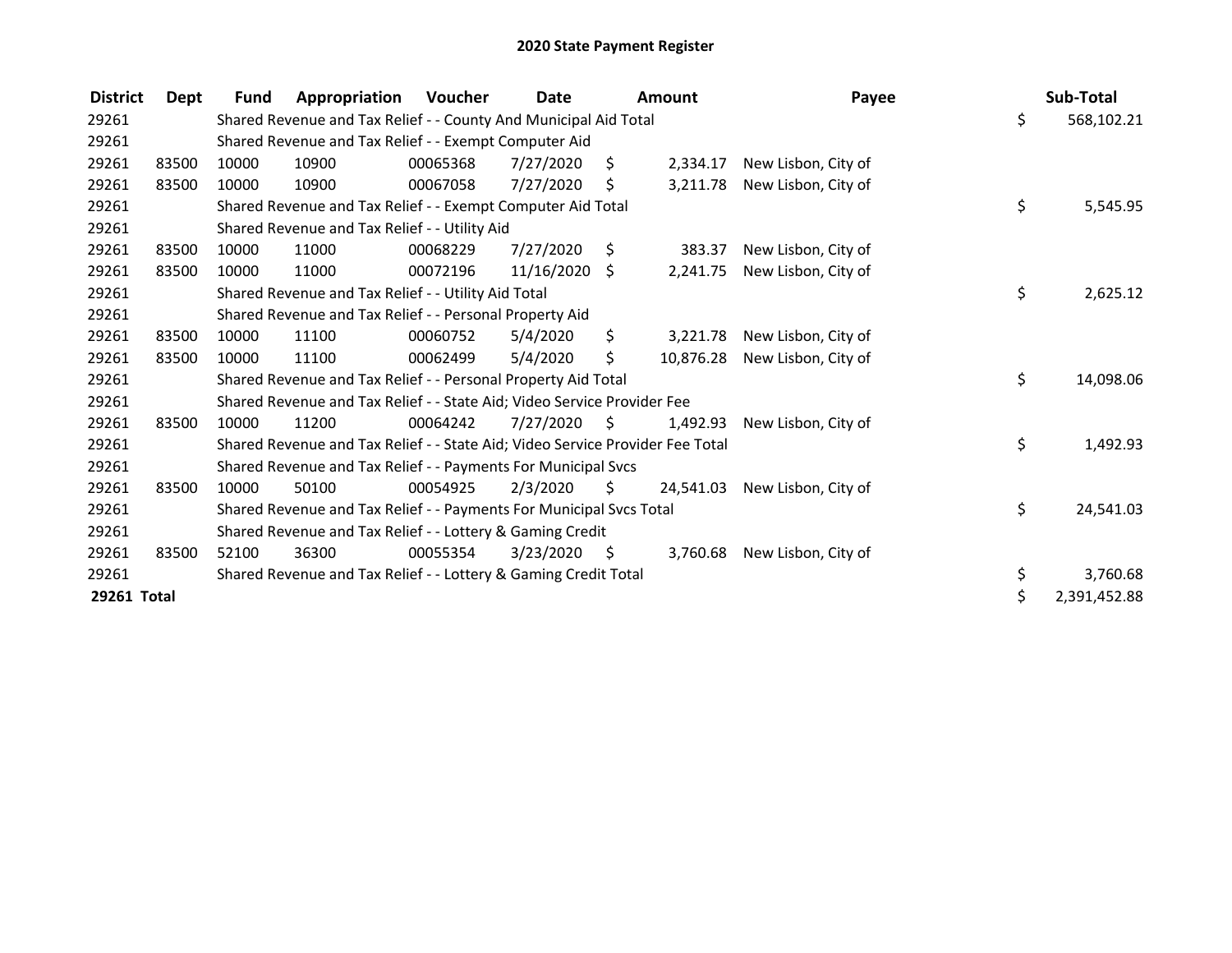| <b>District</b> | Dept  | <b>Fund</b> | Appropriation                                                                 | Voucher  | Date            |      | <b>Amount</b> | Payee               | Sub-Total          |
|-----------------|-------|-------------|-------------------------------------------------------------------------------|----------|-----------------|------|---------------|---------------------|--------------------|
| 29261           |       |             | Shared Revenue and Tax Relief - - County And Municipal Aid Total              |          |                 |      |               |                     | \$<br>568,102.21   |
| 29261           |       |             | Shared Revenue and Tax Relief - - Exempt Computer Aid                         |          |                 |      |               |                     |                    |
| 29261           | 83500 | 10000       | 10900                                                                         | 00065368 | 7/27/2020       | \$.  | 2,334.17      | New Lisbon, City of |                    |
| 29261           | 83500 | 10000       | 10900                                                                         | 00067058 | 7/27/2020       | \$   | 3,211.78      | New Lisbon, City of |                    |
| 29261           |       |             | Shared Revenue and Tax Relief - - Exempt Computer Aid Total                   |          |                 |      |               |                     | \$<br>5,545.95     |
| 29261           |       |             | Shared Revenue and Tax Relief - - Utility Aid                                 |          |                 |      |               |                     |                    |
| 29261           | 83500 | 10000       | 11000                                                                         | 00068229 | 7/27/2020       | - \$ | 383.37        | New Lisbon, City of |                    |
| 29261           | 83500 | 10000       | 11000                                                                         | 00072196 | $11/16/2020$ \$ |      | 2,241.75      | New Lisbon, City of |                    |
| 29261           |       |             | Shared Revenue and Tax Relief - - Utility Aid Total                           |          |                 |      |               |                     | \$<br>2,625.12     |
| 29261           |       |             | Shared Revenue and Tax Relief - - Personal Property Aid                       |          |                 |      |               |                     |                    |
| 29261           | 83500 | 10000       | 11100                                                                         | 00060752 | 5/4/2020        | \$   | 3,221.78      | New Lisbon, City of |                    |
| 29261           | 83500 | 10000       | 11100                                                                         | 00062499 | 5/4/2020        | \$.  | 10,876.28     | New Lisbon, City of |                    |
| 29261           |       |             | Shared Revenue and Tax Relief - - Personal Property Aid Total                 |          |                 |      |               |                     | \$<br>14,098.06    |
| 29261           |       |             | Shared Revenue and Tax Relief - - State Aid; Video Service Provider Fee       |          |                 |      |               |                     |                    |
| 29261           | 83500 | 10000       | 11200                                                                         | 00064242 | 7/27/2020       | - \$ | 1,492.93      | New Lisbon, City of |                    |
| 29261           |       |             | Shared Revenue and Tax Relief - - State Aid; Video Service Provider Fee Total |          |                 |      |               |                     | \$<br>1,492.93     |
| 29261           |       |             | Shared Revenue and Tax Relief - - Payments For Municipal Svcs                 |          |                 |      |               |                     |                    |
| 29261           | 83500 | 10000       | 50100                                                                         | 00054925 | 2/3/2020        | S.   | 24,541.03     | New Lisbon, City of |                    |
| 29261           |       |             | Shared Revenue and Tax Relief - - Payments For Municipal Svcs Total           |          |                 |      |               |                     | \$<br>24,541.03    |
| 29261           |       |             | Shared Revenue and Tax Relief - - Lottery & Gaming Credit                     |          |                 |      |               |                     |                    |
| 29261           | 83500 | 52100       | 36300                                                                         | 00055354 | 3/23/2020       | - \$ | 3,760.68      | New Lisbon, City of |                    |
| 29261           |       |             | Shared Revenue and Tax Relief - - Lottery & Gaming Credit Total               |          |                 |      |               |                     | \$<br>3,760.68     |
| 29261 Total     |       |             |                                                                               |          |                 |      |               |                     | \$<br>2,391,452.88 |